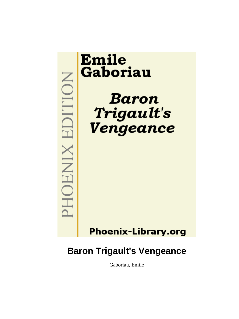

**Baron Trigault's Vengeance**

Gaboriau, Emile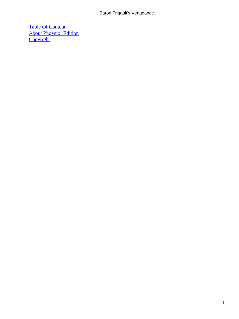# Baron Trigault's Vengeance

[Table Of Content](#page-256-0) [About Phoenix−Edition](#page-257-0) **[Copyright](#page-258-0)**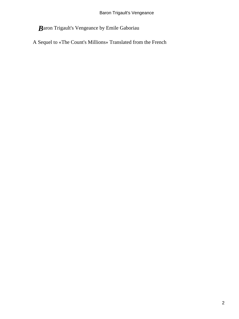*B*aron Trigault's Vengeance by Emile Gaboriau

A Sequel to «The Count's Millions» Translated from the French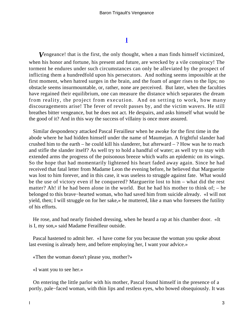# **[I](#page-256-0)**

**V**engeance! that is the first, the only thought, when a man finds himself victimized, when his honor and fortune, his present and future, are wrecked by a vile conspiracy! The torment he endures under such circumstances can only be alleviated by the prospect of inflicting them a hundredfold upon his persecutors. And nothing seems impossible at the first moment, when hatred surges in the brain, and the foam of anger rises to the lips; no obstacle seems insurmountable, or, rather, none are perceived. But later, when the faculties have regained their equilibrium, one can measure the distance which separates the dream from reality, the project from execution. And on setting to work, how many discouragements arise! The fever of revolt passes by, and the victim wavers. He still breathes bitter vengeance, but he does not act. He despairs, and asks himself what would be the good of it? And in this way the success of villainy is once more assured.

 Similar despondency attacked Pascal Ferailleur when he awoke for the first time in the abode where he had hidden himself under the name of Maumejan. A frightful slander had crushed him to the earth – he could kill his slanderer, but afterward – ? How was he to reach and stifle the slander itself? As well try to hold a handful of water; as well try to stay with extended arms the progress of the poisonous breeze which wafts an epidemic on its wings. So the hope that had momentarily lightened his heart faded away again. Since he had received that fatal letter from Madame Leon the evening before, he believed that Marguerite was lost to him forever, and in this case, it was useless to struggle against fate. What would be the use of victory even if he conquered? Marguerite lost to him – what did the rest matter? Ah! if he had been alone in the world. But he had his mother to think of:  $-$  he belonged to this brave−hearted woman, who had saved him from suicide already. «I will not yield, then; I will struggle on for her sake,» he muttered, like a man who foresees the futility of his efforts.

 He rose, and had nearly finished dressing, when he heard a rap at his chamber door. «It is I, my son,» said Madame Ferailleur outside.

 Pascal hastened to admit her. «I have come for you because the woman you spoke about last evening is already here, and before employing her, I want your advice.»

«Then the woman doesn't please you, mother?»

«I want you to see her.»

 On entering the little parlor with his mother, Pascal found himself in the presence of a portly, pale−faced woman, with thin lips and restless eyes, who bowed obsequiously. It was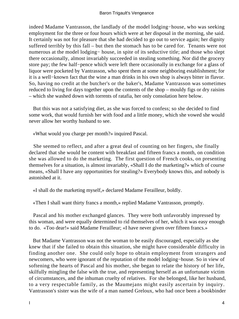indeed Madame Vantrasson, the landlady of the model lodging−house, who was seeking employment for the three or four hours which were at her disposal in the morning, she said. It certainly was not for pleasure that she had decided to go out to service again; her dignity suffered terribly by this fall – but then the stomach has to be cared for. Tenants were not numerous at the model lodging− house, in spite of its seductive title; and those who slept there occasionally, almost invariably succeeded in stealing something. Nor did the grocery store pay; the few half−pence which were left there occasionally in exchange for a glass of liquor were pocketed by Vantrasson, who spent them at some neighboring establishment; for it is a well−known fact that the wine a man drinks in his own shop is always bitter in flavor. So, having no credit at the butcher's or the baker's, Madame Vantrasson was sometimes reduced to living for days together upon the contents of the shop – mouldy figs or dry raisins – which she washed down with torrents of ratafia, her only consolation here below.

 But this was not a satisfying diet, as she was forced to confess; so she decided to find some work, that would furnish her with food and a little money, which she vowed she would never allow her worthy husband to see.

«What would you charge per month?» inquired Pascal.

 She seemed to reflect, and after a great deal of counting on her fingers, she finally declared that she would be content with breakfast and fifteen francs a month, on condition she was allowed to do the marketing. The first question of French cooks, on presenting themselves for a situation, is almost invariably, «Shall I do the marketing?» which of course means, «Shall I have any opportunities for stealing?» Everybody knows this, and nobody is astonished at it.

«I shall do the marketing myself,» declared Madame Ferailleur, boldly.

«Then I shall want thirty francs a month,» replied Madame Vantrasson, promptly.

 Pascal and his mother exchanged glances. They were both unfavorably impressed by this woman, and were equally determined to rid themselves of her, which it was easy enough to do. «Too dear!» said Madame Ferailleur; «I have never given over fifteen francs.»

 But Madame Vantrasson was not the woman to be easily discouraged, especially as she knew that if she failed to obtain this situation, she might have considerable difficulty in finding another one. She could only hope to obtain employment from strangers and newcomers, who were ignorant of the reputation of the model lodging−house. So in view of softening the hearts of Pascal and his mother, she began to relate the history of her life, skilfully mingling the false with the true, and representing herself as an unfortunate victim of circumstances, and the inhuman cruelty of relatives. For she belonged, like her husband, to a very respectable family, as the Maumejans might easily ascertain by inquiry. Vantrasson's sister was the wife of a man named Greloux, who had once been a bookbinder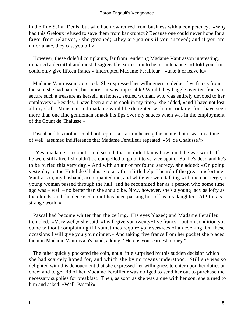in the Rue Saint−Denis, but who had now retired from business with a competency. «Why had this Greloux refused to save them from bankruptcy? Because one could never hope for a favor from relatives,» she groaned; «they are jealous if you succeed; and if you are unfortunate, they cast you off.»

 However, these doleful complaints, far from rendering Madame Vantrasson interesting, imparted a deceitful and most disagreeable expression to her countenance. «I told you that I could only give fifteen francs,» interrupted Madame Ferailleur – «take it or leave it.»

 Madame Vantrasson protested. She expressed her willingness to deduct five francs from the sum she had named, but more – it was impossible! Would they haggle over ten francs to secure such a treasure as herself, an honest, settled woman, who was entirely devoted to her employers?« Besides, I have been a grand cook in my time,» she added, «and I have not lost all my skill. Monsieur and madame would be delighted with my cooking, for I have seen more than one fine gentleman smack his lips over my sauces when was in the employment of the Count de Chalusse.»

 Pascal and his mother could not repress a start on hearing this name; but it was in a tone of well−assumed indifference that Madame Ferailleur repeated, «M. de Chalusse?»

 $\ll Y$ es, madame – a count – and so rich that he didn't know how much he was worth. If he were still alive I shouldn't be compelled to go out to service again. But he's dead and he's to be buried this very day.» And with an air of profound secrecy, she added: «On going yesterday to the Hotel de Chalusse to ask for a little help, I heard of the great misfortune. Vantrasson, my husband, accompanied me, and while we were talking with the concierge, a young woman passed through the hall, and he recognized her as a person who some time ago was – well – no better than she should be. Now, however, she's a young lady as lofty as the clouds, and the deceased count has been passing her off as his daughter. Ah! this is a strange world.»

 Pascal had become whiter than the ceiling. His eyes blazed; and Madame Ferailleur trembled. «Very well,» she said, «I will give you twenty−five francs – but on condition you come without complaining if I sometimes require your services of an evening. On these occasions I will give you your dinner.» And taking five francs from her pocket she placed them in Madame Vantrasson's hand, adding: ' Here is your earnest money."

 The other quickly pocketed the coin, not a little surprised by this sudden decision which she had scarcely hoped for, and which she by no means understood. Still she was so delighted with this denouement that she expressed her willingness to enter upon her duties at once; and to get rid of her Madame Ferailleur was obliged to send her out to purchase the necessary supplies for breakfast. Then, as soon as she was alone with her son, she turned to him and asked: «Well, Pascal?»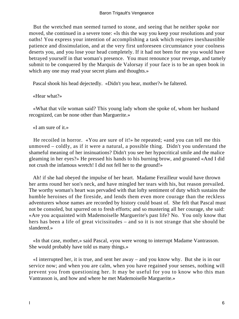But the wretched man seemed turned to stone, and seeing that he neither spoke nor moved, she continued in a severe tone: «Is this the way you keep your resolutions and your oaths! You express your intention of accomplishing a task which requires inexhaustible patience and dissimulation, and at the very first unforeseen circumstance your coolness deserts you, and you lose your head completely. If it had not been for me you would have betrayed yourself in that woman's presence. You must renounce your revenge, and tamely submit to be conquered by the Marquis de Valorsay if your face is to be an open book in which any one may read your secret plans and thoughts.»

Pascal shook his head dejectedly. «Didn't you hear, mother?» he faltered.

«Hear what?»

 «What that vile woman said? This young lady whom she spoke of, whom her husband recognized, can be none other than Marguerite.»

«I am sure of it.»

 He recoiled in horror. «You are sure of it!» he repeated; «and you can tell me this unmoved – coldly, as if it were a natural, a possible thing. Didn't you understand the shameful meaning of her insinuations? Didn't you see her hypocritical smile and the malice gleaming in her eyes?» He pressed his hands to his burning brow, and groaned «And I did not crush the infamous wretch! I did not fell her to the ground!»

 Ah! if she had obeyed the impulse of her heart. Madame Ferailleur would have thrown her arms round her son's neck, and have mingled her tears with his, but reason prevailed. The worthy woman's heart was pervaded with that lofty sentiment of duty which sustains the humble heroines of the fireside, and lends them even more courage than the reckless adventurers whose names are recorded by history could boast of. She felt that Pascal must not be consoled, but spurred on to fresh efforts; and so mustering all her courage, she said: «Are you acquainted with Mademoiselle Marguerite's past life? No. You only know that hers has been a life of great vicissitudes – and so it is not strange that she should be slandered.»

 «In that case, mother,» said Pascal, «you were wrong to interrupt Madame Vantrasson. She would probably have told us many things.»

 «I interrupted her, it is true, and sent her away – and you know why. But she is in our service now; and when you are calm, when you have regained your senses, nothing will prevent you from questioning her. It may be useful for you to know who this man Vantrasson is, and how and where he met Mademoiselle Marguerite.»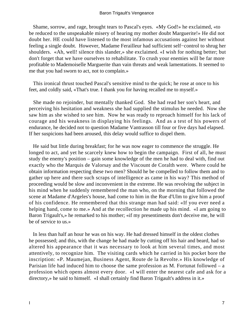#### Baron Trigault's Vengeance

 Shame, sorrow, and rage, brought tears to Pascal's eyes. «My God!» he exclaimed, «to be reduced to the unspeakable misery of hearing my mother doubt Marguerite!» He did not doubt her. HE could have listened to the most infamous accusations against her without feeling a single doubt. However, Madame Ferailleur had sufficient self−control to shrug her shoulders. «Ah, well! silence this slander,» she exclaimed. «I wish for nothing better; but don't forget that we have ourselves to rehabilitate. To crush your enemies will be far more profitable to Mademoiselle Marguerite than vain threats and weak lamentations. It seemed to me that you had sworn to act, not to complain.»

 This ironical thrust touched Pascal's sensitive mind to the quick; he rose at once to his feet, and coldly said, «That's true. I thank you for having recalled me to myself.»

 She made no rejoinder, but mentally thanked God. She had read her son's heart, and perceiving his hesitation and weakness she had supplied the stimulus he needed. Now she saw him as she wished to see him. Now he was ready to reproach himself for his lack of courage and his weakness in displaying his feelings. And as a test of his powers of endurance, he decided not to question Madame Vantrasson till four or five days had elapsed. If her suspicions had been aroused, this delay would suffice to dispel them.

 He said but little during breakfast; for he was now eager to commence the struggle. He longed to act, and yet he scarcely knew how to begin the campaign. First of all, he must study the enemy's position – gain some knowledge of the men he had to deal with, find out exactly who the Marquis de Valorsay and the Viscount de Coralth were. Where could he obtain information respecting these two men? Should he be compelled to follow them and to gather up here and there such scraps of intelligence as came in his way? This method of proceeding would be slow and inconvenient in the extreme. He was revolving the subject in his mind when he suddenly remembered the man who, on the morning that followed the scene at Madame d'Argeles's house, had come to him in the Rue d'Ulm to give him a proof of his confidence. He remembered that this strange man had said: «If you ever need a helping hand, come to me.» And at the recollection he made up his mind. «I am going to Baron Trigault's,» he remarked to his mother; «if my presentiments don't deceive me, he will be of service to us.»

 In less than half an hour he was on his way. He had dressed himself in the oldest clothes he possessed; and this, with the change he had made by cutting off his hair and beard, had so altered his appearance that it was necessary to look at him several times, and most attentively, to recognize him. The visiting cards which he carried in his pocket bore the inscription: «P. Maumejan, Business Agent, Route de la Revolte.» His knowledge of Parisian life had induced him to choose the same profession as M. Fortunat followed – a profession which opens almost every door. «I will enter the nearest cafe and ask for a directory,» he said to himself. «I shall certainly find Baron Trigault's address in it.»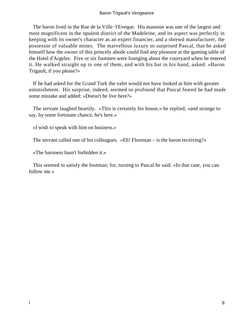### Baron Trigault's Vengeance

 The baron lived in the Rue de la Ville−l'Eveque. His mansion was one of the largest and most magnificent in the opulent district of the Madeleine, and its aspect was perfectly in keeping with its owner's character as an expert financier, and a shrewd manufacturer, the possessor of valuable mines. The marvellous luxury so surprised Pascal, that he asked himself how the owner of this princely abode could find any pleasure at the gaming table of the Hotel d'Argeles. Five or six footmen were lounging about the courtyard when he entered it. He walked straight up to one of them, and with his hat in his hand, asked: «Baron Trigault, if you please?»

 If he had asked for the Grand Turk the valet would not have looked at him with greater astonishment. His surprise, indeed, seemed so profound that Pascal feared he had made some mistake and added: «Doesn't he live here?»

 The servant laughed heartily. «This is certainly his house,» he replied, «and strange to say, by some fortunate chance, he's here.»

«I wish to speak with him on business.»

The servant called one of his colleagues. «Eh! Florestan – is the baron receiving?»

«The baroness hasn't forbidden it.»

 This seemed to satisfy the footman; for, turning to Pascal he said: «In that case, you can follow me.»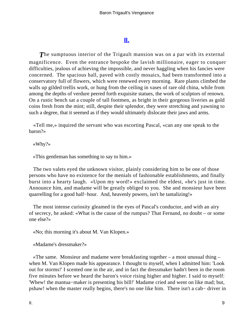# **[II.](#page-256-0)**

*T*he sumptuous interior of the Trigault mansion was on a par with its external magnificence. Even the entrance bespoke the lavish millionaire, eager to conquer difficulties, jealous of achieving the impossible, and never haggling when his fancies were concerned. The spacious hall, paved with costly mosaics, had been transformed into a conservatory full of flowers, which were renewed every morning. Rare plants climbed the walls up gilded trellis work, or hung from the ceiling in vases of rare old china, while from among the depths of verdure peered forth exquisite statues, the work of sculptors of renown. On a rustic bench sat a couple of tall footmen, as bright in their gorgeous liveries as gold coins fresh from the mint; still, despite their splendor, they were stretching and yawning to such a degree, that it seemed as if they would ultimately dislocate their jaws and arms.

 «Tell me,» inquired the servant who was escorting Pascal, «can any one speak to the baron?»

## «Why?»

«This gentleman has something to say to him.»

 The two valets eyed the unknown visitor, plainly considering him to be one of those persons who have no existence for the menials of fashionable establishments, and finally burst into a hearty laugh. «Upon my word!» exclaimed the eldest, «he's just in time. Announce him, and madame will be greatly obliged to you. She and monsieur have been quarrelling for a good half–hour. And, heavenly powers, isn't he tantalizing!»

 The most intense curiosity gleamed in the eyes of Pascal's conductor, and with an airy of secrecy, he asked: «What is the cause of the rumpus? That Fernand, no doubt – or some one else?»

«No; this morning it's about M. Van Klopen.»

«Madame's dressmaker?»

 «The same. Monsieur and madame were breakfasting together – a most unusual thing – when M. Van Klopen made his appearance. I thought to myself, when I admitted him: 'Look out for storms!' I scented one in the air, and in fact the dressmaker hadn't been in the room five minutes before we heard the baron's voice rising higher and higher. I said to myself: 'Whew! the mantua−maker is presenting his bill!' Madame cried and went on like mad; but, pshaw! when the master really begins, there's no one like him. There isn't a cab− driver in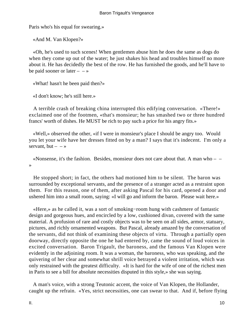Paris who's his equal for swearing.»

«And M. Van Klopen?»

 «Oh, he's used to such scenes! When gentlemen abuse him he does the same as dogs do when they come up out of the water; he just shakes his head and troubles himself no more about it. He has decidedly the best of the row. He has furnished the goods, and he'll have to be paid sooner or later  $- - \infty$ 

«What! hasn't he been paid then?»

«I don't know; he's still here.»

 A terrible crash of breaking china interrupted this edifying conversation. «There!» exclaimed one of the footmen, «that's monsieur; he has smashed two or three hundred francs' worth of dishes. He MUST be rich to pay such a price for his angry fits.»

 «Well,» observed the other, «if I were in monsieur's place I should be angry too. Would you let your wife have her dresses fitted on by a man? I says that it's indecent. I'm only a servant, but  $-$  – »

«Nonsense, it's the fashion. Besides, monsieur does not care about that. A man who  $-$ »

 He stopped short; in fact, the others had motioned him to be silent. The baron was surrounded by exceptional servants, and the presence of a stranger acted as a restraint upon them. For this reason, one of them, after asking Pascal for his card, opened a door and ushered him into a small room, saying: «I will go and inform the baron. Please wait here.»

 «Here,» as he called it, was a sort of smoking−room hung with cashmere of fantastic design and gorgeous hues, and encircled by a low, cushioned divan, covered with the same material. A profusion of rare and costly objects was to be seen on all sides, armor, statuary, pictures, and richly ornamented weapons. But Pascal, already amazed by the conversation of the servants, did not think of examining these objects of virtu. Through a partially open doorway, directly opposite the one he had entered by, came the sound of loud voices in excited conversation. Baron Trigault, the baroness, and the famous Van Klopen were evidently in the adjoining room. It was a woman, the baroness, who was speaking, and the quivering of her clear and somewhat shrill voice betrayed a violent irritation, which was only restrained with the greatest difficulty. «It is hard for the wife of one of the richest men in Paris to see a bill for absolute necessities disputed in this style,» she was saying.

 A man's voice, with a strong Teutonic accent, the voice of Van Klopen, the Hollander, caught up the refrain. «Yes, strict necessities, one can swear to that. And if, before flying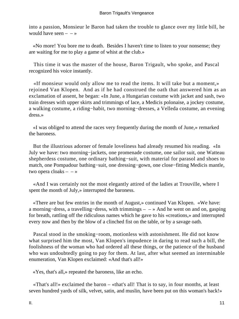into a passion, Monsieur le Baron had taken the trouble to glance over my little bill, he would have seen  $- - \infty$ 

 «No more! You bore me to death. Besides I haven't time to listen to your nonsense; they are waiting for me to play a game of whist at the club.»

 This time it was the master of the house, Baron Trigault, who spoke, and Pascal recognized his voice instantly.

 «If monsieur would only allow me to read the items. It will take but a moment,» rejoined Van Klopen. And as if he had construed the oath that answered him as an exclamation of assent, he began: «In June, a Hungarian costume with jacket and sash, two train dresses with upper skirts and trimmings of lace, a Medicis polonaise, a jockey costume, a walking costume, a riding−habit, two morning−dresses, a Velleda costume, an evening dress.»

 «I was obliged to attend the races very frequently during the month of June,» remarked the baroness.

 But the illustrious adorner of female loveliness had already resumed his reading. «In July we have: two morning−jackets, one promenade costume, one sailor suit, one Watteau shepherdess costume, one ordinary bathing−suit, with material for parasol and shoes to match, one Pompadour bathing−suit, one dressing−gown, one close−fitting Medicis mantle, two opera cloaks  $- - \infty$ 

 «And I was certainly not the most elegantly attired of the ladies at Trouville, where I spent the month of July,» interrupted the baroness.

 «There are but few entries in the month of August,» continued Van Klopen. «We have: a morning−dress, a travelling−dress, with trimmings – – » And he went on and on, gasping for breath, rattling off the ridiculous names which he gave to his «creations,» and interrupted every now and then by the blow of a clinched fist on the table, or by a savage oath.

 Pascal stood in the smoking−room, motionless with astonishment. He did not know what surprised him the most, Van Klopen's impudence in daring to read such a bill, the foolishness of the woman who had ordered all these things, or the patience of the husband who was undoubtedly going to pay for them. At last, after what seemed an interminable enumeration, Van Klopen exclaimed: «And that's all!»

«Yes, that's all,» repeated the baroness, like an echo.

 «That's all!» exclaimed the baron – «that's all! That is to say, in four months, at least seven hundred yards of silk, velvet, satin, and muslin, have been put on this woman's back!»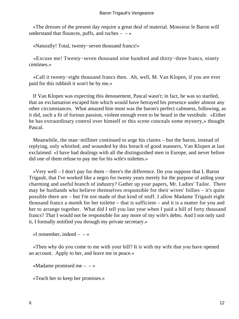«The dresses of the present day require a great deal of material. Monsieur le Baron will understand that flounces, puffs, and ruches  $- \rightarrow \infty$ 

«Naturally! Total, twenty−seven thousand francs!»

 «Excuse me! Twenty−seven thousand nine hundred and thirty−three francs, ninety centimes.»

 «Call it twenty−eight thousand francs then. Ah, well, M. Van Klopen, if you are ever paid for this rubbish it won't be by me.»

 If Van Klopen was expecting this denouement, Pascal wasn't; in fact, he was so startled, that an exclamation escaped him which would have betrayed his presence under almost any other circumstances. What amazed him most was the baron's perfect calmness, following, as it did, such a fit of furious passion, violent enough even to be heard in the vestibule. «Either he has extraordinary control over himself or this scene conceals some mystery,» thought Pascal.

 Meanwhile, the man−milliner continued to urge his claims – but the baron, instead of replying, only whistled; and wounded by this breach of good manners, Van Klopen at last exclaimed: «I have had dealings with all the distinguished men in Europe, and never before did one of them refuse to pay me for his wife's toilettes.»

 «Very well – I don't pay for them – there's the difference. Do you suppose that I, Baron Trigault, that I've worked like a negro for twenty years merely for the purpose of aiding your charming and useful branch of industry? Gather up your papers, Mr. Ladies' Tailor. There may be husbands who believe themselves responsible for their wives' follies – it's quite possible there are – but I'm not made of that kind of stuff. I allow Madame Trigault eight thousand francs a month for her toilette – that is sufficient – and it is a matter for you and her to arrange together. What did I tell you last year when I paid a bill of forty thousand francs? That I would not be responsible for any more of my wife's debts. And I not only said it, I formally notified you through my private secretary.»

«I remember, indeed  $-$  – »

 «Then why do you come to me with your bill? It is with my wife that you have opened an account. Apply to her, and leave me in peace.»

«Madame promised me  $- - \infty$ 

«Teach her to keep her promises.»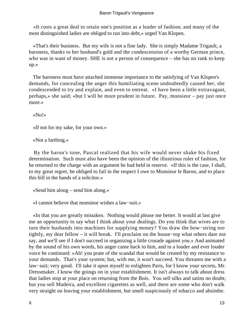## Baron Trigault's Vengeance

 «It costs a great deal to retain one's position as a leader of fashion; and many of the most distinguished ladies are obliged to run into debt,» urged Van Klopen.

 «That's their business. But my wife is not a fine lady. She is simply Madame Trigault, a baroness, thanks to her husband's gold and the condescension of a worthy German prince, who was in want of money. SHE is not a person of consequence – she has no rank to keep up.»

 The baroness must have attached immense importance to the satisfying of Van Klopen's demands, for concealing the anger this humiliating scene undoubtedly caused her, she condescended to try and explain, and even to entreat. «I have been a little extravagant, perhaps,» she said; «but I will be more prudent in future. Pay, monsieur – pay just once more.»

«No!»

«If not for my sake, for your own.»

«Not a farthing.»

 By the baron's tone, Pascal realized that his wife would never shake his fixed determination. Such must also have been the opinion of the illustrious ruler of fashion, for he returned to the charge with an argument he had held in reserve. «If this is the case, I shall, to my great regret, be obliged to fail in the respect I owe to Monsieur le Baron, and to place this bill in the hands of a solicitor.»

«Send him along – send him along.»

«I cannot believe that monsieur wishes a law−suit.»

 «In that you are greatly mistaken. Nothing would please me better. It would at last give me an opportunity to say what I think about your dealings. Do you think that wives are to turn their husbands into machines for supplying money? You draw the bow−string too tightly, my dear fellow – it will break. I'll proclaim on the house−top what others dare not say, and we'll see if I don't succeed in organizing a little crusade against you.» And animated by the sound of his own words, his anger came back to him, and in a louder and ever louder voice he continued: «Ah! you prate of the scandal that would be created by my resistance to your demands. That's your system; but, with me, it won't succeed. You threaten me with a law−suit; very good. I'll take it upon myself to enlighten Paris, for I know your secrets, Mr. Dressmaker. I know the goings on in your establishment. It isn't always to talk about dress that ladies stop at your place on returning from the Bois. You sell silks and satins no doubt; but you sell Madeira, and excellent cigarettes as well, and there are some who don't walk very straight on leaving your establishment, but smell suspiciously of tobacco and absinthe.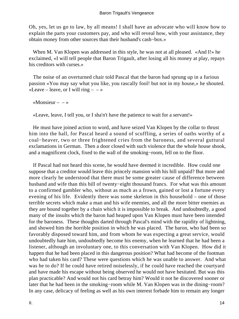Oh, yes, let us go to law, by all means! I shall have an advocate who will know how to explain the parts your customers pay, and who will reveal how, with your assistance, they obtain money from other sources than their husband's cash−box.»

When M. Van Klopen was addressed in this style, he was not at all pleased. «And I!» he exclaimed, «I will tell people that Baron Trigault, after losing all his money at play, repays his creditors with curses.»

 The noise of an overturned chair told Pascal that the baron had sprung up in a furious passion «You may say what you like, you rascally fool! but not in my house,» he shouted. «Leave – leave, or I will ring –  $-\infty$ 

«Monsieur –  $-\infty$ 

«Leave, leave, I tell you, or I sha'n't have the patience to wait for a servant!»

 He must have joined action to word, and have seized Van Klopen by the collar to thrust him into the hall, for Pascal heard a sound of scuffling, a series of oaths worthy of a coal−heaver, two or three frightened cries from the baroness, and several guttural exclamations in German. Then a door closed with such violence that the whole house shook, and a magnificent clock, fixed to the wall of the smoking−room, fell on to the floor.

 If Pascal had not heard this scene, he would have deemed it incredible. How could one suppose that a creditor would leave this princely mansion with his bill unpaid? But more and more clearly he understood that there must be some greater cause of difference between husband and wife than this bill of twenty−eight thousand francs. For what was this amount to a confirmed gambler who, without as much as a frown, gained or lost a fortune every evening of his life. Evidently there was some skeleton in this household – one of those terrible secrets which make a man and his wife enemies, and all the more bitter enemies as they are bound together by a chain which it is impossible to break. And undoubtedly, a good many of the insults which the baron had heaped upon Van Klopen must have been intended for the baroness. These thoughts darted through Pascal's mind with the rapidity of lightning, and showed him the horrible position in which he was placed. The baron, who had been so favorably disposed toward him, and from whom he was expecting a great service, would undoubtedly hate him, undoubtedly become his enemy, when he learned that he had been a listener, although an involuntary one, to this conversation with Van Klopen. How did it happen that he had been placed in this dangerous position? What had become of the footman who had taken his card? These were questions which he was unable to answer. And what was he to do? If he could have retired noiselessly, if he could have reached the courtyard and have made his escape without being observed he would not have hesitated. But was this plan practicable? And would not his card betray him? Would it not be discovered sooner or later that he had been in the smoking−room while M. Van Klopen was in the dining−room? In any case, delicacy of feeling as well as his own interest forbade him to remain any longer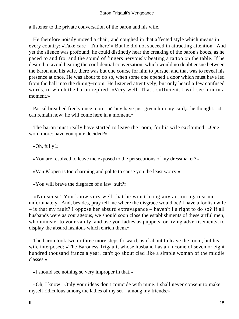a listener to the private conversation of the baron and his wife.

 He therefore noisily moved a chair, and coughed in that affected style which means in every country: «Take care – I'm here!» But he did not succeed in attracting attention. And yet the silence was profound; he could distinctly hear the creaking of the baron's boots, as he paced to and fro, and the sound of fingers nervously beating a tattoo on the table. If he desired to avoid hearing the confidential conversation, which would no doubt ensue between the baron and his wife, there was but one course for him to pursue, and that was to reveal his presence at once. He was about to do so, when some one opened a door which must have led from the hall into the dining−room. He listened attentively, but only heard a few confused words, to which the baron replied: «Very well. That's sufficient. I will see him in a moment.»

 Pascal breathed freely once more. «They have just given him my card,» he thought. «I can remain now; he will come here in a moment.»

 The baron must really have started to leave the room, for his wife exclaimed: «One word more: have you quite decided?»

«Oh, fully!»

«You are resolved to leave me exposed to the persecutions of my dressmaker?»

«Van Klopen is too charming and polite to cause you the least worry.»

«You will brave the disgrace of a law−suit?»

 «Nonsense! You know very well that he won't bring any action against me – unfortunately. And, besides, pray tell me where the disgrace would be? I have a foolish wife – is that my fault? I oppose her absurd extravagance – haven't I a right to do so? If all husbands were as courageous, we should soon close the establishments of these artful men, who minister to your vanity, and use you ladies as puppets, or living advertisements, to display the absurd fashions which enrich them.»

 The baron took two or three more steps forward, as if about to leave the room, but his wife interposed: «The Baroness Trigault, whose husband has an income of seven or eight hundred thousand francs a year, can't go about clad like a simple woman of the middle classes.»

«I should see nothing so very improper in that.»

 «Oh, I know. Only your ideas don't coincide with mine. I shall never consent to make myself ridiculous among the ladies of my set – among my friends.»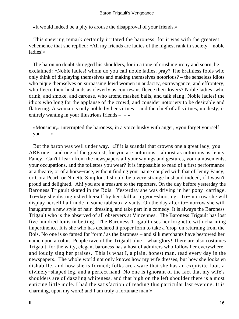«It would indeed be a pity to arouse the disapproval of your friends.»

 This sneering remark certainly irritated the baroness, for it was with the greatest vehemence that she replied: «All my friends are ladies of the highest rank in society – noble ladies!»

 The baron no doubt shrugged his shoulders, for in a tone of crushing irony and scorn, he exclaimed: «Noble ladies! whom do you call noble ladies, pray? The brainless fools who only think of displaying themselves and making themselves notorious? – the senseless idiots who pique themselves on surpassing lewd women in audacity, extravagance, and effrontery, who fleece their husbands as cleverly as courtesans fleece their lovers? Noble ladies! who drink, and smoke, and carouse, who attend masked balls, and talk slang! Noble ladies! the idiots who long for the applause of the crowd, and consider notoriety to be desirable and flattering. A woman is only noble by her virtues – and the chief of all virtues, modesty, is entirely wanting in your illustrious friends  $- - \infty$ 

 «Monsieur,» interrupted the baroness, in a voice husky with anger, «you forget yourself  $-$  you  $\rightarrow$ 

 But the baron was well under way. «If it is scandal that crowns one a great lady, you ARE one – and one of the greatest; for you are notorious – almost as notorious as Jenny Fancy. Can't I learn from the newspapers all your sayings and gestures, your amusements, your occupations, and the toilettes you wear? It is impossible to read of a first performance at a theatre, or of a horse−race, without finding your name coupled with that of Jenny Fancy, or Cora Pearl, or Ninette Simplon. I should be a very strange husband indeed, if I wasn't proud and delighted. Ah! you are a treasure to the reporters. On the day before yesterday the Baroness Trigault skated in the Bois. Yesterday she was driving in her pony−carriage. To−day she distinguished herself by her skill at pigeon−shooting. To−morrow she will display herself half nude in some tableaux vivants. On the day after to−morrow she will inaugurate a new style of hair−dressing, and take part in a comedy. It is always the Baroness Trigault who is the observed of all observers at Vincennes. The Baroness Trigault has lost five hundred louis in betting. The Baroness Trigault uses her lorgnette with charming impertinence. It is she who has declared it proper form to take a 'drop' on returning from the Bois. No one is so famed for 'form,' as the baroness – and silk merchants have bestowed her name upon a color. People rave of the Trigault blue – what glory! There are also costumes Trigault, for the witty, elegant baroness has a host of admirers who follow her everywhere, and loudly sing her praises. This is what I, a plain, honest man, read every day in the newspapers. The whole world not only knows how my wife dresses, but how she looks en dishabille, and how she is formed; folks are aware that she has an exquisite foot, a divinely−shaped leg, and a perfect hand. No one is ignorant of the fact that my wife's shoulders are of dazzling whiteness, and that high on the left shoulder there is a most enticing little mole. I had the satisfaction of reading this particular last evening. It is charming, upon my word! and I am truly a fortunate man!»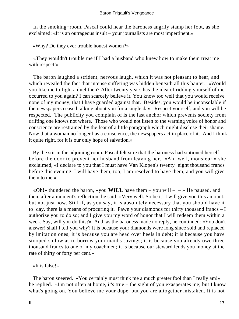In the smoking−room, Pascal could hear the baroness angrily stamp her foot, as she exclaimed: «It is an outrageous insult – your journalists are most impertinent.»

«Why? Do they ever trouble honest women?»

 «They wouldn't trouble me if I had a husband who knew how to make them treat me with respect!»

 The baron laughed a strident, nervous laugh, which it was not pleasant to hear, and which revealed the fact that intense suffering was hidden beneath all this banter. «Would you like me to fight a duel then? After twenty years has the idea of ridding yourself of me occurred to you again? I can scarcely believe it. You know too well that you would receive none of my money, that I have guarded against that. Besides, you would be inconsolable if the newspapers ceased talking about you for a single day. Respect yourself, and you will be respected. The publicity you complain of is the last anchor which prevents society from drifting one knows not where. Those who would not listen to the warning voice of honor and conscience are restrained by the fear of a little paragraph which might disclose their shame. Now that a woman no longer has a conscience, the newspapers act in place of it. And I think it quite right, for it is our only hope of salvation.»

 By the stir in the adjoining room, Pascal felt sure that the baroness had stationed herself before the door to prevent her husband from leaving her. «Ah! well, monsieur,» she exclaimed, «I declare to you that I must have Van Klopen's twenty−eight thousand francs before this evening. I will have them, too; I am resolved to have them, and you will give them to me.»

«Oh!» thundered the baron, «you **WILL** have them – you will –  $\rightarrow$  He paused, and then, after a moment's reflection, he said: «Very well. So be it! I will give you this amount, but not just now. Still if, as you say, it is absolutely necessary that you should have it to−day, there is a means of procuring it. Pawn your diamonds for thirty thousand francs – I authorize you to do so; and I give you my word of honor that I will redeem them within a week. Say, will you do this?» And, as the baroness made no reply, he continued: «You don't answer! shall I tell you why? It is because your diamonds were long since sold and replaced by imitation ones; it is because you are head over heels in debt; it is because you have stooped so low as to borrow your maid's savings; it is because you already owe three thousand francs to one of my coachmen; it is because our steward lends you money at the rate of thirty or forty per cent.»

«It is false!»

The baron sneered. «You certainly must think me a much greater fool than I really am!» he replied. «I'm not often at home, it's true – the sight of you exasperates me; but I know what's going on. You believe me your dupe, but you are altogether mistaken. It is not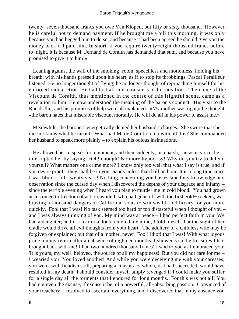twenty−seven thousand francs you owe Van Klopen, but fifty or sixty thousand. However, he is careful not to demand payment. If he brought me a bill this morning, it was only because you had begged him to do so, and because it had been agreed he should give you the money back if I paid him. In short, if you require twenty−eight thousand francs before to−night, it is because M. Fernand de Coralth has demanded that sum, and because you have promised to give it to him!»

 Leaning against the wall of the smoking−room, speechless and motionless, holding his breath, with his hands pressed upon his heart, as if to stop its throbbings, Pascal Ferailleur listened. He no longer thought of flying; he no longer thought of reproaching himself for his enforced indiscretion. He had lost all consciousness of his position. The name of the Viscount de Coralth, thus mentioned in the course of this frightful scene, came as a revelation to him. He now understood the meaning of the baron's conduct. His visit to the Rue d'Ulm, and his promises of help were all explained. «My mother was right,» he thought; «the baron hates that miserable viscount mortally. He will do all in his power to assist me.»

 Meanwhile, the baroness energetically denied her husband's charges. She swore that she did not know what he meant. What had M. de Coralth to do with all this? She commanded her husband to speak more plainly – to explain his odious insinuations.

 He allowed her to speak for a moment, and then suddenly, in a harsh, sarcastic voice, he interrupted her by saying: «Oh! enough! No more hypocrisy! Why do you try to defend yourself? What matters one crime more? I know only too well that what I say is true; and if you desire proofs, they shall be in your hands in less than half an hour. It is a long time since I was blind – full twenty years! Nothing concerning you has escaped my knowledge and observation since the cursed day when I discovered the depths of your disgrace and infamy – since the terrible evening when I heard you plan to murder me in cold blood. You had grown accustomed to freedom of action; while I, who had gone off with the first gold− seekers, was braving a thousand dangers in California, so as to win wealth and luxury for you more quickly. Fool that I was! No task seemed too hard or too distasteful when I thought of you – and I was always thinking of you. My mind was at peace – I had perfect faith in you. We had a daughter; and if a fear or a doubt entered my mind, I told myself that the sight of her cradle would drive all evil thoughts from your heart. The adultery of a childless wife may be forgiven or explained; but that of a mother, never! Fool! idiot! that I was! With what joyous pride, on my return after an absence of eighteen months, I showed you the treasures I had brought back with me! I had two hundred thousand francs! I said to you as I embraced you: 'It is yours, my well−beloved, the source of all my happiness!' But you did not care for me – I wearied you! You loved another! And while you were deceiving me with your caresses, you were, with fiendish skill, preparing a conspiracy which, if it had succeeded, would have resulted in my death! I should consider myself amply revenged if I could make you suffer for a single day all the torments that I endured for long months. For this was not all! You had not even the excuse, if excuse it be, of a powerful, all−absorbing passion. Convinced of your treachery, I resolved to ascertain everything, and I discovered that in my absence you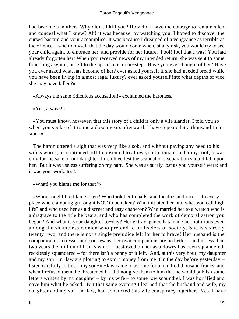had become a mother. Why didn't I kill you? How did I have the courage to remain silent and conceal what I knew? Ah! it was because, by watching you, I hoped to discover the cursed bastard and your accomplice. It was because I dreamed of a vengeance as terrible as the offence. I said to myself that the day would come when, at any risk, you would try to see your child again, to embrace her, and provide for her future. Fool! fool that I was! You had already forgotten her! When you received news of my intended return, she was sent to some foundling asylum, or left to die upon some door−step. Have you ever thought of her? Have you ever asked what has become of her? ever asked yourself if she had needed bread while you have been living in almost regal luxury? ever asked yourself into what depths of vice she may have fallen?»

«Always the same ridiculous accusation!» exclaimed the baroness.

«Yes, always!»

 «You must know, however, that this story of a child is only a vile slander. I told you so when you spoke of it to me a dozen years afterward. I have repeated it a thousand times since.»

 The baron uttered a sigh that was very like a sob, and without paying any heed to his wife's words, he continued: «If I consented to allow you to remain under my roof, it was only for the sake of our daughter. I trembled lest the scandal of a separation should fall upon her. But it was useless suffering on my part. She was as surely lost as you yourself were; and it was your work, too!»

«What! you blame me for that?»

 «Whom ought I to blame, then? Who took her to balls, and theatres and races – to every place where a young girl ought NOT to be taken? Who initiated her into what you call high life? and who used her as a discreet and easy chaperon? Who married her to a wretch who is a disgrace to the title he bears, and who has completed the work of demoralization you began? And what is your daughter to−day? Her extravagance has made her notorious even among the shameless women who pretend to be leaders of society. She is scarcely twenty−two, and there is not a single prejudice left for her to brave! Her husband is the companion of actresses and courtesans; her own companions are no better – and in less than two years the million of francs which I bestowed on her as a dowry has been squandered, recklessly squandered – for there isn't a penny of it left. And, at this very hour, my daughter and my son− in−law are plotting to extort money from me. On the day before yesterday – listen carefully to this – my son−in−law came to ask me for a hundred thousand francs, and when I refused them, he threatened if I did not give them to him that he would publish some letters written by my daughter – by his wife – to some low scoundrel. I was horrified and gave him what he asked. But that same evening I learned that the husband and wife, my daughter and my son−in−law, had concocted this vile conspiracy together. Yes, I have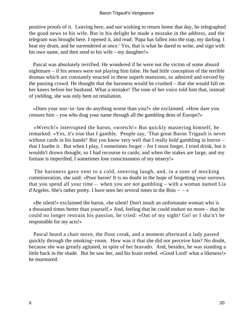positive proofs of it. Leaving here, and not wishing to return home that day, he telegraphed the good news to his wife. But in his delight he made a mistake in the address, and the telegram was brought here. I opened it, and read: 'Papa has fallen into the trap, my darling. I beat my drum, and he surrendered at once.' Yes, that is what he dared to write, and sign with his own name, and then send to his wife – my daughter!»

 Pascal was absolutely terrified. He wondered if he were not the victim of some absurd nightmare – if his senses were not playing him false. He had little conception of the terrible dramas which are constantly enacted in these superb mansions, so admired and envied by the passing crowd. He thought that the baroness would be crushed – that she would fall on her knees before her husband. What a mistake! The tone of her voice told him that, instead of yielding, she was only bent on retaliation.

 «Does your son−in−law do anything worse than you?» she exclaimed. «How dare you censure him – you who drag your name through all the gambling dens of Europe?»

 «Wretch!» interrupted the baron, «wretch!» But quickly mastering himself, he remarked: «Yes, it's true that I gamble. People say, 'That great Baron Trigault is never without cards in his hands!' But you know very well that I really hold gambling in horror – that I loathe it. But when I play, I sometimes forget – for I must forget. I tried drink, but it wouldn't drown thought, so I had recourse to cards; and when the stakes are large, and my fortune is imperilled, I sometimes lose consciousness of my misery!»

 The baroness gave vent to a cold, sneering laugh, and, in a tone of mocking commiseration, she said: «Poor baron! It is no doubt in the hope of forgetting your sorrows that you spend all your time – when you are not gambling – with a woman named Lia d'Argeles. She's rather pretty. I have seen her several times in the Bois  $- \rightarrow \infty$ 

 «Be silent!» exclaimed the baron, «be silent! Don't insult an unfortunate woman who is a thousand times better than yourself.» And, feeling that he could endure no more – that he could no longer restrain his passion, he cried: «Out of my sight! Go! or I sha'n't be responsible for my acts!»

 Pascal heard a chair move, the floor creak, and a moment afterward a lady passed quickly through the smoking−room. How was it that she did not perceive him? No doubt, because she was greatly agitated, in spite of her bravado. And, besides, he was standing a little back in the shade. But he saw her, and his brain reeled. «Good Lord! what a likeness!» he murmured.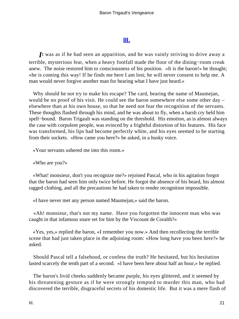# **[III.](#page-256-0)**

*I*t was as if he had seen an apparition, and he was vainly striving to drive away a terrible, mysterious fear, when a heavy footfall made the floor of the dining−room creak anew. The noise restored him to consciousness of his position. «It is the baron!» he thought; «he is coming this way! If he finds me here I am lost; he will never consent to help me. A man would never forgive another man for hearing what I have just heard.»

 Why should he not try to make his escape? The card, bearing the name of Maumejan, would be no proof of his visit. He could see the baron somewhere else some other day – elsewhere than at his own house, so that he need not fear the recognition of the servants. These thoughts flashed through his mind, and he was about to fly, when a harsh cry held him spell−bound. Baron Trigault was standing on the threshold. His emotion, as is almost always the case with corpulent people, was evinced by a frightful distortion of his features. His face was transformed, his lips had become perfectly white, and his eyes seemed to be starting from their sockets. «How came you here?» he asked, in a husky voice.

«Your servants ushered me into this room.»

«Who are you?»

 «What! monsieur, don't you recognize me?» rejoined Pascal, who in his agitation forgot that the baron had seen him only twice before. He forgot the absence of his beard, his almost ragged clothing, and all the precautions he had taken to render recognition impossible.

«I have never met any person named Maumejan,» said the baron.

 «Ah! monsieur, that's not my name. Have you forgotten the innocent man who was caught in that infamous snare set for him by the Viscount de Coralth?»

 «Yes, yes,» replied the baron, «I remember you now.» And then recollecting the terrible scene that had just taken place in the adjoining room: «How long have you been here?» he asked.

 Should Pascal tell a falsehood, or confess the truth? He hesitated, but his hesitation lasted scarcely the tenth part of a second. «I have been here about half an hour,» he replied.

 The baron's livid cheeks suddenly became purple, his eyes glittered, and it seemed by his threatening gesture as if he were strongly tempted to murder this man, who had discovered the terrible, disgraceful secrets of his domestic life. But it was a mere flash of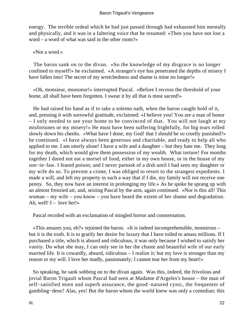energy. The terrible ordeal which he had just passed through had exhausted him mentally and physically, and it was in a faltering voice that he resumed: «Then you have not lost a word – a word of what was said in the other room?»

«Not a word.»

 The baron sank on to the divan. «So the knowledge of my disgrace is no longer confined to myself!» he exclaimed. «A stranger's eye has penetrated the depths of misery I have fallen into! The secret of my wretchedness and shame is mine no longer!»

 «Oh, monsieur, monsieur!» interrupted Pascal. «Before I recross the threshold of your home, all shall have been forgotten. I swear it by all that is most sacred!»

 He had raised his hand as if to take a solemn oath, when the baron caught hold of it, and, pressing it with sorrowful gratitude, exclaimed: «I believe you! You are a man of honor – I only needed to see your home to be convinced of that. You will not laugh at my misfortunes or my misery!» He must have been suffering frightfully, for big tears rolled slowly down his cheeks. «What have I done, my God! that I should be so cruelly punished?» he continued. «I have always been generous and charitable, and ready to help all who applied to me. I am utterly alone! I have a wife and a daughter – but they hate me. They long for my death, which would give them possession of my wealth. What torture! For months together I dared not eat a morsel of food, either in my own house, or in the house of my son−in−law. I feared poison; and I never partook of a dish until I had seen my daughter or my wife do so. To prevent a crime, I was obliged to resort to the strangest expedients. I made a will, and left my property in such a way that if I die, my family will not receive one penny. So, they now have an interest in prolonging my life.» As he spoke he sprang up with an almost frenzied air, and, seizing Pascal by the arm, again continued. «Nor is this all! This woman – my wife – you know – you have heard the extent of her shame and degradation. Ah, well!  $I -$  love her!»

Pascal recoiled with an exclamation of mingled horror and consternation.

 «This amazes you, eh?» rejoined the baron. «It is indeed incomprehensible, monstrous – but it is the truth. It is to gratify her desire for luxury that I have toiled to amass millions. If I purchased a title, which is absurd and ridiculous, it was only because I wished to satisfy her vanity. Do what she may, I can only see in her the chaste and beautiful wife of our early married life. It is cowardly, absurd, ridiculous – I realize it; but my love is stronger than my reason or my will. I love her madly, passionately; I cannot tear her from my heart!»

 So speaking, he sank sobbing on to the divan again. Was this, indeed, the frivolous and jovial Baron Trigault whom Pascal had seen at Madame d'Argeles's house – the man of self−satisfied mien and superb assurance, the good−natured cynic, the frequenter of gambling−dens? Alas, yes! But the baron whom the world knew was only a comedian; this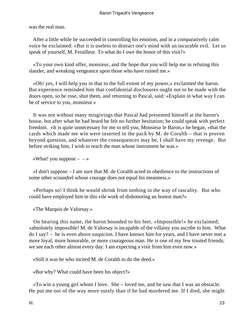was the real man.

 After a little while he succeeded in controlling his emotion, and in a comparatively calm voice he exclaimed: «But it is useless to distract one's mind with an incurable evil. Let us speak of yourself, M. Ferailleur. To what do I owe the honor of this visit?»

 «To your own kind offer, monsieur, and the hope that you will help me in refuting this slander, and wreaking vengeance upon those who have ruined me.»

 «Oh! yes, I will help you in that to the full extent of my power,» exclaimed the baron. But experience reminded him that confidential disclosures ought not to be made with the doors open, so he rose, shut them, and returning to Pascal, said: «Explain in what way I can be of service to you, monsieur.»

 It was not without many misgivings that Pascal had presented himself at the baron's house, but after what he had heard he felt no further hesitation; he could speak with perfect freedom. «It is quite unnecessary for me to tell you, Monsieur le Baron,» he began, «that the cards which made me win were inserted in the pack by M. de Coralth – that is proven beyond question, and whatever the consequences may be, I shall have my revenge. But before striking him, I wish to reach the man whose instrument he was.»

«What! you suppose  $- - \infty$ 

 «I don't suppose – I am sure that M. de Coralth acted in obedience to the instructions of some other scoundrel whose courage does not equal his meanness.»

 «Perhaps so! I think he would shrink from nothing in the way of rascality. But who could have employed him in this vile work of dishonoring an honest man?»

«The Marquis de Valorsay.»

 On hearing this name, the baron bounded to his feet. «Impossible!» he exclaimed; «absolutely impossible! M. de Valorsay is incapable of the villainy you ascribe to him. What do I say? – he is even above suspicion. I have known him for years, and I have never met a more loyal, more honorable, or more courageous man. He is one of my few trusted friends; we see each other almost every day. I am expecting a visit from him even now.»

«Still it was he who incited M. de Coralth to do the deed.»

«But why? What could have been his object?»

 «To win a young girl whom I love. She – loved me, and he saw that I was an obstacle. He put me out of the way more surely than if he had murdered me. If I died, she might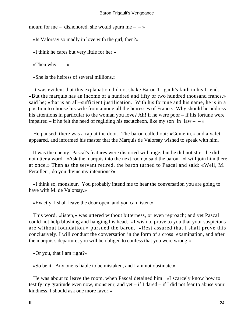mourn for me – dishonored, she would spurn me –  $-\infty$ 

«Is Valorsay so madly in love with the girl, then?»

«I think he cares but very little for her.»

«Then why  $- - \infty$ 

«She is the heiress of several millions.»

 It was evident that this explanation did not shake Baron Trigault's faith in his friend. «But the marquis has an income of a hundred and fifty or two hundred thousand francs,» said he; «that is an all−sufficient justification. With his fortune and his name, he is in a position to choose his wife from among all the heiresses of France. Why should he address his attentions in particular to the woman you love? Ah! if he were poor – if his fortune were impaired – if he felt the need of regilding his escutcheon, like my son−in−law – – »

 He paused; there was a rap at the door. The baron called out: «Come in,» and a valet appeared, and informed his master that the Marquis de Valorsay wished to speak with him.

 It was the enemy! Pascal's features were distorted with rage; but he did not stir – he did not utter a word. «Ask the marquis into the next room,» said the baron. «I will join him there at once.» Then as the servant retired, the baron turned to Pascal and said: «Well, M. Ferailleur, do you divine my intentions?»

 «I think so, monsieur. You probably intend me to hear the conversation you are going to have with M. de Valorsay.»

«Exactly. I shall leave the door open, and you can listen.»

 This word, «listen,» was uttered without bitterness, or even reproach; and yet Pascal could not help blushing and hanging his head. «I wish to prove to you that your suspicions are without foundation,» pursued the baron. «Rest assured that I shall prove this conclusively. I will conduct the conversation in the form of a cross−examination, and after the marquis's departure, you will be obliged to confess that you were wrong.»

«Or you, that I am right?»

«So be it. Any one is liable to be mistaken, and I am not obstinate.»

 He was about to leave the room, when Pascal detained him. «I scarcely know how to testify my gratitude even now, monsieur, and yet – if I dared – if I did not fear to abuse your kindness, I should ask one more favor.»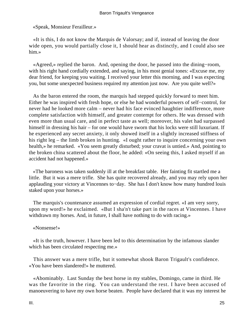«Speak, Monsieur Ferailleur.»

 «It is this, I do not know the Marquis de Valorsay; and if, instead of leaving the door wide open, you would partially close it, I should hear as distinctly, and I could also see him.»

 «Agreed,» replied the baron. And, opening the door, he passed into the dining−room, with his right hand cordially extended, and saying, in his most genial tones: «Excuse me, my dear friend, for keeping you waiting. I received your letter this morning, and I was expecting you, but some unexpected business required my attention just now. Are you quite well?»

 As the baron entered the room, the marquis had stepped quickly forward to meet him. Either he was inspired with fresh hope, or else he had wonderful powers of self−control, for never had he looked more calm – never had his face evinced haughtier indifference, more complete satisfaction with himself, and greater contempt for others. He was dressed with even more than usual care, and in perfect taste as well; moreover, his valet had surpassed himself in dressing his hair – for one would have sworn that his locks were still luxuriant. If he experienced any secret anxiety, it only showed itself in a slightly increased stiffness of his right leg – the limb broken in hunting. «I ought rather to inquire concerning your own health,» he remarked. «You seem greatly disturbed; your cravat is untied.» And, pointing to the broken china scattered about the floor, he added: «On seeing this, I asked myself if an accident had not happened.»

 «The baroness was taken suddenly ill at the breakfast table. Her fainting fit startled me a little. But it was a mere trifle. She has quite recovered already, and you may rely upon her applauding your victory at Vincennes to−day. She has I don't know how many hundred louis staked upon your horses.»

 The marquis's countenance assumed an expression of cordial regret. «I am very sorry, upon my word!» he exclaimed. «But I sha'n't take part in the races at Vincennes. I have withdrawn my horses. And, in future, I shall have nothing to do with racing.»

## «Nonsense!»

 «It is the truth, however. I have been led to this determination by the infamous slander which has been circulated respecting me.»

 This answer was a mere trifle, but it somewhat shook Baron Trigault's confidence. «You have been slandered!» he muttered.

 «Abominably. Last Sunday the best horse in my stables, Domingo, came in third. He was the favorite in the ring. You can understand the rest. I have been accused of manoeuvering to have my own horse beaten. People have declared that it was my interest he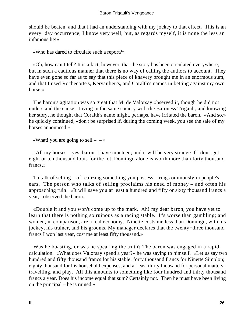should be beaten, and that I had an understanding with my jockey to that effect. This is an every−day occurrence, I know very well; but, as regards myself, it is none the less an infamous lie!»

«Who has dared to circulate such a report?»

 «Oh, how can I tell? It is a fact, however, that the story has been circulated everywhere, but in such a cautious manner that there is no way of calling the authors to account. They have even gone so far as to say that this piece of knavery brought me in an enormous sum, and that I used Rochecotte's, Kervaulieu's, and Coralth's names in betting against my own horse.»

 The baron's agitation was so great that M. de Valorsay observed it, though he did not understand the cause. Living in the same society with the Baroness Trigault, and knowing her story, he thought that Coralth's name might, perhaps, have irritated the baron. «And so,» he quickly continued, «don't be surprised if, during the coming week, you see the sale of my horses announced.»

«What! you are going to sell  $-$  – »

 «All my horses – yes, baron. I have nineteen; and it will be very strange if I don't get eight or ten thousand louis for the lot. Domingo alone is worth more than forty thousand francs.»

 To talk of selling – of realizing something you possess – rings ominously in people's ears. The person who talks of selling proclaims his need of money – and often his approaching ruin. «It will save you at least a hundred and fifty or sixty thousand francs a year,» observed the baron.

 «Double it and you won't come up to the mark. Ah! my dear baron, you have yet to learn that there is nothing so ruinous as a racing stable. It's worse than gambling; and women, in comparison, are a real economy. Ninette costs me less than Domingo, with his jockey, his trainer, and his grooms. My manager declares that the twenty−three thousand francs I won last year, cost me at least fifty thousand.»

 Was he boasting, or was he speaking the truth? The baron was engaged in a rapid calculation. «What does Valorsay spend a year?» he was saying to himself. «Let us say two hundred and fifty thousand francs for his stable; forty thousand francs for Ninette Simplon; eighty thousand for his household expenses, and at least thirty thousand for personal matters, travelling, and play. All this amounts to something like four hundred and thirty thousand francs a year. Does his income equal that sum? Certainly not. Then he must have been living on the principal – he is ruined.»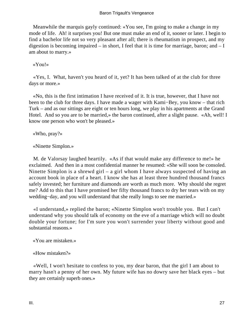## Baron Trigault's Vengeance

 Meanwhile the marquis gayly continued: «You see, I'm going to make a change in my mode of life. Ah! it surprises you! But one must make an end of it, sooner or later. I begin to find a bachelor life not so very pleasant after all; there is rheumatism in prospect, and my digestion is becoming impaired – in short, I feel that it is time for marriage, baron; and – I am about to marry.»

«You!»

 «Yes, I. What, haven't you heard of it, yet? It has been talked of at the club for three days or more.»

 «No, this is the first intimation I have received of it. It is true, however, that I have not been to the club for three days. I have made a wager with Kami−Bey, you know – that rich Turk – and as our sittings are eight or ten hours long, we play in his apartments at the Grand Hotel. And so you are to be married,» the baron continued, after a slight pause. «Ah, well! I know one person who won't be pleased.»

«Who, pray?»

«Ninette Simplon.»

 M. de Valorsay laughed heartily. «As if that would make any difference to me!» he exclaimed. And then in a most confidential manner he resumed: «She will soon be consoled. Ninette Simplon is a shrewd girl – a girl whom I have always suspected of having an account book in place of a heart. I know she has at least three hundred thousand francs safely invested; her furniture and diamonds are worth as much more. Why should she regret me? Add to this that I have promised her fifty thousand francs to dry her tears with on my wedding−day, and you will understand that she really longs to see me married.»

 «I understand,» replied the baron; «Ninette Simplon won't trouble you. But I can't understand why you should talk of economy on the eve of a marriage which will no doubt double your fortune; for I'm sure you won't surrender your liberty without good and substantial reasons.»

«You are mistaken.»

«How mistaken?»

 «Well, I won't hesitate to confess to you, my dear baron, that the girl I am about to marry hasn't a penny of her own. My future wife has no dowry save her black eyes – but they are certainly superb ones.»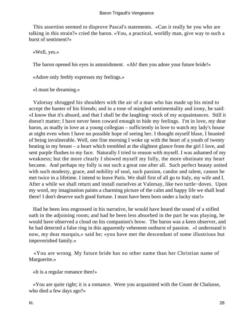This assertion seemed to disprove Pascal's statements. «Can it really be you who are talking in this strain?» cried the baron. «You, a practical, worldly man, give way to such a burst of sentiment?»

«Well, yes.»

The baron opened his eyes in astonishment. «Ah! then you adore your future bride!»

«Adore only feebly expresses my feelings.»

«I must be dreaming.»

 Valorsay shrugged his shoulders with the air of a man who has made up his mind to accept the banter of his friends; and in a tone of mingled sentimentality and irony, he said: «I know that it's absurd, and that I shall be the laughing−stock of my acquaintances. Still it doesn't matter; I have never been coward enough to hide my feelings. I'm in love, my dear baron, as madly in love as a young collegian – sufficiently in love to watch my lady's house at night even when I have no possible hope of seeing her. I thought myself blase, I boasted of being invulnerable. Well, one fine morning I woke up with the heart of a youth of twenty beating in my breast – a heart which trembled at the slightest glance from the girl I love, and sent purple flushes to my face. Naturally I tried to reason with myself. I was ashamed of my weakness; but the more clearly I showed myself my folly, the more obstinate my heart became. And perhaps my folly is not such a great one after all. Such perfect beauty united with such modesty, grace, and nobility of soul, such passion, candor and talent, cannot be met twice in a lifetime. I intend to leave Paris. We shall first of all go to Italy, my wife and I. After a while we shall return and install ourselves at Valorsay, like two turtle−doves. Upon my word, my imagination paints a charming picture of the calm and happy life we shall lead there! I don't deserve such good fortune. I must have been born under a lucky star!»

 Had he been less engrossed in his narrative, he would have heard the sound of a stifled oath in the adjoining room; and had he been less absorbed in the part he was playing, he would have observed a cloud on his companion's brow. The baron was a keen observer, and he had detected a false ring in this apparently vehement outburst of passion. «I understand it now, my dear marquis,» said he; «you have met the descendant of some illustrious but impoverished family.»

 «You are wrong. My future bride has no other name than her Christian name of Marguerite.»

«It is a regular romance then!»

 «You are quite right; it is a romance. Were you acquainted with the Count de Chalusse, who died a few days ago?»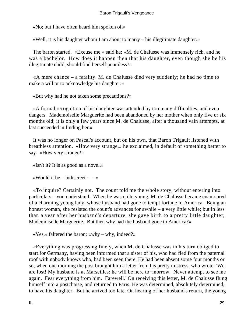«No; but I have often heard him spoken of.»

«Well, it is his daughter whom I am about to marry – his illegitimate daughter.»

 The baron started. «Excuse me,» said he; «M. de Chalusse was immensely rich, and he was a bachelor. How does it happen then that his daughter, even though she be his illegitimate child, should find herself penniless?»

 «A mere chance – a fatality. M. de Chalusse died very suddenly; he had no time to make a will or to acknowledge his daughter.»

«But why had he not taken some precautions?»

 «A formal recognition of his daughter was attended by too many difficulties, and even dangers. Mademoiselle Marguerite had been abandoned by her mother when only five or six months old; it is only a few years since M. de Chalusse, after a thousand vain attempts, at last succeeded in finding her.»

 It was no longer on Pascal's account, but on his own, that Baron Trigault listened with breathless attention. «How very strange,» he exclaimed, in default of something better to say. «How very strange!»

«Isn't it? It is as good as a novel.»

«Would it be – indiscreet –  $-\infty$ 

 «To inquire? Certainly not. The count told me the whole story, without entering into particulars – you understand. When he was quite young, M. de Chalusse became enamoured of a charming young lady, whose husband had gone to tempt fortune in America. Being an honest woman, she resisted the count's advances for awhile – a very little while; but in less than a year after her husband's departure, she gave birth to a pretty little daughter, Mademoiselle Marguerite. But then why had the husband gone to America?»

«Yes,» faltered the baron; «why – why, indeed?»

 «Everything was progressing finely, when M. de Chalusse was in his turn obliged to start for Germany, having been informed that a sister of his, who had fled from the paternal roof with nobody knows who, had been seen there. He had been absent some four months or so, when one morning the post brought him a letter from his pretty mistress, who wrote: 'We are lost! My husband is at Marseilles: he will be here to−morrow. Never attempt to see me again. Fear everything from him. Farewell.' On receiving this letter, M. de Chalusse flung himself into a postchaise, and returned to Paris. He was determined, absolutely determined, to have his daughter. But he arrived too late. On hearing of her husband's return, the young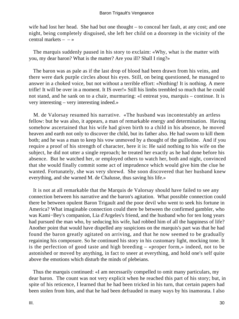wife had lost her head. She had but one thought – to conceal her fault, at any cost; and one night, being completely disguised, she left her child on a doorstep in the vicinity of the central markets  $- - \infty$ 

 The marquis suddenly paused in his story to exclaim: «Why, what is the matter with you, my dear baron? What is the matter? Are you ill? Shall I ring?»

 The baron was as pale as if the last drop of blood had been drawn from his veins, and there were dark purple circles about his eyes. Still, on being questioned, he managed to answer in a choked voice, but not without a terrible effort: «Nothing! It is nothing. A mere trifle! It will be over in a moment. It IS over!» Still his limbs trembled so much that he could not stand, and he sank on to a chair, murmuring: «I entreat you, marquis – continue. It is very interesting – very interesting indeed.»

 M. de Valorsay resumed his narrative. «The husband was incontestably an artless fellow: but he was also, it appears, a man of remarkable energy and determination. Having somehow ascertained that his wife had given birth to a child in his absence, he moved heaven and earth not only to discover the child, but its father also. He had sworn to kill them both; and he was a man to keep his vow unmoved by a thought of the guillotine. And if you require a proof of his strength of character, here it is: He said nothing to his wife on the subject, he did not utter a single reproach; he treated her exactly as he had done before his absence. But he watched her, or employed others to watch her, both and night, convinced that she would finally commit some act of imprudence which would give him the clue he wanted. Fortunately, she was very shrewd. She soon discovered that her husband knew everything, and she warned M. de Chalusse, thus saving his life.»

 It is not at all remarkable that the Marquis de Valorsay should have failed to see any connection between his narrative and the baron's agitation. What possible connection could there be between opulent Baron Trigault and the poor devil who went to seek his fortune in America? What imaginable connection could there be between the confirmed gambler, who was Kami−Bey's companion, Lia d'Argeles's friend, and the husband who for ten long years had pursued the man who, by seducing his wife, had robbed him of all the happiness of life? Another point that would have dispelled any suspicions on the marquis's part was that he had found the baron greatly agitated on arriving, and that he now seemed to be gradually regaining his composure. So he continued his story in his customary light, mocking tone. It is the perfection of good taste and high breeding – «proper form,» indeed, not to be astonished or moved by anything, in fact to sneer at everything, and hold one's self quite above the emotions which disturb the minds of plebeians.

 Thus the marquis continued: «I am necessarily compelled to omit many particulars, my dear baron. The count was not very explicit when he reached this part of his story; but, in spite of his reticence, I learned that he had been tricked in his turn, that certain papers had been stolen from him, and that he had been defrauded in many ways by his inamorata. I also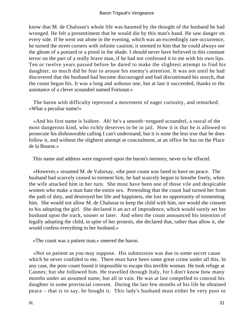know that M. de Chalusse's whole life was haunted by the thought of the husband he had wronged. He felt a presentiment that he would die by this man's hand. He saw danger on every side. If he went out alone in the evening, which was an exceedingly rare occurrence, he turned the street corners with infinite caution; it seemed to him that he could always see the gleam of a poniard or a pistol in the shade. I should never have believed in this constant terror on the part of a really brave man, if he had not confessed it to me with his own lips. Ten or twelve years passed before he dared to make the slightest attempt to find his daughter, so much did he fear to arouse his enemy's attention. It was not until he had discovered that the husband had become discouraged and had discontinued his search, that the count began his. It was a long and arduous one, but at last it succeeded, thanks to the assistance of a clever scoundrel named Fortunat.»

 The baron with difficulty repressed a movement of eager curiosity, and remarked: «What a peculiar name!»

 «And his first name is Isidore. Ah! he's a smooth−tongued scoundrel, a rascal of the most dangerous kind, who richly deserves to be in jail. How it is that he is allowed to prosecute his dishonorable calling I can't understand; but it is none the less true that he does follow it, and without the slightest attempt at concealment, at an office he has on the Place de la Bourse.»

This name and address were engraved upon the baron's memory, never to be effaced.

 «However,» resumed M. de Valorsay, «the poor count was fated to have no peace. The husband had scarcely ceased to torment him, he had scarcely begun to breathe freely, when the wife attacked him in her turn. She must have been one of those vile and despicable women who make a man hate the entire sex. Pretending that the count had turned her from the path of duty, and destroyed her life and happiness, she lost no opportunity of tormenting him. She would not allow M. de Chalusse to keep the child with him, nor would she consent to his adopting the girl. She declared it an act of imprudence, which would surely set her husband upon the track, sooner or later. And when the count announced his intention of legally adopting the child, in spite of her protests, she declared that, rather than allow it, she would confess everything to her husband.»

«The count was a patient man,» sneered the baron.

 «Not so patient as you may suppose. His submission was due to some secret cause which he never confided to me. There must have been some great crime under all this. In any case, the poor count found it impossible to escape this terrible woman. He took refuge at Cannes; but she followed him. He travelled through Italy, for I don't know how many months under an assumed name, but all in vain. He was at last compelled to conceal his daughter in some provincial convent. During the last few months of his life he obtained peace – that is to say, he bought it. This lady's husband must either be very poor or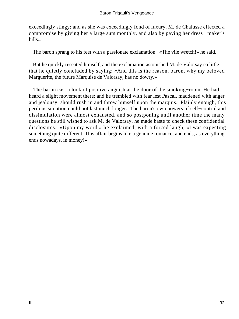exceedingly stingy; and as she was exceedingly fond of luxury, M. de Chalusse effected a compromise by giving her a large sum monthly, and also by paying her dress− maker's bills.»

The baron sprang to his feet with a passionate exclamation. «The vile wretch!» he said.

 But he quickly reseated himself, and the exclamation astonished M. de Valorsay so little that he quietly concluded by saying: «And this is the reason, baron, why my beloved Marguerite, the future Marquise de Valorsay, has no dowry.»

 The baron cast a look of positive anguish at the door of the smoking−room. He had heard a slight movement there; and he trembled with fear lest Pascal, maddened with anger and jealousy, should rush in and throw himself upon the marquis. Plainly enough, this perilous situation could not last much longer. The baron's own powers of self−control and dissimulation were almost exhausted, and so postponing until another time the many questions he still wished to ask M. de Valorsay, he made haste to check these confidential disclosures. «Upon my word,» he exclaimed, with a forced laugh, «I was expecting something quite different. This affair begins like a genuine romance, and ends, as everything ends nowadays, in money!»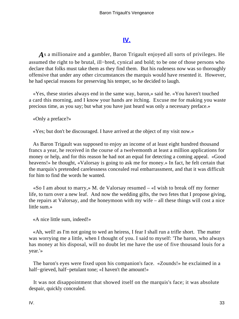# **[IV.](#page-256-0)**

*A*s a millionaire and a gambler, Baron Trigault enjoyed all sorts of privileges. He assumed the right to be brutal, ill−bred, cynical and bold; to be one of those persons who declare that folks must take them as they find them. But his rudeness now was so thoroughly offensive that under any other circumstances the marquis would have resented it. However, he had special reasons for preserving his temper, so he decided to laugh.

 «Yes, these stories always end in the same way, baron,» said he. «You haven't touched a card this morning, and I know your hands are itching. Excuse me for making you waste precious time, as you say; but what you have just heard was only a necessary preface.»

«Only a preface?»

«Yes; but don't be discouraged. I have arrived at the object of my visit now.»

 As Baron Trigault was supposed to enjoy an income of at least eight hundred thousand francs a year, he received in the course of a twelvemonth at least a million applications for money or help, and for this reason he had not an equal for detecting a coming appeal. «Good heavens!» he thought, «Valorsay is going to ask me for money.» In fact, he felt certain that the marquis's pretended carelessness concealed real embarrassment, and that it was difficult for him to find the words he wanted.

 «So I am about to marry,» M. de Valorsay resumed – «I wish to break off my former life, to turn over a new leaf. And now the wedding gifts, the two fetes that I propose giving, the repairs at Valorsay, and the honeymoon with my wife – all these things will cost a nice little sum.»

«A nice little sum, indeed!»

 «Ah, well! as I'm not going to wed an heiress, I fear I shall run a trifle short. The matter was worrying me a little, when I thought of you. I said to myself: 'The baron, who always has money at his disposal, will no doubt let me have the use of five thousand louis for a year.'»

 The baron's eyes were fixed upon his companion's face. «Zounds!» he exclaimed in a half−grieved, half−petulant tone; «I haven't the amount!»

 It was not disappointment that showed itself on the marquis's face; it was absolute despair, quickly concealed.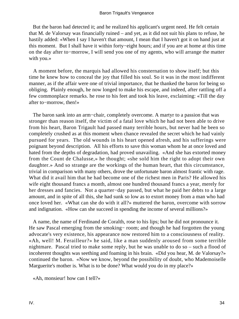But the baron had detected it; and he realized his applicant's urgent need. He felt certain that M. de Valorsay was financially ruined – and yet, as it did not suit his plans to refuse, he hastily added: «When I say I haven't that amount, I mean that I haven't got it on hand just at this moment. But I shall have it within forty−eight hours; and if you are at home at this time on the day after to−morrow, I will send you one of my agents, who will arrange the matter with you.»

 A moment before, the marquis had allowed his consternation to show itself; but this time he knew how to conceal the joy that filled his soul. So it was in the most indifferent manner, as if the affair were one of trivial importance, that he thanked the baron for being so obliging. Plainly enough, he now longed to make his escape, and indeed, after rattling off a few commonplace remarks. he rose to his feet and took his leave, exclaiming: «Till the day after to−morrow, then!»

 The baron sank into an arm−chair, completely overcome. A martyr to a passion that was stronger than reason itself, the victim of a fatal love which he had not been able to drive from his heart, Baron Trigault had passed many terrible hours, but never had he been so completely crushed as at this moment when chance revealed the secret which he had vainly pursued for years. The old wounds in his heart opened afresh, and his sufferings were poignant beyond description. All his efforts to save this woman whom he at once loved and hated from the depths of degradation, had proved unavailing. «And she has extorted money from the Count de Chalusse,» he thought; «she sold him the right to adopt their own daughter.» And so strange are the workings of the human heart, that this circumstance, trivial in comparison with many others, drove the unfortunate baron almost frantic with rage. What did it avail him that he had become one of the richest men in Paris? He allowed his wife eight thousand francs a month, almost one hundred thousand francs a year, merely for her dresses and fancies. Not a quarter−day passed, but what he paid her debts to a large amount, and in spite of all this, she had sunk so low as to extort money from a man who had once loved her. «What can she do with it all?» muttered the baron, overcome with sorrow and indignation. «How can she succeed in spending the income of several millions?»

 A name, the name of Ferdinand de Coralth, rose to his lips; but he did not pronounce it. He saw Pascal emerging from the smoking– room; and though he had forgotten the young advocate's very existence, his appearance now restored him to a consciousness of reality. «Ah, well! M. Ferailleur?» he said, like a man suddenly aroused from some terrible nightmare. Pascal tried to make some reply, but he was unable to do so – such a flood of incoherent thoughts was seething and foaming in his brain. «Did you hear, M. de Valorsay?» continued the baron. «Now we know, beyond the possibility of doubt, who Mademoiselle Marguerite's mother is. What is to be done? What would you do in my place?»

«Ah, monsieur! how can I tell?»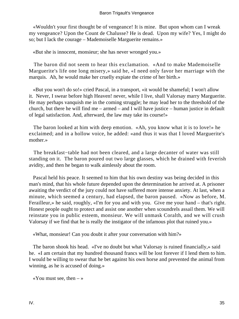«Wouldn't your first thought be of vengeance! It is mine. But upon whom can I wreak my vengeance? Upon the Count de Chalusse? He is dead. Upon my wife? Yes, I might do so; but I lack the courage – Mademoiselle Marguerite remains.»

«But she is innocent, monsieur; she has never wronged you.»

 The baron did not seem to hear this exclamation. «And to make Mademoiselle Marguerite's life one long misery,» said he, «I need only favor her marriage with the marquis. Ah, he would make her cruelly expiate the crime of her birth.»

 «But you won't do so!» cried Pascal, in a transport, «it would be shameful; I won't allow it. Never, I swear before high Heaven! never, while I live, shall Valorsay marry Marguerite. He may perhaps vanquish me in the coming struggle; he may lead her to the threshold of the church, but there he will find me – armed – and I will have justice – human justice in default of legal satisfaction. And, afterward, the law may take its course!»

 The baron looked at him with deep emotion. «Ah, you know what it is to love!» he exclaimed; and in a hollow voice, he added: «and thus it was that I loved Marguerite's mother.»

 The breakfast−table had not been cleared, and a large decanter of water was still standing on it. The baron poured out two large glasses, which he drained with feverish avidity, and then he began to walk aimlessly about the room.

 Pascal held his peace. It seemed to him that his own destiny was being decided in this man's mind, that his whole future depended upon the determination he arrived at. A prisoner awaiting the verdict of the jury could not have suffered more intense anxiety. At last, when a minute, which seemed a century, had elapsed, the baron paused. «Now as before, M. Ferailleur,» he said, roughly, «I'm for you and with you. Give me your hand – that's right. Honest people ought to protect and assist one another when scoundrels assail them. We will reinstate you in public esteem, monsieur. We will unmask Coralth, and we will crush Valorsay if we find that he is really the instigator of the infamous plot that ruined you.»

«What, monsieur! Can you doubt it after your conversation with him?»

 The baron shook his head. «I've no doubt but what Valorsay is ruined financially,» said he. «I am certain that my hundred thousand francs will be lost forever if I lend them to him. I would be willing to swear that he bet against his own horse and prevented the animal from winning, as he is accused of doing.»

«You must see, then  $-\infty$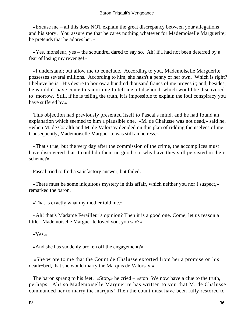«Excuse me – all this does NOT explain the great discrepancy between your allegations and his story. You assure me that he cares nothing whatever for Mademoiselle Marguerite; he pretends that he adores her.»

 «Yes, monsieur, yes – the scoundrel dared to say so. Ah! if I had not been deterred by a fear of losing my revenge!»

 «I understand; but allow me to conclude. According to you, Mademoiselle Marguerite possesses several millions. According to him, she hasn't a penny of her own. Which is right? I believe he is. His desire to borrow a hundred thousand francs of me proves it; and, besides, he wouldn't have come this morning to tell me a falsehood, which would be discovered to−morrow. Still, if he is telling the truth, it is impossible to explain the foul conspiracy you have suffered by.»

 This objection had previously presented itself to Pascal's mind, and he had found an explanation which seemed to him a plausible one. «M. de Chalusse was not dead,» said he, «when M. de Coralth and M. de Valorsay decided on this plan of ridding themselves of me. Consequently, Mademoiselle Marguerite was still an heiress.»

 «That's true; but the very day after the commission of the crime, the accomplices must have discovered that it could do them no good; so, why have they still persisted in their scheme?»

Pascal tried to find a satisfactory answer, but failed.

 «There must be some iniquitous mystery in this affair, which neither you nor I suspect,» remarked the baron.

«That is exactly what my mother told me.»

 «Ah! that's Madame Ferailleur's opinion? Then it is a good one. Come, let us reason a little. Mademoiselle Marguerite loved you, you say?»

«Yes.»

«And she has suddenly broken off the engagement?»

 «She wrote to me that the Count de Chalusse extorted from her a promise on his death−bed, that she would marry the Marquis de Valorsay.»

 The baron sprang to his feet. «Stop,» he cried – «stop! We now have a clue to the truth, perhaps. Ah! so Mademoiselle Marguerite has written to you that M. de Chalusse commanded her to marry the marquis! Then the count must have been fully restored to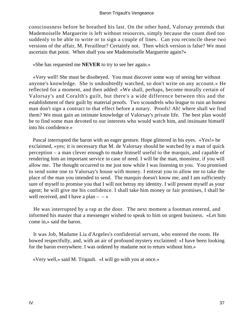consciousness before he breathed his last. On the other hand, Valorsay pretends that Mademoiselle Marguerite is left without resources, simply because the count died too suddenly to be able to write or to sign a couple of lines. Can you reconcile these two versions of the affair, M. Ferailleur? Certainly not. Then which version is false? We must ascertain that point. When shall you see Mademoiselle Marguerite again?»

«She has requested me **NEVER** to try to see her again.»

 «Very well! She must be disobeyed. You must discover some way of seeing her without anyone's knowledge. She is undoubtedly watched, so don't write on any account.» He reflected for a moment, and then added: «We shall, perhaps, become morally certain of Valorsay's and Coralth's guilt, but there's a wide difference between this and the establishment of their guilt by material proofs. Two scoundrels who league to ruin an honest man don't sign a contract to that effect before a notary. Proofs! Ah! where shall we find them? We must gain an intimate knowledge of Valorsay's private life. The best plan would be to find some man devoted to our interests who would watch him, and insinuate himself into his confidence.»

 Pascal interrupted the baron with an eager gesture. Hope glittered in his eyes. «Yes!» he exclaimed, «yes; it is necessary that M. de Valorsay should be watched by a man of quick perception – a man clever enough to make himself useful to the marquis, and capable of rendering him an important service in case of need. I will be the man, monsieur, if you will allow me. The thought occurred to me just now while I was listening to you. You promised to send some one to Valorsay's house with money. I entreat you to allow me to take the place of the man you intended to send. The marquis doesn't know me, and I am sufficiently sure of myself to promise you that I will not betray my identity. I will present myself as your agent; he will give me his confidence. I shall take him money or fair promises, I shall be well received, and I have a plan  $- - \infty$ 

 He was interrupted by a rap at the door. The next moment a footman entered, and informed his master that a messenger wished to speak to him on urgent business. «Let him come in,» said the baron.

 It was Job, Madame Lia d'Argeles's confidential servant, who entered the room. He bowed respectfully, and, with an air of profound mystery exclaimed: «I have been looking for the baron everywhere. I was ordered by madame not to return without him.»

«Very well,» said M. Trigault. «I will go with you at once.»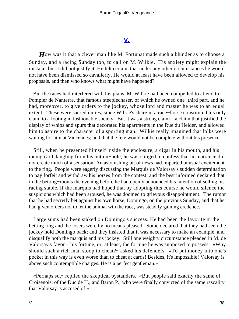# **[V.](#page-256-0)**

*H*ow was it that a clever man like M. Fortunat made such a blunder as to choose a Sunday, and a racing Sunday too, to call on M. Wilkie. His anxiety might explain the mistake, but it did not justify it. He felt certain, that under any other circumstances he would not have been dismissed so cavalierly. He would at least have been allowed to develop his proposals, and then who knows what might have happened?

 But the races had interfered with his plans. M. Wilkie had been compelled to attend to Pompier de Nanterre, that famous steeplechaser, of which he owned one−third part, and he had, moreover, to give orders to the jockey, whose lord and master he was to an equal extent. These were sacred duties, since Wilkie's share in a race−horse constituted his only claim to a footing in fashionable society. But it was a strong claim – a claim that justified the display of whips and spurs that decorated his apartments in the Rue du Helder, and allowed him to aspire to the character of a sporting man. Wilkie really imagined that folks were waiting for him at Vincennes; and that the fete would not be complete without his presence.

 Still, when he presented himself inside the enclosure, a cigar in his mouth, and his racing card dangling from his button−hole, he was obliged to confess that his entrance did not create much of a sensation. An astonishing bit of news had imparted unusual excitement to the ring. People were eagerly discussing the Marquis de Valorsay's sudden determination to pay forfeit and withdraw his horses from the contest; and the best informed declared that in the betting−rooms the evening before he had openly announced his intention of selling his racing stable. If the marquis had hoped that by adopting this course he would silence the suspicions which had been aroused, he was doomed to grievous disappointment. The rumor that he had secretly bet against his own horse, Domingo, on the previous Sunday, and that he had given orders not to let the animal win the race, was steadily gaining credence.

 Large sums had been staked on Domingo's success. He had been the favorite in the betting ring and the losers were by no means pleased. Some declared that they had seen the jockey hold Domingo back; and they insisted that it was necessary to make an example, and disqualify both the marquis and his jockey. Still one weighty circumstance pleaded in M. de Valorsay's favor – his fortune, or, at least, the fortune he was supposed to possess. «Why should such a rich man stoop to cheat?» asked his defenders. «To put money into one's pocket in this way is even worse than to cheat at cards! Besides, it's impossible! Valorsay is above such contemptible charges. He is a perfect gentleman.»

 «Perhaps so,» replied the skeptical bystanders. «But people said exactly the same of Croisenois, of the Duc de H., and Baron P., who were finally convicted of the same rascality that Valorsay is accused of.»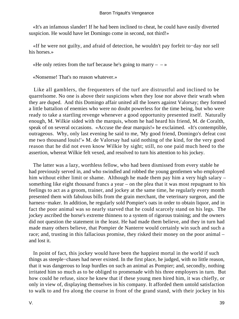«It's an infamous slander! If he had been inclined to cheat, he could have easily diverted suspicion. He would have let Domingo come in second, not third!»

 «If he were not guilty, and afraid of detection, he wouldn't pay forfeit to−day nor sell his horses.»

«He only retires from the turf because he's going to marry  $-\rightarrow \infty$ 

«Nonsense! That's no reason whatever.»

 Like all gamblers, the frequenters of the turf are distrustful and inclined to be quarrelsome. No one is above their suspicions when they lose nor above their wrath when they are duped. And this Domingo affair united all the losers against Valorsay; they formed a little battalion of enemies who were no doubt powerless for the time being, but who were ready to take a startling revenge whenever a good opportunity presented itself. Naturally enough, M. Wilkie sided with the marquis, whom he had heard his friend, M. de Coralth, speak of on several occasions. «Accuse the dear marquis!» he exclaimed. «It's contemptible, outrageous. Why, only last evening he said to me, 'My good friend, Domingo's defeat cost me two thousand louis!'» M. de Valorsay had said nothing of the kind, for the very good reason that he did not even know Wilkie by sight; still, no one paid much heed to the assertion, whereat Wilkie felt vexed, and resolved to turn his attention to his jockey.

 The latter was a lazy, worthless fellow, who had been dismissed from every stable he had previously served in, and who swindled and robbed the young gentlemen who employed him without either limit or shame. Although he made them pay him a very high salary – something like eight thousand francs a year – on the plea that it was most repugnant to his feelings to act as a groom, trainer, and jockey at the same time, he regularly every month presented them with fabulous bills from the grain merchant, the veterinary surgeon, and the harness−maker. In addition, he regularly sold Pompier's oats in order to obtain liquor, and in fact the poor animal was so nearly starved that he could scarcely stand on his legs. The jockey ascribed the horse's extreme thinness to a system of rigorous training; and the owners did not question the statement in the least. He had made them believe, and they in turn had made many others believe, that Pompier de Nanterre would certainly win such and such a race; and, trusting in this fallacious promise, they risked their money on the poor animal – and lost it.

 In point of fact, this jockey would have been the happiest mortal in the world if such things as steeple−chases had never existed. In the first place, he judged, with no little reason, that it was dangerous to leap hurdles on such an animal as Pompier; and, secondly, nothing irritated him so much as to be obliged to promenade with his three employers in turn. But how could he refuse, since he knew that if these young men hired him, it was chiefly, or only in view of, displaying themselves in his company. It afforded them untold satisfaction to walk to and fro along the course in front of the grand stand, with their jockey in his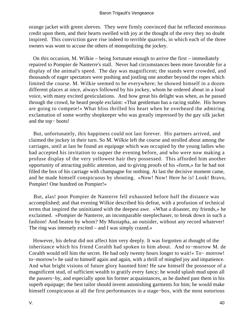orange jacket with green sleeves. They were firmly convinced that he reflected enormous credit upon them, and their hearts swelled with joy at the thought of the envy they no doubt inspired. This conviction gave rise indeed to terrible quarrels, in which each of the three owners was wont to accuse the others of monopolizing the jockey.

 On this occasion, M. Wilkie – being fortunate enough to arrive the first – immediately repaired to Pompier de Nanterre's stall. Never had circumstances been more favorable for a display of the animal's speed. The day was magnificent; the stands were crowded, and thousands of eager spectators were pushing and jostling one another beyond the ropes which limited the course. M. Wilkie seemed to be everywhere; he showed himself in a dozen different places at once, always followed by his jockey, whom he ordered about in a loud voice, with many excited gesticulations. And how great his delight was when, as he passed through the crowd, he heard people exclaim: «That gentleman has a racing stable. His horses are going to compete!» What bliss thrilled his heart when he overheard the admiring exclamation of some worthy shopkeeper who was greatly impressed by the gay silk jacket and the top− boots!

 But, unfortunately, this happiness could not last forever. His partners arrived, and claimed the jockey in their turn. So M. Wilkie left the course and strolled about among the carriages, until at last he found an equipage which was occupied by the young ladies who had accepted his invitation to supper the evening before, and who were now making a profuse display of the very yellowest hair they possessed. This afforded him another opportunity of attracting public attention, and to giving proofs of his «form,» for he had not filled the box of his carriage with champagne for nothing. At last the decisive moment came, and he made himself conspicuous by shouting. «Now! Now! Here he is! Look! Bravo, Pompier! One hundred on Pompier!»

 But, alas! poor Pompier de Nanterre fell exhausted before half the distance was accomplished; and that evening Wilkie described his defeat, with a profusion of technical terms that inspired the uninitiated with the deepest awe. «What a disaster, my friends,» he exclaimed. «Pompier de Nanterre, an incomparable steeplechaser, to break down in such a fashion! And beaten by whom? My Mustapha, an outsider, without any record whatever! The ring was intensely excited – and I was simply crazed.»

 However, his defeat did not affect him very deeply. It was forgotten at thought of the inheritance which his friend Coralth had spoken to him about. And to−morrow M. de Coralth would tell him the secret. He had only twenty hours longer to wait!« To− morrow! to−morrow!» he said to himself again and again, with a thrill of mingled joy and impatience. And what bright visions of future glory haunted him! He saw himself the possessor of a magnificent stud, of sufficient wealth to gratify every fancy; he would splash mud upon all the passers−by, and especially upon his former acquaintances, as he dashed past them in his superb equipage; the best tailor should invent astonishing garments for him; he would make himself conspicuous at all the first performances in a stage−box, with the most notorious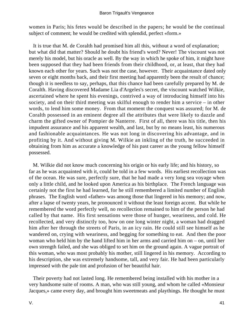women in Paris; his fetes would be described in the papers; he would be the continual subject of comment; he would be credited with splendid, perfect «form.»

 It is true that M. de Coralth had promised him all this, without a word of explanation; but what did that matter? Should he doubt his friend's word? Never! The viscount was not merely his model, but his oracle as well. By the way in which he spoke of him, it might have been supposed that they had been friends from their childhood, or, at least, that they had known each other for years. Such was not the case, however. Their acquaintance dated only seven or eight months back, and their first meeting had apparently been the result of chance; though it is needless to say, perhaps, that this chance had been carefully prepared by M. de Coralth. Having discovered Madame Lia d'Argeles's secret, the viscount watched Wilkie, ascertained where he spent his evenings, contrived a way of introducing himself into his society, and on their third meeting was skilful enough to render him a service – in other words, to lend him some money. From that moment the conquest was assured; for M. de Coralth possessed in an eminent degree all the attributes that were likely to dazzle and charm the gifted owner of Pompier de Nanterre. First of all, there was his title, then his impudent assurance and his apparent wealth, and last, but by no means least, his numerous and fashionable acquaintances. He was not long in discovering his advantage, and in profiting by it. And without giving M. Wilkie an inkling of the truth, he succeeded in obtaining from him as accurate a knowledge of his past career as the young fellow himself possessed.

 M. Wilkie did not know much concerning his origin or his early life; and his history, so far as he was acquainted with it, could be told in a few words. His earliest recollection was of the ocean. He was sure, perfectly sure, that he had made a very long sea voyage when only a little child, and he looked upon America as his birthplace. The French language was certainly not the first he had learned, for he still remembered a limited number of English phrases. The English word «father» was among those that lingered in his memory; and now, after a lapse of twenty years, he pronounced it without the least foreign accent. But while he remembered the word perfectly well, no recollection remained to him of the person he had called by that name. His first sensations were those of hunger, weariness, and cold. He recollected, and very distinctly too, how on one long winter night, a woman had dragged him after her through the streets of Paris, in an icy rain. He could still see himself as he wandered on, crying with weariness, and begging for something to eat. And then the poor woman who held him by the hand lifted him in her arms and carried him on – on, until her own strength failed, and she was obliged to set him on the ground again. A vague portrait of this woman, who was most probably his mother, still lingered in his memory. According to his description, she was extremely handsome, tall, and very fair. He had been particularly impressed with the pale tint and profusion of her beautiful hair.

 Their poverty had not lasted long. He remembered being installed with his mother in a very handsome suite of rooms. A man, who was still young, and whom he called «Monsieur Jacques,» came every day, and brought him sweetmeats and playthings. He thought he must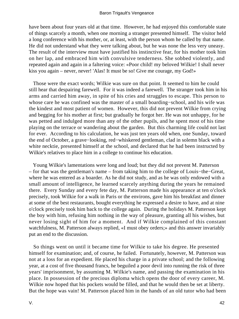have been about four years old at that time. However, he had enjoyed this comfortable state of things scarcely a month, when one morning a stranger presented himself. The visitor held a long conference with his mother, or, at least, with the person whom he called by that name. He did not understand what they were talking about, but he was none the less very uneasy. The result of the interview must have justified his instinctive fear, for his mother took him on her lap, and embraced him with convulsive tenderness. She sobbed violently, and repeated again and again in a faltering voice: «Poor child! my beloved Wilkie! I shall never kiss you again – never, never! 'Alas! It must be so! Give me courage, my God!»

 Those were the exact words; Wilkie was sure on that point. It seemed to him he could still hear that despairing farewell. For it was indeed a farewell. The stranger took him in his arms and carried him away, in spite of his cries and struggles to escape. This person to whose care he was confined was the master of a small boarding−school, and his wife was the kindest and most patient of women. However, this did not prevent Wilkie from crying and begging for his mother at first; but gradually he forgot her. He was not unhappy, for he was petted and indulged more than any of the other pupils, and he spent most of his time playing on the terrace or wandering about the garden. But this charming life could not last for ever. According to his calculation, he was just ten years old when, one Sunday, toward the end of October, a grave−looking, red−whiskered gentleman, clad in solemn black with a white necktie, presented himself at the school, and declared that he had been instructed by Wilkie's relatives to place him in a college to continue his education.

 Young Wilkie's lamentations were long and loud; but they did not prevent M. Patterson – for that was the gentleman's name – from taking him to the college of Louis−the−Great, where he was entered as a boarder. As he did not study, and as he was only endowed with a small amount of intelligence, he learned scarcely anything during the years he remained there. Every Sunday and every fete day, M. Patterson made his appearance at ten o'clock precisely, took Wilkie for a walk in Paris or the environs, gave him his breakfast and dinner at some of the best restaurants, bought everything he expressed a desire to have, and at nine o'clock precisely took him back to the college again. During the holidays M. Patterson kept the boy with him, refusing him nothing in the way of pleasure, granting all his wishes, but never losing sight of him for a moment. And if Wilkie complained of this constant watchfulness, M. Patterson always replied, «I must obey orders;» and this answer invariably put an end to the discussion.

 So things went on until it became time for Wilkie to take his degree. He presented himself for examination; and, of course, he failed. Fortunately, however, M. Patterson was not at a loss for an expedient. He placed his charge in a private school; and the following year, at a cost of five thousand francs, he beguiled a poor devil into running the risk of three years' imprisonment, by assuming M. Wilkie's name, and passing the examination in his place. In possession of the precious diploma which opens the door of every career, M. Wilkie now hoped that his pockets would be filled, and that he would then be set at liberty. But the hope was vain! M. Patterson placed him in the hands of an old tutor who had been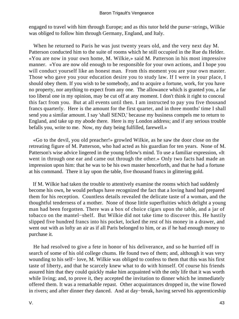engaged to travel with him through Europe; and as this tutor held the purse−strings, Wilkie was obliged to follow him through Germany, England, and Italy.

 When he returned to Paris he was just twenty years old, and the very next day M. Patterson conducted him to the suite of rooms which he still occupied in the Rue du Helder. «You are now in your own home, M. Wilkie,» said M. Patterson in his most impressive manner. «You are now old enough to be responsible for your own actions, and I hope you will conduct yourself like an honest man. From this moment you are your own master. Those who gave you your education desire you to study law. If I were in your place, I should obey them. If you wish to be somebody, and to acquire a fortune, work, for you have no property, nor anything to expect from any one. The allowance which is granted you, a far too liberal one in my opinion, may be cut off at any moment. I don't think it right to conceal this fact from you. But at all events until then. I am instructed to pay you five thousand francs quarterly. Here is the amount for the first quarter, and in three months' time I shall send you a similar amount. I say 'shall SEND,' because my business compels me to return to England, and take up my abode there. Here is my London address; and if any serious trouble befalls you, write to me. Now, my duty being fulfilled, farewell.»

 «Go to the devil, you old preacher!» growled Wilkie, as he saw the door close on the retreating figure of M. Patterson, who had acted as his guardian for ten years. None of M. Patterson's wise advice lingered in the young fellow's mind. To use a familiar expression, «It went in through one ear and came out through the other.» Only two facts had made an impression upon him: that he was to be his own master henceforth, and that he had a fortune at his command. There it lay upon the table, five thousand francs in glittering gold.

 If M. Wilkie had taken the trouble to attentively examine the rooms which had suddenly become his own, he would perhaps have recognized the fact that a loving hand had prepared them for his reception. Countless details revealed the delicate taste of a woman, and the thoughtful tenderness of a mother. None of those little superfluities which delight a young man had been forgotten. There was a box of choice cigars upon the table, and a jar of tobacco on the mantel−shelf. But Wilkie did not take time to discover this. He hastily slipped five hundred francs into his pocket, locked the rest of his money in a drawer, and went out with as lofty an air as if all Paris belonged to him, or as if he had enough money to purchase it.

 He had resolved to give a fete in honor of his deliverance, and so he hurried off in search of some of his old college chums. He found two of them; and, although it was very wounding to his self− love, M. Wilkie was obliged to confess to them that this was his first taste of liberty, and that he scarcely knew what to do with himself. Of course his friends assured him that they could quickly make him acquainted with the only life that it was worth while living; and, to prove it, they accepted the invitation to dinner which he immediately offered them. It was a remarkable repast. Other acquaintances dropped in, the wine flowed in rivers; and after dinner they danced. And at day−break, having served his apprenticeship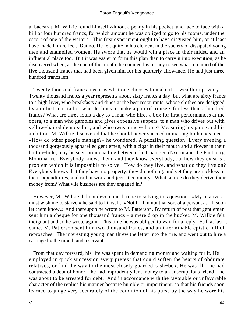at baccarat, M. Wilkie found himself without a penny in his pocket, and face to face with a bill of four hundred francs, for which amount he was obliged to go to his rooms, under the escort of one of the waiters. This first experiment ought to have disgusted him, or at least have made him reflect. But no. He felt quite in his element in the society of dissipated young men and enamelled women. He swore that he would win a place in their midst, and an influential place too. But it was easier to form this plan than to carry it into execution, as he discovered when, at the end of the month, he counted his money to see what remained of the five thousand francs that had been given him for his quarterly allowance. He had just three hundred francs left.

 Twenty thousand francs a year is what one chooses to make it – wealth or poverty. Twenty thousand francs a year represents about sixty francs a day; but what are sixty francs to a high liver, who breakfasts and dines at the best restaurants, whose clothes are designed by an illustrious tailor, who declines to make a pair of trousers for less than a hundred francs? What are three louis a day to a man who hires a box for first performances at the opera, to a man who gambles and gives expensive suppers, to a man who drives out with yellow−haired demoiselles, and who owns a race− horse? Measuring his purse and his ambition, M. Wilkie discovered that he should never succeed in making both ends meet. «How do other people manage?» he wondered. A puzzling question! Every evening a thousand gorgeously apparelled gentlemen, with a cigar in their mouth and a flower in their button−hole, may be seen promenading between the Chaussee d'Antin and the Faubourg Montmartre. Everybody knows them, and they know everybody, but how they exist is a problem which it is impossible to solve. How do they live, and what do they live on? Everybody knows that they have no property; they do nothing, and yet they are reckless in their expenditures, and rail at work and jeer at economy. What source do they derive their money from? What vile business are they engaged in?

 However, M. Wilkie did not devote much time to solving this question. «My relatives must wish me to starve,» he said to himself. «Not I – I'm not that sort of a person, as I'll soon let them know.» And thereupon he wrote to M. Patterson. By return of post that gentleman sent him a cheque for one thousand francs – a mere drop in the bucket. M. Wilkie felt indignant and so he wrote again. This time he was obliged to wait for a reply. Still at last it came. M. Patterson sent him two thousand francs, and an interminable epistle full of reproaches. The interesting young man threw the letter into the fire, and went out to hire a carriage by the month and a servant.

 From that day forward, his life was spent in demanding money and waiting for it. He employed in quick succession every pretext that could soften the hearts of obdurate relatives, or find the way to the most closely guarded cash−box. He was ill – he had contracted a debt of honor – he had imprudently lent money to an unscrupulous friend – he was about to be arrested for debt. And in accordance with the favorable or unfavorable character of the replies his manner became humble or impertinent, so that his friends soon learned to judge very accurately of the condition of his purse by the way he wore his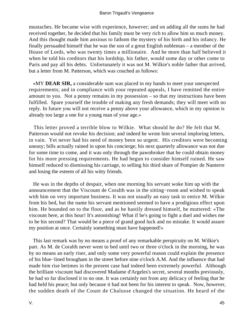mustaches. He became wise with experience, however; and on adding all the sums he had received together, he decided that his family must be very rich to allow him so much money. And this thought made him anxious to fathom the mystery of his birth and his infancy. He finally persuaded himself that he was the son of a great English nobleman – a member of the House of Lords, who was twenty times a millionaire. And he more than half believed it when he told his creditors that his lordship, his father, would some day or other come to Paris and pay all his debts. Unfortunately it was not M. Wilkie's noble father that arrived, but a letter from M. Patterson, which was couched as follows:

 «MY **DEAR SIR,** a considerable sum was placed in my hands to meet your unexpected requirements; and in compliance with your repeated appeals, I have remitted the entire amount to you. Not a penny remains in my possession – so that my instructions have been fulfilled. Spare yourself the trouble of making any fresh demands; they will meet with no reply. In future you will not receive a penny above your allowance, which in my opinion is already too large a one for a young man of your age.»

 This letter proved a terrible blow to Wilkie. What should he do? He felt that M. Patterson would not revoke his decision; and indeed he wrote him several imploring letters, in vain. Yet never had his need of money been so urgent. His creditors were becoming uneasy; bills actually rained in upon his concierge; his next quarterly allowance was not due for some time to come, and it was only through the pawnbroker that he could obtain money for his more pressing requirements. He had begun to consider himself ruined. He saw himself reduced to dismissing his carriage, to selling his third share of Pompier de Nanterre and losing the esteem of all his witty friends.

 He was in the depths of despair, when one morning his servant woke him up with the announcement that the Viscount de Coralth was in the sitting−room and wished to speak with him on very important business. It was not usually an easy task to entice M. Wilkie from his bed, but the name his servant mentioned seemed to have a prodigious effect upon him. He bounded on to the floor, and as he hastily dressed himself, he muttered: «The viscount here, at this hour! It's astonishing! What if he's going to fight a duel and wishes me to be his second? That would be a piece of grand good luck and no mistake. It would assure my position at once. Certainly something must have happened!»

 This last remark was by no means a proof of any remarkable perspicuity on M. Wilkie's part. As M. de Coralth never went to bed until two or three o'clock in the morning, he was by no means an early riser, and only some very powerful reason could explain the presence of his blue−lined brougham in the street before nine o'clock A.M. And the influence that had made him rise betimes in the present case had indeed been extremely powerful. Although the brilliant viscount had discovered Madame d'Argeles's secret, several months previously, he had so far disclosed it to no one. It was certainly not from any delicacy of feeling that he had held his peace; but only because it had not been for his interest to speak. Now, however, the sudden death of the Count de Chalusse changed the situation. He heard of the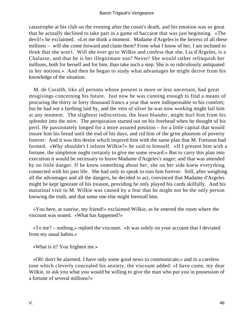catastrophe at his club on the evening after the count's death, and his emotion was so great that he actually declined to take part in a game of baccarat that was just beginning. «The devil!» he exclaimed. «Let me think a moment. Madame d'Argeles is the heiress of all these millions – will she come forward and claim them? From what I know of her, I am inclined to think that she won't. Will she ever go to Wilkie and confess that she, Lia d'Argeles, is a Chalusse, and that he is her illegitimate son? Never! She would rather relinquish her millions, both for herself and for him, than take such a step. She is so ridiculously antiquated in her notions.» And then he began to study what advantages he might derive from his knowledge of the situation.

 M. de Coralth, like all persons whose present is more or less uncertain, had great misgivings concerning his future. Just now he was cunning enough to find a means of procuring the thirty or forty thousand francs a year that were indispensable to his comfort; but he had not a farthing laid by, and the vein of silver he was now working might fail him at any moment. The slightest indiscretion, the least blunder, might hurl him from his splendor into the mire. The perspiration started out on his forehead when he thought of his peril. He passionately longed for a more assured position – for a little capital that would insure him his bread until the end of his days, and rid him of the grim phantom of poverty forever. And it was this desire which inspired him with the same plan that M. Fortunat had formed. «Why shouldn't I inform Wilkie?» he said to himself. «If I present him with a fortune, the simpleton ought certainly to give me some reward.» But to carry this plan into execution it would be necessary to brave Madame d'Argeles's anger; and that was attended by no little danger. If he knew something about her, she on her side knew everything connected with his past life. She had only to speak to ruin him forever. Still, after weighing all the advantages and all the dangers, he decided to act, convinced that Madame d'Argeles might be kept ignorant of his treason, providing he only played his cards skilfully. And his matutinal visit to M. Wilkie was caused by a fear that he might not be the only person knowing the truth, and that some one else might forestall him.

 «You here, at sunrise, my friend!» exclaimed Wilkie, as he entered the room where the viscount was seated. «What has happened?»

 «To me? – nothing,» replied the viscount. «It was solely on your account that I deviated from my usual habits.»

«What is it? You frighten me.»

 «Oh! don't be alarmed. I have only some good news to communicate,» and in a careless tone which cleverly concealed his anxiety, the viscount added: «I have come, my dear Wilkie, to ask you what you would be willing to give the man who put you in possession of a fortune of several millions?»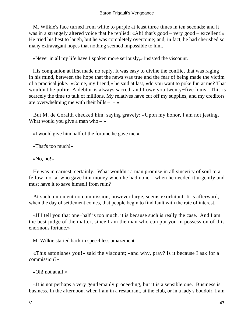M. Wilkie's face turned from white to purple at least three times in ten seconds; and it was in a strangely altered voice that he replied: «Ah! that's good – very good – excellent!» He tried his best to laugh, but he was completely overcome; and, in fact, he had cherished so many extravagant hopes that nothing seemed impossible to him.

«Never in all my life have I spoken more seriously,» insisted the viscount.

 His companion at first made no reply. It was easy to divine the conflict that was raging in his mind, between the hope that the news was true and the fear of being made the victim of a practical joke. «Come, my friend,» he said at last, «do you want to poke fun at me? That wouldn't be polite. A debtor is always sacred, and I owe you twenty−five louis. This is scarcely the time to talk of millions. My relatives have cut off my supplies; and my creditors are overwhelming me with their bills  $- - \infty$ 

 But M. de Coralth checked him, saying gravely: «Upon my honor, I am not jesting. What would you give a man who  $-\infty$ 

«I would give him half of the fortune he gave me.»

«That's too much!»

«No, no!»

 He was in earnest, certainly. What wouldn't a man promise in all sincerity of soul to a fellow mortal who gave him money when he had none – when he needed it urgently and must have it to save himself from ruin?

 At such a moment no commission, however large, seems exorbitant. It is afterward, when the day of settlement comes, that people begin to find fault with the rate of interest.

 «If I tell you that one−half is too much, it is because such is really the case. And I am the best judge of the matter, since I am the man who can put you in possession of this enormous fortune.»

M. Wilkie started back in speechless amazement.

 «This astonishes you!» said the viscount; «and why, pray? Is it because I ask for a commission?»

«Oh! not at all!»

 «It is not perhaps a very gentlemanly proceeding, but it is a sensible one. Business is business. In the afternoon, when I am in a restaurant, at the club, or in a lady's boudoir, I am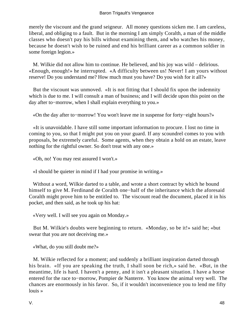merely the viscount and the grand seigneur. All money questions sicken me. I am careless, liberal, and obliging to a fault. But in the morning I am simply Coralth, a man of the middle classes who doesn't pay his bills without examining them, and who watches his money, because he doesn't wish to be ruined and end his brilliant career as a common soldier in some foreign legion.»

 M. Wilkie did not allow him to continue. He believed, and his joy was wild – delirious. «Enough, enough!» he interrupted. «A difficulty between us! Never! I am yours without reserve! Do you understand me? How much must you have? Do you wish for it all?»

 But the viscount was unmoved. «It is not fitting that I should fix upon the indemnity which is due to me. I will consult a man of business; and I will decide upon this point on the day after to−morrow, when I shall explain everything to you.»

«On the day after to−morrow! You won't leave me in suspense for forty−eight hours?»

 «It is unavoidable. I have still some important information to procure. I lost no time in coming to you, so that I might put you on your guard. If any scoundrel comes to you with proposals, be extremely careful. Some agents, when they obtain a hold on an estate, leave nothing for the rightful owner. So don't treat with any one.»

«Oh, no! You may rest assured I won't.»

«I should be quieter in mind if I had your promise in writing.»

 Without a word, Wilkie darted to a table, and wrote a short contract by which he bound himself to give M. Ferdinand de Coralth one−half of the inheritance which the aforesaid Coralth might prove him to be entitled to. The viscount read the document, placed it in his pocket, and then said, as he took up his hat:

«Very well. I will see you again on Monday.»

 But M. Wilkie's doubts were beginning to return. «Monday, so be it!» said he; «but swear that you are not deceiving me.»

«What, do you still doubt me?»

 M. Wilkie reflected for a moment; and suddenly a brilliant inspiration darted through his brain. «If you are speaking the truth, I shall soon be rich,» said he. «But, in the meantime, life is hard. I haven't a penny, and it isn't a pleasant situation. I have a horse entered for the race to−morrow, Pompier de Nanterre. You know the animal very well. The chances are enormously in his favor. So, if it wouldn't inconvenience you to lend me fifty louis »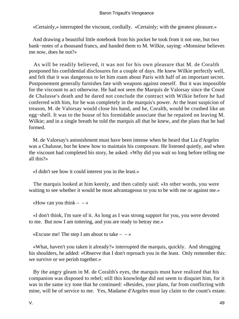«Certainly,» interrupted the viscount, cordially. «Certainly; with the greatest pleasure.»

 And drawing a beautiful little notebook from his pocket he took from it not one, but two bank−notes of a thousand francs, and handed them to M. Wilkie, saying: «Monsieur believes me now, does he not?»

 As will be readily believed, it was not for his own pleasure that M. de Coralth postponed his confidential disclosures for a couple of days. He knew Wilkie perfectly well, and felt that it was dangerous to let him roam about Paris with half of an important secret. Postponement generally furnishes fate with weapons against oneself. But it was impossible for the viscount to act otherwise. He had not seen the Marquis de Valorsay since the Count de Chalusse's death and he dared not conclude the contract with Wilkie before he had conferred with him, for he was completely in the marquis's power. At the least suspicion of treason, M. de Valorsay would close his hand, and he, Coralth, would be crushed like an egg−shell. It was to the house of his formidable associate that he repaired on leaving M. Wilkie; and in a single breath he told the marquis all that he knew, and the plans that he had formed.

 M. de Valorsay's astonishment must have been intense when he heard that Lia d'Argeles was a Chalusse, but he knew how to maintain his composure. He listened quietly, and when the viscount had completed his story, he asked: «Why did you wait so long before telling me all this?»

«I didn't see how it could interest you in the least.»

 The marquis looked at him keenly, and then calmly said: «In other words, you were waiting to see whether it would be most advantageous to you to be with me or against me.»

«How can you think  $- \rightarrow \infty$ 

 «I don't think, I'm sure of it. As long as I was strong support for you, you were devoted to me. But now I am tottering, and you are ready to betray me.»

«Excuse me! The step I am about to take  $- \rightarrow \infty$ 

 «What, haven't you taken it already?» interrupted the marquis, quickly. And shrugging his shoulders, he added: «Observe that I don't reproach you in the least. Only remember this: we survive or we perish together.»

 By the angry gleam in M. de Coralth's eyes, the marquis must have realized that his companion was disposed to rebel; still this knowledge did not seem to disquiet him, for it was in the same icy tone that he continued: «Besides, your plans, far from conflicting with mine, will be of service to me. Yes, Madame d'Argeles must lay claim to the count's estate.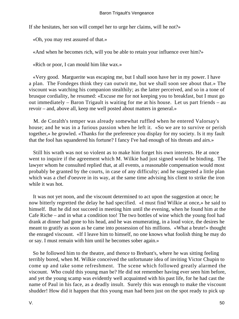If she hesitates, her son will compel her to urge her claims, will he not?»

«Oh, you may rest assured of that.»

«And when he becomes rich, will you be able to retain your influence over him?»

«Rich or poor, I can mould him like wax.»

 «Very good. Marguerite was escaping me, but I shall soon have her in my power. I have a plan. The Fondeges think they can outwit me, but we shall soon see about that.» The viscount was watching his companion stealthily; as the latter perceived, and so in a tone of brusque cordiality, he resumed: «Excuse me for not keeping you to breakfast, but I must go out immediately – Baron Trigault is waiting for me at his house. Let us part friends – au revoir – and, above all, keep me well posted about matters in general.»

 M. de Coralth's temper was already somewhat ruffled when he entered Valorsay's house; and he was in a furious passion when he left it. «So we are to survive or perish together,» he growled. «Thanks for the preference you display for my society. Is it my fault that the fool has squandered his fortune? I fancy I've had enough of his threats and airs.»

 Still his wrath was not so violent as to make him forget his own interests. He at once went to inquire if the agreement which M. Wilkie had just signed would be binding. The lawyer whom he consulted replied that, at all events, a reasonable compensation would most probably be granted by the courts, in case of any difficulty; and he suggested a little plan which was a chef d'oeuvre in its way, at the same time advising his client to strike the iron while it was hot.

 It was not yet noon, and the viscount determined to act upon the suggestion at once; he now bitterly regretted the delay he had specified. «I must find Wilkie at once,» he said to himself. But he did not succeed in meeting him until the evening, when he found him at the Cafe Riche – and in what a condition too! The two bottles of wine which the young fool had drank at dinner had gone to his head, and he was enumerating, in a loud voice, the desires he meant to gratify as soon as he came into possession of his millions. «What a brute!» thought the enraged viscount. «If I leave him to himself, no one knows what foolish thing he may do or say. I must remain with him until he becomes sober again.»

 So he followed him to the theatre, and thence to Brebant's, where he was sitting feeling terribly bored, when M. Wilkie conceived the unfortunate idea of inviting Victor Chupin to come up and take some refreshment. The scene which followed greatly alarmed the viscount. Who could this young man be? He did not remember having ever seen him before, and yet the young scamp was evidently well acquainted with his past life, for he had cast the name of Paul in his face, as a deadly insult. Surely this was enough to make the viscount shudder! How did it happen that this young man had been just on the spot ready to pick up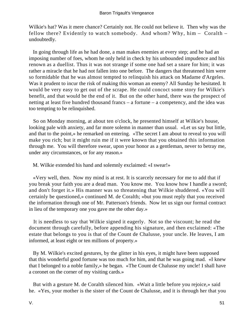Wilkie's hat? Was it mere chance? Certainly not. He could not believe it. Then why was the fellow there? Evidently to watch somebody. And whom? Why, him – Coralth – undoubtedly.

 In going through life as he had done, a man makes enemies at every step; and he had an imposing number of foes, whom he only held in check by his unbounded impudence and his renown as a duellist. Thus it was not strange if some one had set a snare for him; it was rather a miracle that he had not fallen into one before. The dangers that threatened him were so formidable that he was almost tempted to relinquish his attack on Madame d'Argeles. Was it prudent to incur the risk of making this woman an enemy? All Sunday he hesitated. It would be very easy to get out of the scrape. He could concoct some story for Wilkie's benefit, and that would be the end of it. But on the other hand, there was the prospect of netting at least five hundred thousand francs – a fortune – a competency, and the idea was too tempting to be relinquished.

 So on Monday morning, at about ten o'clock, he presented himself at Wilkie's house, looking pale with anxiety, and far more solemn in manner than usual. «Let us say but little, and that to the point,» he remarked on entering. «The secret I am about to reveal to you will make you rich; but it might ruin me if it were known that you obtained this information through me. You will therefore swear, upon your honor as a gentleman, never to betray me, under any circumstances, or for any reason.»

M. Wilkie extended his hand and solemnly exclaimed: «I swear!»

 «Very well, then. Now my mind is at rest. It is scarcely necessary for me to add that if you break your faith you are a dead man. You know me. You know how I handle a sword; and don't forget it.» His manner was so threatening that Wilkie shuddered. «You will certainly be questioned,» continued M. de Coralth; «but you must reply that you received the information through one of Mr. Patterson's friends. Now let us sign our formal contract in lieu of the temporary one you gave me the other day.»

 It is needless to say that Wilkie signed it eagerly. Not so the viscount; he read the document through carefully, before appending his signature, and then exclaimed: «The estate that belongs to you is that of the Count de Chalusse, your uncle. He leaves, I am informed, at least eight or ten millions of property.»

 By M. Wilkie's excited gestures, by the glitter in his eyes, it might have been supposed that this wonderful good fortune was too much for him, and that he was going mad. «I knew that I belonged to a noble family,» he began. «The Count de Chalusse my uncle! I shall have a coronet on the corner of my visiting cards.»

 But with a gesture M. de Coralth silenced him. «Wait a little before you rejoice,» said he. «Yes, your mother is the sister of the Count de Chalusse, and it is through her that you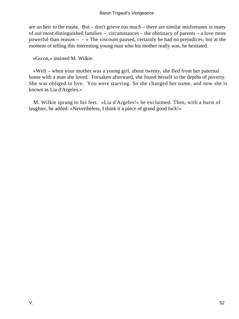are an heir to the estate. But – don't grieve too much – there are similar misfortunes in many of our most distinguished families – circumstances – the obstinacy of parents – a love more powerful than reason  $\infty$  The viscount paused, certainly he had no prejudices; but at the moment of telling this interesting young man who his mother really was, he hesitated.

«Go on,» insisted M. Wilkie.

 «Well – when your mother was a young girl, about twenty, she fled from her paternal home with a man she loved. Forsaken afterward, she found herself in the depths of poverty. She was obliged to live. You were starving. So she changed her name, and now she is known as Lia d'Argeles.»

 M. Wilkie sprang to his feet. «Lia d'Argeles!» he exclaimed. Then, with a burst of laughter, he added: «Nevertheless, I think it a piece of grand good luck!»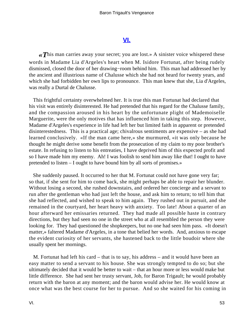## **[VI.](#page-256-0)**

*«T*his man carries away your secret; you are lost.» A sinister voice whispered these words in Madame Lia d'Argeles's heart when M. Isidore Fortunat, after being rudely dismissed, closed the door of her drawing−room behind him. This man had addressed her by the ancient and illustrious name of Chalusse which she had not heard for twenty years, and which she had forbidden her own lips to pronounce. This man knew that she, Lia d'Argeles, was really a Durtal de Chalusse.

 This frightful certainty overwhelmed her. It is true this man Fortunat had declared that his visit was entirely disinterested. He had pretended that his regard for the Chalusse family, and the compassion aroused in his heart by the unfortunate plight of Mademoiselle Marguerite, were the only motives that has influenced him in taking this step. However, Madame d'Argeles's experience in life had left her but limited faith in apparent or pretended disinterestedness. This is a practical age; chivalrous sentiments are expensive – as she had learned conclusively. «If the man came here,» she murmured, «it was only because he thought he might derive some benefit from the prosecution of my claim to my poor brother's estate. In refusing to listen to his entreaties, I have deprived him of this expected profit and so I have made him my enemy. Ah! I was foolish to send him away like that! I ought to have pretended to listen – I ought to have bound him by all sorts of promises.»

 She suddenly paused. It occurred to her that M. Fortunat could not have gone very far; so that, if she sent for him to come back, she might perhaps be able to repair her blunder. Without losing a second, she rushed downstairs, and ordered her concierge and a servant to run after the gentleman who had just left the house, and ask him to return; to tell him that she had reflected, and wished to speak to him again. They rushed out in pursuit, and she remained in the courtyard, her heart heavy with anxiety. Too late! About a quarter of an hour afterward her emissaries returned. They had made all possible haste in contrary directions, but they had seen no one in the street who at all resembled the person they were looking for. They had questioned the shopkeepers, but no one had seen him pass. «It doesn't matter,» faltered Madame d'Argeles, in a tone that belied her words. And, anxious to escape the evident curiosity of her servants, she hastened back to the little boudoir where she usually spent her mornings.

 M. Fortunat had left his card – that is to say, his address – and it would have been an easy matter to send a servant to his house. She was strongly tempted to do so; but she ultimately decided that it would be better to wait – that an hour more or less would make but little difference. She had sent her trusty servant, Job, for Baron Trigault; he would probably return with the baron at any moment; and the baron would advise her. He would know at once what was the best course for her to pursue. And so she waited for his coming in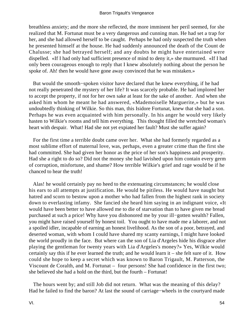breathless anxiety; and the more she reflected, the more imminent her peril seemed, for she realized that M. Fortunat must be a very dangerous and cunning man. He had set a trap for her, and she had allowed herself to be caught. Perhaps he had only suspected the truth when he presented himself at the house. He had suddenly announced the death of the Count de Chalusse; she had betrayed herself; and any doubts he might have entertained were dispelled. «If I had only had sufficient presence of mind to deny it,» she murmured. «If I had only been courageous enough to reply that I knew absolutely nothing about the person he spoke of. Ah! then he would have gone away convinced that he was mistaken.»

 But would the smooth−spoken visitor have declared that he knew everything, if he had not really penetrated the mystery of her life? It was scarcely probable. He had implored her to accept the property, if not for her own sake at least for the sake of another. And when she asked him whom he meant he had answered, «Mademoiselle Marguerite,» but he was undoubtedly thinking of Wilkie. So this man, this Isidore Fortunat, knew that she had a son. Perhaps he was even acquainted with him personally. In his anger he would very likely hasten to Wilkie's rooms and tell him everything. This thought filled the wretched woman's heart with despair. What! Had she not yet expiated her fault? Must she suffer again?

 For the first time a terrible doubt came over her. What she had formerly regarded as a most sublime effort of maternal love, was, perhaps, even a greater crime than the first she had committed. She had given her honor as the price of her son's happiness and prosperity. Had she a right to do so? Did not the money she had lavished upon him contain every germ of corruption, misfortune, and shame? How terrible Wilkie's grief and rage would be if he chanced to hear the truth!

 Alas! he would certainly pay no heed to the extenuating circumstances; he would close his ears to all attempts at justification. He would be pitiless. He would have naught but hatred and scorn to bestow upon a mother who had fallen from the highest rank in society down to everlasting infamy. She fancied she heard him saying in an indignant voice, «It would have been better to have allowed me to die of starvation than to have given me bread purchased at such a price! Why have you dishonored me by your ill−gotten wealth? Fallen, you might have raised yourself by honest toil. You ought to have made me a laborer, and not a spoiled idler, incapable of earning an honest livelihood. As the son of a poor, betrayed, and deserted woman, with whom I could have shared my scanty earnings, I might have looked the world proudly in the face. But where can the son of Lia d'Argeles hide his disgrace after playing the gentleman for twenty years with Lia d'Argeles's money?» Yes, Wilkie would certainly say this if he ever learned the truth; and he would learn it – she felt sure of it. How could she hope to keep a secret which was known to Baron Trigault, M. Patterson, the Viscount de Coralth, and M. Fortunat – four persons! She had confidence in the first two; she believed she had a hold on the third, but the fourth – Fortunat!

 The hours went by; and still Job did not return. What was the meaning of this delay? Had he failed to find the baron? At last the sound of carriage−wheels in the courtyard made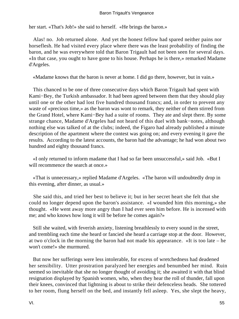her start. «That's Job!» she said to herself. «He brings the baron.»

 Alas! no. Job returned alone. And yet the honest fellow had spared neither pains nor horseflesh. He had visited every place where there was the least probability of finding the baron, and he was everywhere told that Baron Trigault had not been seen for several days. «In that case, you ought to have gone to his house. Perhaps he is there,» remarked Madame d'Argeles.

«Madame knows that the baron is never at home. I did go there, however, but in vain.»

 This chanced to be one of three consecutive days which Baron Trigault had spent with Kami−Bey, the Turkish ambassador. It had been agreed between them that they should play until one or the other had lost five hundred thousand francs; and, in order to prevent any waste of «precious time,» as the baron was wont to remark, they neither of them stirred from the Grand Hotel, where Kami−Bey had a suite of rooms. They ate and slept there. By some strange chance, Madame d'Argeles had not heard of this duel with bank−notes, although nothing else was talked of at the clubs; indeed, the Figaro had already published a minute description of the apartment where the contest was going on; and every evening it gave the results. According to the latest accounts, the baron had the advantage; he had won about two hundred and eighty thousand francs.

 «I only returned to inform madame that I had so far been unsuccessful,» said Job. «But I will recommence the search at once.»

 «That is unnecessary,» replied Madame d'Argeles. «The baron will undoubtedly drop in this evening, after dinner, as usual.»

 She said this, and tried her best to believe it; but in her secret heart she felt that she could no longer depend upon the baron's assistance. «I wounded him this morning,» she thought. «He went away more angry than I had ever seen him before. He is incensed with me; and who knows how long it will be before he comes again?»

 Still she waited, with feverish anxiety, listening breathlessly to every sound in the street, and trembling each time she heard or fancied she heard a carriage stop at the door. However, at two o'clock in the morning the baron had not made his appearance. «It is too late – he won't come!» she murmured.

 But now her sufferings were less intolerable, for excess of wretchedness had deadened her sensibility. Utter prostration paralyzed her energies and benumbed her mind. Ruin seemed so inevitable that she no longer thought of avoiding it; she awaited it with that blind resignation displayed by Spanish women, who, when they hear the roll of thunder, fall upon their knees, convinced that lightning is about to strike their defenceless heads. She tottered to her room, flung herself on the bed, and instantly fell asleep. Yes, she slept the heavy,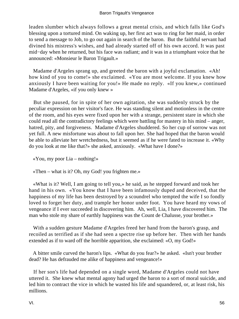leaden slumber which always follows a great mental crisis, and which falls like God's blessing upon a tortured mind. On waking up, her first act was to ring for her maid, in order to send a message to Job, to go out again in search of the baron. But the faithful servant had divined his mistress's wishes, and had already started off of his own accord. It was past mid−day when he returned, but his face was radiant; and it was in a triumphant voice that he announced: «Monsieur le Baron Trigault.»

 Madame d'Argeles sprang up, and greeted the baron with a joyful exclamation. «Ah! how kind of you to come!» she exclaimed. «You are most welcome. If you knew how anxiously I have been waiting for you!» He made no reply. «If you knew,» continued Madame d'Argeles, «if you only knew »

 But she paused, for in spite of her own agitation, she was suddenly struck by the peculiar expression on her visitor's face. He was standing silent and motionless in the centre of the room, and his eyes were fixed upon her with a strange, persistent stare in which she could read all the contradictory feelings which were battling for mastery in his mind – anger, hatred, pity, and forgiveness. Madame d'Argeles shuddered. So her cup of sorrow was not yet full. A new misfortune was about to fall upon her. She had hoped that the baron would be able to alleviate her wretchedness, but it seemed as if he were fated to increase it. «Why do you look at me like that?» she asked, anxiously. «What have I done?»

«You, my poor Lia – nothing!»

«Then – what is it? Oh, my God! you frighten me.»

 «What is it? Well, I am going to tell you,» he said, as he stepped forward and took her hand in his own. «You know that I have been infamously duped and deceived, that the happiness of my life has been destroyed by a scoundrel who tempted the wife I so fondly loved to forget her duty, and trample her honor under foot. You have heard my vows of vengeance if I ever succeeded in discovering him. Ah, well, Lia, I have discovered him. The man who stole my share of earthly happiness was the Count de Chalusse, your brother.»

 With a sudden gesture Madame d'Argeles freed her hand from the baron's grasp, and recoiled as terrified as if she had seen a spectre rise up before her. Then with her hands extended as if to ward off the horrible apparition, she exclaimed: «O, my God!»

 A bitter smile curved the baron's lips. «What do you fear?» he asked. «Isn't your brother dead? He has defrauded me alike of happiness and vengeance!»

 If her son's life had depended on a single word, Madame d'Argeles could not have uttered it. She knew what mental agony had urged the baron to a sort of moral suicide, and led him to contract the vice in which he wasted his life and squandered, or, at least risk, his millions.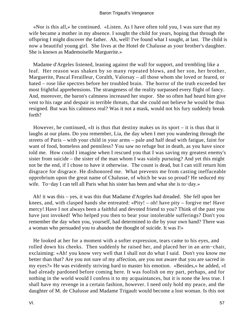«Nor is this all,» he continued. «Listen. As I have often told you, I was sure that my wife became a mother in my absence. I sought the child for years, hoping that through the offspring I might discover the father. Ah, well! I've found what I sought, at last. The child is now a beautiful young girl. She lives at the Hotel de Chalusse as your brother's daughter. She is known as Mademoiselle Marguerite.»

 Madame d'Argeles listened, leaning against the wall for support, and trembling like a leaf. Her reason was shaken by so many repeated blows, and her son, her brother, Marguerite, Pascal Ferailleur, Coralth, Valorsay – all those whom she loved or feared, or hated – rose like spectres before her troubled brain. The horror of the truth exceeded her most frightful apprehensions. The strangeness of the reality surpassed every flight of fancy. And, moreover, the baron's calmness increased her stupor. She so often had heard him give vent to his rage and despair in terrible threats, that she could not believe he would be thus resigned. But was his calmness real? Was it not a mask, would not his fury suddenly break forth?

 However, he continued, «It is thus that destiny makes us its sport – it is thus that it laughs at our plans. Do you remember, Lia, the day when I met you wandering through the streets of Paris – with your child in your arms – pale and half dead with fatigue, faint for want of food, homeless and penniless? You saw no refuge but in death, as you have since told me. How could I imagine when I rescued you that I was saving my greatest enemy's sister from suicide – the sister of the man whom I was vainly pursuing? And yet this might not be the end, if I chose to have it otherwise. The count is dead, but I can still return him disgrace for disgrace. He dishonored me. What prevents me from casting ineffaceable opprobrium upon the great name of Chalusse, of which he was so proud? He seduced my wife. To−day I can tell all Paris what his sister has been and what she is to−day.»

 Ah! it was this – yes, it was this that Madame d'Argeles had dreaded. She fell upon her knees, and, with clasped hands she entreated: «Pity! – oh! have pity – forgive me! Have mercy! Have I not always been a faithful and devoted friend to you? Think of the past you have just invoked! Who helped you then to bear your intolerable sufferings? Don't you remember the day when you, yourself, had determined to die by your own hand? There was a woman who persuaded you to abandon the thought of suicide. It was I!»

 He looked at her for a moment with a softer expression, tears came to his eyes, and rolled down his cheeks. Then suddenly he raised her, and placed her in an arm−chair, exclaiming: «Ah! you know very well that I shall not do what I said. Don't you know me better than that? Are you not sure of my affection, are you not aware that you are sacred in my eyes?» He was evidently striving hard to master his emotion. «Besides,» he added, «I had already pardoned before coming here. It was foolish on my part, perhaps, and for nothing in the world would I confess it to my acquaintances, but it is none the less true. I shall have my revenge in a certain fashion, however. I need only hold my peace, and the daughter of M. de Chalusse and Madame Trigault would become a lost woman. Is this not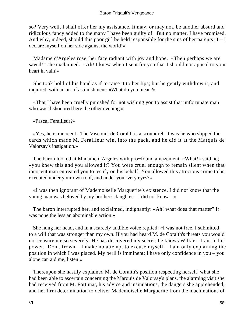so? Very well, I shall offer her my assistance. It may, or may not, be another absurd and ridiculous fancy added to the many I have been guilty of. But no matter. I have promised. And why, indeed, should this poor girl be held responsible for the sins of her parents?  $I - I$ declare myself on her side against the world!»

 Madame d'Argeles rose, her face radiant with joy and hope. «Then perhaps we are saved!» she exclaimed. «Ah! I knew when I sent for you that I should not appeal to your heart in vain!»

 She took hold of his hand as if to raise it to her lips; but he gently withdrew it, and inquired, with an air of astonishment: «What do you mean?»

 «That I have been cruelly punished for not wishing you to assist that unfortunate man who was dishonored here the other evening.»

«Pascal Ferailleur?»

 «Yes, he is innocent. The Viscount de Coralth is a scoundrel. It was he who slipped the cards which made M. Ferailleur win, into the pack, and he did it at the Marquis de Valorsay's instigation.»

 The baron looked at Madame d'Argeles with pro−found amazement. «What!» said he; «you knew this and you allowed it? You were cruel enough to remain silent when that innocent man entreated you to testify on his behalf! You allowed this atrocious crime to be executed under your own roof, and under your very eyes?»

 «I was then ignorant of Mademoiselle Marguerite's existence. I did not know that the young man was beloved by my brother's daughter – I did not know – »

 The baron interrupted her, and exclaimed, indignantly: «Ah! what does that matter? It was none the less an abominable action.»

 She hung her head, and in a scarcely audible voice replied: «I was not free. I submitted to a will that was stronger than my own. If you had heard M. de Coralth's threats you would not censure me so severely. He has discovered my secret; he knows Wilkie – I am in his power. Don't frown – I make no attempt to excuse myself – I am only explaining the position in which I was placed. My peril is imminent; I have only confidence in you – you alone can aid me; listen!»

 Thereupon she hastily explained M. de Coralth's position respecting herself, what she had been able to ascertain concerning the Marquis de Valorsay's plans, the alarming visit she had received from M. Fortunat, his advice and insinuations, the dangers she apprehended, and her firm determination to deliver Mademoiselle Marguerite from the machinations of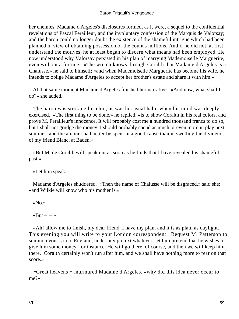her enemies. Madame d'Argeles's disclosures formed, as it were, a sequel to the confidential revelations of Pascal Ferailleur, and the involuntary confession of the Marquis de Valorsay; and the baron could no longer doubt the existence of the shameful intrigue which had been planned in view of obtaining possession of the count's millions. And if he did not, at first, understand the motives, he at least began to discern what means had been employed. He now understood why Valorsay persisted in his plan of marrying Mademoiselle Marguerite, even without a fortune. «The wretch knows through Coralth that Madame d'Argeles is a Chalusse,» he said to himself; «and when Mademoiselle Marguerite has become his wife, he intends to oblige Madame d'Argeles to accept her brother's estate and share it with him.»

 At that same moment Madame d'Argeles finished her narrative. «And now, what shall I do?» she added.

 The baron was stroking his chin, as was his usual habit when his mind was deeply exercised. «The first thing to be done,» he replied, «is to show Coralth in his real colors, and prove M. Ferailleur's innocence. It will probably cost me a hundred thousand francs to do so, but I shall not grudge the money. I should probably spend as much or even more in play next summer; and the amount had better be spent in a good cause than in swelling the dividends of my friend Blanc, at Baden.»

 «But M. de Coralth will speak out as soon as he finds that I have revealed his shameful past.»

«Let him speak.»

 Madame d'Argeles shuddered. «Then the name of Chalusse will be disgraced,» said she; «and Wilkie will know who his mother is.»

«No.»

«But –  $-\infty$ 

 «Ah! allow me to finish, my dear friend. I have my plan, and it is as plain as daylight. This evening you will write to your London correspondent. Request M. Patterson to summon your son to England, under any pretext whatever; let him pretend that he wishes to give him some money, for instance. He will go there, of course, and then we will keep him there. Coralth certainly won't run after him, and we shall have nothing more to fear on that score.»

 «Great heavens!» murmured Madame d'Argeles, «why did this idea never occur to me?»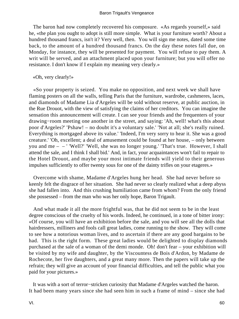The baron had now completely recovered his composure. «As regards yourself,» said he, «the plan you ought to adopt is still more simple. What is your furniture worth? About a hundred thousand francs, isn't it? Very well, then. You will sign me notes, dated some time back, to the amount of a hundred thousand francs. On the day these notes fall due, on Monday, for instance, they will be presented for payment. You will refuse to pay them. A writ will be served, and an attachment placed upon your furniture; but you will offer no resistance. I don't know if I explain my meaning very clearly.»

«Oh, very clearly!»

 «So your property is seized. You make no opposition, and next week we shall have flaming posters on all the walls, telling Paris that the furniture, wardrobe, cashmeres, laces, and diamonds of Madame Lia d'Argeles will be sold without reserve, at public auction, in the Rue Drouot, with the view of satisfying the claims of her creditors. You can imagine the sensation this announcement will create. I can see your friends and the frequenters of your drawing−room meeting one another in the street, and saying: 'Ah, well! what's this about poor d'Argeles?' 'Pshaw! – no doubt it's a voluntary sale.' 'Not at all; she's really ruined. Everything is mortgaged above its value.' 'Indeed, I'm very sorry to hear it. She was a good creature.' 'Oh, excellent; a deal of amusement could be found at her house, – only between you and me – – ' 'Well?' 'Well, she was no longer young.' 'That's true. However, I shall attend the sale, and I think I shall bid.' And, in fact, your acquaintances won't fail to repair to the Hotel Drouot, and maybe your most intimate friends will yield to their generous impulses sufficiently to offer twenty sous for one of the dainty trifles on your etageres.»

 Overcome with shame, Madame d'Argeles hung her head. She had never before so keenly felt the disgrace of her situation. She had never so clearly realized what a deep abyss she had fallen into. And this crushing humiliation came from whom? From the only friend she possessed – from the man who was her only hope, Baron Trigault.

 And what made it all the more frightful was, that he did not seem to be in the least degree conscious of the cruelty of his words. Indeed, he continued, in a tone of bitter irony: «Of course, you will have an exhibition before the sale, and you will see all the dolls that hairdressers, milliners and fools call great ladies, come running to the show. They will come to see how a notorious woman lives, and to ascertain if there are any good bargains to be had. This is the right form. These great ladies would be delighted to display diamonds purchased at the sale of a woman of the demi monde. Oh! don't fear – your exhibition will be visited by my wife and daughter, by the Viscountess de Bois d'Ardon, by Madame de Rochecote, her five daughters, and a great many more. Then the papers will take up the refrain; they will give an account of your financial difficulties, and tell the public what you paid for your pictures.»

 It was with a sort of terror−stricken curiosity that Madame d'Argeles watched the baron. It had been many years since she had seen him in such a frame of mind – since she had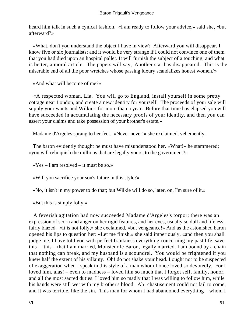heard him talk in such a cynical fashion. «I am ready to follow your advice,» said she, «but afterward?»

 «What, don't you understand the object I have in view? Afterward you will disappear. I know five or six journalists; and it would be very strange if I could not convince one of them that you had died upon an hospital pallet. It will furnish the subject of a touching, and what is better, a moral article. The papers will say, 'Another star has disappeared. This is the miserable end of all the poor wretches whose passing luxury scandalizes honest women.'»

«And what will become of me?»

 «A respected woman, Lia. You will go to England, install yourself in some pretty cottage near London, and create a new identity for yourself. The proceeds of your sale will supply your wants and Wilkie's for more than a year. Before that time has elapsed you will have succeeded in accumulating the necessary proofs of your identity, and then you can assert your claims and take possession of your brother's estate.»

Madame d'Argeles sprang to her feet. «Never never!» she exclaimed, vehemently.

 The baron evidently thought he must have misunderstood her. «What!» he stammered; «you will relinquish the millions that are legally yours, to the government?»

« $Yes - I$  am resolved – it must be so.»

«Will you sacrifice your son's future in this style?»

«No, it isn't in my power to do that; but Wilkie will do so, later, on, I'm sure of it.»

«But this is simply folly.»

 A feverish agitation had now succeeded Madame d'Argeles's torpor; there was an expression of scorn and anger on her rigid features, and her eyes, usually so dull and lifeless, fairly blazed. «It is not folly,» she exclaimed, «but vengeance!» And as the astonished baron opened his lips to question her: «Let me finish,» she said imperiously, «and then you shall judge me. I have told you with perfect frankness everything concerning my past life, save this – this – that I am married, Monsieur le Baron, legally married. I am bound by a chain that nothing can break, and my husband is a scoundrel. You would be frightened if you knew half the extent of his villainy. Oh! do not shake your head. I ought not to be suspected of exaggeration when I speak in this style of a man whom I once loved so devotedly. For I loved him, alas! – even to madness – loved him so much that I forgot self, family, honor, and all the most sacred duties. I loved him so madly that I was willing to follow him, while his hands were still wet with my brother's blood. Ah! chastisement could not fail to come, and it was terrible, like the sin. This man for whom I had abandoned everything – whom I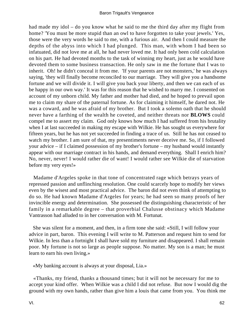had made my idol – do you know what he said to me the third day after my flight from home? 'You must be more stupid than an owl to have forgotten to take your jewels.' Yes, those were the very words he said to me, with a furious air. And then I could measure the depths of the abyss into which I had plunged. This man, with whom I had been so infatuated, did not love me at all, he had never loved me. It had only been cold calculation on his part. He had devoted months to the task of winning my heart, just as he would have devoted them to some business transaction. He only saw in me the fortune that I was to inherit. Oh! he didn't conceal it from me. 'If your parents are not monsters,' he was always saying, 'they will finally become reconciled to our marriage. They will give you a handsome fortune and we will divide it. I will give you back your liberty, and then we can each of us be happy in our own way.' It was for this reason that he wished to marry me. I consented on account of my unborn child. My father and mother had died, and he hoped to prevail upon me to claim my share of the paternal fortune. As for claiming it himself, he dared not. He was a coward, and he was afraid of my brother. But I took a solemn oath that he should never have a farthing of the wealth he coveted, and neither threats nor **BLOWS** could compel me to assert my claim. God only knows how much I had suffered from his brutality when I at last succeeded in making my escape with Wilkie. He has sought us everywhere for fifteen years, but he has not yet succeeded in finding a trace of us. Still he has not ceased to watch my brother. I am sure of that, my presentiments never deceive me. So, if I followed your advice – if I claimed possession of my brother's fortune – my husband would instantly appear with our marriage contract in his hands, and demand everything. Shall I enrich him? No, never, never! I would rather die of want! I would rather see Wilkie die of starvation before my very eyes!»

 Madame d'Argeles spoke in that tone of concentrated rage which betrays years of repressed passion and unflinching resolution. One could scarcely hope to modify her views even by the wisest and most practical advice. The baron did not even think of attempting to do so. He had known Madame d'Argeles for years; he had seen so many proofs of her invincible energy and determination. She possessed the distinguishing characteristic of her family in a remarkable degree – that proverbial Chalusse obstinacy which Madame Vantrasson had alluded to in her conversation with M. Fortunat.

 She was silent for a moment, and then, in a firm tone she said: «Still, I will follow your advice in part, baron. This evening I will write to M. Patterson and request him to send for Wilkie. In less than a fortnight I shall have sold my furniture and disappeared. I shall remain poor. My fortune is not so large as people suppose. No matter. My son is a man; he must learn to earn his own living.»

«My banking account is always at your disposal, Lia.»

 «Thanks, my friend, thanks a thousand times; but it will not be necessary for me to accept your kind offer. When Wilkie was a child I did not refuse. But now I would dig the ground with my own hands, rather than give him a louis that came from you. You think me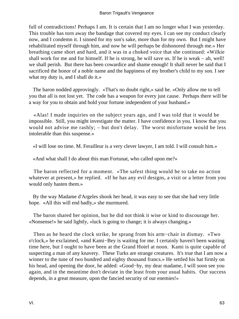full of contradictions! Perhaps I am. It is certain that I am no longer what I was yesterday. This trouble has torn away the bandage that covered my eyes. I can see my conduct clearly now, and I condemn it. I sinned for my son's sake, more than for my own. But I might have rehabilitated myself through him, and now he will perhaps be dishonored through me.» Her breathing came short and hard, and it was in a choked voice that she continued: «Wilkie shall work for me and for himself. If he is strong, he will save us. If he is weak – ah, well! we shall perish. But there has been cowardice and shame enough! It shall never be said that I sacrificed the honor of a noble name and the happiness of my brother's child to my son. I see what my duty is, and I shall do it.»

 The baron nodded approvingly. «That's no doubt right,» said he. «Only allow me to tell you that all is not lost yet. The code has a weapon for every just cause. Perhaps there will be a way for you to obtain and hold your fortune independent of your husband.»

 «Alas! I made inquiries on the subject years ago, and I was told that it would be impossible. Still, you might investigate the matter. I have confidence in you. I know that you would not advise me rashly; – but don't delay. The worst misfortune would be less intolerable than this suspense.»

«I will lose no time. M. Ferailleur is a very clever lawyer, I am told. I will consult him.»

«And what shall I do about this man Fortunat, who called upon me?»

 The baron reflected for a moment. «The safest thing would be to take no action whatever at present,» he replied. «If he has any evil designs, a visit or a letter from you would only hasten them.»

 By the way Madame d'Argeles shook her head, it was easy to see that she had very little hope. «All this will end badly,» she murmured.

 The baron shared her opinion, but he did not think it wise or kind to discourage her. «Nonsense!» he said lightly, «luck is going to change; it is always changing.»

 Then as he heard the clock strike, he sprang from his arm−chair in dismay. «Two o'clock,» he exclaimed, «and Kami−Bey is waiting for me. I certainly haven't been wasting time here, but I ought to have been at the Grand Hotel at noon. Kami is quite capable of suspecting a man of any knavery. These Turks are strange creatures. It's true that I am now a winner to the tune of two hundred and eighty thousand francs.» He settled his hat firmly on his head, and opening the door, he added: «Good−by, my dear madame, I will soon see you again, and in the meantime don't deviate in the least from your usual habits. Our success depends, in a great measure, upon the fancied security of our enemies!»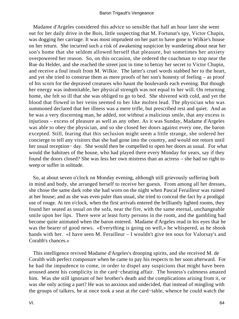Madame d'Argeles considered this advice so sensible that half an hour later she went out for her daily drive in the Bois, little suspecting that M. Fortunat's spy, Victor Chupin, was dogging her carriage. It was most imprudent on her part to have gone to Wilkie's house on her return. She incurred such a risk of awakening suspicion by wandering about near her son's home that she seldom allowed herself that pleasure, but sometimes her anxiety overpowered her reason. So, on this occasion, she ordered the coachman to stop near the Rue du Helder, and she reached the street just in time to betray her secret to Victor Chupin, and receive a foul insult from M. Wilkie. The latter's cruel words stabbed her to the heart, and yet she tried to construe them as mere proofs of her son's honesty of feeling – as proof of his scorn for the depraved creatures who haunt the boulevards each evening. But though her energy was indomitable, her physical strength was not equal to her will. On returning home, she felt so ill that she was obliged to go to bed. She shivered with cold, and yet the blood that flowed in her veins seemed to her like molten lead. The physician who was summoned declared that her illness was a mere trifle, but prescribed rest and quiet. And as he was a very discerning man, he added, not without a malicious smile, that any excess is injurious – excess of pleasure as well as any other. As it was Sunday, Madame d'Argeles was able to obey the physician, and so she closed her doors against every one, the baron excepted. Still, fearing that this seclusion might seem a little strange, she ordered her concierge to tell any visitors that she had gone into the country, and would not return until her usual reception− day. She would then be compelled to open her doors as usual. For what would the habitues of the house, who had played there every Monday for years, say if they found the doors closed? She was less her own mistress than an actress – she had no right to weep or suffer in solitude.

 So, at about seven o'clock on Monday evening, although still grievously suffering both in mind and body, she arranged herself to receive her guests. From among all her dresses, she chose the same dark robe she had worn on the night when Pascal Ferailleur was ruined at her house; and as she was even paler than usual, she tried to conceal the fact by a prodigal use of rouge. At ten o'clock, when the first arrivals entered the brilliantly lighted rooms, they found her seated as usual on the sofa, near the fire, with the same eternal, unchangeable smile upon her lips. There were at least forty persons in the room, and the gambling had become quite animated when the baron entered. Madame d'Argeles read in his eyes that he was the bearer of good news. «Everything is going on well,» he whispered, as he shook hands with her. «I have seen M. Ferailleur – I wouldn't give ten sous for Valorsay's and Coralth's chances.»

 This intelligence revived Madame d'Argeles's drooping spirits, and she received M. de Coralth with perfect composure when he came to pay his respects to her soon afterward. For he had the impudence to come, in order to dispel any suspicions that might have been aroused anent his complicity in the card−cheating affair. The hostess's calmness amazed him. Was she still ignorant of her brother's death and the complications arising from it, or was she only acting a part? He was so anxious and undecided, that instead of mingling with the groups of talkers, he at once took a seat at the card−table, whence he could watch the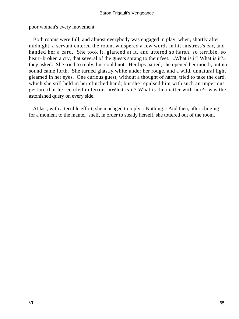poor woman's every movement.

 Both rooms were full, and almost everybody was engaged in play, when, shortly after midnight, a servant entered the room, whispered a few words in his mistress's ear, and handed her a card. She took it, glanced at it, and uttered so harsh, so terrible, so heart–broken a cry, that several of the guests sprang to their feet. «What is it? What is it?» they asked. She tried to reply, but could not. Her lips parted, she opened her mouth, but no sound came forth. She turned ghastly white under her rouge, and a wild, unnatural light gleamed in her eyes. One curious guest, without a thought of harm, tried to take the card, which she still held in her clinched hand; but she repulsed him with such an imperious gesture that he recoiled in terror. «What is it? What is the matter with her?» was the astonished query on every side.

 At last, with a terrible effort, she managed to reply, «Nothing.» And then, after clinging for a moment to the mantel−shelf, in order to steady herself, she tottered out of the room.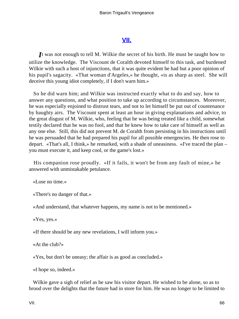## **[VII.](#page-256-0)**

*I*t was not enough to tell M. Wilkie the secret of his birth. He must be taught how to utilize the knowledge. The Viscount de Coralth devoted himself to this task, and burdened Wilkie with such a host of injunctions, that it was quite evident he had but a poor opinion of his pupil's sagacity. «That woman d'Argeles,» he thought, «is as sharp as steel. She will deceive this young idiot completely, if I don't warn him.»

 So he did warn him; and Wilkie was instructed exactly what to do and say, how to answer any questions, and what position to take up according to circumstances. Moreover, he was especially enjoined to distrust tears, and not to let himself be put out of countenance by haughty airs. The Viscount spent at least an hour in giving explanations and advice, to the great disgust of M. Wilkie, who, feeling that he was being treated like a child, somewhat testily declared that he was no fool, and that he knew how to take care of himself as well as any one else. Still, this did not prevent M. de Coralth from persisting in his instructions until he was persuaded that he had prepared his pupil for all possible emergencies. He then rose to depart. «That's all, I think,» he remarked, with a shade of uneasiness. «I've traced the plan – you must execute it, and keep cool, or the game's lost.»

 His companion rose proudly. «If it fails, it won't be from any fault of mine,» he answered with unmistakable petulance.

«Lose no time.»

«There's no danger of that.»

«And understand, that whatever happens, my name is not to be mentioned.»

«Yes, yes.»

«If there should be any new revelations, I will inform you.»

«At the club?»

«Yes, but don't be uneasy; the affair is as good as concluded.»

«I hope so, indeed.»

 Wilkie gave a sigh of relief as he saw his visitor depart. He wished to be alone, so as to brood over the delights that the future had in store for him. He was no longer to be limited to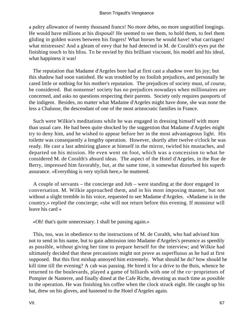a paltry allowance of twenty thousand francs! No more debts, no more ungratified longings. He would have millions at his disposal! He seemed to see them, to hold them, to feel them gliding in golden waves between his fingers! What horses he would have! what carriages! what mistresses! And a gleam of envy that he had detected in M. de Coralth's eyes put the finishing touch to his bliss. To be envied by this brilliant viscount, his model and his ideal, what happiness it was!

 The reputation that Madame d'Argeles bore had at first cast a shadow over his joy; but this shadow had soon vanished. He was troubled by no foolish prejudices, and personally he cared little or nothing for his mother's reputation. The prejudices of society must, of course, be considered. But nonsense! society has no prejudices nowadays when millionaires are concerned, and asks no questions respecting their parents. Society only requires passports of the indigent. Besides, no matter what Madame d'Argeles might have done, she was none the less a Chalusse, the descendant of one of the most aristocratic families in France.

 Such were Wilkie's meditations while he was engaged in dressing himself with more than usual care. He had been quite shocked by the suggestion that Madame d'Argeles might try to deny him, and he wished to appear before her in the most advantageous light. His toilette was consequently a lengthy operation. However, shortly after twelve o'clock he was ready. He cast a last admiring glance at himself in the mirror, twirled his mustaches, and departed on his mission. He even went on foot, which was a concession to what he considered M. de Coralth's absurd ideas. The aspect of the Hotel d'Argeles, in the Rue de Berry, impressed him favorably, but, at the same time, it somewhat disturbed his superb assurance. «Everything is very stylish here,» he muttered.

 A couple of servants – the concierge and Job – were standing at the door engaged in conversation. M. Wilkie approached them, and in his most imposing manner, but not without a slight tremble in his voice, requested to see Madame d'Argeles. «Madame is in the country,» replied the concierge; «she will not return before this evening. If monsieur will leave his card »

«Oh! that's quite unnecessary. I shall be passing again.»

 This, too, was in obedience to the instructions of M. de Coralth, who had advised him not to send in his name, but to gain admission into Madame d'Argeles's presence as speedily as possible, without giving her time to prepare herself for the interview; and Wilkie had ultimately decided that these precautions might not prove as superfluous as he had at first supposed. But this first mishap annoyed him extremely. What should he do? how should he kill time till the evening? A cab was passing. He hired it for a drive to the Bois, whence he returned to the boulevards, played a game of billiards with one of the co−proprietors of Pompier de Nanterre, and finally dined at the Cafe Riche, devoting as much time as possible to the operation. He was finishing his coffee when the clock struck eight. He caught up his hat, drew on his gloves, and hastened to the Hotel d'Argeles again.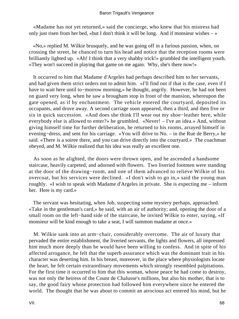«Madame has not yet returned,» said the concierge, who knew that his mistress had only just risen from her bed, «but I don't think it will be long. And if monsieur wishes  $-\infty$ 

 «No,» replied M. Wilkie brusquely, and he was going off in a furious passion, when, on crossing the street, he chanced to turn his head and notice that the reception rooms were brilliantly lighted up. «Ah! I think that a very shabby trick!» grumbled the intelligent youth. «They won't succeed in playing that game on me again. Why, she's there now!»

 It occurred to him that Madame d'Argeles had perhaps described him to her servants, and had given them strict orders not to admit him. «I'll find out if that is the case, even if I have to wait here until to−morrow morning,» he thought, angrily. However, he had not been on guard very long, when he saw a brougham stop in front of the mansion, whereupon the gate opened, as if by enchantment. The vehicle entered the courtyard, deposited its occupants, and drove away. A second carriage soon appeared, then a third, and then five or six in quick succession. «And does she think I'll wear out my shoe−leather here, while everybody else is allowed to enter?» he grumbled. «Never! – I've an idea.» And, without giving himself time for further deliberation, he returned to his rooms, arrayed himself in evening−dress, and sent for his carriage. «You will drive to No. – in the Rue de Berry,» he said. «There is a soiree there, and you can drive directly into the courtyard.» The coachman obeyed, and M. Wilkie realized that his idea was really an excellent one.

 As soon as he alighted, the doors were thrown open, and he ascended a handsome staircase, heavily carpeted, and adorned with flowers. Two liveried footmen were standing at the door of the drawing−room, and one of them advanced to relieve Wilkie of his overcoat, but his services were declined. «I don't wish to go in,» said the young man roughly. «I wish to speak with Madame d'Argeles in private. She is expecting me – inform her. Here is my card.»

 The servant was hesitating, when Job, suspecting some mystery perhaps, approached. «Take in the gentleman's card,» he said, with an air of authority; and, opening the door of a small room on the left–hand side of the staircase, he invited Wilkie to enter, saying, «If monsieur will be kind enough to take a seat, I will summon madame at once.»

 M. Wilkie sank into an arm−chair, considerably overcome. The air of luxury that pervaded the entire establishment, the liveried servants, the lights and flowers, all impressed him much more deeply than he would have been willing to confess. And in spite of his affected arrogance, he felt that the superb assurance which was the dominant trait in his character was deserting him. In his breast, moreover, in the place where physiologists locate the heart, he felt certain extraordinary movements which strongly resembled palpitations. For the first time it occurred to him that this woman, whose peace he had come to destroy, was not only the heiress of the Count de Chalusse's millions, but also his mother, that is to say, the good fairy whose protection had followed him everywhere since he entered the world. The thought that he was about to commit an atrocious act entered his mind, but he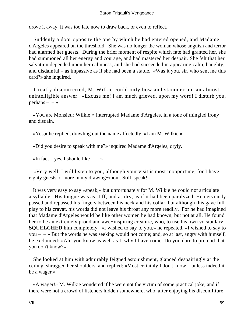drove it away. It was too late now to draw back, or even to reflect.

 Suddenly a door opposite the one by which he had entered opened, and Madame d'Argeles appeared on the threshold. She was no longer the woman whose anguish and terror had alarmed her guests. During the brief moment of respite which fate had granted her, she had summoned all her energy and courage, and had mastered her despair. She felt that her salvation depended upon her calmness, and she had succeeded in appearing calm, haughty, and disdainful – as impassive as if she had been a statue. «Was it you, sir, who sent me this card?» she inquired.

 Greatly disconcerted, M. Wilkie could only bow and stammer out an almost unintelligible answer. «Excuse me! I am much grieved, upon my word! I disturb you, perhaps  $- - \infty$ 

 «You are Monsieur Wilkie!» interrupted Madame d'Argeles, in a tone of mingled irony and disdain.

«Yes,» he replied, drawling out the name affectedly, «I am M. Wilkie.»

«Did you desire to speak with me?» inquired Madame d'Argeles, dryly.

«In fact – yes. I should like –  $-\infty$ 

 «Very well. I will listen to you, although your visit is most inopportune, for I have eighty guests or more in my drawing−room. Still, speak!»

 It was very easy to say «speak,» but unfortunately for M. Wilkie he could not articulate a syllable. His tongue was as stiff, and as dry, as if it had been paralyzed. He nervously passed and repassed his fingers between his neck and his collar, but although this gave full play to his cravat, his words did not leave his throat any more readily. For he had imagined that Madame d'Argeles would be like other women he had known, but not at all. He found her to be an extremely proud and awe−inspiring creature, who, to use his own vocabulary, **SQUELCHED** him completely. «I wished to say to you,» he repeated, «I wished to say to you –  $\rightarrow$  But the words he was seeking would not come; and, so at last, angry with himself, he exclaimed: «Ah! you know as well as I, why I have come. Do you dare to pretend that you don't know?»

 She looked at him with admirably feigned astonishment, glanced despairingly at the ceiling, shrugged her shoulders, and replied: «Most certainly I don't know – unless indeed it be a wager.»

 «A wager!» M. Wilkie wondered if he were not the victim of some practical joke, and if there were not a crowd of listeners hidden somewhere, who, after enjoying his discomfiture,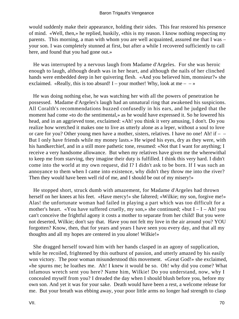would suddenly make their appearance, holding their sides. This fear restored his presence of mind. «Well, then,» he replied, huskily, «this is my reason. I know nothing respecting my parents. This morning, a man with whom you are well acquainted, assured me that I was – your son. I was completely stunned at first, but after a while I recovered sufficiently to call here, and found that you had gone out.»

 He was interrupted by a nervous laugh from Madame d'Argeles. For she was heroic enough to laugh, although death was in her heart, and although the nails of her clinched hands were embedded deep in her quivering flesh. «And you believed him, monsieur?» she exclaimed. «Really, this is too absurd! I – your mother! Why, look at me –  $-\infty$ 

 He was doing nothing else, he was watching her with all the powers of penetration he possessed. Madame d'Argeles's laugh had an unnatural ring that awakened his suspicions. All Coralth's recommendations buzzed confusedly in his ears, and he judged that the moment had come «to do the sentimental,» as he would have expressed it. So he lowered his head, and in an aggrieved tone, exclaimed: «Ah! you think it very amusing, I don't. Do you realize how wretched it makes one to live as utterly alone as a leper, without a soul to love or care for you? Other young men have a mother, sisters, relatives. I have no one! Ah! if  $-$ But I only have friends while my money lasts.» He wiped his eyes, dry as they were, with his handkerchief, and in a still more pathetic tone, resumed: «Not that I want for anything; I receive a very handsome allowance. But when my relatives have given me the wherewithal to keep me from starving, they imagine their duty is fulfilled. I think this very hard. I didn't come into the world at my own request, did I? I didn't ask to be born. If I was such an annoyance to them when I came into existence, why didn't they throw me into the river? Then they would have been well rid of me, and I should be out of my misery!»

 He stopped short, struck dumb with amazement, for Madame d'Argeles had thrown herself on her knees at his feet. «Have mercy!» she faltered; «Wilkie; my son, forgive me!» Alas! the unfortunate woman had failed in playing a part which was too difficult for a mother's heart. «You have suffered cruelly, my son,» she continued; «but  $I - I - Ah!$  you can't conceive the frightful agony it costs a mother to separate from her child! But you were not deserted, Wilkie; don't say that. Have you not felt my love in the air around you? YOU forgotten? Know, then, that for years and years I have seen you every day, and that all my thoughts and all my hopes are centered in you alone! Wilkie!»

 She dragged herself toward him with her hands clasped in an agony of supplication, while he recoiled, frightened by this outburst of passion, and utterly amazed by his easily won victory. The poor woman misunderstood this movement. «Great God!» she exclaimed, «he spurns me; he loathes me. Ah! I knew it would be so. Oh! why did you come? What infamous wretch sent you here? Name him, Wilkie! Do you understand, now, why I concealed myself from you? I dreaded the day when I should blush before you, before my own son. And yet it was for your sake. Death would have been a rest, a welcome release for me. But your breath was ebbing away, your poor little arms no longer had strength to clasp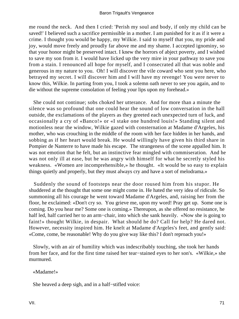me round the neck. And then I cried: 'Perish my soul and body, if only my child can be saved!' I believed such a sacrifice permissible in a mother. I am punished for it as if it were a crime. I thought you would be happy, my Wilkie. I said to myself that you, my pride and joy, would move freely and proudly far above me and my shame. I accepted ignominy, so that your honor might be preserved intact. I knew the horrors of abject poverty, and I wished to save my son from it. I would have licked up the very mire in your pathway to save you from a stain. I renounced all hope for myself, and I consecrated all that was noble and generous in my nature to you. Oh! I will discover the vile coward who sent you here, who betrayed my secret. I will discover him and I will have my revenge! You were never to know this, Wilkie. In parting from you, I took a solemn oath never to see you again, and to die without the supreme consolation of feeling your lips upon my forehead.»

 She could not continue; sobs choked her utterance. And for more than a minute the silence was so profound that one could hear the sound of low conversation in the hall outside, the exclamations of the players as they greeted each unexpected turn of luck, and occasionally a cry of «Banco!» or «I stake one hundred louis!» Standing silent and motionless near the window, Wilkie gazed with consternation at Madame d'Argeles, his mother, who was crouching in the middle of the room with her face hidden in her hands, and sobbing as if her heart would break. He would willingly have given his third share in Pompier de Nanterre to have made his escape. The strangeness of the scene appalled him. It was not emotion that he felt, but an instinctive fear mingled with commiseration. And he was not only ill at ease, but he was angry with himself for what he secretly styled his weakness. «Women are incomprehensible,» he thought. «It would be so easy to explain things quietly and properly, but they must always cry and have a sort of melodrama.»

 Suddenly the sound of footsteps near the door roused him from his stupor. He shuddered at the thought that some one might come in. He hated the very idea of ridicule. So summoning all his courage he went toward Madame d'Argeles, and, raising her from the floor, he exclaimed: «Don't cry so. You grieve me, upon my word! Pray get up. Some one is coming. Do you hear me? Some one is coming.» Thereupon, as she offered no resistance, he half led, half carried her to an arm−chair, into which she sank heavily. «Now she is going to faint!» thought Wilkie, in despair. What should he do? Call for help? He dared not. However, necessity inspired him. He knelt at Madame d'Argeles's feet, and gently said: «Come, come, be reasonable! Why do you give way like this? I don't reproach you!»

 Slowly, with an air of humility which was indescribably touching, she took her hands from her face, and for the first time raised her tear−stained eyes to her son's. «Wilkie,» she murmured.

### «Madame!»

She heaved a deep sigh, and in a half−stifled voice: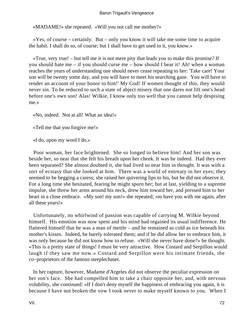## Baron Trigault's Vengeance

«MADAME!» she repeated. «Will you not call me mother?»

 «Yes, of course – certainly. But – only you know it will take me some time to acquire the habit. I shall do so, of course; but I shall have to get used to it, you know.»

 «True, very true! – but tell me it is not mere pity that leads you to make this promise? If you should hate me – if you should curse me – how should I bear it! Ah! when a woman reaches the years of understanding one should never cease repeating to her: 'Take care! Your son will be twenty some day, and you will have to meet his searching gaze. You will have to render an account of your honor to him!' My God! If women thought of this, they would never sin. To be reduced to such a state of abject misery that one dares not lift one's head before one's own son! Alas! Wilkie, I know only too well that you cannot help despising me.»

«No, indeed. Not at all! What an idea!»

«Tell me that you forgive me!»

«I do, upon my word I do.»

 Poor woman, her face brightened. She so longed to believe him! And her son was beside her, so near that she felt his breath upon her cheek. It was he indeed. Had they ever been separated? She almost doubted it, she had lived so near him in thought. It was with a sort of ecstasy that she looked at him. There was a world of entreaty in her eyes; they seemed to be begging a caress; she raised her quivering lips to his, but he did not observe it. For a long time she hesitated, fearing he might spurn her; but at last, yielding to a supreme impulse, she threw her arms around his neck, drew him toward her, and pressed him to her heart in a close embrace. «My son! my son!» she repeated; «to have you with me again, after all these years!»

 Unfortunately, no whirlwind of passion was capable of carrying M. Wilkie beyond himself. His emotion was now spent and his mind had regained its usual indifference. He flattered himself that he was a man of mettle – and he remained as cold as ice beneath his mother's kisses. Indeed, he barely tolerated them; and if he did allow her to embrace him, it was only because he did not know how to refuse. «Will she never have done?» he thought. «This is a pretty state of things! I must be very attractive. How Costard and Serpillon would laugh if they saw me now.» Costard and Serpillon were his intimate friends, the co−proprietors of the famous steeplechaser.

 In her rapture, however, Madame d'Argeles did not observe the peculiar expression on her son's face. She had compelled him to take a chair opposite her, and, with nervous volubility, she continued: «If I don't deny myself the happiness of embracing you again, it is because I have not broken the vow I took never to make myself known to you. When I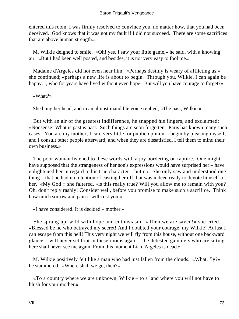entered this room, I was firmly resolved to convince you, no matter how, that you had been deceived. God knows that it was not my fault if I did not succeed. There are some sacrifices that are above human strength.»

 M. Wilkie deigned to smile. «Oh! yes, I saw your little game,» he said, with a knowing air. «But I had been well posted, and besides, it is not very easy to fool me.»

 Madame d'Argeles did not even hear him. «Perhaps destiny is weary of afflicting us,» she continued; «perhaps a new life is about to begin. Through you, Wilkie. I can again be happy. I, who for years have lived without even hope. But will you have courage to forget?»

«What?»

She hung her head, and in an almost inaudible voice replied, «The past, Wilkie.»

 But with an air of the greatest indifference, he snapped his fingers, and exclaimed: «Nonsense! What is past is past. Such things are soon forgotten. Paris has known many such cases. You are my mother; I care very little for public opinion. I begin by pleasing myself, and I consult other people afterward; and when they are dissatisfied, I tell them to mind their own business.»

 The poor woman listened to these words with a joy bordering on rapture. One might have supposed that the strangeness of her son's expressions would have surprised her – have enlightened her in regard to his true character – but no. She only saw and understood one thing – that he had no intention of casting her off, but was indeed ready to devote himself to her. «My God!» she faltered, «is this really true? Will you allow me to remain with you? Oh, don't reply rashly! Consider well, before you promise to make such a sacrifice. Think how much sorrow and pain it will cost you.»

«I have considered. It is decided – mother.»

 She sprang up, wild with hope and enthusiasm. «Then we are saved!» she cried. «Blessed be he who betrayed my secret! And I doubted your courage, my Wilkie! At last I can escape from this hell! This very night we will fly from this house, without one backward glance. I will never set foot in these rooms again – the detested gamblers who are sitting here shall never see me again. From this moment Lia d'Argeles is dead.»

 M. Wilkie positively felt like a man who had just fallen from the clouds. «What, fly?» he stammered. «Where shall we go, then?»

 «To a country where we are unknown, Wilkie – to a land where you will not have to blush for your mother.»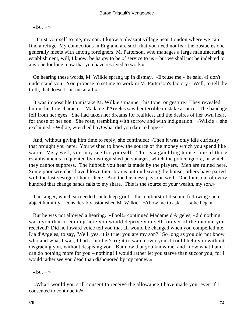$\triangleleft$ But – »

 «Trust yourself to me, my son. I know a pleasant village near London where we can find a refuge. My connections in England are such that you need not fear the obstacles one generally meets with among foreigners. M. Patterson, who manages a large manufacturing establishment, will, I know, be happy to be of service to us – but we shall not be indebted to any one for long, now that you have resolved to work.»

 On hearing these words, M. Wilkie sprang up in dismay. «Excuse me,» he said, «I don't understand you. You propose to set me to work in M. Patterson's factory? Well, to tell the truth, that doesn't suit me at all.»

 It was impossible to mistake M. Wilkie's manner, his tone, or gesture. They revealed him in his true character. Madame d'Argeles saw her terrible mistake at once. The bandage fell from her eyes. She had taken her dreams for realities, and the desires of her own heart for those of her son. She rose, trembling with sorrow and with indignation. «Wilkie!» she exclaimed, «Wilkie, wretched boy! what did you dare to hope?»

 And, without giving him time to reply, she continued: «Then it was only idle curiosity that brought you here. You wished to know the source of the money which you spend like water. Very well, you may see for yourself. This is a gambling house; one of those establishments frequented by distinguished personages, which the police ignore, or which they cannot suppress. The hubbub you hear is made by the players. Men are ruined here. Some poor wretches have blown their brains out on leaving the house; others have parted with the last vestige of honor here. And the business pays me well. One louis out of every hundred that change hands falls to my share. This is the source of your wealth, my son.»

 This anger, which succeeded such deep grief – this outburst of disdain, following such abject humility – considerably astonished M. Wilkie. «Allow me to ask –  $-$  » he began.

 But he was not allowed a hearing. «Fool!» continued Madame d'Argeles, «did nothing warn you that in coming here you would deprive yourself forever of the income you received? Did no inward voice tell you that all would be changed when you compelled me, Lia d'Argeles, to say, 'Well, yes, it is true; you are my son? ' So long as you did not know who and what I was, I had a mother's right to watch over you. I could help you without disgracing you, without despising you. But now that you know me, and know what I am, I can do nothing more for you – nothing! I would rather let you starve than succor you, for I would rather see you dead than dishonored by my money.»

«But  $-$  »

 «What! would you still consent to receive the allowance I have made you, even if I consented to continue it?»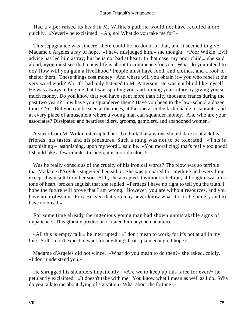Had a viper raised its head in M. Wilkie's path he would not have recoiled more quickly. «Never!» he exclaimed. «Ah, no! What do you take me for?»

 This repugnance was sincere; there could be no doubt of that, and it seemed to give Madame d'Argeles a ray of hope. «I have misjudged him,» she thought. «Poor Wilkie! Evil advice has led him astray; but he is not bad at heart. In that case, my poor child,» she said aloud, «you must see that a new life is about to commence for you. What do you intend to do? How will you gain a livelihood? People must have food, and clothes, and a roof to shelter them. These things cost money. And where will you obtain  $it - you$  who rebel at the very word work? Ah! if I had only listened to M. Patterson. He was not blind like myself. He was always telling me that I was spoiling you, and ruining your future by giving you so much money. Do you know that you have spent more than fifty thousand francs during the past two years? How have you squandered them? Have you been to the law−school a dozen times? No. But you can be seen at the races, at the opera, in the fashionable restaurants, and at every place of amusement where a young man can squander money. And who are your associates? Dissipated and heartless idlers, grooms, gamblers, and abandoned women.»

 A sneer from M. Wilkie interrupted her. To think that any one should dare to attack his friends, his tastes, and his pleasures. Such a thing was not to be tolerated. «This is astonishing – astonishing, upon my word!» said he. «You moralizing! that's really too good! I should like a few minutes to laugh; it is too ridiculous!»

 Was he really conscious of the cruelty of his ironical words? The blow was so terrible that Madame d'Argeles staggered beneath it. She was prepared for anything and everything except this insult from her son. Still, she accepted it without rebellion, although it was in a tone of heart−broken anguish that she replied: «Perhaps I have no right to tell you the truth. I hope the future will prove that I am wrong. However, you are without resources, and you have no profession. Pray Heaven that you may never know what it is to be hungry and to have no bread.»

 For some time already the ingenious young man had shown unmistakable signs of impatience. This gloomy prediction irritated him beyond endurance.

 «All this is empty talk,» he interrupted. «I don't mean to work, for it's not at all in my line. Still, I don't expect to want for anything! That's plain enough, I hope.»

 Madame d'Argeles did not wince. «What do you mean to do then?» she asked, coldly. «I don't understand you.»

 He shrugged his shoulders impatiently. «Are we to keep up this farce for ever?» he petulantly exclaimed. «It doesn't take with me. You know what I mean as well as I do. Why do you talk to me about dying of starvation? What about the fortune?»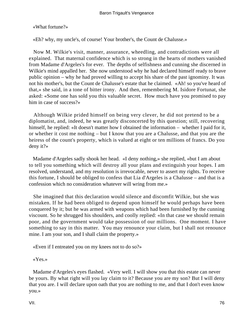«What fortune?»

«Eh? why, my uncle's, of course! Your brother's, the Count de Chalusse.»

 Now M. Wilkie's visit, manner, assurance, wheedling, and contradictions were all explained. That maternal confidence which is so strong in the hearts of mothers vanished from Madame d'Argeles's for ever. The depths of selfishness and cunning she discerned in Wilkie's mind appalled her. She now understood why he had declared himself ready to brave public opinion – why he had proved willing to accept his share of the past ignominy. It was not his mother's, but the Count de Chalusse's estate that he claimed. «Ah! so you've heard of that,» she said, in a tone of bitter irony. And then, remembering M. Isidore Fortunat, she asked: «Some one has sold you this valuable secret. How much have you promised to pay him in case of success?»

 Although Wilkie prided himself on being very clever, he did not pretend to be a diplomatist, and, indeed, he was greatly disconcerted by this question; still, recovering himself, he replied: «It doesn't matter how I obtained the information – whether I paid for it, or whether it cost me nothing – but I know that you are a Chalusse, and that you are the heiress of the count's property, which is valued at eight or ten millions of francs. Do you deny it?»

 Madame d'Argeles sadly shook her head. «I deny nothing,» she replied, «but I am about to tell you something which will destroy all your plans and extinguish your hopes. I am resolved, understand, and my resolution is irrevocable, never to assert my rights. To receive this fortune, I should be obliged to confess that Lia d'Argeles is a Chalusse – and that is a confession which no consideration whatever will wring from me.»

 She imagined that this declaration would silence and discomfit Wilkie, but she was mistaken. If he had been obliged to depend upon himself he would perhaps have been conquered by it; but he was armed with weapons which had been furnished by the cunning viscount. So he shrugged his shoulders, and coolly replied: «In that case we should remain poor, and the government would take possession of our millions. One moment. I have something to say in this matter. You may renounce your claim, but I shall not renounce mine. I am your son, and I shall claim the property.»

«Even if I entreated you on my knees not to do so?»

«Yes.»

 Madame d'Argeles's eyes flashed. «Very well. I will show you that this estate can never be yours. By what right will you lay claim to it? Because you are my son? But I will deny that you are. I will declare upon oath that you are nothing to me, and that I don't even know you.»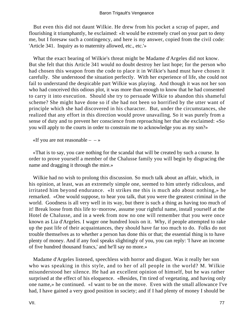But even this did not daunt Wilkie. He drew from his pocket a scrap of paper, and flourishing it triumphantly, he exclaimed: «It would be extremely cruel on your part to deny me, but I foresaw such a contingency, and here is my answer, copied from the civil code: 'Article 341. Inquiry as to maternity allowed, etc., etc.'»

 What the exact bearing of Wilkie's threat might be Madame d'Argeles did not know. But she felt that this Article 341 would no doubt destroy her last hope; for the person who had chosen this weapon from the code to place it in Wilkie's hand must have chosen it carefully. She understood the situation perfectly. With her experience of life, she could not fail to understand the despicable part Wilkie was playing. And though it was not her son who had conceived this odious plot, it was more than enough to know that he had consented to carry it into execution. Should she try to persuade Wilkie to abandon this shameful scheme? She might have done so if she had not been so horrified by the utter want of principle which she had discovered in his character. But, under the circumstances, she realized that any effort in this direction would prove unavailing. So it was purely from a sense of duty and to prevent her conscience from reproaching her that she exclaimed: «So you will apply to the courts in order to constrain me to acknowledge you as my son?»

«If you are not reasonable  $- - \infty$ 

 «That is to say, you care nothing for the scandal that will be created by such a course. In order to prove yourself a member of the Chalusse family you will begin by disgracing the name and dragging it through the mire.»

 Wilkie had no wish to prolong this discussion. So much talk about an affair, which, in his opinion, at least, was an extremely simple one, seemed to him utterly ridiculous, and irritated him beyond endurance. «It strikes me this is much ado about nothing,» he remarked. «One would suppose, to hear you talk, that you were the greatest criminal in the world. Goodness is all very well in its way, but there is such a thing as having too much of it! Break loose from this life to−morrow, assume your rightful name, install yourself at the Hotel de Chalusse, and in a week from now no one will remember that you were once known as Lia d'Argeles. I wager one hundred louis on it. Why, if people attempted to rake up the past life of their acquaintances, they should have far too much to do. Folks do not trouble themselves as to whether a person has done this or that; the essential thing is to have plenty of money. And if any fool speaks slightingly of you, you can reply: 'I have an income of five hundred thousand francs,' and he'll say no more.»

 Madame d'Argeles listened, speechless with horror and disgust. Was it really her son who was speaking in this style, and to her of all people in the world? M. Wilkie misunderstood her silence. He had an excellent opinion of himself, but he was rather surprised at the effect of his eloquence. «Besides, I'm tired of vegetating, and having only one name,» he continued. «I want to be on the move. Even with the small allowance I've had, I have gained a very good position in society; and if I had plenty of money I should be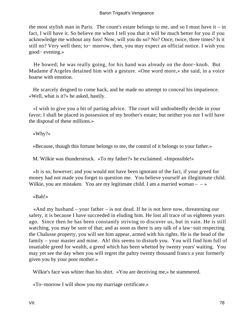the most stylish man in Paris. The count's estate belongs to me, and so I must have it – in fact, I will have it. So believe me when I tell you that it will be much better for you if you acknowledge me without any fuss! Now, will you do so? No? Once, twice, three times? Is it still no? Very well then; to− morrow, then, you may expect an official notice. I wish you good− evening.»

 He bowed; he was really going, for his hand was already on the door−knob. But Madame d'Argeles detained him with a gesture. «One word more,» she said, in a voice hoarse with emotion.

 He scarcely deigned to come back, and he made no attempt to conceal his impatience. «Well, what is it?» he asked, hastily.

 «I wish to give you a bit of parting advice. The court will undoubtedly decide in your favor; I shall be placed in possession of my brother's estate; but neither you nor I will have the disposal of these millions.»

«Why?»

«Because, though this fortune belongs to me, the control of it belongs to your father.»

M. Wilkie was thunderstruck. «To my father?» he exclaimed. «Impossible!»

 «It is so, however; and you would not have been ignorant of the fact, if your greed for money had not made you forget to question me. You believe yourself an illegitimate child. Wilkie, you are mistaken. You are my legitimate child. I am a married woman –  $-\infty$ 

«Bah!»

 «And my husband – your father – is not dead. If he is not here now, threatening our safety, it is because I have succeeded in eluding him. He lost all trace of us eighteen years ago. Since then he has been constantly striving to discover us, but in vain. He is still watching, you may be sure of that; and as soon as there is any talk of a law−suit respecting the Chalusse property, you will see him appear, armed with his rights. He is the head of the family – your master and mine. Ah! this seems to disturb you. You will find him full of insatiable greed for wealth, a greed which has been whetted by twenty years' waiting. You may yet see the day when you will regret the paltry twenty thousand francs a year formerly given you by your poor mother.»

Wilkie's face was whiter than his shirt. «You are deceiving me,» he stammered.

«To−morrow I will show you my marriage certificate.»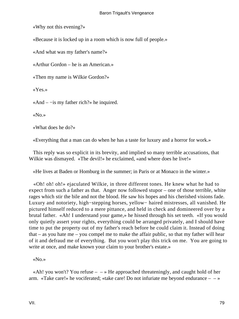«Why not this evening?»

«Because it is locked up in a room which is now full of people.»

«And what was my father's name?»

«Arthur Gordon – he is an American.»

«Then my name is Wilkie Gordon?»

«Yes.»

«And – −is my father rich?» he inquired.

«No.»

«What does he do?»

«Everything that a man can do when he has a taste for luxury and a horror for work.»

 This reply was so explicit in its brevity, and implied so many terrible accusations, that Wilkie was dismayed. «The devil!» he exclaimed, «and where does he live!»

«He lives at Baden or Homburg in the summer; in Paris or at Monaco in the winter.»

 «Oh! oh! oh!» ejaculated Wilkie, in three different tones. He knew what he had to expect from such a father as that. Anger now followed stupor – one of those terrible, white rages which stir the bile and not the blood. He saw his hopes and his cherished visions fade. Luxury and notoriety, high−stepping horses, yellow− haired mistresses, all vanished. He pictured himself reduced to a mere pittance, and held in check and domineered over by a brutal father. «Ah! I understand your game,» he hissed through his set teeth. «If you would only quietly assert your rights, everything could be arranged privately, and I should have time to put the property out of my father's reach before he could claim it. Instead of doing that – as you hate me – you compel me to make the affair public, so that my father will hear of it and defraud me of everything. But you won't play this trick on me. You are going to write at once, and make known your claim to your brother's estate.»

«No.»

«Ah! you won't? You refuse  $- \rightarrow$  He approached threateningly, and caught hold of her arm. «Take care!» he vociferated; «take care! Do not infuriate me beyond endurance  $-\rightarrow$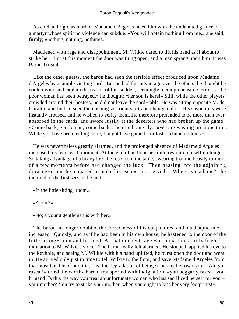As cold and rigid as marble, Madame d'Argeles faced him with the undaunted glance of a martyr whose spirit no violence can subdue. «You will obtain nothing from me,» she said, firmly; «nothing, nothing, nothing!»

 Maddened with rage and disappointment, M. Wilkie dared to lift his hand as if about to strike her. But at this moment the door was flung open, and a man sprang upon him. It was Baron Trigault.

 Like the other guests, the baron had seen the terrible effect produced upon Madame d'Argeles by a simple visiting card. But he had this advantage over the others: he thought he could divine and explain the reason of this sudden, seemingly incomprehensible terror. «The poor woman has been betrayed,» he thought; «her son is here!» Still, while the other players crowded around their hostess, he did not leave the card−table. He was sitting opposite M. de Coralth, and he had seen the dashing viscount start and change color. His suspicions were instantly aroused, and he wished to verify them. He therefore pretended to be more than ever absorbed in the cards, and swore lustily at the deserters who had broken up the game. «Come back, gentleman, come back,» he cried, angrily. «We are wasting precious time. While you have been trifling there, I might have gained – or lost – a hundred louis.»

 He was nevertheless greatly alarmed, and the prolonged absence of Madame d'Argeles increased his fears each moment. At the end of an hour he could restrain himself no longer. So taking advantage of a heavy loss, he rose from the table, swearing that the beastly turmoil of a few moments before had changed the luck. Then passing into the adjoining drawing−room, he managed to make his escape unobserved. «Where is madame?» he inquired of the first servant he met.

«In the little sitting−room.»

«Alone?»

«No; a young gentleman is with her.»

 The baron no longer doubted the correctness of his conjectures, and his disquietude increased. Quickly, and as if he had been in his own house, he hastened to the door of the little sitting−room and listened. At that moment rage was imparting a truly frightful intonation to M. Wilkie's voice. The baron really felt alarmed. He stooped, applied his eye to the keyhole, and seeing M. Wilkie with his hand uplifted, he burst open the door and went in. He arrived only just in time to fell Wilkie to the floor, and save Madame d'Argeles from that most terrible of humiliations: the degradation of being struck by her own son. «Ah, you rascal!» cried the worthy baron, transported with indignation, «you beggarly rascal! you brigand! Is this the way you treat an unfortunate woman who has sacrificed herself for you – your mother? You try to strike your mother, when you ought to kiss her very footprints!»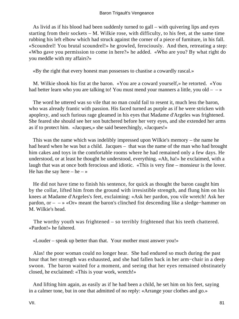As livid as if his blood had been suddenly turned to gall – with quivering lips and eyes starting from their sockets – M. Wilkie rose, with difficulty, to his feet, at the same time rubbing his left elbow which had struck against the corner of a piece of furniture, in his fall. «Scoundrel! You brutal scoundrel!» he growled, ferociously. And then, retreating a step: «Who gave you permission to come in here?» he added. «Who are you? By what right do you meddle with my affairs?»

«By the right that every honest man possesses to chastise a cowardly rascal.»

 M. Wilkie shook his fist at the baron. «You are a coward yourself,» he retorted. «You had better learn who you are talking to! You must mend your manners a little, you old – – »

 The word he uttered was so vile that no man could fail to resent it, much less the baron, who was already frantic with passion. His faced turned as purple as if he were stricken with apoplexy, and such furious rage gleamed in his eyes that Madame d'Argeles was frightened. She feared she should see her son butchered before her very eyes, and she extended her arms as if to protect him. «Jacques,» she said beseechingly, «Jacques!»

 This was the name which was indelibly impressed upon Wilkie's memory – the name he had heard when he was but a child. Jacques – that was the name of the man who had brought him cakes and toys in the comfortable rooms where he had remained only a few days. He understood, or at least he thought he understood, everything. «Ah, ha!» he exclaimed, with a laugh that was at once both ferocious and idiotic. «This is very fine – monsieur is the lover. He has the say here – he –  $\ast$ 

 He did not have time to finish his sentence, for quick as thought the baron caught him by the collar, lifted him from the ground with irresistible strength, and flung him on his knees at Madame d'Argeles's feet, exclaiming: «Ask her pardon, you vile wretch! Ask her pardon, or – – » «Or» meant the baron's clinched fist descending like a sledge−hammer on M. Wilkie's head.

 The worthy youth was frightened – so terribly frightened that his teeth chattered. «Pardon!» he faltered.

«Louder – speak up better than that. Your mother must answer you!»

 Alas! the poor woman could no longer hear. She had endured so much during the past hour that her strength was exhausted, and she had fallen back in her arm−chair in a deep swoon. The baron waited for a moment, and seeing that her eyes remained obstinately closed, he exclaimed: «This is your work, wretch!»

 And lifting him again, as easily as if he had been a child, he set him on his feet, saying in a calmer tone, but in one that admitted of no reply: «Arrange your clothes and go.»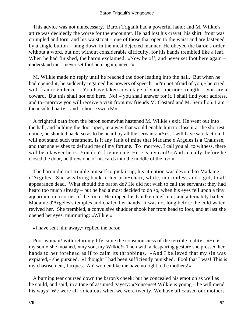This advice was not unnecessary. Baron Trigault had a powerful hand; and M. Wilkie's attire was decidedly the worse for the encounter. He had lost his cravat, his shirt−front was crumpled and torn, and his waistcoat – one of those that open to the waist and are fastened by a single button – hung down in the most dejected manner. He obeyed the baron's order without a word, but not without considerable difficulty, for his hands trembled like a leaf. When he had finished, the baron exclaimed: «Now be off; and never set foot here again – understand me – never set foot here again, never!»

 M. Wilkie made no reply until he reached the door leading into the hall. But when he had opened it, he suddenly regained his powers of speech. «I'm not afraid of you,» he cried, with frantic violence. «You have taken advantage of your superior strength – you are a coward. But this shall not end here. No! – you shall answer for it. I shall find your address, and to−morrow you will receive a visit from my friends M. Costard and M. Serpillon. I am the insulted party – and I choose swords!»

 A frightful oath from the baron somewhat hastened M. Wilkie's exit. He went out into the hall, and holding the door open, in a way that would enable him to close it at the shortest notice, he shouted back, so as to be heard by all the servants: «Yes; I will have satisfaction. I will not stand such treatment. Is it any fault of mine that Madame d'Argeles is a Chalusse, and that she wishes to defraud me of my fortune. To−morrow, I call you all to witness, there will be a lawyer here. You don't frighten me. Here is my card!» And actually, before he closed the door, he threw one of his cards into the middle of the room.

 The baron did not trouble himself to pick it up; his attention was devoted to Madame d'Argeles. She was lying back in her arm−chair, white, motionless and rigid, to all appearance dead. What should the baron do? He did not wish to call the servants; they had heard too much already – but he had almost decided to do so, when his eyes fell upon a tiny aquarium, in a corner of the room. He dipped his handkerchief in it; and alternately bathed Madame d'Argeles's temples and chafed her hands. It was not long before the cold water revived her. She trembled, a convulsive shudder shook her from head to foot, and at last she opened her eyes, murmuring: «Wilkie!»

«I have sent him away,» replied the baron.

 Poor woman! with returning life came the consciousness of the terrible reality. «He is my son!» she moaned, «my son, my Wilkie!» Then with a despairing gesture she pressed her hands to her forehead as if to calm its throbbings. «And I believed that my sin was expiated,» she pursued. «I thought I had been sufficiently punished. Fool that I was! This is my chastisement, Jacques. Ah! women like me have no right to be mothers!»

 A burning tear coursed down the baron's cheek; but he concealed his emotion as well as he could, and said, in a tone of assumed gayety: «Nonsense! Wilkie is young – he will mend his ways! We were all ridiculous when we were twenty. We have all caused our mothers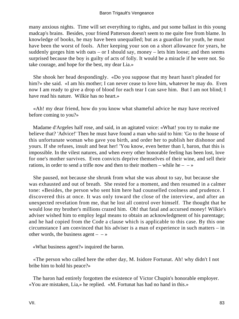many anxious nights. Time will set everything to rights, and put some ballast in this young madcap's brains. Besides, your friend Patterson doesn't seem to me quite free from blame. In knowledge of books, he may have been unequalled; but as a guardian for youth, he must have been the worst of fools. After keeping your son on a short allowance for years, he suddenly gorges him with oats – or I should say, money – lets him loose; and then seems surprised because the boy is guilty of acts of folly. It would be a miracle if he were not. So take courage, and hope for the best, my dear Lia.»

 She shook her head despondingly. «Do you suppose that my heart hasn't pleaded for him?» she said. «I am his mother; I can never cease to love him, whatever he may do. Even now I am ready to give a drop of blood for each tear I can save him. But I am not blind; I have read his nature. Wilkie has no heart.»

 «Ah! my dear friend, how do you know what shameful advice he may have received before coming to you?»

 Madame d'Argeles half rose, and said, in an agitated voice: «What! you try to make me believe that? 'Advice!' Then he must have found a man who said to him: 'Go to the house of this unfortunate woman who gave you birth, and order her to publish her dishonor and yours. If she refuses, insult and beat her! 'You know, even better than I, baron, that this is impossible. In the vilest natures, and when every other honorable feeling has been lost, love for one's mother survives. Even convicts deprive themselves of their wine, and sell their rations, in order to send a trifle now and then to their mothers – while he –  $-\infty$ 

 She paused, not because she shrunk from what she was about to say, but because she was exhausted and out of breath. She rested for a moment, and then resumed in a calmer tone: «Besides, the person who sent him here had counselled coolness and prudence. I discovered this at once. It was only toward the close of the interview, and after an unexpected revelation from me, that he lost all control over himself. The thought that he would lose my brother's millions crazed him. Oh! that fatal and accursed money! Wilkie's adviser wished him to employ legal means to obtain an acknowledgment of his parentage; and he had copied from the Code a clause which is applicable to this case. By this one circumstance I am convinced that his adviser is a man of experience in such matters – in other words, the business agent  $- \rightarrow \infty$ 

«What business agent?» inquired the baron.

 «The person who called here the other day, M. Isidore Fortunat. Ah! why didn't I not bribe him to hold his peace?»

 The baron had entirely forgotten the existence of Victor Chupin's honorable employer. «You are mistaken, Lia,» he replied. «M. Fortunat has had no hand in this.»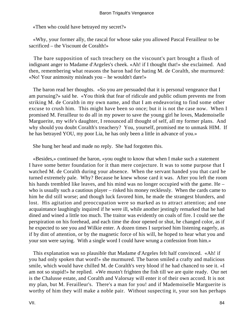«Then who could have betrayed my secret?»

 «Why, your former ally, the rascal for whose sake you allowed Pascal Ferailleur to be sacrificed – the Viscount de Coralth!»

 The bare supposition of such treachery on the viscount's part brought a flush of indignant anger to Madame d'Argeles's cheek. «Ah! if I thought that!» she exclaimed. And then, remembering what reasons the baron had for hating M. de Coralth, she murmured: «No! Your animosity misleads you – he wouldn't dare!»

 The baron read her thoughts. «So you are persuaded that it is personal vengeance that I am pursuing?» said he. «You think that fear of ridicule and public odium prevents me from striking M. de Coralth in my own name, and that I am endeavoring to find some other excuse to crush him. This might have been so once; but it is not the case now. When I promised M. Ferailleur to do all in my power to save the young girl he loves, Mademoiselle Marguerite, my wife's daughter, I renounced all thought of self, all my former plans. And why should you doubt Coralth's treachery? You, yourself, promised me to unmask HIM. If he has betrayed YOU, my poor Lia, he has only been a little in advance of you.»

She hung her head and made no reply. She had forgotten this.

 «Besides,» continued the baron, «you ought to know that when I make such a statement I have some better foundation for it than mere conjecture. It was to some purpose that I watched M. de Coralth during your absence. When the servant handed you that card he turned extremely pale. Why? Because he knew whose card it was. After you left the room his hands trembled like leaves, and his mind was no longer occupied with the game. He – who is usually such a cautious player – risked his money recklessly. When the cards came to him he did still worse; and though luck favored him, he made the strangest blunders, and lost. His agitation and preoccupation were so marked as to attract attention; and one acquaintance laughingly inquired if he were ill, while another jestingly remarked that he had dined and wined a little too much. The traitor was evidently on coals of fire. I could see the perspiration on his forehead, and each time the door opened or shut, he changed color, as if he expected to see you and Wilkie enter. A dozen times I surprised him listening eagerly, as if by dint of attention, or by the magnetic force of his will, he hoped to hear what you and your son were saying. With a single word I could have wrung a confession from him.»

 This explanation was so plausible that Madame d'Argeles felt half convinced. «Ah! if you had only spoken that word!» she murmured. The baron smiled a crafty and malicious smile, which would have chilled M. de Coralth's very blood if he had chanced to see it. «I am not so stupid!» he replied. «We mustn't frighten the fish till we are quite ready. Our net is the Chalusse estate, and Coralth and Valorsay will enter it of their own accord. It is not my plan, but M. Ferailleur's. There's a man for you! and if Mademoiselle Marguerite is worthy of him they will make a noble pair. Without suspecting it, your son has perhaps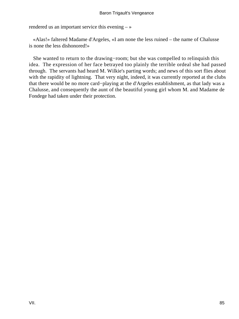rendered us an important service this evening  $-\infty$ 

 «Alas!» faltered Madame d'Argeles, «I am none the less ruined – the name of Chalusse is none the less dishonored!»

 She wanted to return to the drawing−room; but she was compelled to relinquish this idea. The expression of her face betrayed too plainly the terrible ordeal she had passed through. The servants had heard M. Wilkie's parting words; and news of this sort flies about with the rapidity of lightning. That very night, indeed, it was currently reported at the clubs that there would be no more card−playing at the d'Argeles establishment, as that lady was a Chalusse, and consequently the aunt of the beautiful young girl whom M. and Madame de Fondege had taken under their protection.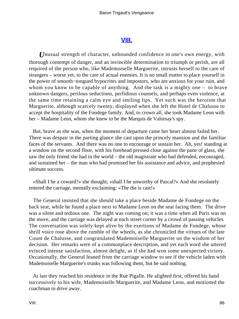## **[VIII.](#page-256-0)**

*U*nusual strength of character, unbounded confidence in one's own energy, with thorough contempt of danger, and an invincible determination to triumph or perish, are all required of the person who, like Mademoiselle Marguerite, intrusts herself to the care of strangers – worse yet, to the care of actual enemies. It is no small matter to place yourself in the power of smooth−tongued hypocrites and impostors, who are anxious for your ruin, and whom you know to be capable of anything. And the task is a mighty one – to brave unknown dangers, perilous seductions, perfidious counsels, and perhaps even violence, at the same time retaining a calm eye and smiling lips. Yet such was the heroism that Marguerite, although scarcely twenty, displayed when she left the Hotel de Chalusse to accept the hospitality of the Fondege family. And, to crown all, she took Madame Leon with her – Madame Leon, whom she knew to be the Marquis de Valorsay's spy.

 But, brave as she was, when the moment of departure came her heart almost failed her. There was despair in the parting glance she cast upon the princely mansion and the familiar faces of the servants. And there was no one to encourage or sustain her. Ah, yes! standing at a window on the second floor, with his forehead pressed close against the pane of glass, she saw the only friend she had in the world – the old magistrate who had defended, encouraged, and sustained her – the man who had promised her his assistance and advice, and prophesied ultimate success.

 «Shall I be a coward?» she thought; «shall I be unworthy of Pascal?» And she resolutely entered the carriage, mentally exclaiming: «The die is cast!»

 The General insisted that she should take a place beside Madame de Fondege on the back seat; while he found a place next to Madame Leon on the seat facing them. The drive was a silent and tedious one. The night was coming on; it was a time when all Paris was on the move, and the carriage was delayed at each street corner by a crowd of passing vehicles. The conversation was solely kept alive by the exertions of Madame de Fondege, whose shrill voice rose above the rumble of the wheels, as she chronicled the virtues of the late Count de Chalusse, and congratulated Mademoiselle Marguerite on the wisdom of her decision. Her remarks were of a commonplace description, and yet each word she uttered evinced intense satisfaction, almost delight, as if she had won some unexpected victory. Occasionally, the General leaned from the carriage window to see if the vehicle laden with Mademoiselle Marguerite's trunks was following them, but he said nothing.

 At last they reached his residence in the Rue Pigalle. He alighted first, offered his hand successively to his wife, Mademoiselle Marguerite, and Madame Leon, and motioned the coachman to drive away.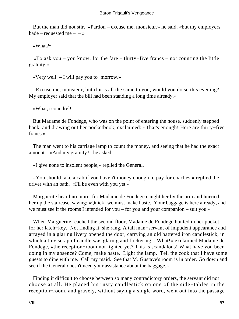But the man did not stir. «Pardon – excuse me, monsieur,» he said, «but my employers bade – requested me –  $-\infty$ 

«What?»

 «To ask you – you know, for the fare – thirty−five francs – not counting the little gratuity.»

«Very well! – I will pay you to−morrow.»

 «Excuse me, monsieur; but if it is all the same to you, would you do so this evening? My employer said that the bill had been standing a long time already.»

«What, scoundrel!»

 But Madame de Fondege, who was on the point of entering the house, suddenly stepped back, and drawing out her pocketbook, exclaimed: «That's enough! Here are thirty−five francs.»

 The man went to his carriage lamp to count the money, and seeing that he had the exact amount – «And my gratuity?» he asked.

«I give none to insolent people,» replied the General.

 «You should take a cab if you haven't money enough to pay for coaches,» replied the driver with an oath. «I'll be even with you yet.»

 Marguerite heard no more, for Madame de Fondege caught her by the arm and hurried her up the staircase, saying: «Quick! we must make haste. Your baggage is here already, and we must see if the rooms I intended for you – for you and your companion – suit you.»

 When Marguerite reached the second floor, Madame de Fondege hunted in her pocket for her latch−key. Not finding it, she rang. A tall man−servant of impudent appearance and arrayed in a glaring livery opened the door, carrying an old battered iron candlestick, in which a tiny scrap of candle was glaring and flickering. «What!» exclaimed Madame de Fondege, «the reception−room not lighted yet? This is scandalous! What have you been doing in my absence? Come, make haste. Light the lamp. Tell the cook that I have some guests to dine with me. Call my maid. See that M. Gustave's room is in order. Go down and see if the General doesn't need your assistance about the baggage.»

 Finding it difficult to choose between so many contradictory orders, the servant did not choose at all. He placed his rusty candlestick on one of the side−tables in the reception−room, and gravely, without saying a single word, went out into the passage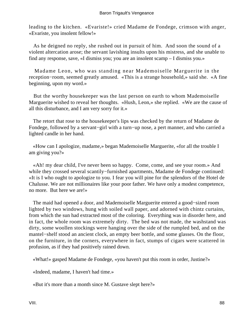leading to the kitchen. «Evariste!» cried Madame de Fondege, crimson with anger, «Evariste, you insolent fellow!»

 As he deigned no reply, she rushed out in pursuit of him. And soon the sound of a violent altercation arose; the servant lavishing insults upon his mistress, and she unable to find any response, save, «I dismiss you; you are an insolent scamp – I dismiss you.»

 Madame Leon, who was standing near Mademoiselle Marguerite in the reception−room, seemed greatly amused. «This is a strange household,» said she. «A fine beginning, upon my word.»

 But the worthy housekeeper was the last person on earth to whom Mademoiselle Marguerite wished to reveal her thoughts. «Hush, Leon,» she replied. «We are the cause of all this disturbance, and I am very sorry for it.»

 The retort that rose to the housekeeper's lips was checked by the return of Madame de Fondege, followed by a servant−girl with a turn−up nose, a pert manner, and who carried a lighted candle in her hand.

 «How can I apologize, madame,» began Mademoiselle Marguerite, «for all the trouble I am giving you?»

 «Ah! my dear child, I've never been so happy. Come, come, and see your room.» And while they crossed several scantily−furnished apartments, Madame de Fondege continued: «It is I who ought to apologize to you. I fear you will pine for the splendors of the Hotel de Chalusse. We are not millionaires like your poor father. We have only a modest competence, no more. But here we are!»

 The maid had opened a door, and Mademoiselle Marguerite entered a good−sized room lighted by two windows, hung with soiled wall paper, and adorned with chintz curtains, from which the sun had extracted most of the coloring. Everything was in disorder here, and in fact, the whole room was extremely dirty. The bed was not made, the washstand was dirty, some woollen stockings were hanging over the side of the rumpled bed, and on the mantel−shelf stood an ancient clock, an empty beer bottle, and some glasses. On the floor, on the furniture, in the corners, everywhere in fact, stumps of cigars were scattered in profusion, as if they had positively rained down.

«What!» gasped Madame de Fondege, «you haven't put this room in order, Justine?»

«Indeed, madame, I haven't had time.»

«But it's more than a month since M. Gustave slept here?»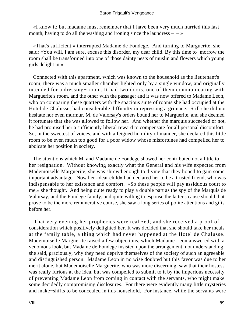«I know it; but madame must remember that I have been very much hurried this last month, having to do all the washing and ironing since the laundress  $-\rightarrow$ 

 «That's sufficient,» interrupted Madame de Fondege. And turning to Marguerite, she said: «You will, I am sure, excuse this disorder, my dear child. By this time to−morrow the room shall be transformed into one of those dainty nests of muslin and flowers which young girls delight in.»

 Connected with this apartment, which was known to the household as the lieutenant's room, there was a much smaller chamber lighted only by a single window, and originally intended for a dressing− room. It had two doors, one of them communicating with Marguerite's room, and the other with the passage; and it was now offered to Madame Leon, who on comparing these quarters with the spacious suite of rooms she had occupied at the Hotel de Chalusse, had considerable difficulty in repressing a grimace. Still she did not hesitate nor even murmur. M. de Valorsay's orders bound her to Marguerite, and she deemed it fortunate that she was allowed to follow her. And whether the marquis succeeded or not, he had promised her a sufficiently liberal reward to compensate for all personal discomfort. So, in the sweetest of voices, and with a feigned humility of manner, she declared this little room to be even much too good for a poor widow whose misfortunes had compelled her to abdicate her position in society.

 The attentions which M. and Madame de Fondege showed her contributed not a little to her resignation. Without knowing exactly what the General and his wife expected from Mademoiselle Marguerite, she was shrewd enough to divine that they hoped to gain some important advantage. Now her «dear child» had declared her to be a trusted friend, who was indispensable to her existence and comfort. «So these people will pay assiduous court to me,» she thought. And being quite ready to play a double part as the spy of the Marquis de Valorsay, and the Fondege family, and quite willing to espouse the latter's cause should that prove to be the more remunerative course, she saw a long series of polite attentions and gifts before her.

 That very evening her prophecies were realized; and she received a proof of consideration which positively delighted her. It was decided that she should take her meals at the family table, a thing which had never happened at the Hotel de Chalusse. Mademoiselle Marguerite raised a few objections, which Madame Leon answered with a venomous look, but Madame de Fondege insisted upon the arrangement, not understanding, she said, graciously, why they need deprive themselves of the society of such an agreeable and distinguished person. Madame Leon in no wise doubted but this favor was due to her merit alone, but Mademoiselle Marguerite, who was more discerning, saw that their hostess was really furious at the idea, but was compelled to submit to it by the imperious necessity of preventing Madame Leon from coming in contact with the servants, who might make some decidedly compromising disclosures. For there were evidently many little mysteries and make−shifts to be concealed in this household. For instance, while the servants were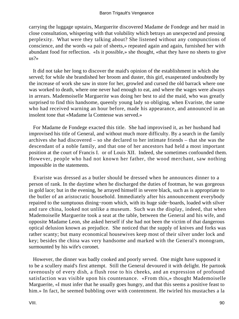carrying the luggage upstairs, Marguerite discovered Madame de Fondege and her maid in close consultation, whispering with that volubility which betrays an unexpected and pressing perplexity. What were they talking about? She listened without any compunctions of conscience, and the words «a pair of sheets,» repeated again and again, furnished her with abundant food for reflection. «Is it possible,» she thought, «that they have no sheets to give us?»

 It did not take her long to discover the maid's opinion of the establishment in which she served; for while she brandished her broom and duster, this girl, exasperated undoubtedly by the increase of work she saw in store for her, growled and cursed the old barrack where one was worked to death, where one never had enough to eat, and where the wages were always in arrears. Mademoiselle Marguerite was doing her best to aid the maid, who was greatly surprised to find this handsome, queenly young lady so obliging, when Evariste, the same who had received warning an hour before, made his appearance, and announced in an insolent tone that «Madame la Comtesse was served.»

 For Madame de Fondege exacted this title. She had improvised it, as her husband had improvised his title of General, and without much more difficulty. By a search in the family archives she had discovered – so she declared to her intimate friends – that she was the descendant of a noble family, and that one of her ancestors had held a most important position at the court of Francis I. or of Louis XII. Indeed, she sometimes confounded them. However, people who had not known her father, the wood merchant, saw nothing impossible in the statements.

 Evariste was dressed as a butler should be dressed when he announces dinner to a person of rank. In the daytime when he discharged the duties of footman, he was gorgeous in gold lace; but in the evening, he arrayed himself in severe black, such as is appropriate to the butler of an aristocratic household. Immediately after his announcement everybody repaired to the sumptuous dining−room which, with its huge side−boards, loaded with silver and rare china, looked not unlike a museum. Such was the display, indeed, that when Mademoiselle Marguerite took a seat at the table, between the General and his wife, and opposite Madame Leon, she asked herself if she had not been the victim of that dangerous optical delusion known as prejudice. She noticed that the supply of knives and forks was rather scanty; but many economical housewives keep most of their silver under lock and key; besides the china was very handsome and marked with the General's monogram, surmounted by his wife's coronet.

 However, the dinner was badly cooked and poorly served. One might have supposed it to be a scullery maid's first attempt. Still the General devoured it with delight. He partook ravenously of every dish, a flush rose to his cheeks, and an expression of profound satisfaction was visible upon his countenance. «From this,» thought Mademoiselle Marguerite, «I must infer that he usually goes hungry, and that this seems a positive feast to him.» In fact, he seemed bubbling over with contentment. He twirled his mustaches a la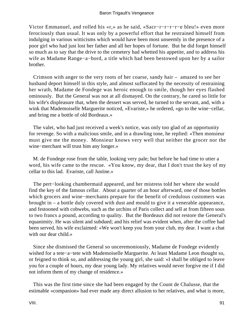Victor Emmanuel, and rolled his «r,» as he said, «Sacr−r−r−r−r−e bleu!» even more ferociously than usual. It was only by a powerful effort that he restrained himself from indulging in various witticisms which would have been most unseemly in the presence of a poor girl who had just lost her father and all her hopes of fortune. But he did forget himself so much as to say that the drive to the cemetery had whetted his appetite, and to address his wife as Madame Range−a−bord, a title which had been bestowed upon her by a sailor brother.

 Crimson with anger to the very roots of her coarse, sandy hair – amazed to see her husband deport himself in this style, and almost suffocated by the necessity of restraining her wrath, Madame de Fondege was heroic enough to smile, though her eyes flashed ominously. But the General was not at all dismayed. On the contrary, he cared so little for his wife's displeasure that, when the dessert was served, he turned to the servant, and, with a wink that Mademoiselle Marguerite noticed, «Evariste,» he ordered, «go to the wine−cellar, and bring me a bottle of old Bordeaux.»

 The valet, who had just received a week's notice, was only too glad of an opportunity for revenge. So with a malicious smile, and in a drawling tone, he replied: «Then monsieur must give me the money. Monsieur knows very well that neither the grocer nor the wine−merchant will trust him any longer.»

 M. de Fondege rose from the table, looking very pale; but before he had time to utter a word, his wife came to the rescue. «You know, my dear, that I don't trust the key of my cellar to this lad. Evariste, call Justine.»

 The pert−looking chambermaid appeared, and her mistress told her where she would find the key of the famous cellar. About a quarter of an hour afterward, one of those bottles which grocers and wine−merchants prepare for the benefit of credulous customers was brought in – a bottle duly covered with dust and mould to give it a venerable appearance, and festooned with cobwebs, such as the urchins of Paris collect and sell at from fifteen sous to two francs a pound, according to quality. But the Bordeaux did not restore the General's equanimity. He was silent and subdued; and his relief was evident when, after the coffee had been served, his wife exclaimed: «We won't keep you from your club, my dear. I want a chat with our dear child.»

 Since she dismissed the General so unceremoniously, Madame de Fondege evidently wished for a tete−a−tete with Mademoiselle Marguerite. At least Madame Leon thought so, or feigned to think so, and addressing the young girl, she said: «I shall be obliged to leave you for a couple of hours, my dear young lady. My relatives would never forgive me if I did not inform them of my change of residence.»

 This was the first time since she had been engaged by the Count de Chalusse, that the estimable «companion» had ever made any direct allusion to her relatives, and what is more,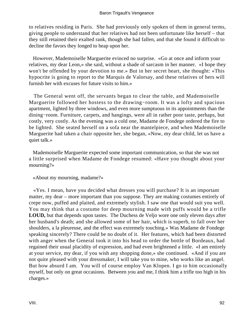to relatives residing in Paris. She had previously only spoken of them in general terms, giving people to understand that her relatives had not been unfortunate like herself – that they still retained their exalted rank, though she had fallen, and that she found it difficult to decline the favors they longed to heap upon her.

 However, Mademoiselle Marguerite evinced no surprise. «Go at once and inform your relatives, my dear Leon,» she said, without a shade of sarcasm in her manner. «I hope they won't be offended by your devotion to me.» But in her secret heart, she thought: «This hypocrite is going to report to the Marquis de Valorsay, and these relatives of hers will furnish her with excuses for future visits to him.»

 The General went off, the servants began to clear the table, and Mademoiselle Marguerite followed her hostess to the drawing−room. It was a lofty and spacious apartment, lighted by three windows, and even more sumptuous in its appointments than the dining−room. Furniture, carpets, and hangings, were all in rather poor taste, perhaps, but costly, very costly. As the evening was a cold one, Madame de Fondege ordered the fire to be lighted. She seated herself on a sofa near the mantelpiece, and when Mademoiselle Marguerite had taken a chair opposite her, she began, «Now, my dear child, let us have a quiet talk.»

 Mademoiselle Marguerite expected some important communication, so that she was not a little surprised when Madame de Fondege resumed: «Have you thought about your mourning?»

«About my mourning, madame?»

 «Yes. I mean, have you decided what dresses you will purchase? It is an important matter, my dear – more important than you suppose. They are making costumes entirely of crepe now, puffed and plaited, and extremely stylish. I saw one that would suit you well. You may think that a costume for deep mourning made with puffs would be a trifle **LOUD,** but that depends upon tastes. The Duchess de Veljo wore one only eleven days after her husband's death; and she allowed some of her hair, which is superb, to fall over her shoulders, a la pleureuse, and the effect was extremely touching.» Was Madame de Fondege speaking sincerely? There could be no doubt of it. Her features, which had been distorted with anger when the General took it into his head to order the bottle of Bordeaux, had regained their usual placidity of expression, and had even brightened a little. «I am entirely at your service, my dear, if you wish any shopping done,» she continued. «And if you are not quite pleased with your dressmaker, I will take you to mine, who works like an angel. But how absurd I am. You will of course employ Van Klopen. I go to him occasionally myself, but only on great occasions. Between you and me, I think him a trifle too high in his charges.»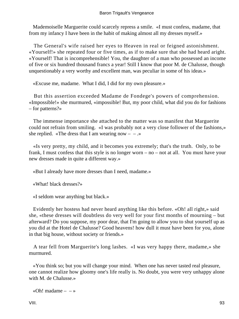Mademoiselle Marguerite could scarcely repress a smile. «I must confess, madame, that from my infancy I have been in the habit of making almost all my dresses myself.»

 The General's wife raised her eyes to Heaven in real or feigned astonishment. «Yourself!» she repeated four or five times, as if to make sure that she had heard aright. «Yourself! That is incomprehensible! You, the daughter of a man who possessed an income of five or six hundred thousand francs a year! Still I know that poor M. de Chalusse, though unquestionably a very worthy and excellent man, was peculiar in some of his ideas.»

«Excuse me, madame. What I did, I did for my own pleasure.»

 But this assertion exceeded Madame de Fondege's powers of comprehension. «Impossible!» she murmured, «impossible! But, my poor child, what did you do for fashions – for patterns?»

 The immense importance she attached to the matter was so manifest that Marguerite could not refrain from smiling. «I was probably not a very close follower of the fashions,» she replied. «The dress that I am wearing now  $- -$ .»

 «Is very pretty, my child, and it becomes you extremely; that's the truth. Only, to be frank, I must confess that this style is no longer worn – no – not at all. You must have your new dresses made in quite a different way.»

«But I already have more dresses than I need, madame.»

«What! black dresses?»

«I seldom wear anything but black.»

 Evidently her hostess had never heard anything like this before. «Oh! all right,» said she, «these dresses will doubtless do very well for your first months of mourning – but afterward? Do you suppose, my poor dear, that I'm going to allow you to shut yourself up as you did at the Hotel de Chalusse? Good heavens! how dull it must have been for you, alone in that big house, without society or friends.»

 A tear fell from Marguerite's long lashes. «I was very happy there, madame,» she murmured.

 «You think so; but you will change your mind. When one has never tasted real pleasure, one cannot realize how gloomy one's life really is. No doubt, you were very unhappy alone with M. de Chalusse.»

«Oh! madame  $- - \infty$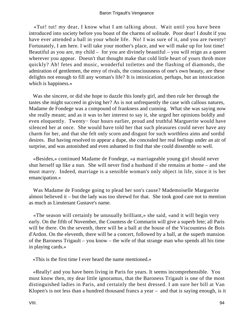## Baron Trigault's Vengeance

 «Tut! tut! my dear, I know what I am talking about. Wait until you have been introduced into society before you boast of the charms of solitude. Poor dear! I doubt if you have ever attended a ball in your whole life. No! I was sure of it, and you are twenty! Fortunately, I am here. I will take your mother's place, and we will make up for lost time! Beautiful as you are, my child – for you are divinely beautiful – you will reign as a queen wherever you appear. Doesn't that thought make that cold little heart of yours throb more quickly? Ah! fetes and music, wonderful toilettes and the flashing of diamonds, the admiration of gentlemen, the envy of rivals, the consciousness of one's own beauty, are these delights not enough to fill any woman's life? It is intoxication, perhaps, but an intoxication which is happiness.»

 Was she sincere, or did she hope to dazzle this lonely girl, and then rule her through the tastes she might succeed in giving her? As is not unfrequently the case with callous natures, Madame de Fondege was a compound of frankness and cunning. What she was saying now she really meant; and as it was to her interest to say it, she urged her opinions boldly and even eloquently. Twenty− four hours earlier, proud and truthful Marguerite would have silenced her at once. She would have told her that such pleasures could never have any charm for her, and that she felt only scorn and disgust for such worthless aims and sordid desires. But having resolved to appear a dupe, she concealed her real feelings under an air of surprise, and was astonished and even ashamed to find that she could dissemble so well.

 «Besides,» continued Madame de Fondege, «a marriageable young girl should never shut herself up like a nun. She will never find a husband if she remains at home – and she must marry. Indeed, marriage is a sensible woman's only object in life, since it is her emancipation.»

 Was Madame de Fondege going to plead her son's cause? Mademoiselle Marguerite almost believed it – but the lady was too shrewd for that. She took good care not to mention as much as Lieutenant Gustave's name.

 «The season will certainly be unusually brilliant,» she said, «and it will begin very early. On the fifth of November, the Countess de Commarin will give a superb fete; all Paris will be there. On the seventh, there will be a ball at the house of the Viscountess de Bois d'Ardon. On the eleventh, there will be a concert, followed by a ball, at the superb mansion of the Baroness Trigault – you know – the wife of that strange man who spends all his time in playing cards.»

«This is the first time I ever heard the name mentioned.»

 «Really! and you have been living in Paris for years. It seems incomprehensible. You must know then, my dear little ignoramus, that the Baroness Trigault is one of the most distinguished ladies in Paris, and certainly the best dressed. I am sure her bill at Van Klopen's is not less than a hundred thousand francs a year – and that is saying enough, is it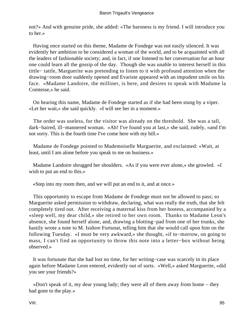not?» And with genuine pride, she added: «The baroness is my friend. I will introduce you to her.»

 Having once started on this theme, Madame de Fondege was not easily silenced. It was evidently her ambition to be considered a woman of the world, and to be acquainted with all the leaders of fashionable society; and, in fact, if one listened to her conversation for an hour one could learn all the gossip of the day. Though she was unable to interest herself in this tittle− tattle, Marguerite was pretending to listen to it with profound attention when the drawing−room door suddenly opened and Evariste appeared with an impudent smile on his face. «Madame Landoire, the milliner, is here, and desires to speak with Madame la Comtesse,» he said.

 On hearing this name, Madame de Fondege started as if she had been stung by a viper. «Let her wait,» she said quickly. «I will see her in a moment.»

 The order was useless, for the visitor was already on the threshold. She was a tall, dark−haired, ill−mannered woman. «Ah! I've found you at last,» she said, rudely, «and I'm not sorry. This is the fourth time I've come here with my bill.»

 Madame de Fondege pointed to Mademoiselle Marguerite, and exclaimed: «Wait, at least, until I am alone before you speak to me on business.»

 Madame Landoire shrugged her shoulders. «As if you were ever alone,» she growled. «I wish to put an end to this.»

«Step into my room then, and we will put an end to it, and at once.»

 This opportunity to escape from Madame de Fondege must not be allowed to pass; so Marguerite asked permission to withdraw, declaring, what was really the truth, that she felt completely tired out. After receiving a maternal kiss from her hostess, accompanied by a «sleep well, my dear child,» she retired to her own room. Thanks to Madame Leon's absence, she found herself alone, and, drawing a blotting−pad from one of her trunks, she hastily wrote a note to M. Isidore Fortunat, telling him that she would call upon him on the following Tuesday. «I must be very awkward,» she thought, «if to−morrow, on going to mass, I can't find an opportunity to throw this note into a letter−box without being observed.»

 It was fortunate that she had lost no time, for her writing−case was scarcely in its place again before Madame Leon entered, evidently out of sorts. «Well,» asked Marguerite, «did you see your friends?»

 «Don't speak of it, my dear young lady; they were all of them away from home – they had gone to the play.»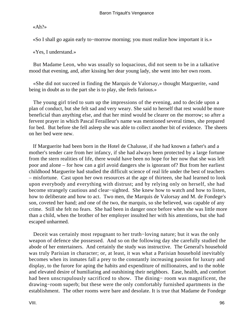«Ah?»

«So I shall go again early to−morrow morning; you must realize how important it is.»

«Yes, I understand.»

 But Madame Leon, who was usually so loquacious, did not seem to be in a talkative mood that evening, and, after kissing her dear young lady, she went into her own room.

 «She did not succeed in finding the Marquis de Valorsay,» thought Marguerite, «and being in doubt as to the part she is to play, she feels furious.»

 The young girl tried to sum up the impressions of the evening, and to decide upon a plan of conduct, but she felt sad and very weary. She said to herself that rest would be more beneficial than anything else, and that her mind would be clearer on the morrow; so after a fervent prayer in which Pascal Ferailleur's name was mentioned several times, she prepared for bed. But before she fell asleep she was able to collect another bit of evidence. The sheets on her bed were new.

 If Marguerite had been born in the Hotel de Chalusse, if she had known a father's and a mother's tender care from her infancy, if she had always been protected by a large fortune from the stern realities of life, there would have been no hope for her now that she was left poor and alone – for how can a girl avoid dangers she is ignorant of? But from her earliest childhood Marguerite had studied the difficult science of real life under the best of teachers – misfortune. Cast upon her own resources at the age of thirteen, she had learned to look upon everybody and everything with distrust; and by relying only on herself, she had become strangely cautious and clear−sighted. She knew how to watch and how to listen, how to deliberate and how to act. Two men, the Marquis de Valorsay and M. de Fondege's son, coveted her hand; and one of the two, the marquis, so she believed, was capable of any crime. Still she felt no fears. She had been in danger once before when she was little more than a child, when the brother of her employer insulted her with his attentions, but she had escaped unharmed.

 Deceit was certainly most repugnant to her truth−loving nature; but it was the only weapon of defence she possessed. And so on the following day she carefully studied the abode of her entertainers. And certainly the study was instructive. The General's household was truly Parisian in character; or, at least, it was what a Parisian household inevitably becomes when its inmates fall a prey to the constantly increasing passion for luxury and display, to the furore for aping the habits and expenditure of millionaires, and to the noble and elevated desire of humiliating and outshining their neighbors. Ease, health, and comfort had been unscrupulously sacrificed to show. The dining− room was magnificent, the drawing−room superb; but these were the only comfortably furnished apartments in the establishment. The other rooms were bare and desolate. It is true that Madame de Fondege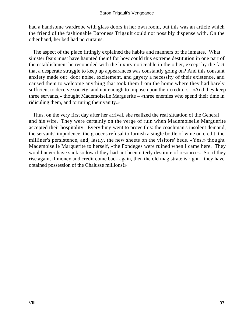had a handsome wardrobe with glass doors in her own room, but this was an article which the friend of the fashionable Baroness Trigault could not possibly dispense with. On the other hand, her bed had no curtains.

 The aspect of the place fittingly explained the habits and manners of the inmates. What sinister fears must have haunted them! for how could this extreme destitution in one part of the establishment be reconciled with the luxury noticeable in the other, except by the fact that a desperate struggle to keep up appearances was constantly going on? And this constant anxiety made out−door noise, excitement, and gayety a necessity of their existence, and caused them to welcome anything that took them from the home where they had barely sufficient to deceive society, and not enough to impose upon their creditors. «And they keep three servants,» thought Mademoiselle Marguerite – «three enemies who spend their time in ridiculing them, and torturing their vanity.»

 Thus, on the very first day after her arrival, she realized the real situation of the General and his wife. They were certainly on the verge of ruin when Mademoiselle Marguerite accepted their hospitality. Everything went to prove this: the coachman's insolent demand, the servants' impudence, the grocer's refusal to furnish a single bottle of wine on credit, the milliner's persistence, and, lastly, the new sheets on the visitors' beds. «Yes,» thought Mademoiselle Marguerite to herself, «the Fondeges were ruined when I came here. They would never have sunk so low if they had not been utterly destitute of resources. So, if they rise again, if money and credit come back again, then the old magistrate is right – they have obtained possession of the Chalusse millions!»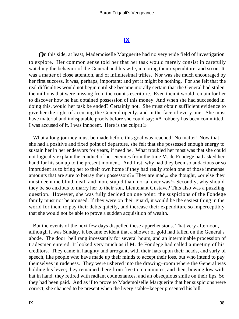## **[IX](#page-256-0)**

*O*n this side, at least, Mademoiselle Marguerite had no very wide field of investigation to explore. Her common sense told her that her task would merely consist in carefully watching the behavior of the General and his wife, in noting their expenditure, and so on. It was a matter of close attention, and of infinitesimal trifles. Nor was she much encouraged by her first success. It was, perhaps, important; and yet it might be nothing. For she felt that the real difficulties would not begin until she became morally certain that the General had stolen the millions that were missing from the count's escritoire. Even then it would remain for her to discover how he had obtained possession of this money. And when she had succeeded in doing this, would her task be ended? Certainly not. She must obtain sufficient evidence to give her the right of accusing the General openly, and in the face of every one. She must have material and indisputable proofs before she could say: «A robbery has been committed. I was accused of it. I was innocent. Here is the culprit!»

What a long journey must be made before this goal was reached! No matter! Now that she had a positive and fixed point of departure, she felt that she possessed enough energy to sustain her in her endeavors for years, if need be. What troubled her most was that she could not logically explain the conduct of her enemies from the time M. de Fondege had asked her hand for his son up to the present moment. And first, why had they been so audacious or so imprudent as to bring her to their own home if they had really stolen one of those immense amounts that are sure to betray their possessors?« They are mad,» she thought, «or else they must deem me blind, deaf, and more stupid than mortal ever was!» Secondly, why should they be so anxious to marry her to their son, Lieutenant Gustave? This also was a puzzling question. However, she was fully decided on one point: the suspicions of the Fondege family must not be aroused. If they were on their guard, it would be the easiest thing in the world for them to pay their debts quietly, and increase their expenditure so imperceptibly that she would not be able to prove a sudden acquisition of wealth.

 But the events of the next few days dispelled these apprehensions. That very afternoon, although it was Sunday, it became evident that a shower of gold had fallen on the General's abode. The door−bell rang incessantly for several hours, and an interminable procession of tradesmen entered. It looked very much as if M. de Fondege had called a meeting of his creditors. They came in haughty and arrogant, with their hats upon their heads, and surly of speech, like people who have made up their minds to accept their loss, but who intend to pay themselves in rudeness. They were ushered into the drawing−room where the General was holding his levee; they remained there from five to ten minutes, and then, bowing low with hat in hand, they retired with radiant countenances, and an obsequious smile on their lips. So they had been paid. And as if to prove to Mademoiselle Marguerite that her suspicions were correct, she chanced to be present when the livery stable−keeper presented his bill.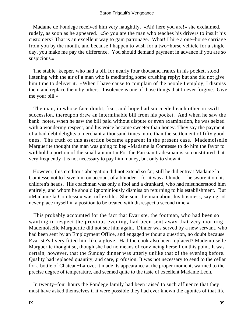Madame de Fondege received him very haughtily. «Ah! here you are!» she exclaimed, rudely, as soon as he appeared. «So you are the man who teaches his drivers to insult his customers? That is an excellent way to gain patronage. What! I hire a one−horse carriage from you by the month, and because I happen to wish for a two−horse vehicle for a single day, you make me pay the difference. You should demand payment in advance if you are so suspicious.»

 The stable−keeper, who had a bill for nearly four thousand francs in his pocket, stood listening with the air of a man who is meditating some crushing reply; but she did not give him time to deliver it. «When I have cause to complain of the people I employ, I dismiss them and replace them by others. Insolence is one of those things that I never forgive. Give me your bill.»

 The man, in whose face doubt, fear, and hope had succeeded each other in swift succession, thereupon drew an interminable bill from his pocket. And when he saw the bank−notes, when he saw the bill paid without dispute or even examination, he was seized with a wondering respect, and his voice became sweeter than honey. They say the payment of a bad debt delights a merchant a thousand times more than the settlement of fifty good ones. The truth of this assertion became apparent in the present case. Mademoiselle Marguerite thought the man was going to beg «Madame la Comtesse to do him the favor to withhold a portion of the small amount.» For the Parisian tradesman is so constituted that very frequently it is not necessary to pay him money, but only to show it.

 However, this creditor's abnegation did not extend so far; still he did entreat Madame la Comtesse not to leave him on account of a blunder – for it was a blunder – he swore it on his children's heads. His coachman was only a fool and a drunkard, who had misunderstood him entirely, and whom he should ignominiously dismiss on returning to his establishment. But «Madame la Comtesse» was inflexible. She sent the man about his business, saying, «I never place myself in a position to be treated with disrespect a second time.»

 This probably accounted for the fact that Evariste, the footman, who had been so wanting in respect the previous evening, had been sent away that very morning. Mademoiselle Marguerite did not see him again. Dinner was served by a new servant, who had been sent by an Employment Office, and engaged without a question, no doubt because Evariste's livery fitted him like a glove. Had the cook also been replaced? Mademoiselle Marguerite thought so, though she had no means of convincing herself on this point. It was certain, however, that the Sunday dinner was utterly unlike that of the evening before. Quality had replaced quantity, and care, profusion. It was not necessary to send to the cellar for a bottle of Chateau−Laroze; it made its appearance at the proper moment, warmed to the precise degree of temperature, and seemed quite to the taste of excellent Madame Leon.

 In twenty−four hours the Fondege family had been raised to such affluence that they must have asked themselves if it were possible they had ever known the agonies of that life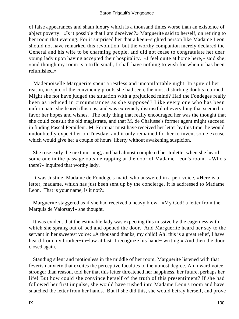of false appearances and sham luxury which is a thousand times worse than an existence of abject poverty. «Is it possible that I am deceived?» Marguerite said to herself, on retiring to her room that evening. For it surprised her that a keen−sighted person like Madame Leon should not have remarked this revolution; but the worthy companion merely declared the General and his wife to be charming people, and did not cease to congratulate her dear young lady upon having accepted their hospitality. «I feel quite at home here,» said she; «and though my room is a trifle small, I shall have nothing to wish for when it has been refurnished.»

 Mademoiselle Marguerite spent a restless and uncomfortable night. In spite of her reason, in spite of the convincing proofs she had seen, the most disturbing doubts returned. Might she not have judged the situation with a prejudiced mind? Had the Fondeges really been as reduced in circumstances as she supposed? Like every one who has been unfortunate, she feared illusions, and was extremely distrustful of everything that seemed to favor her hopes and wishes. The only thing that really encouraged her was the thought that she could consult the old magistrate, and that M. de Chalusse's former agent might succeed in finding Pascal Ferailleur. M. Fortunat must have received her letter by this time: he would undoubtedly expect her on Tuesday, and it only remained for her to invent some excuse which would give her a couple of hours' liberty without awakening suspicion.

 She rose early the next morning, and had almost completed her toilette, when she heard some one in the passage outside rapping at the door of Madame Leon's room. «Who's there?» inquired that worthy lady.

 It was Justine, Madame de Fondege's maid, who answered in a pert voice, «Here is a letter, madame, which has just been sent up by the concierge. It is addressed to Madame Leon. That is your name, is it not?»

 Marguerite staggered as if she had received a heavy blow. «My God! a letter from the Marquis de Valorsay!» she thought.

 It was evident that the estimable lady was expecting this missive by the eagerness with which she sprang out of bed and opened the door. And Marguerite heard her say to the servant in her sweetest voice: «A thousand thanks, my child! Ah! this is a great relief, I have heard from my brother−in−law at last. I recognize his hand− writing.» And then the door closed again.

 Standing silent and motionless in the middle of her room, Marguerite listened with that feverish anxiety that excites the perceptive faculties to the utmost degree. An inward voice, stronger than reason, told her that this letter threatened her happiness, her future, perhaps her life! But how could she convince herself of the truth of this presentiment? If she had followed her first impulse, she would have rushed into Madame Leon's room and have snatched the letter from her hands. But if she did this, she would betray herself, and prove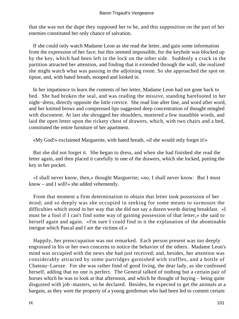that she was not the dupe they supposed her to be, and this supposition on the part of her enemies constituted her only chance of salvation.

 If she could only watch Madame Leon as she read the letter, and gain some information from the expression of her face; but this seemed impossible, for the keyhole was blocked up by the key, which had been left in the lock on the other side. Suddenly a crack in the partition attracted her attention, and finding that it extended through the wall, she realized she might watch what was passing in the adjoining room. So she approached the spot on tiptoe, and, with bated breath, stooped and looked in.

 In her impatience to learn the contents of her letter, Madame Leon had not gone back to bed. She had broken the seal, and was reading the missive, standing barefooted in her night−dress, directly opposite the little crevice. She read line after line, and word after word, and her knitted brows and compressed lips suggested deep concentration of thought mingled with discontent. At last she shrugged her shoulders, muttered a few inaudible words, and laid the open letter upon the rickety chest of drawers, which, with two chairs and a bed, constituted the entire furniture of her apartment.

«My God!» exclaimed Marguerite, with bated breath, «if she would only forget it!»

 But she did not forget it. She began to dress, and when she had finished she read the letter again, and then placed it carefully in one of the drawers, which she locked, putting the key in her pocket.

 «I shall never know, then,» thought Marguerite; «no, I shall never know. But I must know – and I will!» she added vehemently.

 From that moment a firm determination to obtain that letter took possession of her mind; and so deeply was she occupied in seeking for some means to surmount the difficulties which stood in her way that she did not say a dozen words during breakfast. «I must be a fool if I can't find some way of gaining possession of that letter,» she said to herself again and again. «I'm sure I could find in it the explanation of the abominable intrigue which Pascal and I are the victims of.»

 Happily, her preoccupation was not remarked. Each person present was too deeply engrossed in his or her own concerns to notice the behavior of the others. Madame Leon's mind was occupied with the news she had just received; and, besides, her attention was considerably attracted by some partridges garnished with truffles, and a bottle of Chateau−Laroze. For she was rather fond of good living, the dear lady, as she confessed herself, adding that no one is perfect. The General talked of nothing but a certain pair of horses which he was to look at that afternoon, and which he thought of buying – being quite disgusted with job−masters, so he declared. Besides, he expected to get the animals at a bargain, as they were the property of a young gentleman who had been led to commit certain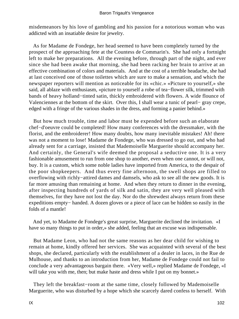misdemeanors by his love of gambling and his passion for a notorious woman who was addicted with an insatiable desire for jewelry.

 As for Madame de Fondege, her head seemed to have been completely turned by the prospect of the approaching fete at the Countess de Commarin's. She had only a fortnight left to make her preparations. All the evening before, through part of the night, and ever since she had been awake that morning, she had been racking her brain to arrive at an effective combination of colors and materials. And at the cost of a terrible headache, she had at last conceived one of those toilettes which are sure to make a sensation, and which the newspaper reporters will mention as noticeable for its «chic.» «Picture to yourself,» she said, all ablaze with enthusiasm, «picture to yourself a robe of tea−flower silk, trimmed with bands of heavy holland−tinted satin, thickly embroidered with flowers. A wide flounce of Valenciennes at the bottom of the skirt. Over this, I shall wear a tunic of pearl− gray crepe, edged with a fringe of the various shades in the dress, and forming a panier behind.»

 But how much trouble, time and labor must be expended before such an elaborate chef−d'oeuvre could be completed! How many conferences with the dressmaker, with the florist, and the embroiderer! How many doubts, how many inevitable mistakes! Ah! there was not a moment to lose! Madame de Fondege, who was dressed to go out, and who had already sent for a carriage, insisted that Mademoiselle Marguerite should accompany her. And certainly, the General's wife deemed the proposal a seductive one. It is a very fashionable amusement to run from one shop to another, even when one cannot, or will not, buy. It is a custom, which some noble ladies have imported from America, to the despair of the poor shopkeepers. And thus every fine afternoon, the swell shops are filled to overflowing with richly−attired dames and damsels, who ask to see all the new goods. It is far more amusing than remaining at home. And when they return to dinner in the evening, after inspecting hundreds of yards of silk and satin, they are very well pleased with themselves, for they have not lost the day. Nor do the shrewdest always return from these expeditions empty− handed. A dozen gloves or a piece of lace can be hidden so easily in the folds of a mantle!

 And yet, to Madame de Fondege's great surprise, Marguerite declined the invitation. «I have so many things to put in order,» she added, feeling that an excuse was indispensable.

 But Madame Leon, who had not the same reasons as her dear child for wishing to remain at home, kindly offered her services. She was acquainted with several of the best shops, she declared, particularly with the establishment of a dealer in laces, in the Rue de Mulhouse, and thanks to an introduction from her, Madame de Fondege could not fail to conclude a very advantageous bargain there. «Very well,» replied Madame de Fondege, «I will take you with me, then; but make haste and dress while I put on my bonnet.»

 They left the breakfast−room at the same time, closely followed by Mademoiselle Marguerite, who was disturbed by a hope which she scarcely dared confess to herself. With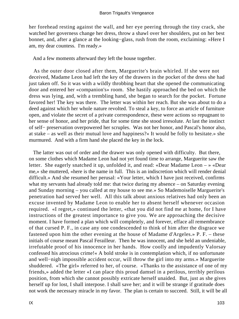her forehead resting against the wall, and her eye peering through the tiny crack, she watched her governess change her dress, throw a shawl over her shoulders, put on her best bonnet, and, after a glance at the looking−glass, rush from the room, exclaiming: «Here I am, my dear countess. I'm ready.»

And a few moments afterward they left the house together.

 As the outer door closed after them, Marguerite's brain whirled. If she were not deceived, Madame Leon had left the key of the drawers in the pocket of the dress she had just taken off. So it was with a wildly throbbing heart that she opened the communicating door and entered her «companion's» room. She hastily approached the bed on which the dress was lying, and, with a trembling hand, she began to search for the pocket. Fortune favored her! The key was there. The letter was within her reach. But she was about to do a deed against which her whole nature revolted. To steal a key, to force an article of furniture open, and violate the secret of a private correspondence, these were actions so repugnant to her sense of honor, and her pride, that for some time she stood irresolute. At last the instinct of self− preservation overpowered her scruples. Was not her honor, and Pascal's honor also, at stake – as well as their mutual love and happiness?« It would be folly to hesitate.» she murmured. And with a firm hand she placed the key in the lock.

 The latter was out of order and the drawer was only opened with difficulty. But there, on some clothes which Madame Leon had not yet found time to arrange, Marguerite saw the letter. She eagerly snatched it up, unfolded it, and read: «Dear Madame Leon – » «Dear me,» she muttered, «here is the name in full. This is an indiscretion which will render denial difficult.» And she resumed her perusal: «Your letter, which I have just received, confirms what my servants had already told me: that twice during my absence – on Saturday evening and Sunday morning – you called at my house to see me.» So Mademoiselle Marguerite's penetration had served her well. All this talk about anxious relatives had only been an excuse invented by Madame Leon to enable her to absent herself whenever occasion required. «I regret,» continued the letter, «that you did not find me at home, for I have instructions of the greatest importance to give you. We are approaching the decisive moment. I have formed a plan which will completely, and forever, efface all remembrance of that cursed P. F., in case any one condescended to think of him after the disgrace we fastened upon him the other evening at the house of Madame d'Argeles.» P. F. – these initials of course meant Pascal Ferailleur. Then he was innocent, and she held an undeniable, irrefutable proof of his innocence in her hands. How coolly and impudently Valorsay confessed his atrocious crime!« A bold stroke is in contemplation which, if no unfortunate and well−nigh impossible accident occur, will throw the girl into my arms.» Marguerite shuddered. «The girl» referred to her, of course. «Thanks to the assistance of one of my friends,» added the letter «I can place this proud damsel in a perilous, terribly perilous position, from which she cannot possibly extricate herself unaided. But, just as she gives herself up for lost, I shall interpose. I shall save her; and it will be strange if gratitude does not work the necessary miracle in my favor. The plan is certain to succeed. Still, it will be all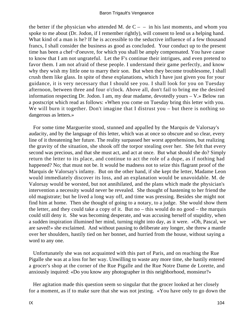the better if the physician who attended M. de  $C - -$  in his last moments, and whom you spoke to me about (Dr. Jodon, if I remember rightly), will consent to lend us a helping hand. What kind of a man is he? If he is accessible to the seductive influence of a few thousand francs, I shall consider the business as good as concluded. Your conduct up to the present time has been a chef−d'oeuvre, for which you shall be amply compensated. You have cause to know that I am not ungrateful. Let the F's continue their intrigues, and even pretend to favor them. I am not afraid of these people. I understand their game perfectly, and know why they wish my little one to marry their son. But when they become troublesome, I shall crush them like glass. In spite of these explanations, which I have just given you for your guidance, it is very necessary that I should see you. I shall look for you on Tuesday afternoon, between three and four o'clock. Above all, don't fail to bring me the desired information respecting Dr. Jodon. I am, my dear madame, devotedly yours – V.» Below ran a postscript which read as follows: «When you come on Tuesday bring this letter with you. We will burn it together. Don't imagine that I distrust you – but there is nothing so dangerous as letters.»

 For some time Marguerite stood, stunned and appalled by the Marquis de Valorsay's audacity, and by the language of this letter, which was at once so obscure and so clear, every line of it threatening her future. The reality surpassed her worst apprehensions, but realizing the gravity of the situation, she shook off the torpor stealing over her. She felt that every second was precious, and that she must act, and act at once. But what should she do? Simply return the letter to its place, and continue to act the role of a dupe, as if nothing had happened? No; that must not be. It would be madness not to seize this flagrant proof of the Marquis de Valorsay's infamy. But on the other hand, if she kept the letter, Madame Leon would immediately discover its loss, and an explanation would be unavoidable. M. de Valorsay would be worsted, but not annihilated, and the plans which made the physician's intervention a necessity would never be revealed. She thought of hastening to her friend the old magistrate; but he lived a long way off, and time was pressing. Besides she might not find him at home. Then she thought of going to a notary, to a judge. She would show them the letter, and they could take a copy of it. But no – this would do no good – the marquis could still deny it. She was becoming desperate, and was accusing herself of stupidity, when a sudden inspiration illumined her mind, turning night into day, as it were. «Oh, Pascal, we are saved!» she exclaimed. And without pausing to deliberate any longer, she threw a mantle over her shoulders, hastily tied on her bonnet, and hurried from the house, without saying a word to any one.

 Unfortunately she was not acquainted with this part of Paris, and on reaching the Rue Pigalle she was at a loss for her way. Unwilling to waste any more time, she hastily entered a grocer's shop at the corner of the Rue Pigalle and the Rue Notre Dame de Lorette, and anxiously inquired: «Do you know any photographer in this neighborhood, monsieur?»

 Her agitation made this question seem so singular that the grocer looked at her closely for a moment, as if to make sure that she was not jesting. «You have only to go down the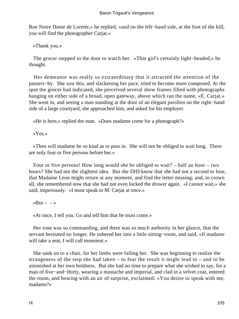Rue Notre Dame de Lorette,» he replied, «and on the left−hand side, at the foot of the hill, you will find the photographer Carjat.»

«Thank you.»

 The grocer stepped to the door to watch her. «That girl's certainly light−headed,» he thought.

 Her demeanor was really so extraordinary that it attracted the attention of the passers−by. She saw this, and slackening her pace, tried to become more composed. At the spot the grocer had indicated, she perceived several show frames filled with photographs hanging on either side of a broad, open gateway, above which ran the name, «E. Carjat.» She went in, and seeing a man standing at the door of an elegant pavilion on the right−hand side of a large courtyard, she approached him, and asked for his employer.

«He is here,» replied the man. «Does madame come for a photograph?»

«Yes.»

 «Then will madame be so kind as to pass in. She will not be obliged to wait long. There are only four or five persons before her.»

 Four or five persons! How long would she be obliged to wait? – half an hour – two hours? She had not the slightest idea. But she DID know that she had not a second to lose, that Madame Leon might return at any moment, and find the letter missing; and, to crown all, she remembered now that she had not even locked the drawer again. «I cannot wait,» she said, imperiously. «I must speak to M. Carjat at once.»

«But  $\rightarrow$ 

«At once, I tell you. Go and tell him that he must come.»

 Her tone was so commanding, and there was so much authority in her glance, that the servant hesitated no longer. He ushered her into a little sitting−room, and said, «If madame will take a seat, I will call monsieur.»

 She sank on to a chair, for her limbs were failing her. She was beginning to realize the strangeness of the step she had taken – to fear the result it might lead to – and to be astonished at her own boldness. But she had no time to prepare what she wished to say, for a man of five–and–thirty, wearing a mustache and imperial, and clad in a velvet coat, entered the room, and bowing with an air of surprise, exclaimed: «You desire to speak with me, madame?»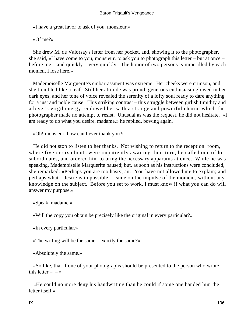«I have a great favor to ask of you, monsieur.»

«Of me?»

 She drew M. de Valorsay's letter from her pocket, and, showing it to the photographer, she said, «I have come to you, monsieur, to ask you to photograph this letter – but at once – before me – and quickly – very quickly. The honor of two persons is imperilled by each moment I lose here.»

 Mademoiselle Marguerite's embarrassment was extreme. Her cheeks were crimson, and she trembled like a leaf. Still her attitude was proud, generous enthusiasm glowed in her dark eyes, and her tone of voice revealed the serenity of a lofty soul ready to dare anything for a just and noble cause. This striking contrast – this struggle between girlish timidity and a lover's virgil energy, endowed her with a strange and powerful charm, which the photographer made no attempt to resist. Unusual as was the request, he did not hesitate. «I am ready to do what you desire, madame,» he replied, bowing again.

«Oh! monsieur, how can I ever thank you?»

 He did not stop to listen to her thanks. Not wishing to return to the reception−room, where five or six clients were impatiently awaiting their turn, he called one of his subordinates, and ordered him to bring the necessary apparatus at once. While he was speaking, Mademoiselle Marguerite paused; but, as soon as his instructions were concluded, she remarked: «Perhaps you are too hasty, sir. You have not allowed me to explain; and perhaps what I desire is impossible. I came on the impulse of the moment, without any knowledge on the subject. Before you set to work, I must know if what you can do will answer my purpose.»

«Speak, madame.»

«Will the copy you obtain be precisely like the original in every particular?»

«In every particular.»

«The writing will be the same – exactly the same?»

«Absolutely the same.»

 «So like, that if one of your photographs should be presented to the person who wrote this letter  $- - \infty$ 

 «He could no more deny his handwriting than he could if some one handed him the letter itself.»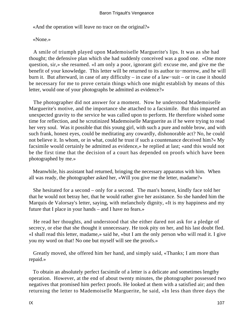«And the operation will leave no trace on the original?»

«None.»

 A smile of triumph played upon Mademoiselle Marguerite's lips. It was as she had thought; the defensive plan which she had suddenly conceived was a good one. «One more question, sir,» she resumed. «I am only a poor, ignorant girl: excuse me, and give me the benefit of your knowledge. This letter will be returned to its author to−morrow, and he will burn it. But afterward, in case of any difficulty – in case of a law−suit – or in case it should be necessary for me to prove certain things which one might establish by means of this letter, would one of your photographs be admitted as evidence?»

 The photographer did not answer for a moment. Now he understood Mademoiselle Marguerite's motive, and the importance she attached to a facsimile. But this imparted an unexpected gravity to the service he was called upon to perform. He therefore wished some time for reflection, and he scrutinized Mademoiselle Marguerite as if he were trying to read her very soul. Was it possible that this young girl, with such a pure and noble brow, and with such frank, honest eyes, could be meditating any cowardly, dishonorable act? No, he could not believe it. In whom, or in what, could he trust if such a countenance deceived him?« My facsimile would certainly be admitted as evidence,» he replied at last; «and this would not be the first time that the decision of a court has depended on proofs which have been photographed by me.»

 Meanwhile, his assistant had returned, bringing the necessary apparatus with him. When all was ready, the photographer asked her, «Will you give me the letter, madame?»

 She hesitated for a second – only for a second. The man's honest, kindly face told her that he would not betray her, that he would rather give her assistance. So she handed him the Marquis de Valorsay's letter, saying, with melancholy dignity, «It is my happiness and my future that I place in your hands – and I have no fears.»

 He read her thoughts, and understood that she either dared not ask for a pledge of secrecy, or else that she thought it unnecessary. He took pity on her, and his last doubt fled. «I shall read this letter, madame,» said he, «but I am the only person who will read it. I give you my word on that! No one but myself will see the proofs.»

 Greatly moved, she offered him her hand, and simply said, «Thanks; I am more than repaid.»

 To obtain an absolutely perfect facsimile of a letter is a delicate and sometimes lengthy operation. However, at the end of about twenty minutes, the photographer possessed two negatives that promised him perfect proofs. He looked at them with a satisfied air; and then returning the letter to Mademoiselle Marguerite, he said, «In less than three days the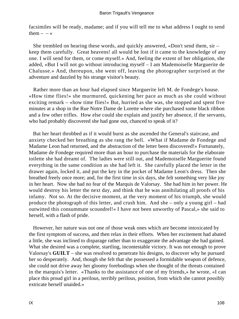facsimiles will be ready, madame; and if you will tell me to what address I ought to send them  $- - \infty$ 

 She trembled on hearing these words, and quickly answered, «Don't send them, sir – keep them carefully. Great heavens! all would be lost if it came to the knowledge of any one. I will send for them, or come myself.» And, feeling the extent of her obligation, she added, «But I will not go without introducing myself – I am Mademoiselle Marguerite de Chalusse.» And, thereupon, she went off, leaving the photographer surprised at the adventure and dazzled by his strange visitor's beauty.

 Rather more than an hour had elapsed since Marguerite left M. de Fondege's house. «How time flies!» she murmured, quickening her pace as much as she could without exciting remark – «how time flies!» But, hurried as she was, she stopped and spent five minutes at a shop in the Rue Notre Dame de Lorette where she purchased some black ribbon and a few other trifles. How else could she explain and justify her absence, if the servants, who had probably discovered she had gone out, chanced to speak of it?

 But her heart throbbed as if it would burst as she ascended the General's staircase, and anxiety checked her breathing as she rang the bell. «What if Madame de Fondege and Madame Leon had returned, and the abstraction of the letter been discovered!» Fortunately, Madame de Fondege required more than an hour to purchase the materials for the elaborate toilette she had dreamt of. The ladies were still out, and Mademoiselle Marguerite found everything in the same condition as she had left it. She carefully placed the letter in the drawer again, locked it, and put the key in the pocket of Madame Leon's dress. Then she breathed freely once more; and, for the first time in six days, she felt something very like joy in her heart. Now she had no fear of the Marquis de Valorsay. She had him in her power. He would destroy his letter the next day, and think that he was annihilating all proofs of his infamy. Not so. At the decisive moment, at the very moment of his triumph, she would produce the photograph of this letter, and crush him. And she – only a young girl – had outwitted this consummate scoundrel!« I have not been unworthy of Pascal,» she said to herself, with a flash of pride.

 However, her nature was not one of those weak ones which are become intoxicated by the first symptom of success, and then relax in their efforts. When her excitement had abated a little, she was inclined to disparage rather than to exaggerate the advantage she had gained. What she desired was a complete, startling, incontestable victory. It was not enough to prove Valorsay's **GUILT** – she was resolved to penetrate his designs, to discover why he pursued her so desperately. And, though she felt that she possessed a formidable weapon of defence, she could not drive away her gloomy forebodings when she thought of the threats contained in the marquis's letter. «Thanks to the assistance of one of my friends,» he wrote, «I can place this proud girl in a perilous, terribly perilous, position, from which she cannot possibly extricate herself unaided.»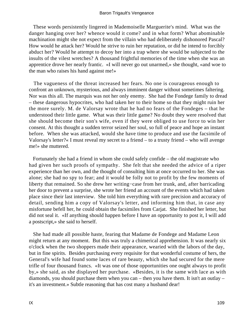#### Baron Trigault's Vengeance

 These words persistently lingered in Mademoiselle Marguerite's mind. What was the danger hanging over her? whence would it come? and in what form? What abominable machination might she not expect from the villain who had deliberately dishonored Pascal? How would he attack her? Would he strive to ruin her reputation, or did he intend to forcibly abduct her? Would he attempt to decoy her into a trap where she would be subjected to the insults of the vilest wretches? A thousand frightful memories of the time when she was an apprentice drove her nearly frantic. «I will never go out unarmed,» she thought, «and woe to the man who raises his hand against me!»

 The vagueness of the threat increased her fears. No one is courageous enough to confront an unknown, mysterious, and always imminent danger without sometimes faltering. Nor was this all. The marquis was not her only enemy. She had the Fondege family to dread – these dangerous hypocrites, who had taken her to their home so that they might ruin her the more surely. M. de Valorsay wrote that he had no fears of the Fondeges – that he understood their little game. What was their little game? No doubt they were resolved that she should become their son's wife, even if they were obliged to use force to win her consent. At this thought a sudden terror seized her soul, so full of peace and hope an instant before. When she was attacked, would she have time to produce and use the facsimile of Valorsay's letter?« I must reveal my secret to a friend – to a trusty friend – who will avenge me!» she muttered.

 Fortunately she had a friend in whom she could safely confide – the old magistrate who had given her such proofs of sympathy. She felt that she needed the advice of a riper experience than her own, and the thought of consulting him at once occurred to her. She was alone; she had no spy to fear; and it would be folly not to profit by the few moments of liberty that remained. So she drew her writing−case from her trunk, and, after barricading her door to prevent a surprise, she wrote her friend an account of the events which had taken place since their last interview. She told him everything with rare precision and accuracy of detail, sending him a copy of Valorsay's letter, and informing him that, in case any misfortune befell her, he could obtain the facsimiles from Carjat. She finished her letter, but did not seal it. «If anything should happen before I have an opportunity to post it, I will add a postscript,» she said to herself.

 She had made all possible haste, fearing that Madame de Fondege and Madame Leon might return at any moment. But this was truly a chimerical apprehension. It was nearly six o'clock when the two shoppers made their appearance, wearied with the labors of the day, but in fine spirits. Besides purchasing every requisite for that wonderful costume of hers, the General's wife had found some laces of rare beauty, which she had secured for the mere trifle of four thousand francs. «It was one of those opportunities one ought always to profit by,» she said, as she displayed her purchase. «Besides, it is the same with lace as with diamonds, you should purchase them when you can – then you have them. It isn't an outlay – it's an investment.» Subtle reasoning that has cost many a husband dear!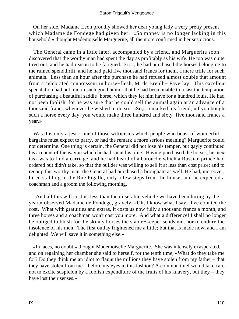On her side, Madame Leon proudly showed her dear young lady a very pretty present which Madame de Fondege had given her. «So money is no longer lacking in this household,» thought Mademoiselle Marguerite, all the more confirmed in her suspicions.

 The General came in a little later, accompanied by a friend, and Marguerite soon discovered that the worthy man had spent the day as profitably as his wife. He too was quite tired out; and he had reason to be fatigued. First, he had purchased the horses belonging to the ruined spendthrift, and he had paid five thousand francs for them, a mere trifle for such animals. Less than an hour after the purchase he had refused almost double that amount from a celebrated connoisseur in horse−flesh, M. de Breulh− Faverlay. This excellent speculation had put him in such good humor that he had been unable to resist the temptation of purchasing a beautiful saddle−horse, which they let him have for a hundred louis. He had not been foolish, for he was sure that he could sell the animal again at an advance of a thousand francs whenever he wished to do so. «So,» remarked his friend, «if you bought such a horse every day, you would make three hundred and sixty−five thousand francs a year.»

Was this only a jest – one of those witticisms which people who boast of wonderful bargains must expect to parry, or had the remark a more serious meaning? Marguerite could not determine. One thing is certain, the General did not lose his temper, but gayly continued his account of the way in which he had spent his time. Having purchased the horses, his next task was to find a carriage, and he had heard of a barouche which a Russian prince had ordered but didn't take, so that the builder was willing to sell it at less than cost price; and to recoup this worthy man, the General had purchased a brougham as well. He had, moreover, hired stabling in the Rue Pigalle, only a few steps from the house, and he expected a coachman and a groom the following morning.

 «And all this will cost us less than the miserable vehicle we have been hiring by the year,» observed Madame de Fondege, gravely. «Oh, I know what I say. I've counted the cost. What with gratuities and extras, it costs us now fully a thousand francs a month, and three horses and a coachman won't cost you more. And what a difference! I shall no longer be obliged to blush for the skinny horses the stable−keeper sends me, nor to endure the insolence of his men. The first outlay frightened me a little; but that is made now, and I am delighted. We will save it in something else.»

 «In laces, no doubt,» thought Mademoiselle Marguerite. She was intensely exasperated, and on regaining her chamber she said to herself, for the tenth time, «What do they take me for? Do they think me an idiot to flaunt the millions they have stolen from my father – that they have stolen from me – before my eyes in this fashion? A common thief would take care not to excite suspicion by a foolish expenditure of the fruits of his knavery, but they – they have lost their senses.»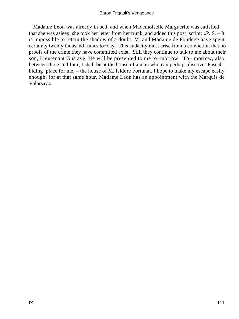Madame Leon was already in bed, and when Mademoiselle Marguerite was satisfied that she was asleep, she took her letter from her trunk, and added this post−script: «P. S. – It is impossible to retain the shadow of a doubt, M. and Madame de Fondege have spent certainly twenty thousand francs to−day. This audacity must arise from a conviction that no proofs of the crime they have committed exist. Still they continue to talk to me about their son, Lieutenant Gustave. He will be presented to me to−morrow. To− morrow, also, between three and four, I shall be at the house of a man who can perhaps discover Pascal's hiding−place for me, – the house of M. Isidore Fortunat. I hope to make my escape easily enough, for at that same hour, Madame Leon has an appointment with the Marquis de Valorsay.»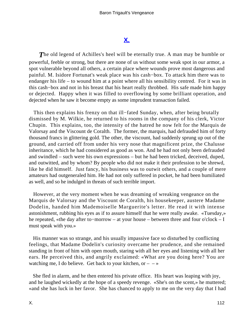# **[X.](#page-256-0)**

**The old legend of Achilles's heel will be eternally true. A man may be humble or** powerful, feeble or strong, but there are none of us without some weak spot in our armor, a spot vulnerable beyond all others, a certain place where wounds prove most dangerous and painful. M. Isidore Fortunat's weak place was his cash−box. To attack him there was to endanger his life – to wound him at a point where all his sensibility centred. For it was in this cash−box and not in his breast that his heart really throbbed. His safe made him happy or dejected. Happy when it was filled to overflowing by some brilliant operation, and dejected when he saw it become empty as some imprudent transaction failed.

 This then explains his frenzy on that ill−fated Sunday, when, after being brutally dismissed by M. Wilkie, he returned to his rooms in the company of his clerk, Victor Chupin. This explains, too, the intensity of the hatred he now felt for the Marquis de Valorsay and the Viscount de Coralth. The former, the marquis, had defrauded him of forty thousand francs in glittering gold. The other, the viscount, had suddenly sprung up out of the ground, and carried off from under his very nose that magnificent prize, the Chalusse inheritance, which he had considered as good as won. And he had not only been defrauded and swindled – such were his own expressions – but he had been tricked, deceived, duped, and outwitted, and by whom? By people who did not make it their profession to be shrewd, like he did himself. Just fancy, his business was to outwit others, and a couple of mere amateurs had outgeneraled him. He had not only suffered in pocket, he had been humiliated as well, and so he indulged in threats of such terrible import.

 However, at the very moment when he was dreaming of wreaking vengeance on the Marquis de Valorsay and the Viscount de Coralth, his housekeeper, austere Madame Dodelin, handed him Mademoiselle Marguerite's letter. He read it with intense astonishment, rubbing his eyes as if to assure himself that he were really awake. «Tuesday,» he repeated, «the day after to−morrow – at your house – between three and four o'clock – I must speak with you.»

 His manner was so strange, and his usually impassive face so disturbed by conflicting feelings, that Madame Dodelin's curiosity overcame her prudence, and she remained standing in front of him with open mouth, staring with all her eyes and listening with all her ears. He perceived this, and angrily exclaimed: «What are you doing here? You are watching me, I do believe. Get back to your kitchen, or  $- \rightarrow \infty$ 

 She fled in alarm, and he then entered his private office. His heart was leaping with joy, and he laughed wickedly at the hope of a speedy revenge. «She's on the scent,» he muttered; «and she has luck in her favor. She has chanced to apply to me on the very day that I had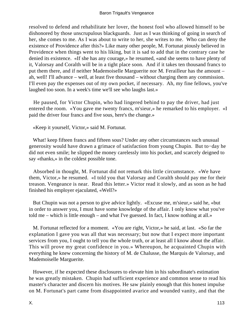resolved to defend and rehabilitate her lover, the honest fool who allowed himself to be dishonored by those unscrupulous blackguards. Just as I was thinking of going in search of her, she comes to me. As I was about to write to her, she writes to me. Who can deny the existence of Providence after this?» Like many other people, M. Fortunat piously believed in Providence when things went to his liking, but it is sad to add that in the contrary case he denied its existence. «If she has any courage,» he resumed, «and she seems to have plenty of it, Valorsay and Coralth will be in a tight place soon. And if it takes ten thousand francs to put them there, and if neither Mademoiselle Marguerite nor M. Ferailleur has the amount – ah, well! I'll advance – well, at least five thousand – without charging them any commission. I'll even pay the expenses out of my own pocket, if necessary. Ah, my fine fellows, you've laughed too soon. In a week's time we'll see who laughs last.»

 He paused, for Victor Chupin, who had lingered behind to pay the driver, had just entered the room. «You gave me twenty francs, m'sieur,» he remarked to his employer. «I paid the driver four francs and five sous, here's the change.»

«Keep it yourself, Victor,» said M. Fortunat.

 What! keep fifteen francs and fifteen sous? Under any other circumstances such unusual generosity would have drawn a grimace of satisfaction from young Chupin. But to−day he did not even smile; he slipped the money carelessly into his pocket, and scarcely deigned to say «thanks,» in the coldest possible tone.

 Absorbed in thought, M. Fortunat did not remark this little circumstance. «We have them, Victor,» he resumed. «I told you that Valorsay and Coralth should pay me for their treason. Vengeance is near. Read this letter.» Victor read it slowly, and as soon as he had finished his employer ejaculated, «Well?»

 But Chupin was not a person to give advice lightly. «Excuse me, m'sieur,» said he, «but in order to answer you, I must have some knowledge of the affair. I only know what you've told me – which is little enough – and what I've guessed. In fact, I know nothing at all.»

 M. Fortunat reflected for a moment. «You are right, Victor,» he said, at last. «So far the explanation I gave you was all that was necessary; but now that I expect more important services from you, I ought to tell you the whole truth, or at least all I know about the affair. This will prove my great confidence in you.» Whereupon, he acquainted Chupin with everything he knew concerning the history of M. de Chalusse, the Marquis de Valorsay, and Mademoiselle Marguerite.

 However, if he expected these disclosures to elevate him in his subordinate's estimation he was greatly mistaken. Chupin had sufficient experience and common sense to read his master's character and discern his motives. He saw plainly enough that this honest impulse on M. Fortunat's part came from disappointed avarice and wounded vanity, and that the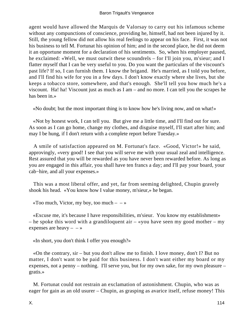agent would have allowed the Marquis de Valorsay to carry out his infamous scheme without any compunctions of conscience, providing he, himself, had not been injured by it. Still, the young fellow did not allow his real feelings to appear on his face. First, it was not his business to tell M. Fortunat his opinion of him; and in the second place, he did not deem it an opportune moment for a declaration of his sentiments. So, when his employer paused, he exclaimed: «Well, we must outwit these scoundrels – for I'll join you, m'sieur; and I flatter myself that I can be very useful to you. Do you want the particulars of the viscount's past life? If so, I can furnish them. I know the brigand. He's married, as I told you before, and I'll find his wife for you in a few days. I don't know exactly where she lives, but she keeps a tobacco store, somewhere, and that's enough. She'll tell you how much he's a viscount. Ha! ha! Viscount just as much as I am – and no more. I can tell you the scrapes he has been in.»

«No doubt; but the most important thing is to know how he's living now, and on what!»

 «Not by honest work, I can tell you. But give me a little time, and I'll find out for sure. As soon as I can go home, change my clothes, and disguise myself, I'll start after him; and may I be hung, if I don't return with a complete report before Tuesday.»

 A smile of satisfaction appeared on M. Fortunat's face. «Good, Victor!» he said, approvingly, «very good! I see that you will serve me with your usual zeal and intelligence. Rest assured that you will be rewarded as you have never been rewarded before. As long as you are engaged in this affair, you shall have ten francs a day; and I'll pay your board, your cab−hire, and all your expenses.»

 This was a most liberal offer, and yet, far from seeming delighted, Chupin gravely shook his head. «You know how I value money, m'sieur,» he began.

«Too much, Victor, my boy, too much  $- \rightarrow \infty$ 

 «Excuse me, it's because I have responsibilities, m'sieur. You know my establishment» – he spoke this word with a grandiloquent air – «you have seen my good mother – my expenses are heavy  $\rightarrow$ 

«In short, you don't think I offer you enough?»

 «On the contrary, sir – but you don't allow me to finish. I love money, don't I? But no matter, I don't want to be paid for this business. I don't want either my board or my expenses, not a penny – nothing. I'll serve you, but for my own sake, for my own pleasure – gratis.»

 M. Fortunat could not restrain an exclamation of astonishment. Chupin, who was as eager for gain as an old usurer – Chupin, as grasping as avarice itself, refuse money! This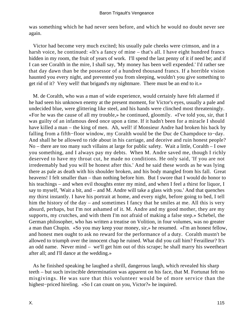was something which he had never seen before, and which he would no doubt never see again.

 Victor had become very much excited; his usually pale cheeks were crimson, and in a harsh voice, he continued: «It's a fancy of mine – that's all. I have eight hundred francs hidden in my room, the fruit of years of work. I'll spend the last penny of it if need be; and if I can see Coralth in the mire, I shall say, 'My money has been well expended.' I'd rather see that day dawn than be the possessor of a hundred thousand francs. If a horrible vision haunted you every night, and prevented you from sleeping, wouldn't you give something to get rid of it? Very well! that brigand's my nightmare. There must be an end to it.»

 M. de Coralth, who was a man of wide experience, would certainly have felt alarmed if he had seen his unknown enemy at the present moment, for Victor's eyes, usually a pale and undecided blue, were glittering like steel, and his hands were clinched most threateningly. «For he was the cause of all my trouble,» he continued, gloomily. «I've told you, sir, that I was guilty of an infamous deed once upon a time. If it hadn't been for a miracle I should have killed a man – the king of men. Ah, well! if Monsieur Andre had broken his back by falling from a fifth−floor window, my Coralth would be the Duc de Champdoce to−day. And shall he be allowed to ride about in his carriage, and deceive and ruin honest people? No – there are too many such villains at large for public safety. Wait a little, Coralth – I owe you something, and I always pay my debts. When M. Andre saved me, though I richly deserved to have my throat cut, he made no conditions. He only said, 'If you are not irredeemably bad you will be honest after this.' And he said these words as he was lying there as pale as death with his shoulder broken, and his body mangled from his fall. Great heavens! I felt smaller than – than nothing before him. But I swore that I would do honor to his teachings – and when evil thoughts enter my mind, and when I feel a thirst for liquor, I say to myself, 'Wait a bit, and – and M. Andre will take a glass with you.' And that quenches my thirst instantly. I have his portrait at home, and every night, before going to bed, I tell him the history of the day – and sometimes I fancy that he smiles at me. All this is very absurd, perhaps, but I'm not ashamed of it. M. Andre and my good mother, they are my supports, my crutches, and with them I'm not afraid of making a false step.» Schebel, the German philosopher, who has written a treatise on Volition, in four volumes, was no greater a man than Chupin. «So you may keep your money, sir,» he resumed. «I'm an honest fellow, and honest men ought to ask no reward for the performance of a duty. Coralth mustn't be allowed to triumph over the innocent chap he ruined. What did you call him? Ferailleur? It's an odd name. Never mind – we'll get him out of this scrape; he shall marry his sweetheart after all; and I'll dance at the wedding.»

 As he finished speaking he laughed a shrill, dangerous laugh, which revealed his sharp teeth – but such invincible determination was apparent on his face, that M. Fortunat felt no misgivings. He was sure that this volunteer would be of more service than the highest−priced hireling. «So I can count on you, Victor?» he inquired.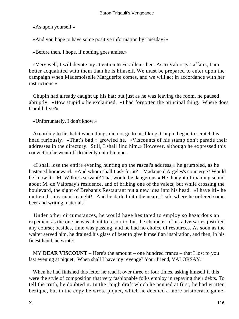«As upon yourself.»

«And you hope to have some positive information by Tuesday?»

«Before then, I hope, if nothing goes amiss.»

 «Very well; I will devote my attention to Ferailleur then. As to Valorsay's affairs, I am better acquainted with them than he is himself. We must be prepared to enter upon the campaign when Mademoiselle Marguerite comes, and we will act in accordance with her instructions.»

 Chupin had already caught up his hat; but just as he was leaving the room, he paused abruptly. «How stupid!» he exclaimed. «I had forgotten the principal thing. Where does Coralth live?»

«Unfortunately, I don't know.»

 According to his habit when things did not go to his liking, Chupin began to scratch his head furiously. «That's bad,» growled he. «Viscounts of his stamp don't parade their addresses in the directory. Still, I shall find him.» However, although he expressed this conviction he went off decidedly out of temper.

 «I shall lose the entire evening hunting up the rascal's address,» he grumbled, as he hastened homeward. «And whom shall I ask for it? – Madame d'Argeles's concierge? Would he know it – M. Wilkie's servant? That would be dangerous.» He thought of roaming sound about M. de Valorsay's residence, and of bribing one of the valets; but while crossing the boulevard, the sight of Brebant's Restaurant put a new idea into his head. «I have it!» he muttered; «my man's caught!» And he darted into the nearest cafe where he ordered some beer and writing materials.

 Under other circumstances, he would have hesitated to employ so hazardous an expedient as the one he was about to resort to, but the character of his adversaries justified any course; besides, time was passing, and he had no choice of resources. As soon as the waiter served him, he drained his glass of beer to give himself an inspiration, and then, in his finest hand, he wrote:

 MY **DEAR VISCOUNT** – Here's the amount – one hundred francs – that I lost to you last evening at piquet. When shall I have my revenge? Your friend, VALORSAY."

 When he had finished this letter he read it over three or four times, asking himself if this were the style of composition that very fashionable folks employ in repaying their debts. To tell the truth, he doubted it. In the rough draft which he penned at first, he had written bezique, but in the copy he wrote piquet, which he deemed a more aristocratic game.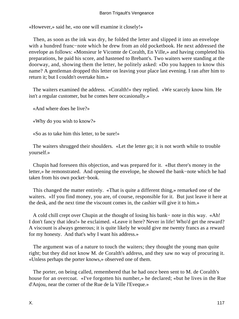«However,» said he, «no one will examine it closely!»

 Then, as soon as the ink was dry, he folded the letter and slipped it into an envelope with a hundred franc−note which he drew from an old pocketbook. He next addressed the envelope as follows: «Monsieur le Vicomte de Coralth, En Ville,» and having completed his preparations, he paid his score, and hastened to Brebant's. Two waiters were standing at the doorway, and, showing them the letter, he politely asked: «Do you happen to know this name? A gentleman dropped this letter on leaving your place last evening. I ran after him to return it; but I couldn't overtake him.»

 The waiters examined the address. «Coralth!» they replied. «We scarcely know him. He isn't a regular customer, but he comes here occasionally.»

«And where does he live?»

«Why do you wish to know?»

«So as to take him this letter, to be sure!»

 The waiters shrugged their shoulders. «Let the letter go; it is not worth while to trouble yourself.»

 Chupin had foreseen this objection, and was prepared for it. «But there's money in the letter,» he remonstrated. And opening the envelope, he showed the bank−note which he had taken from his own pocket−book.

 This changed the matter entirely. «That is quite a different thing,» remarked one of the waiters. «If you find money, you are, of course, responsible for it. But just leave it here at the desk, and the next time the viscount comes in, the cashier will give it to him.»

 A cold chill crept over Chupin at the thought of losing his bank− note in this way. «Ah! I don't fancy that idea!» he exclaimed. «Leave it here? Never in life! Who'd get the reward? A viscount is always generous; it is quite likely he would give me twenty francs as a reward for my honesty. And that's why I want his address.»

 The argument was of a nature to touch the waiters; they thought the young man quite right; but they did not know M. de Coralth's address, and they saw no way of procuring it. «Unless perhaps the porter knows,» observed one of them.

 The porter, on being called, remembered that he had once been sent to M. de Coralth's house for an overcoat. «I've forgotten his number,» he declared; «but he lives in the Rue d'Anjou, near the corner of the Rue de la Ville l'Eveque.»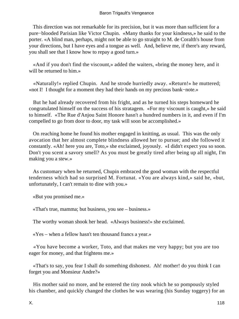This direction was not remarkable for its precision, but it was more than sufficient for a pure−blooded Parisian like Victor Chupin. «Many thanks for your kindness,» he said to the porter. «A blind man, perhaps, might not be able to go straight to M. de Coralth's house from your directions, but I have eyes and a tongue as well. And, believe me, if there's any reward, you shall see that I know how to repay a good turn.»

 «And if you don't find the viscount,» added the waiters, «bring the money here, and it will be returned to him.»

 «Naturally!» replied Chupin. And he strode hurriedly away. «Return!» he muttered; «not I! I thought for a moment they had their hands on my precious bank−note.»

 But he had already recovered from his fright, and as he turned his steps homeward he congratulated himself on the success of his stratagem. «For my viscount is caught,» he said to himself. «The Rue d'Anjou Saint Honore hasn't a hundred numbers in it, and even if I'm compelled to go from door to door, my task will soon be accomplished.»

 On reaching home he found his mother engaged in knitting, as usual. This was the only avocation that her almost complete blindness allowed her to pursue; and she followed it constantly. «Ah! here you are, Toto,» she exclaimed, joyously. «I didn't expect you so soon. Don't you scent a savory smell? As you must be greatly tired after being up all night, I'm making you a stew.»

 As customary when he returned, Chupin embraced the good woman with the respectful tenderness which had so surprised M. Fortunat. «You are always kind,» said he, «but, unfortunately, I can't remain to dine with you.»

«But you promised me.»

«That's true, mamma; but business, you see – business.»

The worthy woman shook her head. «Always business!» she exclaimed.

«Yes – when a fellow hasn't ten thousand francs a year.»

 «You have become a worker, Toto, and that makes me very happy; but you are too eager for money, and that frightens me.»

 «That's to say, you fear I shall do something dishonest. Ah! mother! do you think I can forget you and Monsieur Andre?»

 His mother said no more, and he entered the tiny nook which he so pompously styled his chamber, and quickly changed the clothes he was wearing (his Sunday toggery) for an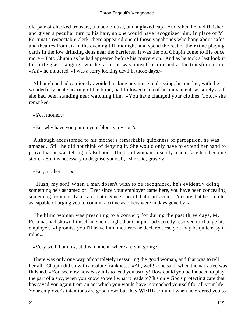old pair of checked trousers, a black blouse, and a glazed cap. And when he had finished, and given a peculiar turn to his hair, no one would have recognized him. In place of M. Fortunat's respectable clerk, there appeared one of those vagabonds who hang about cafes and theatres from six in the evening till midnight, and spend the rest of their time playing cards in the low drinking dens near the barrieres. It was the old Chupin come to life once more – Toto Chupin as he had appeared before his conversion. And as he took a last look in the little glass hanging over the table, he was himself astonished at the transformation. «Ah!» he muttered, «I was a sorry looking devil in those days.»

 Although he had cautiously avoided making any noise in dressing, his mother, with the wonderfully acute hearing of the blind, had followed each of his movements as surely as if she had been standing near watching him. «You have changed your clothes, Toto,» she remarked.

«Yes, mother.»

«But why have you put on your blouse, my son?»

 Although accustomed to his mother's remarkable quickness of perception, he was amazed. Still he did not think of denying it. She would only have to extend her hand to prove that he was telling a falsehood. The blind woman's usually placid face had become stern. «So it is necessary to disguise yourself,» she said, gravely.

«But, mother  $- - \infty$ 

 «Hush, my son! When a man doesn't wish to be recognized, he's evidently doing something he's ashamed of. Ever since your employer came here, you have been concealing something from me. Take care, Toto! Since I heard that man's voice, I'm sure that he is quite as capable of urging you to commit a crime as others were in days gone by.»

 The blind woman was preaching to a convert; for during the past three days, M. Fortunat had shown himself in such a light that Chupin had secretly resolved to change his employer. «I promise you I'll leave him, mother,» he declared, «so you may be quite easy in mind.»

«Very well; but now, at this moment, where are you going?»

 There was only one way of completely reassuring the good woman, and that was to tell her all. Chupin did so with absolute frankness. «Ah, well!» she said, when the narrative was finished. «You see now how easy it is to lead you astray! How could you be induced to play the part of a spy, when you know so well what it leads to? It's only God's protecting care that has saved you again from an act which you would have reproached yourself for all your life. Your employer's intentions are good now; but they **WERE** criminal when he ordered you to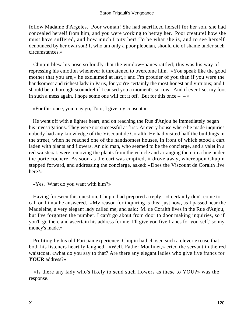follow Madame d'Argeles. Poor woman! She had sacrificed herself for her son, she had concealed herself from him, and you were working to betray her. Poor creature! how she must have suffered, and how much I pity her! To be what she is, and to see herself denounced by her own son! I, who am only a poor plebeian, should die of shame under such circumstances.»

 Chupin blew his nose so loudly that the window−panes rattled; this was his way of repressing his emotion whenever it threatened to overcome him. «You speak like the good mother that you are,» he exclaimed at last,« and I'm prouder of you than if you were the handsomest and richest lady in Paris, for you're certainly the most honest and virtuous; and I should be a thorough scoundrel if I caused you a moment's sorrow. And if ever I set my foot in such a mess again, I hope some one will cut it off. But for this once  $-\rightarrow \infty$ 

«For this once, you may go, Toto; I give my consent.»

 He went off with a lighter heart; and on reaching the Rue d'Anjou he immediately began his investigations. They were not successful at first. At every house where he made inquiries nobody had any knowledge of the Viscount de Coralth. He had visited half the buildings in the street, when he reached one of the handsomest houses, in front of which stood a cart laden with plants and flowers. An old man, who seemed to be the concierge, and a valet in a red waistcoat, were removing the plants from the vehicle and arranging them in a line under the porte cochere. As soon as the cart was emptied, it drove away, whereupon Chupin stepped forward, and addressing the concierge, asked: «Does the Viscount de Coralth live here?»

«Yes. What do you want with him?»

 Having foreseen this question, Chupin had prepared a reply. «I certainly don't come to call on him,» he answered. «My reason for inquiring is this: just now, as I passed near the Madeleine, a very elegant lady called me, and said: 'M. de Coralth lives in the Rue d'Anjou, but I've forgotten the number. I can't go about from door to door making inquiries, so if you'll go there and ascertain his address for me, I'll give you five francs for yourself,' so my money's made.»

 Profiting by his old Parisian experience, Chupin had chosen such a clever excuse that both his listeners heartily laughed. «Well, Father Moulinet,» cried the servant in the red waistcoat, «what do you say to that? Are there any elegant ladies who give five francs for **YOUR** address?»

 «Is there any lady who's likely to send such flowers as these to YOU?» was the response.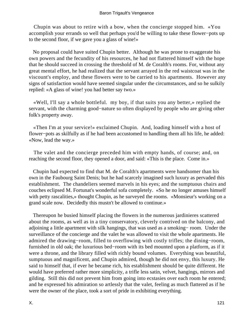Chupin was about to retire with a bow, when the concierge stopped him. «You accomplish your errands so well that perhaps you'd be willing to take these flower−pots up to the second floor, if we gave you a glass of wine!»

 No proposal could have suited Chupin better. Although he was prone to exaggerate his own powers and the fecundity of his resources, he had not flattered himself with the hope that he should succeed in crossing the threshold of M. de Coralth's rooms. For, without any great mental effort, he had realized that the servant arrayed in the red waistcoat was in the viscount's employ, and these flowers were to be carried to his apartments. However any signs of satisfaction would have seemed singular under the circumstances, and so he sulkily replied: «A glass of wine! you had better say two.»

 «Well, I'll say a whole bottleful. my boy, if that suits you any better,» replied the servant, with the charming good−nature so often displayed by people who are giving other folk's property away.

 «Then I'm at your service!» exclaimed Chupin. And, loading himself with a host of flower−pots as skilfully as if he had been accustomed to handling them all his life, he added: «Now, lead the way.»

 The valet and the concierge preceded him with empty hands, of course; and, on reaching the second floor, they opened a door, and said: «This is the place. Come in.»

 Chupin had expected to find that M. de Coralth's apartments were handsomer than his own in the Faubourg Saint Denis; but he had scarcely imagined such luxury as pervaded this establishment. The chandeliers seemed marvels in his eyes; and the sumptuous chairs and couches eclipsed M. Fortunat's wonderful sofa completely. «So he no longer amuses himself with petty rascalities,» thought Chupin, as he surveyed the rooms. «Monsieur's working on a grand scale now. Decidedly this mustn't be allowed to continue.»

 Thereupon he busied himself placing the flowers in the numerous jardinieres scattered about the rooms, as well as in a tiny conservatory, cleverly contrived on the balcony, and adjoining a little apartment with silk hangings, that was used as a smoking− room. Under the surveillance of the concierge and the valet he was allowed to visit the whole apartments. He admired the drawing−room, filled to overflowing with costly trifles; the dining−room, furnished in old oak; the luxurious bed−room with its bed mounted upon a platform, as if it were a throne, and the library filled with richly bound volumes. Everything was beautiful, sumptuous and magnificent, and Chupin admired, though he did not envy, this luxury. He said to himself that, if ever he became rich, his establishment should be quite different. He would have preferred rather more simplicity, a trifle less satin, velvet, hangings, mirrors and gilding. Still this did not prevent him from going into ecstasies over each room he entered; and he expressed his admiration so artlessly that the valet, feeling as much flattered as if he were the owner of the place, took a sort of pride in exhibiting everything.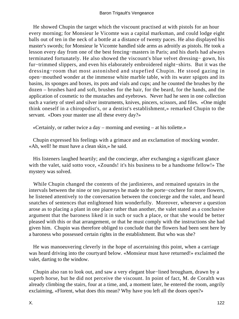He showed Chupin the target which the viscount practised at with pistols for an hour every morning; for Monsieur le Vicomte was a capital marksman, and could lodge eight balls out of ten in the neck of a bottle at a distance of twenty paces. He also displayed his master's swords; for Monsieur le Vicomte handled side arms as adroitly as pistols. He took a lesson every day from one of the best fencing−masters in Paris; and his duels had always terminated fortunately. He also showed the viscount's blue velvet dressing− gown, his fur−trimmed slippers, and even his elaborately embroidered night−shirts. But it was the dressing−room that most astonished and stupefied Chupin. He stood gazing in open−mouthed wonder at the immense white marble table, with its water spigots and its basins, its sponges and boxes, its pots and vials and cups; and he counted the brushes by the dozen – brushes hard and soft, brushes for the hair, for the beard, for the hands, and the application of cosmetic to the mustaches and eyebrows. Never had he seen in one collection such a variety of steel and silver instruments, knives, pincers, scissors, and files. «One might think oneself in a chiropodist's, or a dentist's establishment,» remarked Chupin to the servant. «Does your master use all these every day?»

«Certainly, or rather twice a day – morning and evening – at his toilette.»

 Chupin expressed his feelings with a grimace and an exclamation of mocking wonder. «Ah, well! he must have a clean skin,» he said.

 His listeners laughed heartily; and the concierge, after exchanging a significant glance with the valet, said sotto voce, «Zounds! it's his business to be a handsome fellow!» The mystery was solved.

 While Chupin changed the contents of the jardinieres, and remained upstairs in the intervals between the nine or ten journeys he made to the porte−cochere for more flowers, he listened attentively to the conversation between the concierge and the valet, and heard snatches of sentences that enlightened him wonderfully. Moreover, whenever a question arose as to placing a plant in one place rather than another, the valet stated as a conclusive argument that the baroness liked it in such or such a place, or that she would be better pleased with this or that arrangement, or that he must comply with the instructions she had given him. Chupin was therefore obliged to conclude that the flowers had been sent here by a baroness who possessed certain rights in the establishment. But who was she?

 He was manoeuvering cleverly in the hope of ascertaining this point, when a carriage was heard driving into the courtyard below. «Monsieur must have returned!» exclaimed the valet, darting to the window.

 Chupin also ran to look out, and saw a very elegant blue−lined brougham, drawn by a superb horse, but he did not perceive the viscount. In point of fact, M. de Coralth was already climbing the stairs, four at a time, and, a moment later, he entered the room, angrily exclaiming, «Florent, what does this mean? Why have you left all the doors open?»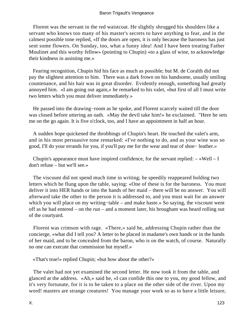Florent was the servant in the red waistcoat. He slightly shrugged his shoulders like a servant who knows too many of his master's secrets to have anything to fear, and in the calmest possible tone replied, «If the doors are open, it is only because the baroness has just sent some flowers. On Sunday, too, what a funny idea! And I have been treating Father Moulinet and this worthy fellow» (pointing to Chupin) «to a glass of wine, to acknowledge their kindness in assisting me.»

 Fearing recognition, Chupin hid his face as much as possible; but M. de Coralth did not pay the slightest attention to him. There was a dark frown on his handsome, usually smiling countenance, and his hair was in great disorder. Evidently enough, something had greatly annoyed him. «I am going out again,» he remarked to his valet, «but first of all I must write two letters which you must deliver immediately.»

 He passed into the drawing−room as he spoke, and Florent scarcely waited till the door was closed before uttering an oath. «May the devil take him!» he exclaimed. "Here he sets me on the go again. It is five o'clock, too, and I have an appointment in half an hour.

 A sudden hope quickened the throbbings of Chupin's heart. He touched the valet's arm, and in his most persuasive tone remarked: «I've nothing to do, and as your wine was so good, I'll do your errands for you, if you'll pay me for the wear and tear of shoe− leather.»

Chupin's appearance must have inspired confidence, for the servant replied:  $-\alpha$ Well – I don't refuse – but we'll see.»

 The viscount did not spend much time in writing; he speedily reappeared holding two letters which he flung upon the table, saying: «One of these is for the baroness. You must deliver it into HER hands or into the hands of her maid – there will be no answer. You will afterward take the other to the person it is addressed to, and you must wait for an answer which you will place on my writing−table – and make haste.» So saying, the viscount went off as he had entered – on the run – and a moment later, his brougham was heard rolling out of the courtyard.

 Florent was crimson with rage. «There,» said he, addressing Chupin rather than the concierge, «what did I tell you? A letter to be placed in madame's own hands or in the hands of her maid, and to be concealed from the baron, who is on the watch, of course. Naturally no one can execute that commission but myself.»

«That's true!» replied Chupin; «but how about the other?»

 The valet had not yet examined the second letter. He now took it from the table, and glanced at the address. «Ah,» said he, «I can confide this one to you, my good fellow, and it's very fortunate, for it is to be taken to a place on the other side of the river. Upon my word! masters are strange creatures! You manage your work so as to have a little leisure,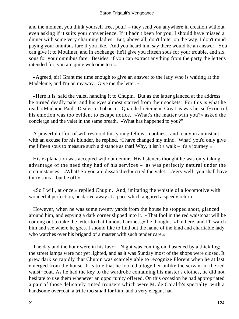and the moment you think yourself free, pouf! – they send you anywhere in creation without even asking if it suits your convenience. If it hadn't been for you, I should have missed a dinner with some very charming ladies. But, above all, don't loiter on the way. I don't mind paying your omnibus fare if you like. And you heard him say there would be an answer. You can give it to Moulinet, and in exchange, he'll give you fifteen sous for your trouble, and six sous for your omnibus fare. Besides, if you can extract anything from the party the letter's intended for, you are quite welcome to it.»

 «Agreed, sir! Grant me time enough to give an answer to the lady who is waiting at the Madeleine, and I'm on my way. Give me the letter.»

 «Here it is, said the valet, handing it to Chupin. But as the latter glanced at the address he turned deadly pale, and his eyes almost started from their sockets. For this is what he read: »Madame Paul. Dealer in Tobacco. Quai de la Seine.« Great as was his self−control, his emotion was too evident to escape notice. »What's the matter with you?« asked the concierge and the valet in the same breath. »What has happened to you?"

 A powerful effort of will restored this young fellow's coolness, and ready in an instant with an excuse for his blunder, he replied, «I have changed my mind. What! you'd only give me fifteen sous to measure such a distance as that! Why, it isn't a walk – it's a journey!»

 His explanation was accepted without demur. His listeners thought he was only taking advantage of the need they had of his services – as was perfectly natural under the circumstances. «What! So you are dissatisfied!» cried the valet. «Very well! you shall have thirty sous – but be off!»

 «So I will, at once,» replied Chupin. And, imitating the whistle of a locomotive with wonderful perfection, he darted away at a pace which augured a speedy return.

 However, when he was some twenty yards from the house he stopped short, glanced around him, and espying a dark corner slipped into it. «That fool in the red waistcoat will be coming out to take the letter to that famous baroness,» he thought. «I'm here, and I'll watch him and see where he goes. I should like to find out the name of the kind and charitable lady who watches over his brigand of a master with such tender care.»

 The day and the hour were in his favor. Night was coming on, hastened by a thick fog; the street lamps were not yet lighted, and as it was Sunday most of the shops were closed. It grew dark so rapidly that Chupin was scarcely able to recognize Florent when he at last emerged from the house. It is true that he looked altogether unlike the servant in the red waist−coat. As he had the key to the wardrobe containing his master's clothes, he did not hesitate to use them whenever an opportunity offered. On this occasion he had appropriated a pair of those delicately tinted trousers which were M. de Coralth's specialty, with a handsome overcoat, a trifle too small for him, and a very elegant hat.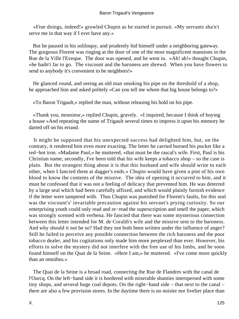«Fine doings, indeed!» growled Chupin as he started in pursuit. «My servants sha'n't serve me in that way if I ever have any.»

 But he paused in his soliloquy, and prudently hid himself under a neighboring gateway. The gorgeous Florent was ringing at the door of one of the most magnificent mansions in the Rue de la Ville l'Eveque. The door was opened, and he went in. «Ah! ah!» thought Chupin, «he hadn't far to go. The viscount and the baroness are shrewd. When you have flowers to send to anybody it's convenient to be neighbors!»

 He glanced round, and seeing an old man smoking his pipe on the threshold of a shop, he approached him and asked politely «Can you tell me whom that big house belongs to?»

«To Baron Trigault,» replied the man, without releasing his hold on his pipe.

 «Thank you, monsieur,» replied Chupin, gravely. «I inquired, because I think of buying a house »And repeating the name of Trigault several times to impress it upon his memory he darted off on his errand.

 It might be supposed that his unexpected success had delighted him, but, on the contrary, it rendered him even more exacting. The letter he carried burned his pocket like a red−hot iron. «Madame Paul,» he muttered, «that must be the rascal's wife. First, Paul is his Christian name; secondly, I've been told that his wife keeps a tobacco shop – so the case is plain. But the strangest thing about it is that this husband and wife should write to each other, when I fancied them at dagger's ends.» Chupin would have given a pint of his own blood to know the contents of the missive. The idea of opening it occurred to him, and it must be confessed that it was not a feeling of delicacy that prevented him. He was deterred by a large seal which had been carefully affixed, and which would plainly furnish evidence if the letter were tampered with. Thus Chupin was punished for Florent's faults, for this seal was the viscount's' invariable precaution against his servant's prying curiosity. So our enterprising youth could only read and re−read the superscription and smell the paper, which was strongly scented with verbena. He fancied that there was some mysterious connection between this letter intended for M. de Coralth's wife and the missive sent to the baroness. And why should it not be so? Had they not both been written under the influence of anger? Still he failed to perceive any possible connection between the rich baroness and the poor tobacco dealer, and his cogitations only made him more perplexed than ever. However, his efforts to solve the mystery did not interfere with the free use of his limbs, and he soon found himself on the Quai de la Seine. «Here I am,» he muttered. «I've come more quickly than an omnibus.»

 The Quai de la Seine is a broad road, connecting the Rue de Flandres with the canal de l'Ourcq. On the left−hand side it is bordered with miserable shanties interspersed with some tiny shops, and several huge coal depots. On the right−hand side – that next to the canal – there are also a few provision stores. In the daytime there is no noisier nor livelier place than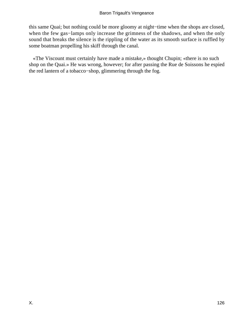this same Quai; but nothing could be more gloomy at night−time when the shops are closed, when the few gas−lamps only increase the grimness of the shadows, and when the only sound that breaks the silence is the rippling of the water as its smooth surface is ruffled by some boatman propelling his skiff through the canal.

 «The Viscount must certainly have made a mistake,» thought Chupin; «there is no such shop on the Quai.» He was wrong, however; for after passing the Rue de Soissons he espied the red lantern of a tobacco−shop, glimmering through the fog.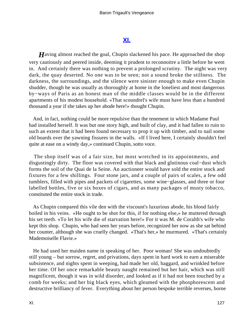### **[XI.](#page-256-0)**

*H*aving almost reached the goal, Chupin slackened his pace. He approached the shop very cautiously and peered inside, deeming it prudent to reconnoitre a little before he went in. And certainly there was nothing to prevent a prolonged scrutiny. The night was very dark, the quay deserted. No one was to be seen; not a sound broke the stillness. The darkness, the surroundings, and the silence were sinister enough to make even Chupin shudder, though he was usually as thoroughly at home in the loneliest and most dangerous by−ways of Paris as an honest man of the middle classes would be in the different apartments of his modest household. «That scoundrel's wife must have less than a hundred thousand a year if she takes up her abode here!» thought Chupin.

 And, in fact, nothing could be more repulsive than the tenement in which Madame Paul had installed herself. It was but one story high, and built of clay, and it had fallen to ruin to such an extent that it had been found necessary to prop it up with timber, and to nail some old boards over the yawning fissures in the walls. «If I lived here, I certainly shouldn't feel quite at ease on a windy day,» continued Chupin, sotto voce.

 The shop itself was of a fair size, but most wretched in its appointments, and disgustingly dirty. The floor was covered with that black and glutinous coal−dust which forms the soil of the Quai de la Seine. An auctioneer would have sold the entire stock and fixtures for a few shillings. Four stone jars, and a couple of pairs of scales, a few odd tumblers, filled with pipes and packets of cigarettes, some wine−glasses, and three or four labelled bottles, five or six boxes of cigars, and as many packages of musty tobacco, constituted the entire stock in trade.

 As Chupin compared this vile den with the viscount's luxurious abode, his blood fairly boiled in his veins. «He ought to be shot for this, if for nothing else,» he muttered through his set teeth. «To let his wife die of starvation here!» For it was M. de Coralth's wife who kept this shop. Chupin, who had seen her years before, recognized her now as she sat behind her counter, although she was cruelly changed. «That's her,» he murmured. «That's certainly Mademoiselle Flavie.»

 He had used her maiden name in speaking of her. Poor woman! She was undoubtedly still young – but sorrow, regret, and privations, days spent in hard work to earn a miserable subsistence, and nights spent in weeping, had made her old, haggard, and wrinkled before her time. Of her once remarkable beauty naught remained but her hair, which was still magnificent, though it was in wild disorder, and looked as if it had not been touched by a comb for weeks; and her big black eyes, which gleamed with the phosphorescent and destructive brilliancy of fever. Everything about her person bespoke terrible reverses, borne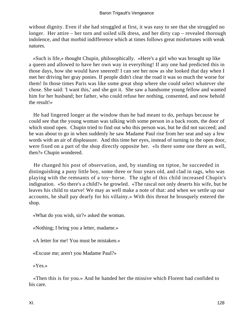without dignity. Even if she had struggled at first, it was easy to see that she struggled no longer. Her attire – her torn and soiled silk dress, and her dirty cap – revealed thorough indolence, and that morbid indifference which at times follows great misfortunes with weak natures.

 «Such is life,» thought Chupin, philosophically. «Here's a girl who was brought up like a queen and allowed to have her own way in everything! If any one had predicted this in those days, how she would have sneered! I can see her now as she looked that day when I met her driving her gray ponies. If people didn't clear the road it was so much the worse for them! In those times Paris was like some great shop where she could select whatever she chose. She said: 'I want this,' and she got it. She saw a handsome young fellow and wanted him for her husband; her father, who could refuse her nothing, consented, and now behold the result!»

 He had lingered longer at the window than he had meant to do, perhaps because he could see that the young woman was talking with some person in a back room, the door of which stood open. Chupin tried to find out who this person was, but he did not succeed; and he was about to go in when suddenly he saw Madame Paul rise from her seat and say a few words with an air of displeasure. And this time her eyes, instead of turning to the open door, were fixed on a part of the shop directly opposite her. «Is there some one there as well, then?» Chupin wondered.

 He changed his post of observation, and, by standing on tiptoe, he succeeded in distinguishing a puny little boy, some three or four years old, and clad in rags, who was playing with the remnants of a toy−horse. The sight of this child increased Chupin's indignation. «So there's a child?» he growled. «The rascal not only deserts his wife, but he leaves his child to starve! We may as well make a note of that: and when we settle up our accounts, he shall pay dearly for his villainy.» With this threat he brusquely entered the shop.

«What do you wish, sir?» asked the woman.

«Nothing; I bring you a letter, madame.»

«A letter for me! You must be mistaken.»

«Excuse me; aren't you Madame Paul?»

«Yes.»

 «Then this is for you.» And he handed her the missive which Florent had confided to his care.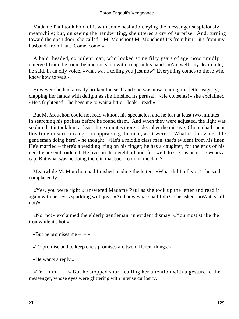Madame Paul took hold of it with some hesitation, eying the messenger suspiciously meanwhile; but, on seeing the handwriting, she uttered a cry of surprise. And, turning toward the open door, she called, «M. Mouchon! M. Mouchon! It's from him – it's from my husband; from Paul. Come, come!»

 A bald−headed, corpulent man, who looked some fifty years of age, now timidly emerged from the room behind the shop with a cap in his hand. «Ah, well! my dear child,» he said, in an oily voice, «what was I telling you just now? Everything comes to those who know how to wait.»

 However she had already broken the seal, and she was now reading the letter eagerly, clapping her hands with delight as she finished its perusal. «He consents!» she exclaimed. «He's frightened – he begs me to wait a little – look – read!»

 But M. Mouchon could not read without his spectacles, and he lost at least two minutes in searching his pockets before he found them. And when they were adjusted, the light was so dim that it took him at least three minutes more to decipher the missive. Chupin had spent this time in scrutinizing – in appraising the man, as it were. «What is this venerable gentleman doing here?» he thought. «He's a middle class man, that's evident from his linen. He's married – there's a wedding−ring on his finger; he has a daughter, for the ends of his necktie are embroidered. He lives in the neighborhood, for, well dressed as he is, he wears a cap. But what was he doing there in that back room in the dark?»

 Meanwhile M. Mouchon had finished reading the letter. «What did I tell you?» he said complacently.

 «Yes, you were right!» answered Madame Paul as she took up the letter and read it again with her eyes sparkling with joy. «And now what shall I do?» she asked. «Wait, shall I not?»

 «No, no!» exclaimed the elderly gentleman, in evident dismay. «You must strike the iron while it's hot.»

«But he promises me  $- - \infty$ 

«To promise and to keep one's promises are two different things.»

«He wants a reply.»

«Tell him  $- \rightarrow$  But he stopped short, calling her attention with a gesture to the messenger, whose eyes were glittering with intense curiosity.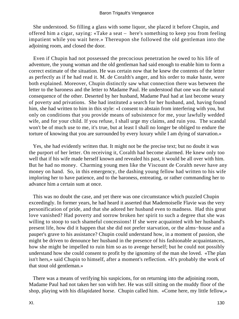She understood. So filling a glass with some liquor, she placed it before Chupin, and offered him a cigar, saying: «Take a seat – here's something to keep you from feeling impatient while you wait here.» Thereupon she followed the old gentleman into the adjoining room, and closed the door.

 Even if Chupin had not possessed the precocious penetration he owed to his life of adventure, the young woman and the old gentleman had said enough to enable him to form a correct estimate of the situation. He was certain now that he knew the contents of the letter as perfectly as if he had read it. M. de Coralth's anger, and his order to make haste, were both explained. Moreover, Chupin distinctly saw what connection there was between the letter to the baroness and the letter to Madame Paul. He understood that one was the natural consequence of the other. Deserted by her husband, Madame Paul had at last become weary of poverty and privations. She had instituted a search for her husband, and, having found him, she had written to him in this style: «I consent to abstain from interfering with you, but only on conditions that you provide means of subsistence for me, your lawfully wedded wife, and for your child. If you refuse, I shall urge my claims, and ruin you. The scandal won't be of much use to me, it's true, but at least I shall no longer be obliged to endure the torture of knowing that you are surrounded by every luxury while I am dying of starvation.»

 Yes, she had evidently written that. It might not be the precise text; but no doubt it was the purport of her letter. On receiving it, Coralth had become alarmed. He knew only too well that if his wife made herself known and revealed his past, it would be all over with him. But he had no money. Charming young men like the Viscount de Coralth never have any money on hand. So, in this emergency, the dashing young fellow had written to his wife imploring her to have patience, and to the baroness, entreating, or rather commanding her to advance him a certain sum at once.

 This was no doubt the case, and yet there was one circumstance which puzzled Chupin exceedingly. In former years, he had heard it asserted that Mademoiselle Flavie was the very personification of pride, and that she adored her husband even to madness. Had this great love vanished? Had poverty and sorrow broken her spirit to such a degree that she was willing to stoop to such shameful concessions! If she were acquainted with her husband's present life, how did it happen that she did not prefer starvation, or the alms−house and a pauper's grave to his assistance? Chupin could understand how, in a moment of passion, she might be driven to denounce her husband in the presence of his fashionable acquaintances, how she might be impelled to ruin him so as to avenge herself; but he could not possibly understand how she could consent to profit by the ignominy of the man she loved. «The plan isn't hers,» said Chupin to himself, after a moment's reflection. «It's probably the work of that stout old gentleman.»

 There was a means of verifying his suspicions, for on returning into the adjoining room, Madame Paul had not taken her son with her. He was still sitting on the muddy floor of the shop, playing with his dilapidated horse. Chupin called him. «Come here, my little fellow,»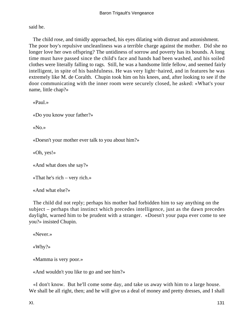said he.

 The child rose, and timidly approached, his eyes dilating with distrust and astonishment. The poor boy's repulsive uncleanliness was a terrible charge against the mother. Did she no longer love her own offspring? The untidiness of sorrow and poverty has its bounds. A long time must have passed since the child's face and hands had been washed, and his soiled clothes were literally falling to rags. Still, he was a handsome little fellow, and seemed fairly intelligent, in spite of his bashfulness. He was very light−haired, and in features he was extremely like M. de Coralth. Chupin took him on his knees, and, after looking to see if the door communicating with the inner room were securely closed, he asked: «What's your name, little chap?»

«Paul.»

«Do you know your father?»

«No.»

«Doesn't your mother ever talk to you about him?»

«Oh, yes!»

«And what does she say?»

«That he's rich – very rich.»

«And what else?»

 The child did not reply; perhaps his mother had forbidden him to say anything on the subject – perhaps that instinct which precedes intelligence, just as the dawn precedes daylight, warned him to be prudent with a stranger. «Doesn't your papa ever come to see you?» insisted Chupin.

```
 «Never.» 
«Why?»
```
«Mamma is very poor.»

«And wouldn't you like to go and see him?»

 «I don't know. But he'll come some day, and take us away with him to a large house. We shall be all right, then; and he will give us a deal of money and pretty dresses, and I shall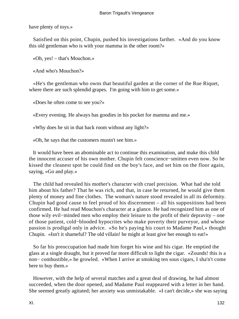have plenty of toys.»

 Satisfied on this point, Chupin, pushed his investigations farther. «And do you know this old gentleman who is with your mamma in the other room?»

«Oh, yes! – that's Mouchon.»

«And who's Mouchon?»

 «He's the gentleman who owns that beautiful garden at the corner of the Rue Riquet, where there are such splendid grapes. I'm going with him to get some.»

«Does he often come to see you?»

«Every evening. He always has goodies in his pocket for mamma and me.»

«Why does he sit in that back room without any light?»

«Oh, he says that the customers mustn't see him.»

 It would have been an abominable act to continue this examination, and make this child the innocent accuser of his own mother. Chupin felt conscience−smitten even now. So he kissed the cleanest spot he could find on the boy's face, and set him on the floor again, saying, «Go and play.»

 The child had revealed his mother's character with cruel precision. What had she told him about his father? That he was rich, and that, in case he returned, he would give them plenty of money and fine clothes. The woman's nature stood revealed in all its deformity. Chupin had good cause to feel proud of his discernment – all his suppositions had been confirmed. He had read Mouchon's character at a glance. He had recognized him as one of those wily evil−minded men who employ their leisure to the profit of their depravity – one of those patient, cold−blooded hypocrites who make poverty their purveyor, and whose passion is prodigal only in advice. «So he's paying his court to Madame Paul,» thought Chupin. «Isn't it shameful? The old villain! he might at least give her enough to eat!»

 So far his preoccupation had made him forget his wine and his cigar. He emptied the glass at a single draught, but it proved far more difficult to light the cigar. «Zounds! this is a non− combustible,» he growled. «When I arrive at smoking ten sous cigars, I sha'n't come here to buy them.»

 However, with the help of several matches and a great deal of drawing, he had almost succeeded, when the door opened, and Madame Paul reappeared with a letter in her hand. She seemed greatly agitated; her anxiety was unmistakable. «I can't decide,» she was saying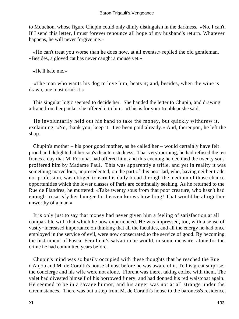to Mouchon, whose figure Chupin could only dimly distinguish in the darkness. «No, I can't. If I send this letter, I must forever renounce all hope of my husband's return. Whatever happens, he will never forgive me.»

 «He can't treat you worse than he does now, at all events,» replied the old gentleman. «Besides, a gloved cat has never caught a mouse yet.»

«He'll hate me.»

 «The man who wants his dog to love him, beats it; and, besides, when the wine is drawn, one must drink it.»

 This singular logic seemed to decide her. She handed the letter to Chupin, and drawing a franc from her pocket she offered it to him. «This is for your trouble,» she said.

 He involuntarily held out his hand to take the money, but quickly withdrew it, exclaiming: «No, thank you; keep it. I've been paid already.» And, thereupon, he left the shop.

 Chupin's mother – his poor good mother, as he called her – would certainly have felt proud and delighted at her son's disinterestedness. That very morning, he had refused the ten francs a day that M. Fortunat had offered him, and this evening he declined the twenty sous proffered him by Madame Paul. This was apparently a trifle, and yet in reality it was something marvellous, unprecedented, on the part of this poor lad, who, having neither trade nor profession, was obliged to earn his daily bread through the medium of those chance opportunities which the lower classes of Paris are continually seeking. As he returned to the Rue de Flandres, he muttered: «Take twenty sous from that poor creature, who hasn't had enough to satisfy her hunger for heaven knows how long! That would be altogether unworthy of a man.»

 It is only just to say that money had never given him a feeling of satisfaction at all comparable with that which he now experienced. He was impressed, too, with a sense of vastly−increased importance on thinking that all the faculties, and all the energy he had once employed in the service of evil, were now consecrated to the service of good. By becoming the instrument of Pascal Ferailleur's salvation he would, in some measure, atone for the crime he had committed years before.

 Chupin's mind was so busily occupied with these thoughts that he reached the Rue d'Anjou and M. de Coralth's house almost before he was aware of it. To his great surprise, the concierge and his wife were not alone. Florent was there, taking coffee with them. The valet had divested himself of his borrowed finery, and had donned his red waistcoat again. He seemed to be in a savage humor; and his anger was not at all strange under the circumstances. There was but a step from M. de Coralth's house to the baroness's residence,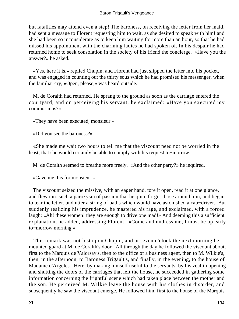### Baron Trigault's Vengeance

but fatalities may attend even a step! The baroness, on receiving the letter from her maid, had sent a message to Florent requesting him to wait, as she desired to speak with him! and she had been so inconsiderate as to keep him waiting for more than an hour, so that he had missed his appointment with the charming ladies he had spoken of. In his despair he had returned home to seek consolation in the society of his friend the concierge. «Have you the answer?» he asked.

 «Yes, here it is,» replied Chupin, and Florent had just slipped the letter into his pocket, and was engaged in counting out the thirty sous which he had promised his messenger, when the familiar cry, «Open, please,» was heard outside.

 M. de Coralth had returned. He sprang to the ground as soon as the carriage entered the courtyard, and on perceiving his servant, he exclaimed: «Have you executed my commissions?»

«They have been executed, monsieur.»

«Did you see the baroness?»

 «She made me wait two hours to tell me that the viscount need not be worried in the least; that she would certainly be able to comply with his request to−morrow.»

M. de Coralth seemed to breathe more freely. «And the other party?» he inquired.

«Gave me this for monsieur.»

 The viscount seized the missive, with an eager hand, tore it open, read it at one glance, and flew into such a paroxysm of passion that he quite forgot those around him, and began to tear the letter, and utter a string of oaths which would have astonished a cab−driver. But suddenly realizing his imprudence, he mastered his rage, and exclaimed, with a forced laugh: «Ah! these women! they are enough to drive one mad!» And deeming this a sufficient explanation, he added, addressing Florent. «Come and undress me; I must be up early to−morrow morning.»

 This remark was not lost upon Chupin, and at seven o'clock the next morning he mounted guard at M. de Coralth's door. All through the day he followed the viscount about, first to the Marquis de Valorsay's, then to the office of a business agent, then to M. Wilkie's, then, in the afternoon, to Baroness Trigault's, and finally, in the evening, to the house of Madame d'Argeles. Here, by making himself useful to the servants, by his zeal in opening and shutting the doors of the carriages that left the house, he succeeded in gathering some information concerning the frightful scene which had taken place between the mother and the son. He perceived M. Wilkie leave the house with his clothes in disorder, and subsequently he saw the viscount emerge. He followed him, first to the house of the Marquis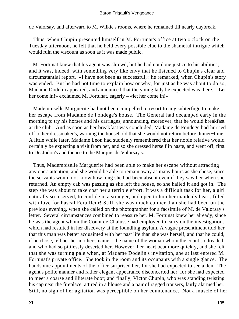de Valorsay, and afterward to M. Wilkie's rooms, where he remained till nearly daybreak.

 Thus, when Chupin presented himself in M. Fortunat's office at two o'clock on the Tuesday afternoon, he felt that he held every possible clue to the shameful intrigue which would ruin the viscount as soon as it was made public.

 M. Fortunat knew that his agent was shrewd, but he had not done justice to his abilities; and it was, indeed, with something very like envy that he listened to Chupin's clear and circumstantial report. «I have not been as successful,» he remarked, when Chupin's story was ended. But he had not time to explain how or why, for just as he was about to do so, Madame Dodelin appeared, and announced that the young lady he expected was there. «Let her come in!» exclaimed M. Fortunat, eagerly – «let her come in!»

 Mademoiselle Marguerite had not been compelled to resort to any subterfuge to make her escape from Madame de Fondege's house. The General had decamped early in the morning to try his horses and his carriages, announcing, moreover, that he would breakfast at the club. And as soon as her breakfast was concluded, Madame de Fondege had hurried off to her dressmaker's, warning the household that she would not return before dinner−time. A little while later, Madame Leon had suddenly remembered that her noble relative would certainly be expecting a visit from her, and so she dressed herself in haste, and went off, first to Dr. Jodon's and thence to the Marquis de Valorsay's.

 Thus, Mademoiselle Marguerite had been able to make her escape without attracting any one's attention, and she would be able to remain away as many hours as she chose, since the servants would not know how long she had been absent even if they saw her when she returned. An empty cab was passing as she left the house, so she hailed it and got in. The step she was about to take cost her a terrible effort. It was a difficult task for her, a girl naturally so reserved, to confide in a stranger, and open to him her maidenly heart, filled with love for Pascal Ferailleur! Still, she was much calmer than she had been on the previous evening, when she called on the photographer for a facsimile of M. de Valorsay's letter. Several circumstances combined to reassure her. M. Fortunat knew her already, since he was the agent whom the Count de Chalusse had employed to carry on the investigations which had resulted in her discovery at the foundling asylum. A vague presentiment told her that this man was better acquainted with her past life than she was herself, and that he could, if he chose, tell her her mother's name – the name of the woman whom the count so dreaded, and who had so pitilessly deserted her. However, her heart beat more quickly, and she felt that she was turning pale when, at Madame Dodelin's invitation, she at last entered M. Fortunat's private office. She took in the room and its occupants with a single glance. The handsome appointments of the office surprised her, for she had expected to see a den. The agent's polite manner and rather elegant appearance disconcerted her, for she had expected to meet a coarse and illiterate boor; and finally, Victor Chupin, who was standing twisting his cap near the fireplace, attired in a blouse and a pair of ragged trousers, fairly alarmed her. Still, no sign of her agitation was perceptible on her countenance. Not a muscle of her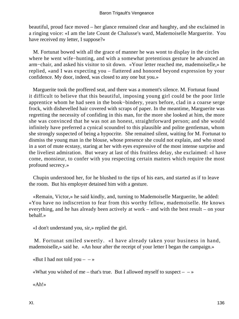beautiful, proud face moved – her glance remained clear and haughty, and she exclaimed in a ringing voice: «I am the late Count de Chalusse's ward, Mademoiselle Marguerite. You have received my letter, I suppose?»

 M. Fortunat bowed with all the grace of manner he was wont to display in the circles where he went wife−hunting, and with a somewhat pretentious gesture he advanced an arm−chair, and asked his visitor to sit down. «Your letter reached me, mademoiselle,» he replied, «and I was expecting you – flattered and honored beyond expression by your confidence. My door, indeed, was closed to any one but you.»

 Marguerite took the proffered seat, and there was a moment's silence. M. Fortunat found it difficult to believe that this beautiful, imposing young girl could be the poor little apprentice whom he had seen in the book−bindery, years before, clad in a coarse serge frock, with dishevelled hair covered with scraps of paper. In the meantime, Marguerite was regretting the necessity of confiding in this man, for the more she looked at him, the more she was convinced that he was not an honest, straightforward person; and she would infinitely have preferred a cynical scoundrel to this plausible and polite gentleman, whom she strongly suspected of being a hypocrite. She remained silent, waiting for M. Fortunat to dismiss the young man in the blouse, whose presence she could not explain, and who stood in a sort of mute ecstasy, staring at her with eyes expressive of the most intense surprise and the liveliest admiration. But weary at last of this fruitless delay, she exclaimed: «I have come, monsieur, to confer with you respecting certain matters which require the most profound secrecy.»

 Chupin understood her, for he blushed to the tips of his ears, and started as if to leave the room. But his employer detained him with a gesture.

 «Remain, Victor,» he said kindly, and, turning to Mademoiselle Marguerite, he added: «You have no indiscretion to fear from this worthy fellow, mademoiselle. He knows everything, and he has already been actively at work – and with the best result – on your behalf.»

«I don't understand you, sir,» replied the girl.

 M. Fortunat smiled sweetly. «I have already taken your business in hand, mademoiselle,» said he. «An hour after the receipt of your letter I began the campaign.»

«But I had not told you  $- - \infty$ 

«What you wished of me – that's true. But I allowed myself to suspect  $- \rightarrow \infty$ 

«Ah!»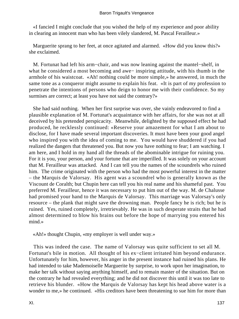«I fancied I might conclude that you wished the help of my experience and poor ability in clearing an innocent man who has been vilely slandered, M. Pascal Ferailleur.»

 Marguerite sprang to her feet, at once agitated and alarmed. «How did you know this?» she exclaimed.

 M. Fortunat had left his arm−chair, and was now leaning against the mantel−shelf, in what he considered a most becoming and awe− inspiring attitude, with his thumb in the armhole of his waistcoat. «Ah! nothing could be more simple,» he answered, in much the same tone as a conqueror might assume to explain his feat. «It is part of my profession to penetrate the intentions of persons who deign to honor me with their confidence. So my surmises are correct; at least you have not said the contrary?»

 She had said nothing. When her first surprise was over, she vainly endeavored to find a plausible explanation of M. Fortunat's acquaintance with her affairs, for she was not at all deceived by his pretended perspicacity. Meanwhile, delighted by the supposed effect he had produced, he recklessly continued: «Reserve your amazement for what I am about to disclose, for I have made several important discoveries. It must have been your good angel who inspired you with the idea of coming to me. You would have shuddered if you had realized the dangers that threatened you. But now you have nothing to fear; I am watching. I am here, and I hold in my hand all the threads of the abominable intrigue for ruining you. For it is you, your person, and your fortune that are imperilled. It was solely on your account that M. Ferailleur was attacked. And I can tell you the names of the scoundrels who ruined him. The crime originated with the person who had the most powerful interest in the matter – the Marquis de Valorsay. His agent was a scoundrel who is generally known as the Viscount de Coralth; but Chupin here can tell you his real name and his shameful past. You preferred M. Ferailleur, hence it was necessary to put him out of the way. M. de Chalusse had promised your hand to the Marquis de Valorsay. This marriage was Valorsay's only resource – the plank that might save the drowning man. People fancy he is rich; but he is ruined. Yes, ruined completely, irretrievably. He was in such desperate straits that he had almost determined to blow his brains out before the hope of marrying you entered his mind.»

«Ah!» thought Chupin, «my employer is well under way.»

 This was indeed the case. The name of Valorsay was quite sufficient to set all M. Fortunat's bile in motion. All thought of his ex−client irritated him beyond endurance. Unfortunately for him, however, his anger in the present instance had ruined his plans. He had intended to take Mademoiselle Marguerite by surprise, to work upon her imagination, to make her talk without saying anything himself, and to remain master of the situation. But on the contrary he had revealed everything; and he did not discover this until it was too late to retrieve his blunder. «How the Marquis de Valorsay has kept his head above water is a wonder to me,» he continued. «His creditors have been threatening to sue him for more than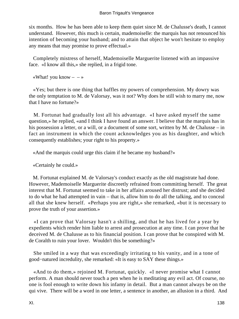six months. How he has been able to keep them quiet since M. de Chalusse's death, I cannot understand. However, this much is certain, mademoiselle: the marquis has not renounced his intention of becoming your husband; and to attain that object he won't hesitate to employ any means that may promise to prove effectual.»

 Completely mistress of herself, Mademoiselle Marguerite listened with an impassive face. «I know all this,» she replied, in a frigid tone.

«What! you know  $- - \infty$ 

 «Yes; but there is one thing that baffles my powers of comprehension. My dowry was the only temptation to M. de Valorsay, was it not? Why does he still wish to marry me, now that I have no fortune?»

 M. Fortunat had gradually lost all his advantage. «I have asked myself the same question,» he replied, «and I think I have found an answer. I believe that the marquis has in his possession a letter, or a will, or a document of some sort, written by M. de Chalusse – in fact an instrument in which the count acknowledges you as his daughter, and which consequently establishes; your right to his property.»

«And the marquis could urge this claim if he became my husband?»

«Certainly he could.»

 M. Fortunat explained M. de Valorsay's conduct exactly as the old magistrate had done. However, Mademoiselle Marguerite discreetly refrained from committing herself. The great interest that M. Fortunat seemed to take in her affairs aroused her distrust; and she decided to do what he had attempted in vain – that is, allow him to do all the talking, and to conceal all that she knew herself. «Perhaps you are right,» she remarked, «but it is necessary to prove the truth of your assertion.»

 «I can prove that Valorsay hasn't a shilling, and that he has lived for a year by expedients which render him liable to arrest and prosecution at any time. I can prove that he deceived M. de Chalusse as to his financial position. I can prove that he conspired with M. de Coralth to ruin your lover. Wouldn't this be something?»

 She smiled in a way that was exceedingly irritating to his vanity, and in a tone of good−natured incredulity, she remarked: «It is easy to SAY these things.»

 «And to do them,» rejoined M. Fortunat, quickly. «I never promise what I cannot perform. A man should never touch a pen when he is meditating any evil act. Of course, no one is fool enough to write down his infamy in detail. But a man cannot always be on the qui vive. There will be a word in one letter, a sentence in another, an allusion in a third. And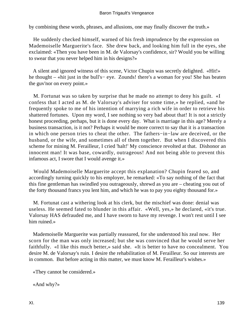by combining these words, phrases, and allusions, one may finally discover the truth.»

 He suddenly checked himself, warned of his fresh imprudence by the expression on Mademoiselle Marguerite's face. She drew back, and looking him full in the eyes, she exclaimed: «Then you have been in M. de Valorsay's confidence, sir? Would you be willing to swear that you never helped him in his designs?»

 A silent and ignored witness of this scene, Victor Chupin was secretly delighted. «Hit!» he thought – «hit just in the bull's− eye. Zounds! there's a woman for you! She has beaten the guv'nor on every point.»

 M. Fortunat was so taken by surprise that he made no attempt to deny his guilt. «I confess that I acted as M. de Valorsay's adviser for some time,» he replied, «and he frequently spoke to me of his intention of marrying a rich wife in order to retrieve his shattered fortunes. Upon my word, I see nothing so very bad about that! It is not a strictly honest proceeding, perhaps, but it is done every day. What is marriage in this age? Merely a business transaction, is it not? Perhaps it would be more correct to say that it is a transaction in which one person tries to cheat the other. The fathers−in−law are deceived, or the husband, or the wife, and sometimes all of them together. But when I discovered this scheme for mining M. Ferailleur, I cried 'halt!' My conscience revolted at that. Dishonor an innocent man! It was base, cowardly, outrageous! And not being able to prevent this infamous act, I swore that I would avenge it.»

 Would Mademoiselle Marguerite accept this explanation? Chupin feared so, and accordingly turning quickly to his employer, he remarked: «To say nothing of the fact that this fine gentleman has swindled you outrageously, shrewd as you are – cheating you out of the forty thousand francs you lent him, and which he was to pay you eighty thousand for.»

 M. Fortunat cast a withering look at his clerk, but the mischief was done: denial was useless. He seemed fated to blunder in this affair. «Well, yes,» he declared, «it's true. Valorsay HAS defrauded me, and I have sworn to have my revenge. I won't rest until I see him ruined.»

 Mademoiselle Marguerite was partially reassured, for she understood his zeal now. Her scorn for the man was only increased; but she was convinced that he would serve her faithfully. «I like this much better,» said she. «It is better to have no concealment. You desire M. de Valorsay's ruin. I desire the rehabilitation of M. Ferailleur. So our interests are in common. But before acting in this matter, we must know M. Ferailleur's wishes.»

«They cannot be considered.»

«And why?»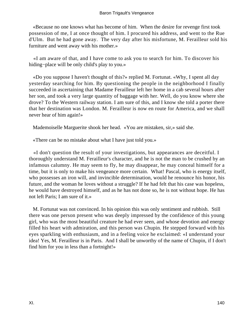«Because no one knows what has become of him. When the desire for revenge first took possession of me, I at once thought of him. I procured his address, and went to the Rue d'Ulm. But he had gone away. The very day after his misfortune, M. Ferailleur sold his furniture and went away with his mother.»

 «I am aware of that, and I have come to ask you to search for him. To discover his hiding−place will be only child's play to you.»

 «Do you suppose I haven't thought of this?» replied M. Fortunat. «Why, I spent all day yesterday searching for him. By questioning the people in the neighborhood I finally succeeded in ascertaining that Madame Ferailleur left her home in a cab several hours after her son, and took a very large quantity of baggage with her. Well, do you know where she drove? To the Western railway station. I am sure of this, and I know she told a porter there that her destination was London. M. Ferailleur is now en route for America, and we shall never hear of him again!»

Mademoiselle Marguerite shook her head. «You are mistaken, sir,» said she.

«There can be no mistake about what I have just told you.»

 «I don't question the result of your investigations, but appearances are deceitful. I thoroughly understand M. Ferailleur's character, and he is not the man to be crushed by an infamous calumny. He may seem to fly, he may disappear, he may conceal himself for a time, but it is only to make his vengeance more certain. What! Pascal, who is energy itself, who possesses an iron will, and invincible determination, would he renounce his honor, his future, and the woman he loves without a struggle? If he had felt that his case was hopeless, he would have destroyed himself, and as he has not done so, he is not without hope. He has not left Paris; I am sure of it.»

 M. Fortunat was not convinced. In his opinion this was only sentiment and rubbish. Still there was one person present who was deeply impressed by the confidence of this young girl, who was the most beautiful creature he had ever seen, and whose devotion and energy filled his heart with admiration, and this person was Chupin. He stepped forward with his eyes sparkling with enthusiasm, and in a feeling voice he exclaimed: «I understand your idea! Yes, M. Ferailleur is in Paris. And I shall be unworthy of the name of Chupin, if I don't find him for you in less than a fortnight!»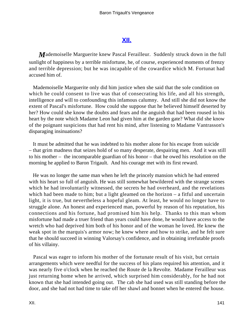## **[XII.](#page-256-0)**

*M*ademoiselle Marguerite knew Pascal Ferailleur. Suddenly struck down in the full sunlight of happiness by a terrible misfortune, he, of course, experienced moments of frenzy and terrible depression; but he was incapable of the cowardice which M. Fortunat had accused him of.

 Mademoiselle Marguerite only did him justice when she said that the sole condition on which he could consent to live was that of consecrating his life, and all his strength, intelligence and will to confounding this infamous calumny. And still she did not know the extent of Pascal's misfortune. How could she suppose that he believed himself deserted by her? How could she know the doubts and fears and the anguish that had been roused in his heart by the note which Madame Leon had given him at the garden gate? What did she know of the poignant suspicions that had rent his mind, after listening to Madame Vantrasson's disparaging insinuations?

 It must be admitted that he was indebted to his mother alone for his escape from suicide – that grim madness that seizes hold of so many desperate, despairing men. And it was still to his mother – the incomparable guardian of his honor – that he owed his resolution on the morning he applied to Baron Trigault. And his courage met with its first reward.

 He was no longer the same man when he left the princely mansion which he had entered with his heart so full of anguish. He was still somewhat bewildered with the strange scenes which he had involuntarily witnessed, the secrets he had overheard, and the revelations which had been made to him; but a light gleamed on the horizon – a fitful and uncertain light, it is true, but nevertheless a hopeful gleam. At least, he would no longer have to struggle alone. An honest and experienced man, powerful by reason of his reputation, his connections and his fortune, had promised him his help. Thanks to this man whom misfortune had made a truer friend than years could have done, he would have access to the wretch who had deprived him both of his honor and of the woman he loved. He knew the weak spot in the marquis's armor now; he knew where and how to strike, and he felt sure that he should succeed in winning Valorsay's confidence, and in obtaining irrefutable proofs of his villainy.

 Pascal was eager to inform his mother of the fortunate result of his visit, but certain arrangements which were needful for the success of his plans required his attention, and it was nearly five o'clock when he reached the Route de la Revolte. Madame Ferailleur was just returning home when he arrived, which surprised him considerably, for he had not known that she had intended going out. The cab she had used was still standing before the door, and she had not had time to take off her shawl and bonnet when he entered the house.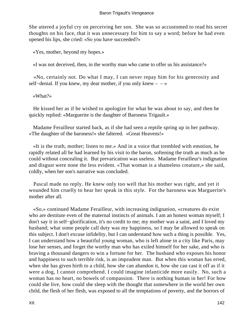She uttered a joyful cry on perceiving her son. She was so accustomed to read his secret thoughts on his face, that it was unnecessary for him to say a word; before he had even opened his lips, she cried: «So you have succeeded?»

«Yes, mother, beyond my hopes.»

«I was not deceived, then, in the worthy man who came to offer us his assistance?»

 «No, certainly not. Do what I may, I can never repay him for his generosity and self−denial. If you knew, my dear mother, if you only knew – – »

«What?»

 He kissed her as if he wished to apologize for what he was about to say, and then he quickly replied: «Marguerite is the daughter of Baroness Trigault.»

 Madame Ferailleur started back, as if she had seen a reptile spring up in her pathway. «The daughter of the baroness!» she faltered. «Great Heavens!»

 «It is the truth, mother; listen to me.» And in a voice that trembled with emotion, he rapidly related all he had learned by his visit to the baron, softening the truth as much as he could without concealing it. But prevarication was useless. Madame Ferailleur's indignation and disgust were none the less evident. «That woman is a shameless creature,» she said, coldly, when her son's narrative was concluded.

 Pascal made no reply. He knew only too well that his mother was right, and yet it wounded him cruelly to hear her speak in this style. For the baroness was Marguerite's mother after all.

 «So,» continued Madame Ferailleur, with increasing indignation, «creatures do exist who are destitute even of the maternal instincts of animals. I am an honest woman myself; I don't say it in self−glorification, it's no credit to me; my mother was a saint, and I loved my husband; what some people call duty was my happiness, so I may be allowed to speak on this subject. I don't excuse infidelity, but I can understand how such a thing is possible. Yes, I can understand how a beautiful young woman, who is left alone in a city like Paris, may lose her senses, and forget the worthy man who has exiled himself for her sake, and who is braving a thousand dangers to win a fortune for her. The husband who exposes his honor and happiness to such terrible risk, is an imprudent man. But when this woman has erred, when she has given birth to a child, how she can abandon it, how she can cast it off as if it were a dog, I cannot comprehend. I could imagine infanticide more easily. No, such a woman has no heart, no bowels of compassion. There is nothing human in her! For how could she live, how could she sleep with the thought that somewhere in the world her own child, the flesh of her flesh, was exposed to all the temptations of poverty, and the horrors of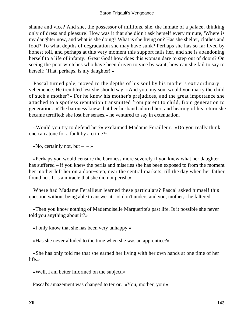### Baron Trigault's Vengeance

shame and vice? And she, the possessor of millions, she, the inmate of a palace, thinking only of dress and pleasure! How was it that she didn't ask herself every minute, 'Where is my daughter now, and what is she doing? What is she living on? Has she shelter, clothes and food? To what depths of degradation she may have sunk? Perhaps she has so far lived by honest toil, and perhaps at this very moment this support fails her, and she is abandoning herself to a life of infamy.' Great God! how does this woman dare to step out of doors? On seeing the poor wretches who have been driven to vice by want, how can she fail to say to herself: 'That, perhaps, is my daughter!'»

 Pascal turned pale, moved to the depths of his soul by his mother's extraordinary vehemence. He trembled lest she should say: «And you, my son, would you marry the child of such a mother?» For he knew his mother's prejudices, and the great importance she attached to a spotless reputation transmitted from parent to child, from generation to generation. «The baroness knew that her husband adored her, and hearing of his return she became terrified; she lost her senses,» he ventured to say in extenuation.

 «Would you try to defend her?» exclaimed Madame Ferailleur. «Do you really think one can atone for a fault by a crime?»

«No, certainly not, but  $- \rightarrow \infty$ 

 «Perhaps you would censure the baroness more severely if you knew what her daughter has suffered – if you knew the perils and miseries she has been exposed to from the moment her mother left her on a door−step, near the central markets, till the day when her father found her. It is a miracle that she did not perish.»

 Where had Madame Ferailleur learned these particulars? Pascal asked himself this question without being able to answer it. «I don't understand you, mother,» he faltered.

 «Then you know nothing of Mademoiselle Marguerite's past life. Is it possible she never told you anything about it?»

«I only know that she has been very unhappy.»

«Has she never alluded to the time when she was an apprentice?»

 «She has only told me that she earned her living with her own hands at one time of her life.»

«Well, I am better informed on the subject.»

Pascal's amazement was changed to terror. «You, mother, you!»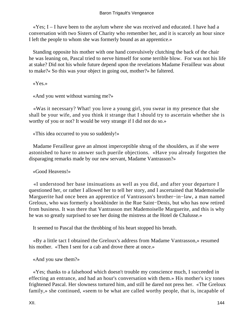«Yes; I – I have been to the asylum where she was received and educated. I have had a conversation with two Sisters of Charity who remember her, and it is scarcely an hour since I left the people to whom she was formerly bound as an apprentice.»

 Standing opposite his mother with one hand convulsively clutching the back of the chair he was leaning on, Pascal tried to nerve himself for some terrible blow. For was not his life at stake? Did not his whole future depend upon the revelations Madame Ferailleur was about to make?« So this was your object in going out, mother?» he faltered.

«Yes.»

«And you went without warning me?»

 «Was it necessary? What! you love a young girl, you swear in my presence that she shall be your wife, and you think it strange that I should try to ascertain whether she is worthy of you or not? It would be very strange if I did not do so.»

«This idea occurred to you so suddenly!»

 Madame Ferailleur gave an almost imperceptible shrug of the shoulders, as if she were astonished to have to answer such puerile objections. «Have you already forgotten the disparaging remarks made by our new servant, Madame Vantrasson?»

«Good Heavens!»

 «I understood her base insinuations as well as you did, and after your departure I questioned her, or rather I allowed her to tell her story, and I ascertained that Mademoiselle Marguerite had once been an apprentice of Vantrasson's brother−in−law, a man named Greloux, who was formerly a bookbinder in the Rue Saint−Denis, but who has now retired from business. It was there that Vantrasson met Mademoiselle Marguerite, and this is why he was so greatly surprised to see her doing the mistress at the Hotel de Chalusse.»

It seemed to Pascal that the throbbing of his heart stopped his breath.

 «By a little tact I obtained the Greloux's address from Madame Vantrasson,» resumed his mother. «Then I sent for a cab and drove there at once.»

«And you saw them?»

 «Yes; thanks to a falsehood which doesn't trouble my conscience much, I succeeded in effecting an entrance, and had an hour's conversation with them.» His mother's icy tones frightened Pascal. Her slowness tortured him, and still he dared not press her. «The Greloux family,» she continued, «seem to be what are called worthy people, that is, incapable of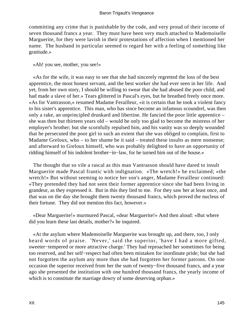committing any crime that is punishable by the code, and very proud of their income of seven thousand francs a year. They must have been very much attached to Mademoiselle Marguerite, for they were lavish in their protestations of affection when I mentioned her name. The husband in particular seemed to regard her with a feeling of something like gratitude.»

«Ah! you see, mother, you see!»

 «As for the wife, it was easy to see that she had sincerely regretted the loss of the best apprentice, the most honest servant, and the best worker she had ever seen in her life. And yet, from her own story, I should be willing to swear that she had abused the poor child, and had made a slave of her.» Tears glittered in Pascal's eyes, but he breathed freely once more. «As for Vantrasson,» resumed Madame Ferailleur, «it is certain that he took a violent fancy to his sister's apprentice. This man, who has since become an infamous scoundrel, was then only a rake, an unprincipled drunkard and libertine. He fancied the poor little apprentice – she was then but thirteen years old – would be only too glad to become the mistress of her employer's brother; but she scornfully repulsed him, and his vanity was so deeply wounded that he persecuted the poor girl to such an extent that she was obliged to complain, first to Madame Greloux, who – to her shame be it said – treated these insults as mere nonsense; and afterward to Greloux himself, who was probably delighted to have an opportunity of ridding himself of his indolent brother−in−law, for he turned him out of the house.»

 The thought that so vile a rascal as this man Vantrasson should have dared to insult Marguerite made Pascal frantic with indignation. «The wretch!» he exclaimed; «the wretch!» But without seeming to notice her son's anger, Madame Ferailleur continued: «They pretended they had not seen their former apprentice since she had been living in grandeur, as they expressed it. But in this they lied to me. For they saw her at least once, and that was on the day she brought them twenty thousand francs, which proved the nucleus of their fortune. They did not mention this fact, however.»

 «Dear Marguerite!» murmured Pascal, «dear Marguerite!» And then aloud: «But where did you learn these last details, mother?» he inquired.

 «At the asylum where Mademoiselle Marguerite was brought up, and there, too, I only heard words of praise. 'Never,' said the superior, 'have I had a more gifted, sweeter−tempered or more attractive charge.' They had reproached her sometimes for being too reserved, and her self−respect had often been mistaken for inordinate pride; but she had not forgotten the asylum any more than she had forgotten her former patrons. On one occasion the superior received from her the sum of twenty−five thousand francs, and a year ago she presented the institution with one hundred thousand francs, the yearly income of which is to constitute the marriage dowry of some deserving orphan.»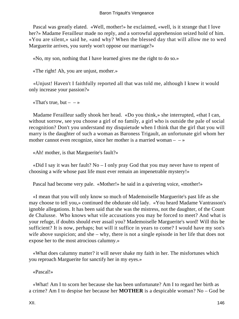Pascal was greatly elated. «Well, mother!» he exclaimed, «well, is it strange that I love her?» Madame Ferailleur made no reply, and a sorrowful apprehension seized hold of him. «You are silent,» said he, «and why? When the blessed day that will allow me to wed Marguerite arrives, you surely won't oppose our marriage?»

«No, my son, nothing that I have learned gives me the right to do so.»

«The right! Ah, you are unjust, mother.»

 «Unjust! Haven't I faithfully reported all that was told me, although I knew it would only increase your passion?»

«That's true, but  $-$  – »

 Madame Ferailleur sadly shook her head. «Do you think,» she interrupted, «that I can, without sorrow, see you choose a girl of no family, a girl who is outside the pale of social recognition? Don't you understand my disquietude when I think that the girl that you will marry is the daughter of such a woman as Baroness Trigault, an unfortunate girl whom her mother cannot even recognize, since her mother is a married woman  $- \rightarrow \infty$ 

«Ah! mother, is that Marguerite's fault?»

«Did I say it was her fault? No  $-$  I only pray God that you may never have to repent of choosing a wife whose past life must ever remain an impenetrable mystery!»

Pascal had become very pale. «Mother!» he said in a quivering voice, «mother!»

 «I mean that you will only know so much of Mademoiselle Marguerite's past life as she may choose to tell you,» continued the obdurate old lady. «You heard Madame Vantrasson's ignoble allegations. It has been said that she was the mistress, not the daughter, of the Count de Chalusse. Who knows what vile accusations you may be forced to meet? And what is your refuge, if doubts should ever assail you? Mademoiselle Marguerite's word! Will this be sufficient? It is now, perhaps; but will it suffice in years to come? I would have my son's wife above suspicion; and she – why, there is not a single episode in her life that does not expose her to the most atrocious calumny.»

 «What does calumny matter? it will never shake my faith in her. The misfortunes which you reproach Marguerite for sanctify her in my eyes.»

«Pascal!»

 «What! Am I to scorn her because she has been unfortunate? Am I to regard her birth as a crime? Am I to despise her because her **MOTHER** is a despicable woman? No – God be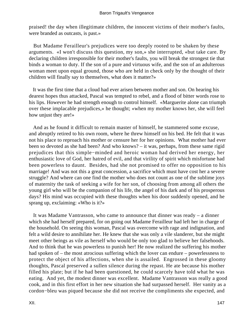praised! the day when illegitimate children, the innocent victims of their mother's faults, were branded as outcasts, is past.»

 But Madame Ferailleur's prejudices were too deeply rooted to be shaken by these arguments. «I won't discuss this question, my son,» she interrupted, «but take care. By declaring children irresponsible for their mother's faults, you will break the strongest tie that binds a woman to duty. If the son of a pure and virtuous wife, and the son of an adulterous woman meet upon equal ground, those who are held in check only by the thought of their children will finally say to themselves, what does it matter?»

 It was the first time that a cloud had ever arisen between mother and son. On hearing his dearest hopes thus attacked, Pascal was tempted to rebel, and a flood of bitter words rose to his lips. However he had strength enough to control himself. «Marguerite alone can triumph over these implacable prejudices,» he thought; «when my mother knows her, she will feel how unjust they are!»

 And as he found it difficult to remain master of himself, he stammered some excuse, and abruptly retired to his own room, where he threw himself on his bed. He felt that it was not his place to reproach his mother or censure her for her opinions. What mother had ever been so devoted as she had been? And who knows? – it was, perhaps, from these same rigid prejudices that this simple−minded and heroic woman had derived her energy, her enthusiastic love of God, her hatred of evil, and that virility of spirit which misfortune had been powerless to daunt. Besides, had she not promised to offer no opposition to his marriage! And was not this a great concession, a sacrifice which must have cost her a severe struggle? And where can one find the mother who does not count as one of the sublime joys of maternity the task of seeking a wife for her son, of choosing from among all others the young girl who will be the companion of his life, the angel of his dark and of his prosperous days? His mind was occupied with these thoughts when his door suddenly opened, and he sprang up, exclaiming: «Who is it?»

 It was Madame Vantrasson, who came to announce that dinner was ready – a dinner which she had herself prepared, for on going out Madame Ferailleur had left her in charge of the household. On seeing this woman, Pascal was overcome with rage and indignation, and felt a wild desire to annihilate her. He knew that she was only a vile slanderer, but she might meet other beings as vile as herself who would be only too glad to believe her falsehoods. And to think that he was powerless to punish her! He now realized the suffering his mother had spoken of – the most atrocious suffering which the lover can endure – powerlessness to protect the object of his affections, when she is assailed. Engrossed in these gloomy thoughts, Pascal preserved a sullen silence during the repast. He ate because his mother filled his plate; but if he had been questioned, he could scarcely have told what he was eating. And yet, the modest dinner was excellent. Madame Vantrasson was really a good cook, and in this first effort in her new situation she had surpassed herself. Her vanity as a cordon−bleu was piqued because she did not receive the compliments she expected, and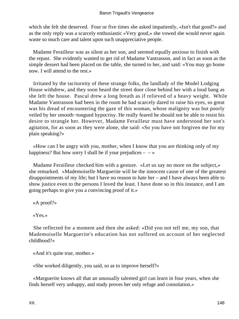which she felt she deserved. Four or five times she asked impatiently, «Isn't that good?» and as the only reply was a scarcely enthusiastic «Very good,» she vowed she would never again waste so much care and talent upon such unappreciative people.

 Madame Ferailleur was as silent as her son, and seemed equally anxious to finish with the repast. She evidently wanted to get rid of Madame Vantrasson, and in fact as soon as the simple dessert had been placed on the table, she turned to her, and said: «You may go home now. I will attend to the rest.»

 Irritated by the taciturnity of these strange folks, the landlady of the Model Lodging House withdrew, and they soon heard the street door close behind her with a loud bang as she left the house. Pascal drew a long breath as if relieved of a heavy weight. While Madame Vantrasson had been in the room he had scarcely dared to raise his eyes, so great was his dread of encountering the gaze of this woman, whose malignity was but poorly veiled by her smooth−tongued hypocrisy. He really feared he should not be able to resist his desire to strangle her. However, Madame Ferailleur must have understood her son's agitation, for as soon as they were alone, she said: «So you have not forgiven me for my plain speaking?»

 «How can I be angry with you, mother, when I know that you are thinking only of my happiness? But how sorry I shall be if your prejudices  $-\rightarrow$ 

 Madame Ferailleur checked him with a gesture. «Let us say no more on the subject,» she remarked. «Mademoiselle Marguerite will be the innocent cause of one of the greatest disappointments of my life; but I have no reason to hate her – and I have always been able to show justice even to the persons I loved the least. I have done so in this instance, and I am going perhaps to give you a convincing proof of it.»

«A proof?»

«Yes.»

 She reflected for a moment and then she asked: «Did you not tell me, my son, that Mademoiselle Marguerite's education has not suffered on account of her neglected childhood?»

«And it's quite true, mother.»

«She worked diligently, you said, so as to improve herself?»

 «Marguerite knows all that an unusually talented girl can learn in four years, when she finds herself very unhappy, and study proves her only refuge and consolation.»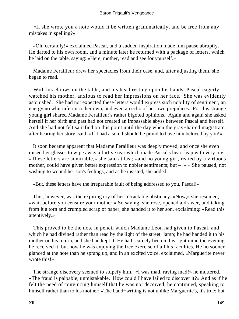«If she wrote you a note would it be written grammatically, and be free from any mistakes in spelling?»

 «Oh, certainly!» exclaimed Pascal, and a sudden inspiration made him pause abruptly. He darted to his own room, and a minute later he returned with a package of letters, which he laid on the table, saying: «Here, mother, read and see for yourself.»

 Madame Ferailleur drew her spectacles from their case, and, after adjusting them, she began to read.

 With his elbows on the table, and his head resting upon his hands, Pascal eagerly watched his mother, anxious to read her impressions on her face. She was evidently astonished. She had not expected these letters would express such nobility of sentiment, an energy no whit inferior to her own, and even an echo of her own prejudices. For this strange young girl shared Madame Ferailleur's rather bigoted opinions. Again and again she asked herself if her birth and past had not created an impassable abyss between Pascal and herself. And she had not felt satisfied on this point until the day when the gray−haired magistrate, after hearing her story, said: «If I had a son, I should be proud to have him beloved by you!»

 It soon became apparent that Madame Ferailleur was deeply moved, and once she even raised her glasses to wipe away a furtive tear which made Pascal's heart leap with very joy. «These letters are admirable,» she said at last; «and no young girl, reared by a virtuous mother, could have given better expression to nobler sentiments; but  $- \rightarrow$  She paused, not wishing to wound her son's feelings, and as he insisted, she added:

«But, these letters have the irreparable fault of being addressed to you, Pascal!»

 This, however, was the expiring cry of her intractable obstinacy. «Now,» she resumed, «wait before you censure your mother.» So saying, she rose, opened a drawer, and taking from it a torn and crumpled scrap of paper, she handed it to her son, exclaiming: «Read this attentively.»

 This proved to be the note in pencil which Madame Leon had given to Pascal, and which he had divined rather than read by the light of the street−lamp; he had handed it to his mother on his return, and she had kept it. He had scarcely been in his right mind the evening he received it, but now he was enjoying the free exercise of all his faculties. He no sooner glanced at the note than he sprang up, and in an excited voice, exclaimed, «Marguerite never wrote this!»

 The strange discovery seemed to stupefy him. «I was mad, raving mad!» he muttered. «The fraud is palpable, unmistakable. How could I have failed to discover it?» And as if he felt the need of convincing himself that he was not deceived, he continued, speaking to himself rather than to his mother: «The hand−writing is not unlike Marguerite's, it's true; but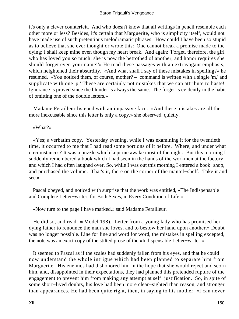it's only a clever counterfeit. And who doesn't know that all writings in pencil resemble each other more or less? Besides, it's certain that Marguerite, who is simplicity itself, would not have made use of such pretentious melodramatic phrases. How could I have been so stupid as to believe that she ever thought or wrote this: 'One cannot break a promise made to the dying; I shall keep mine even though my heart break.' And again: 'Forget, therefore, the girl who has loved you so much: she is now the betrothed of another, and honor requires she should forget even your name!'» He read these passages with an extravagant emphasis, which heightened their absurdity. «And what shall I say of these mistakes in spelling?» he resumed. «You noticed them, of course, mother? – command is written with a single 'm,' and supplicate with one 'p.' These are certainly not mistakes that we can attribute to haste! Ignorance is proved since the blunder is always the same. The forger is evidently in the habit of omitting one of the double letters.»

 Madame Ferailleur listened with an impassive face. «And these mistakes are all the more inexcusable since this letter is only a copy,» she observed, quietly.

«What?»

 «Yes; a verbatim copy. Yesterday evening, while I was examining it for the twentieth time, it occurred to me that I had read some portions of it before. Where, and under what circumstances? It was a puzzle which kept me awake most of the night. But this morning I suddenly remembered a book which I had seen in the hands of the workmen at the factory, and which I had often laughed over. So, while I was out this morning I entered a book−shop, and purchased the volume. That's it, there on the corner of the mantel−shelf. Take it and see.»

 Pascal obeyed, and noticed with surprise that the work was entitled, «The Indispensable and Complete Letter−writer, for Both Sexes, in Every Condition of Life.»

«Now turn to the page I have marked,» said Madame Ferailleur.

 He did so, and read: «(Model 198). Letter from a young lady who has promised her dying father to renounce the man she loves, and to bestow her hand upon another.» Doubt was no longer possible. Line for line and word for word, the mistakes in spelling excepted, the note was an exact copy of the stilted prose of the «Indispensable Letter−writer.»

 It seemed to Pascal as if the scales had suddenly fallen from his eyes, and that he could now understand the whole intrigue which had been planned to separate him from Marguerite. His enemies had dishonored him in the hope that she would reject and scorn him, and, disappointed in their expectations, they had planned this pretended rupture of the engagement to prevent him from making any attempt at self−justification. So, in spite of some short−lived doubts, his love had been more clear−sighted than reason, and stronger than appearances. He had been quite right, then, in saying to his mother: «I can never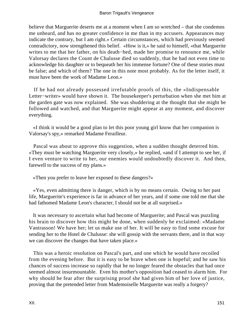#### Baron Trigault's Vengeance

believe that Marguerite deserts me at a moment when I am so wretched – that she condemns me unheard, and has no greater confidence in me than in my accusers. Appearances may indicate the contrary, but I am right.» Certain circumstances, which had previously seemed contradictory, now strengthened this belief. «How is it,» he said to himself, «that Marguerite writes to me that her father, on his death−bed, made her promise to renounce me, while Valorsay declares the Count de Chalusse died so suddenly, that he had not even time to acknowledge his daughter or to bequeath her his immense fortune? One of these stories must be false; and which of them? The one in this note most probably. As for the letter itself, it must have been the work of Madame Leon.»

 If he had not already possessed irrefutable proofs of this, the «Indispensable Letter−writer» would have shown it. The housekeeper's perturbation when she met him at the garden gate was now explained. She was shuddering at the thought that she might be followed and watched, and that Marguerite might appear at any moment, and discover everything.

 «I think it would be a good plan to let this poor young girl know that her companion is Valorsay's spy,» remarked Madame Ferailleur.

 Pascal was about to approve this suggestion, when a sudden thought deterred him. «They must be watching Marguerite very closely,» he replied, «and if I attempt to see her, if I even venture to write to her, our enemies would undoubtedly discover it. And then, farewell to the success of my plans.»

«Then you prefer to leave her exposed to these dangers?»

 «Yes, even admitting there is danger, which is by no means certain. Owing to her past life, Marguerite's experience is far in advance of her years, and if some one told me that she had fathomed Madame Leon's character, I should not be at all surprised.»

 It was necessary to ascertain what had become of Marguerite; and Pascal was puzzling his brain to discover how this might be done, when suddenly he exclaimed: «Madame Vantrasson! We have her; let us make use of her. It will be easy to find some excuse for sending her to the Hotel de Chalusse: she will gossip with the servants there, and in that way we can discover the changes that have taken place.»

 This was a heroic resolution on Pascal's part, and one which he would have recoiled from the evening before. But it is easy to be brave when one is hopeful; and he saw his chances of success increase so rapidly that he no longer feared the obstacles that had once seemed almost insurmountable. Even his mother's opposition had ceased to alarm him. For why should he fear after the surprising proof she had given him of her love of justice, proving that the pretended letter from Mademoiselle Marguerite was really a forgery?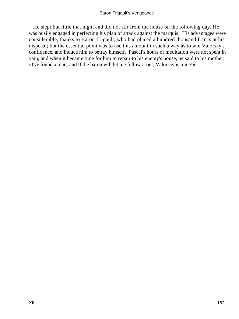He slept but little that night and did not stir from the house on the following day. He was busily engaged in perfecting his plan of attack against the marquis. His advantages were considerable, thanks to Baron Trigault, who had placed a hundred thousand francs at his disposal; but the essential point was to use this amount in such a way as to win Valorsay's confidence, and induce him to betray himself. Pascal's hours of meditation were not spent in vain, and when it became time for him to repair to his enemy's house, he said to his mother: «I've found a plan; and if the baron will let me follow it out, Valorsay is mine!»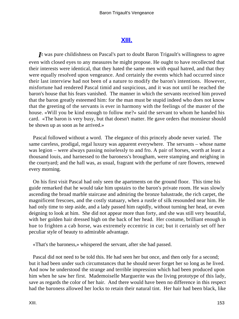## **[XIII.](#page-256-0)**

*I*t was pure childishness on Pascal's part to doubt Baron Trigault's willingness to agree even with closed eyes to any measures he might propose. He ought to have recollected that their interests were identical, that they hated the same men with equal hatred, and that they were equally resolved upon vengeance. And certainly the events which had occurred since their last interview had not been of a nature to modify the baron's intentions. However, misfortune had rendered Pascal timid and suspicious, and it was not until he reached the baron's house that his fears vanished. The manner in which the servants received him proved that the baron greatly esteemed him: for the man must be stupid indeed who does not know that the greeting of the servants is ever in harmony with the feelings of the master of the house. «Will you be kind enough to follow me?» said the servant to whom he handed his card. «The baron is very busy, but that doesn't matter. He gave orders that monsieur should be shown up as soon as he arrived.»

 Pascal followed without a word. The elegance of this princely abode never varied. The same careless, prodigal, regal luxury was apparent everywhere. The servants – whose name was legion – were always passing noiselessly to and fro. A pair of horses, worth at least a thousand louis, and harnessed to the baroness's brougham, were stamping and neighing in the courtyard; and the hall was, as usual, fragrant with the perfume of rare flowers, renewed every morning.

 On his first visit Pascal had only seen the apartments on the ground floor. This time his guide remarked that he would take him upstairs to the baron's private room. He was slowly ascending the broad marble staircase and admiring the bronze balustrade, the rich carpet, the magnificent frescoes, and the costly statuary, when a rustle of silk resounded near him. He had only time to step aside, and a lady passed him rapidly, without turning her head, or even deigning to look at him. She did not appear more than forty, and she was still very beautiful, with her golden hair dressed high on the back of her head. Her costume, brilliant enough in hue to frighten a cab horse, was extremely eccentric in cut; but it certainly set off her peculiar style of beauty to admirable advantage.

«That's the baroness,» whispered the servant, after she had passed.

 Pascal did not need to be told this. He had seen her but once, and then only for a second; but it had been under such circumstances that he should never forget her so long as he lived. And now he understood the strange and terrible impression which had been produced upon him when he saw her first. Mademoiselle Marguerite was the living prototype of this lady, save as regards the color of her hair. And there would have been no difference in this respect had the baroness allowed her locks to retain their natural tint. Her hair had been black, like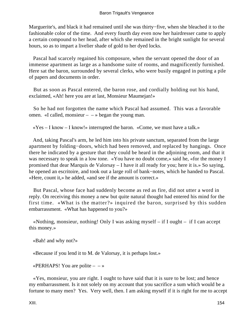Marguerite's, and black it had remained until she was thirty−five, when she bleached it to the fashionable color of the time. And every fourth day even now her hairdresser came to apply a certain compound to her head, after which she remained in the bright sunlight for several hours, so as to impart a livelier shade of gold to her dyed locks.

 Pascal had scarcely regained his composure, when the servant opened the door of an immense apartment as large as a handsome suite of rooms, and magnificently furnished. Here sat the baron, surrounded by several clerks, who were busily engaged in putting a pile of papers and documents in order.

 But as soon as Pascal entered, the baron rose, and cordially holding out his hand, exclaimed, «Ah! here you are at last, Monsieur Maumejan!»

 So he had not forgotten the name which Pascal had assumed. This was a favorable omen. «I called, monsieur  $-$  – » began the young man.

«Yes – I know – I know!» interrupted the baron. «Come, we must have a talk.»

 And, taking Pascal's arm, he led him into his private sanctum, separated from the large apartment by folding−doors, which had been removed, and replaced by hangings. Once there he indicated by a gesture that they could be heard in the adjoining room, and that it was necessary to speak in a low tone. «You have no doubt come,» said he, «for the money I promised that dear Marquis de Valorsay – I have it all ready for you; here it is.» So saying, he opened an escritoire, and took out a large roll of bank−notes, which he handed to Pascal. «Here, count it,» he added, «and see if the amount is correct.»

 But Pascal, whose face had suddenly become as red as fire, did not utter a word in reply. On receiving this money a new but quite natural thought had entered his mind for the first time. «What is the matter?» inquired the baron, surprised by this sudden embarrassment. «What has happened to you?»

 «Nothing, monsieur, nothing! Only I was asking myself – if I ought – if I can accept this money.»

«Bah! and why not?»

«Because if you lend it to M. de Valorsay, it is perhaps lost.»

«PERHAPS! You are polite  $- - \infty$ 

 «Yes, monsieur, you are right. I ought to have said that it is sure to be lost; and hence my embarrassment. Is it not solely on my account that you sacrifice a sum which would be a fortune to many men? Yes. Very well, then. I am asking myself if it is right for me to accept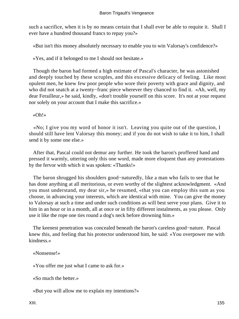such a sacrifice, when it is by no means certain that I shall ever be able to requite it. Shall I ever have a hundred thousand francs to repay you?»

«But isn't this money absolutely necessary to enable you to win Valorsay's confidence?»

«Yes, and if it belonged to me I should not hesitate.»

 Though the baron had formed a high estimate of Pascal's character, he was astonished and deeply touched by these scruples, and this excessive delicacy of feeling. Like most opulent men, he knew few poor people who wore their poverty with grace and dignity, and who did not snatch at a twenty−franc piece wherever they chanced to find it. «Ah, well, my dear Ferailleur,» he said, kindly, «don't trouble yourself on this score. It's not at your request nor solely on your account that I make this sacrifice.»

### «Oh!»

 «No; I give you my word of honor it isn't. Leaving you quite out of the question, I should still have lent Valorsay this money; and if you do not wish to take it to him, I shall send it by some one else.»

 After that, Pascal could not demur any further. He took the baron's proffered hand and pressed it warmly, uttering only this one word, made more eloquent than any protestations by the fervor with which it was spoken: «Thanks!»

 The baron shrugged his shoulders good−naturedly, like a man who fails to see that he has done anything at all meritorious, or even worthy of the slightest acknowledgment. «And you must understand, my dear sir,» he resumed, «that you can employ this sum as you choose, in advancing your interests, which are identical with mine. You can give the money to Valorsay at such a time and under such conditions as will best serve your plans. Give it to him in an hour or in a month, all at once or in fifty different instalments, as you please. Only use it like the rope one ties round a dog's neck before drowning him.»

 The keenest penetration was concealed beneath the baron's careless good−nature. Pascal knew this, and feeling that his protector understood him, he said: «You overpower me with kindness.»

«Nonsense!»

«You offer me just what I came to ask for.»

«So much the better.»

«But you will allow me to explain my intentions?»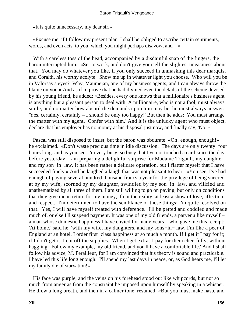«It is quite unnecessary, my dear sir.»

 «Excuse me; if I follow my present plan, I shall be obliged to ascribe certain sentiments, words, and even acts, to you, which you might perhaps disavow, and  $-\infty$ 

 With a careless toss of the head, accompanied by a disdainful snap of the fingers, the baron interrupted him. «Set to work, and don't give yourself the slightest uneasiness about that. You may do whatever you like, if you only succeed in unmasking this dear marquis, and Coralth, his worthy acolyte. Show me up in whatever light you choose. Who will you be in Valorsay's eyes? Why, Maumejan, one of my business agents, and I can always throw the blame on you.» And as if to prove that he had divined even the details of the scheme devised by his young friend, he added: «Besides, every one knows that a millionaire's business agent is anything but a pleasant person to deal with. A millionaire, who is not a fool, must always smile, and no matter how absurd the demands upon him may be, he must always answer: 'Yes, certainly, certainly – I should be only too happy!' But then he adds: 'You must arrange the matter with my agent. Confer with him.' And it is the unlucky agent who must object, declare that his employer has no money at his disposal just now, and finally say, 'No.'»

Pascal was still disposed to insist, but the baron was obdurate. «Oh! enough, enough!» he exclaimed. «Don't waste precious time in idle discussion. The days are only twenty−four hours long: and as you see, I'm very busy, so busy that I've not touched a card since the day before yesterday. I am preparing a delightful surprise for Madame Trigault, my daughter, and my son−in−law. It has been rather a delicate operation, but I flatter myself that I have succeeded finely.» And he laughed a laugh that was not pleasant to hear. «You see, I've had enough of paying several hundred thousand francs a year for the privilege of being sneered at by my wife, scorned by my daughter, swindled by my son−in−law, and vilified and anathematized by all three of them. I am still willing to go on paying, but only on conditions that they give me in return for my money, if not the reality, at least a show of love, affection, and respect. I'm determined to have the semblance of these things; I'm quite resolved on that. Yes, I will have myself treated with deference. I'll be petted and coddled and made much of, or else I'll suspend payment. It was one of my old friends, a parvenu like myself – a man whose domestic happiness I have envied for many years – who gave me this receipt: 'At home,' said he, 'with my wife, my daughters, and my sons−in− law, I'm like a peer of England at an hotel. I order first−class happiness at so much a month. If I get it I pay for it; if I don't get it, I cut off the supplies. When I get extras I pay for them cheerfully, without haggling. Follow my example, my old friend, and you'll have a comfortable life.' And I shall follow his advice, M. Ferailleur, for I am convinced that his theory is sound and practicable. I have led this life long enough. I'll spend my last days in peace, or, as God hears me, I'll let my family die of starvation!»

 His face was purple, and the veins on his forehead stood out like whipcords, but not so much from anger as from the constraint he imposed upon himself by speaking in a whisper. He drew a long breath, and then in a calmer tone, resumed: «But you must make haste and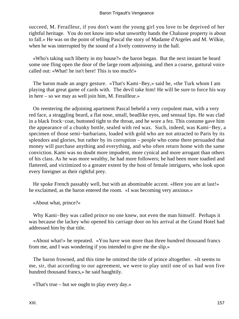succeed, M. Ferailleur, if you don't want the young girl you love to be deprived of her rightful heritage. You do not know into what unworthy hands the Chalusse property is about to fall.» He was on the point of telling Pascal the story of Madame d'Argeles and M. Wilkie, when he was interrupted by the sound of a lively controversy in the hall.

 «Who's taking such liberty in my house?» the baron began. But the next instant he heard some one fling open the door of the large room adjoining, and then a coarse, guttural voice called out: «What! he isn't here! This is too much!»

 The baron made an angry gesture. «That's Kami−Bey,» said he, «the Turk whom I am playing that great game of cards with. The devil take him! He will be sure to force his way in here – so we may as well join him, M. Ferailleur.»

 On reentering the adjoining apartment Pascal beheld a very corpulent man, with a very red face, a straggling beard, a flat nose, small, beadlike eyes, and sensual lips. He was clad in a black frock−coat, buttoned tight to the throat, and he wore a fez. This costume gave him the appearance of a chunky bottle, sealed with red wax. Such, indeed, was Kami−Bey, a specimen of those semi−barbarians, loaded with gold who are not attracted to Paris by its splendors and glories, but rather by its corruption – people who come there persuaded that money will purchase anything and everything, and who often return home with the same conviction. Kami was no doubt more impudent, more cynical and more arrogant than others of his class. As he was more wealthy, he had more followers; he had been more toadied and flattered, and victimized to a greater extent by the host of female intriguers, who look upon every foreigner as their rightful prey.

 He spoke French passably well, but with an abominable accent. «Here you are at last!» he exclaimed, as the baron entered the room. «I was becoming very anxious.»

«About what, prince?»

 Why Kami−Bey was called prince no one knew, not even the man himself. Perhaps it was because the lackey who opened his carriage door on his arrival at the Grand Hotel had addressed him by that title.

 «About what!» he repeated. «You have won more than three hundred thousand francs from me, and I was wondering if you intended to give me the slip.»

 The baron frowned, and this time he omitted the title of prince altogether. «It seems to me, sir, that according to our agreement, we were to play until one of us had won five hundred thousand francs,» he said haughtily.

«That's true – but we ought to play every day.»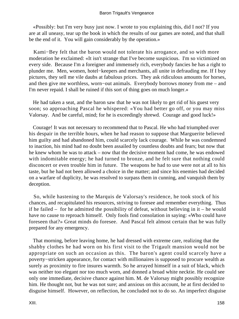«Possibly: but I'm very busy just now. I wrote to you explaining this, did I not? If you are at all uneasy, tear up the book in which the results of our games are noted, and that shall be the end of it. You will gain considerably by the operation.»

 Kami−Bey felt that the baron would not tolerate his arrogance, and so with more moderation he exclaimed: «It isn't strange that I've become suspicious. I'm so victimized on every side. Because I'm a foreigner and immensely rich, everybody fancies he has a right to plunder me. Men, women, hotel−keepers and merchants, all unite in defrauding me. If I buy pictures, they sell me vile daubs at fabulous prices. They ask ridiculous amounts for horses, and then give me worthless, worn−out animals. Everybody borrows money from me – and I'm never repaid. I shall be ruined if this sort of thing goes on much longer.»

 He had taken a seat, and the baron saw that he was not likely to get rid of his guest very soon; so approaching Pascal he whispered: «You had better go off, or you may miss Valorsay. And be careful, mind; for he is exceedingly shrewd. Courage and good luck!»

 Courage! It was not necessary to recommend that to Pascal. He who had triumphed over his despair in the terrible hours, when he had reason to suppose that Marguerite believed him guilty and had abandoned him, could scarcely lack courage. While he was condemned to inaction, his mind had no doubt been assailed by countless doubts and fears; but now that he knew whom he was to attack – now that the decisive moment had come, he was endowed with indomitable energy; he had turned to bronze, and he felt sure that nothing could disconcert or even trouble him in future. The weapons he had to use were not at all to his taste, but he had not been allowed a choice in the matter; and since his enemies had decided on a warfare of duplicity, he was resolved to surpass them in cunning, and vanquish them by deception.

 So, while hastening to the Marquis de Valorsay's residence, he took stock of his chances, and recapitulated his resources, striving to foresee and remember everything. Thus if he failed – for he admitted the possibility of defeat, without believing in it – he would have no cause to reproach himself. Only fools find consolation in saying: «Who could have foreseen that?» Great minds do foresee. And Pascal felt almost certain that he was fully prepared for any emergency.

 That morning, before leaving home, he had dressed with extreme care, realizing that the shabby clothes he had worn on his first visit to the Trigault mansion would not be appropriate on such an occasion as this. The baron's agent could scarcely have a poverty−stricken appearance, for contact with millionaires is supposed to procure wealth as surely as proximity to fire insures warmth. So he arrayed himself in a suit of black, which was neither too elegant nor too much worn, and donned a broad white necktie. He could see only one immediate, decisive chance against him. M. de Valorsay might possibly recognize him. He thought not, but he was not sure; and anxious on this account, he at first decided to disguise himself. However, on reflection, he concluded not to do so. An imperfect disguise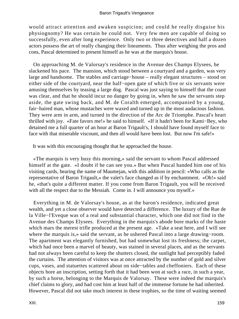would attract attention and awaken suspicion; and could he really disguise his physiognomy? He was certain he could not. Very few men are capable of doing so successfully, even after long experience. Only two or three detectives and half a dozen actors possess the art of really changing their lineaments. Thus after weighing the pros and cons, Pascal determined to present himself as he was at the marquis's house.

 On approaching M. de Valorsay's residence in the Avenue des Champs Elysees, he slackened his pace. The mansion, which stood between a courtyard and a garden, was very large and handsome. The stables and carriage−house – really elegant structures – stood on either side of the courtyard, near the half−open gate of which five or six servants were amusing themselves by teasing a large dog. Pascal was just saying to himself that the coast was clear, and that he should incur no danger by going in, when he saw the servants step aside, the gate swing back, and M. de Coralth emerged, accompanied by a young, fair−haired man, whose mustaches were waxed and turned up in the most audacious fashion. They were arm in arm, and turned in the direction of the Arc de Triomphe. Pascal's heart thrilled with joy. «Fate favors me!» he said to himself. «If it hadn't been for Kami−Bey, who detained me a full quarter of an hour at Baron Trigault's, I should have found myself face to face with that miserable viscount, and then all would have been lost. But now I'm safe!»

It was with this encouraging thought that he approached the house.

 «The marquis is very busy this morning,» said the servant to whom Pascal addressed himself at the gate. «I doubt if he can see you.» But when Pascal handed him one of his visiting cards, bearing the name of Maumejan, with this addition in pencil: «Who calls as the representative of Baron Trigault,» the valet's face changed as if by enchantment. «Oh!» said he, «that's quite a different matter. If you come from Baron Trigault, you will be received with all the respect due to the Messiah. Come in. I will announce you myself.»

 Everything in M. de Valorsay's house, as at the baron's residence, indicated great wealth, and yet a close observer would have detected a difference. The luxury of the Rue de la Ville−l'Eveque was of a real and substantial character, which one did not find in the Avenue des Champs Elysees. Everything in the marquis's abode bore marks of the haste which mars the merest trifle produced at the present age. «Take a seat here, and I will see where the marquis is,» said the servant, as he ushered Pascal into a large drawing−room. The apartment was elegantly furnished, but had somewhat lost its freshness; the carpet, which had once been a marvel of beauty, was stained in several places, and as the servants had not always been careful to keep the shutters closed, the sunlight had perceptibly faded the curtains. The attention of visitors was at once attracted by the number of gold and silver cups, vases, and statuettes scattered about on side−tables and cheffoniers. Each of these objects bore an inscription, setting forth that it had been won at such a race, in such a year, by such a horse, belonging to the Marquis de Valorsay. These were indeed the marquis's chief claims to glory, and had cost him at least half of the immense fortune he had inherited. However, Pascal did not take much interest in these trophies, so the time of waiting seemed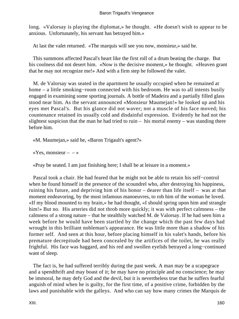long. «Valorsay is playing the diplomat,» he thought. «He doesn't wish to appear to be anxious. Unfortunately, his servant has betrayed him.»

At last the valet returned. «The marquis will see you now, monsieur,» said he.

 This summons affected Pascal's heart like the first roll of a drum beating the charge. But his coolness did not desert him. «Now is the decisive moment,» he thought. «Heaven grant that he may not recognize me!» And with a firm step he followed the valet.

 M. de Valorsay was seated in the apartment he usually occupied when he remained at home – a little smoking−room connected with his bedroom. He was to all intents busily engaged in examining some sporting journals. A bottle of Madeira and a partially filled glass stood near him. As the servant announced «Monsieur Maumejan!» he looked up and his eyes met Pascal's. But his glance did not waver; not a muscle of his face moved; his countenance retained its usually cold and disdainful expression. Evidently he had not the slightest suspicion that the man he had tried to ruin – his mortal enemy – was standing there before him.

«M. Maumejan,» said he, «Baron Trigault's agent?»

«Yes, monsieur –  $-\infty$ 

«Pray be seated. I am just finishing here; I shall be at leisure in a moment.»

 Pascal took a chair. He had feared that he might not be able to retain his self−control when he found himself in the presence of the scoundrel who, after destroying his happiness, ruining his future, and depriving him of his honor – dearer than life itself – was at that moment endeavoring, by the most infamous manoeuvres, to rob him of the woman he loved. «If my blood mounted to my brain,» he had thought, «I should spring upon him and strangle him!» But no. His arteries did not throb more quickly; it was with perfect calmness – the calmness of a strong nature – that he stealthily watched M. de Valorsay. If he had seen him a week before he would have been startled by the change which the past few days had wrought in this brilliant nobleman's appearance. He was little more than a shadow of his former self. And seen at this hour, before placing himself in his valet's hands, before his premature decrepitude had been concealed by the artifices of the toilet, he was really frightful. His face was haggard, and his red and swollen eyelids betrayed a long−continued want of sleep.

 The fact is, he had suffered terribly during the past week. A man may be a scapegrace and a spendthrift and may boast of it; he may have no principle and no conscience; he may be immoral, he may defy God and the devil, but it is nevertheless true that he suffers fearful anguish of mind when he is guilty, for the first time, of a positive crime, forbidden by the laws and punishable with the galleys. And who can say how many crimes the Marquis de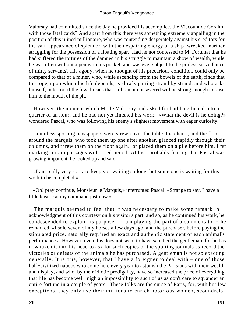Valorsay had committed since the day he provided his accomplice, the Viscount de Coralth, with those fatal cards? And apart from this there was something extremely appalling in the position of this ruined millionaire, who was contending desperately against his creditors for the vain appearance of splendor, with the despairing energy of a ship−wrecked mariner struggling for the possession of a floating spar. Had he not confessed to M. Fortunat that he had suffered the tortures of the damned in his struggle to maintain a show of wealth, while he was often without a penny in his pocket, and was ever subject to the pitiless surveillance of thirty servants? His agony, when he thought of his precarious condition, could only be compared to that of a miner, who, while ascending from the bowels of the earth, finds that the rope, upon which his life depends, is slowly parting strand by strand, and who asks himself, in terror, if the few threads that still remain unsevered will be strong enough to raise him to the mouth of the pit.

 However, the moment which M. de Valorsay had asked for had lengthened into a quarter of an hour, and he had not yet finished his work. «What the devil is he doing?» wondered Pascal, who was following his enemy's slightest movement with eager curiosity.

 Countless sporting newspapers were strewn over the table, the chairs, and the floor around the marquis, who took them up one after another, glanced rapidly through their columns, and threw them on the floor again. or placed them on a pile before him, first marking certain passages with a red pencil. At last, probably fearing that Pascal was growing impatient, he looked up and said:

 «I am really very sorry to keep you waiting so long, but some one is waiting for this work to be completed.»

 «Oh! pray continue, Monsieur le Marquis,» interrupted Pascal. «Strange to say, I have a little leisure at my command just now.»

 The marquis seemed to feel that it was necessary to make some remark in acknowledgment of this courtesy on his visitor's part, and so, as he continued his work, he condescended to explain its purpose. «I am playing the part of a commentator,» he remarked. «I sold seven of my horses a few days ago, and the purchaser, before paying the stipulated price, naturally required an exact and authentic statement of each animal's performances. However, even this does not seem to have satisfied the gentleman, for he has now taken it into his head to ask for such copies of the sporting journals as record the victories or defeats of the animals he has purchased. A gentleman is not so exacting generally. It is true, however, that I have a foreigner to deal with – one of those half−civilized nabobs who come here every year to astonish the Parisians with their wealth and display, and who, by their idiotic prodigality, have so increased the price of everything that life has become well−nigh an impossibility to such of us as don't care to squander an entire fortune in a couple of years. These folks are the curse of Paris, for, with but few exceptions, they only use their millions to enrich notorious women, scoundrels,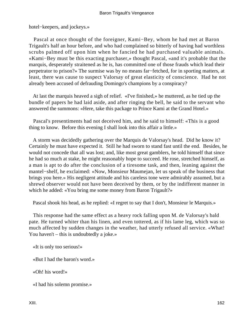hotel−keepers, and jockeys.»

 Pascal at once thought of the foreigner, Kami−Bey, whom he had met at Baron Trigault's half an hour before, and who had complained so bitterly of having had worthless scrubs palmed off upon him when he fancied he had purchased valuable animals. «Kami−Bey must be this exacting purchaser,» thought Pascal, «and it's probable that the marquis, desperately straitened as he is, has committed one of those frauds which lead their perpetrator to prison?» The surmise was by no means far−fetched, for in sporting matters, at least, there was cause to suspect Valorsay of great elasticity of conscience. Had he not already been accused of defrauding Domingo's champions by a conspiracy?

 At last the marquis heaved a sigh of relief. «I've finished,» he muttered, as he tied up the bundle of papers he had laid aside, and after ringing the bell, he said to the servant who answered the summons: «Here, take this package to Prince Kami at the Grand Hotel.»

 Pascal's presentiments had not deceived him, and he said to himself: «This is a good thing to know. Before this evening I shall look into this affair a little.»

 A storm was decidedly gathering over the Marquis de Valorsay's head. Did he know it? Certainly he must have expected it. Still he had sworn to stand fast until the end. Besides, he would not concede that all was lost; and, like most great gamblers, he told himself that since he had so much at stake, he might reasonably hope to succeed. He rose, stretched himself, as a man is apt to do after the conclusion of a tiresome task, and then, leaning against the mantel−shelf, he exclaimed: «Now, Monsieur Maumejan, let us speak of the business that brings you here.» His negligent attitude and his careless tone were admirably assumed, but a shrewd observer would not have been deceived by them, or by the indifferent manner in which he added: «You bring me some money from Baron Trigault?»

Pascal shook his head, as he replied: «I regret to say that I don't, Monsieur le Marquis.»

 This response had the same effect as a heavy rock falling upon M. de Valorsay's bald pate. He turned whiter than his linen, and even tottered, as if his lame leg, which was so much affected by sudden changes in the weather, had utterly refused all service. «What! You haven't – this is undoubtedly a joke.»

«It is only too serious!»

«But I had the baron's word.»

«Oh! his word!»

«I had his solemn promise.»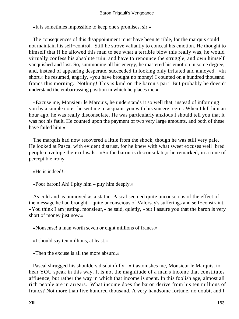«It is sometimes impossible to keep one's promises, sir.»

 The consequences of this disappointment must have been terrible, for the marquis could not maintain his self−control. Still he strove valiantly to conceal his emotion. He thought to himself that if he allowed this man to see what a terrible blow this really was, he would virtually confess his absolute ruin, and have to renounce the struggle, and own himself vanquished and lost. So, summoning all his energy, he mastered his emotion in some degree, and, instead of appearing desperate, succeeded in looking only irritated and annoyed. «In short,» he resumed, angrily, «you have brought no money! I counted on a hundred thousand francs this morning. Nothing! This is kind on the baron's part! But probably he doesn't understand the embarrassing position in which he places me.»

 «Excuse me, Monsieur le Marquis, he understands it so well that, instead of informing you by a simple note. he sent me to acquaint you with his sincere regret. When I left him an hour ago, he was really disconsolate. He was particularly anxious I should tell you that it was not his fault. He counted upon the payment of two very large amounts, and both of these have failed him.»

 The marquis had now recovered a little from the shock, though he was still very pale. He looked at Pascal with evident distrust, for he knew with what sweet excuses well−bred people envelope their refusals. «So the baron is disconsolate,» he remarked, in a tone of perceptible irony.

«He is indeed!»

«Poor baron! Ah! I pity him – pity him deeply.»

 As cold and as unmoved as a statue, Pascal seemed quite unconscious of the effect of the message he had brought – quite unconscious of Valorsay's sufferings and self−constraint. «You think I am jesting, monsieur,» he said, quietly, «but I assure you that the baron is very short of money just now.»

«Nonsense! a man worth seven or eight millions of francs.»

«I should say ten millions, at least.»

«Then the excuse is all the more absurd.»

 Pascal shrugged his shoulders disdainfully. «It astonishes me, Monsieur le Marquis, to hear YOU speak in this way. It is not the magnitude of a man's income that constitutes affluence, but rather the way in which that income is spent. In this foolish age, almost all rich people are in arrears. What income does the baron derive from his ten millions of francs? Not more than five hundred thousand. A very handsome fortune, no doubt, and I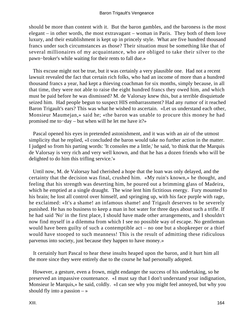should be more than content with it. But the baron gambles, and the baroness is the most elegant – in other words, the most extravagant – woman in Paris. They both of them love luxury, and their establishment is kept up in princely style. What are five hundred thousand francs under such circumstances as those? Their situation must be something like that of several millionaires of my acquaintance, who are obliged to take their silver to the pawn−broker's while waiting for their rents to fall due.»

 This excuse might not be true, but it was certainly a very plausible one. Had not a recent lawsuit revealed the fact that certain rich folks, who had an income of more than a hundred thousand francs a year, had kept a thieving coachman for six months, simply because, in all that time, they were not able to raise the eight hundred francs they owed him, and which must be paid before he was dismissed? M. de Valorsay knew this, but a terrible disquietude seized him. Had people begun to suspect HIS embarrassment? Had any rumor of it reached Baron Trigault's ears? This was what he wished to ascertain. «Let us understand each other, Monsieur Maumejan,» said he; «the baron was unable to procure this money he had promised me to−day – but when will he let me have it?»

 Pascal opened his eyes in pretended astonishment, and it was with an air of the utmost simplicity that he replied, «I concluded the baron would take no further action in the matter. I judged so from his parting words: 'It consoles me a little,' he said, 'to think that the Marquis de Valorsay is very rich and very well known, and that he has a dozen friends who will be delighted to do him this trifling service.'»

 Until now, M. de Valorsay had cherished a hope that the loan was only delayed, and the certainty that the decision was final, crushed him. «My ruin's known,» he thought, and feeling that his strength was deserting him, he poured out a brimming glass of Madeira, which he emptied at a single draught. The wine lent him fictitious energy. Fury mounted to his brain; he lost all control over himself, and springing up, with his face purple with rage, he exclaimed: «It's a shame! an infamous shame! and Trigault deserves to be severely punished. He has no business to keep a man in hot water for three days about such a trifle. If he had said 'No' in the first place, I should have made other arrangements, and I shouldn't now find myself in a dilemma from which I see no possible way of escape. No gentleman would have been guilty of such a contemptible act – no one but a shopkeeper or a thief would have stooped to such meanness! This is the result of admitting these ridiculous parvenus into society, just because they happen to have money.»

 It certainly hurt Pascal to hear these insults heaped upon the baron, and it hurt him all the more since they were entirely due to the course he had personally adopted.

 However, a gesture, even a frown, might endanger the success of his undertaking, so he preserved an impassive countenance. «I must say that I don't understand your indignation, Monsieur le Marquis,» he said, coldly. «I can see why you might feel annoyed, but why you should fly into a passion  $-\infty$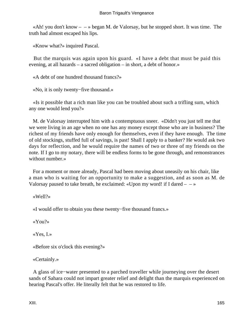«Ah! you don't know  $-$  » began M. de Valorsay, but he stopped short. It was time. The truth had almost escaped his lips.

«Know what?» inquired Pascal.

 But the marquis was again upon his guard. «I have a debt that must be paid this evening, at all hazards – a sacred obligation – in short, a debt of honor.»

«A debt of one hundred thousand francs?»

«No, it is only twenty−five thousand.»

 «Is it possible that a rich man like you can be troubled about such a trifling sum, which any one would lend you?»

 M. de Valorsay interrupted him with a contemptuous sneer. «Didn't you just tell me that we were living in an age when no one has any money except those who are in business? The richest of my friends have only enough for themselves, even if they have enough. The time of old stockings, stuffed full of savings, is past! Shall I apply to a banker? He would ask two days for reflection, and he would require the names of two or three of my friends on the note. If I go to my notary, there will be endless forms to be gone through, and remonstrances without number.»

 For a moment or more already, Pascal had been moving about uneasily on his chair, like a man who is waiting for an opportunity to make a suggestion, and as soon as M. de Valorsay paused to take breath, he exclaimed: «Upon my word! if I dared  $- \rightarrow \infty$ 

«Well?»

«I would offer to obtain you these twenty−five thousand francs.»

«You?»

«Yes, I.»

«Before six o'clock this evening?»

«Certainly.»

 A glass of ice−water presented to a parched traveller while journeying over the desert sands of Sahara could not impart greater relief and delight than the marquis experienced on hearing Pascal's offer. He literally felt that he was restored to life.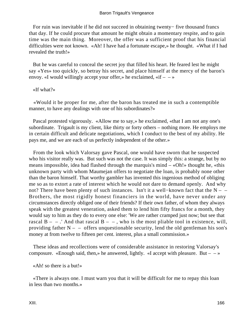For ruin was inevitable if he did not succeed in obtaining twenty− five thousand francs that day. If he could procure that amount he might obtain a momentary respite, and to gain time was the main thing. Moreover, the offer was a sufficient proof that his financial difficulties were not known. «Ah! I have had a fortunate escape,» he thought. «What if I had revealed the truth!»

 But he was careful to conceal the secret joy that filled his heart. He feared lest he might say «Yes» too quickly, so betray his secret, and place himself at the mercy of the baron's envoy. «I would willingly accept your offer,» he exclaimed, «if  $- \rightarrow \infty$ 

«If what?»

 «Would it be proper for me, after the baron has treated me in such a contemptible manner, to have any dealings with one of his subordinates?»

 Pascal protested vigorously. «Allow me to say,» he exclaimed, «that I am not any one's subordinate. Trigault is my client, like thirty or forty others – nothing more. He employs me in certain difficult and delicate negotiations, which I conduct to the best of my ability. He pays me, and we are each of us perfectly independent of the other.»

 From the look which Valorsay gave Pascal, one would have sworn that he suspected who his visitor really was. But such was not the case. It was simply this: a strange, but by no means impossible, idea had flashed through the marquis's mind – «Oh!» thought he, «this unknown party with whom Maumejan offers to negotiate the loan, is probably none other than the baron himself. That worthy gambler has invented this ingenious method of obliging me so as to extort a rate of interest which he would not dare to demand openly. And why not? There have been plenty of such instances. Isn't it a well−known fact that the N – – Brothers, the most rigidly honest financiers in the world, have never under any circumstances directly obliged one of their friends? If their own father, of whom they always speak with the greatest veneration, asked them to lend him fifty francs for a month, they would say to him as they do to every one else: 'We are rather cramped just now; but see that rascal  $B - -$ . And that rascal  $B - -$ , who is the most pliable tool in existence, will, providing father  $N - -$  offers unquestionable security, lend the old gentleman his son's money at from twelve to fifteen per cent. interest, plus a small commission.»

 These ideas and recollections were of considerable assistance in restoring Valorsay's composure. «Enough said, then,» he answered, lightly. «I accept with pleasure. But –  $-\infty$ 

«Ah! so there is a but!»

 «There is always one. I must warn you that it will be difficult for me to repay this loan in less than two months.»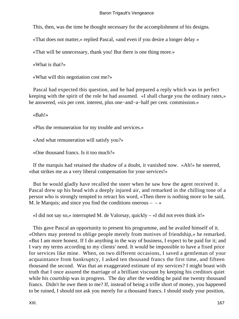This, then, was the time he thought necessary for the accomplishment of his designs.

«That does not matter,» replied Pascal, «and even if you desire a longer delay »

«That will be unnecessary, thank you! But there is one thing more.»

«What is that?»

«What will this negotiation cost me?»

 Pascal had expected this question, and he had prepared a reply which was in perfect keeping with the spirit of the role he had assumed. «I shall charge you the ordinary rates,» he answered, «six per cent. interest, plus one−and−a−half per cent. commission.»

«Bah!»

«Plus the remuneration for my trouble and services.»

«And what remuneration will satisfy you?»

«One thousand francs. Is it too much?»

 If the marquis had retained the shadow of a doubt, it vanished now. «Ah!» he sneered, «that strikes me as a very liberal compensation for your services!»

 But he would gladly have recalled the sneer when he saw how the agent received it. Pascal drew up his head with a deeply injured air, and remarked in the chilling tone of a person who is strongly tempted to retract his word, «Then there is nothing more to be said, M. le Marquis; and since you find the conditions onerous  $-\rightarrow$ 

«I did not say so,» interrupted M. de Valorsay, quickly – «I did not even think it!»

 This gave Pascal an opportunity to present his programme, and he availed himself of it. «Others may pretend to oblige people merely from motives of friendship,» he remarked. «But I am more honest. If I do anything in the way of business, I expect to be paid for it; and I vary my terms according to my clients' need. It would be impossible to have a fixed price for services like mine. When, on two different occasions, I saved a gentleman of your acquaintance from bankruptcy, I asked ten thousand francs the first time, and fifteen thousand the second. Was that an exaggerated estimate of my services? I might boast with truth that I once assured the marriage of a brilliant viscount by keeping his creditors quiet while his courtship was in progress. The day after the wedding he paid me twenty thousand francs. Didn't he owe them to me? If, instead of being a trifle short of money, you happened to be ruined, I should not ask you merely for a thousand francs. I should study your position,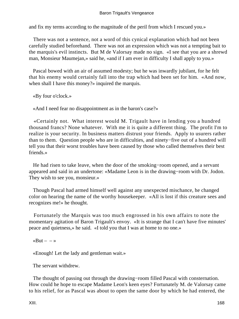#### Baron Trigault's Vengeance

and fix my terms according to the magnitude of the peril from which I rescued you.»

 There was not a sentence, not a word of this cynical explanation which had not been carefully studied beforehand. There was not an expression which was not a tempting bait to the marquis's evil instincts. But M de Valorsay made no sign. «I see that you are a shrewd man, Monsieur Maumejan,» said he, «and if I am ever in difficulty I shall apply to you.»

 Pascal bowed with an air of assumed modesty; but he was inwardly jubilant, for he felt that his enemy would certainly fall into the trap which had been set for him. «And now, when shall I have this money?» inquired the marquis.

«By four o'clock.»

«And I need fear no disappointment as in the baron's case?»

 «Certainly not. What interest would M. Trigault have in lending you a hundred thousand francs? None whatever. With me it is quite a different thing. The profit I'm to realize is your security. In business matters distrust your friends. Apply to usurers rather than to them. Question people who are in difficulties, and ninety−five out of a hundred will tell you that their worst troubles have been caused by those who called themselves their best friends.»

 He had risen to take leave, when the door of the smoking−room opened, and a servant appeared and said in an undertone: «Madame Leon is in the drawing−room with Dr. Jodon. They wish to see you, monsieur.»

 Though Pascal had armed himself well against any unexpected mischance, he changed color on hearing the name of the worthy housekeeper. «All is lost if this creature sees and recognizes me!» he thought.

 Fortunately the Marquis was too much engrossed in his own affairs to note the momentary agitation of Baron Trigault's envoy. «It is strange that I can't have five minutes' peace and quietness,» he said. «I told you that I was at home to no one.»

«But  $\rightarrow$ 

«Enough! Let the lady and gentleman wait.»

The servant withdrew.

 The thought of passing out through the drawing−room filled Pascal with consternation. How could he hope to escape Madame Leon's keen eyes? Fortunately M. de Valorsay came to his relief, for as Pascal was about to open the same door by which he had entered, the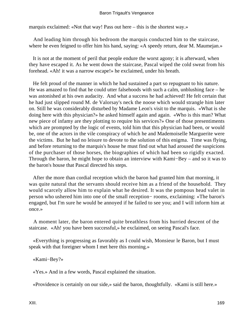marquis exclaimed: «Not that way! Pass out here – this is the shortest way.»

 And leading him through his bedroom the marquis conducted him to the staircase, where he even feigned to offer him his hand, saying: «A speedy return, dear M. Maumejan.»

 It is not at the moment of peril that people endure the worst agony; it is afterward, when they have escaped it. As he went down the staircase, Pascal wiped the cold sweat from his forehead. «Ah! it was a narrow escape!» he exclaimed, under his breath.

 He felt proud of the manner in which he had sustained a part so repugnant to his nature. He was amazed to find that he could utter falsehoods with such a calm, unblushing face – he was astonished at his own audacity. And what a success he had achieved! He felt certain that he had just slipped round M. de Valorsay's neck the noose which would strangle him later on. Still he was considerably disturbed by Madame Leon's visit to the marquis. «What is she doing here with this physician?» he asked himself again and again. «Who is this man? What new piece of infamy are they plotting to require his services?» One of those presentiments which are prompted by the logic of events, told him that this physician had been, or would be, one of the actors in the vile conspiracy of which he and Mademoiselle Marguerite were the victims. But he had no leisure to devote to the solution of this enigma. Time was flying, and before returning to the marquis's house he must find out what had aroused the suspicions of the purchaser of those horses, the biographies of which had been so rigidly exacted. Through the baron, he might hope to obtain an interview with Kami−Bey – and so it was to the baron's house that Pascal directed his steps.

 After the more than cordial reception which the baron had granted him that morning, it was quite natural that the servants should receive him as a friend of the household. They would scarcely allow him to explain what he desired. It was the pompous head valet in person who ushered him into one of the small reception− rooms, exclaiming: «The baron's engaged, but I'm sure he would be annoyed if he failed to see you; and I will inform him at once.»

 A moment later, the baron entered quite breathless from his hurried descent of the staircase. «Ah! you have been successful,» he exclaimed, on seeing Pascal's face.

 «Everything is progressing as favorably as I could wish, Monsieur le Baron, but I must speak with that foreigner whom I met here this morning.»

«Kami−Bey?»

«Yes.» And in a few words, Pascal explained the situation.

«Providence is certainly on our side,» said the baron, thoughtfully. «Kami is still here.»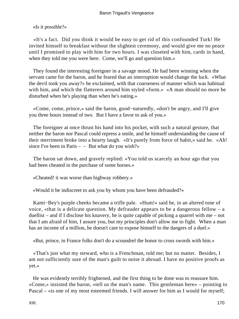«Is it possible?»

 «It's a fact. Did you think it would be easy to get rid of this confounded Turk! He invited himself to breakfast without the slightest ceremony, and would give me no peace until I promised to play with him for two hours. I was closeted with him, cards in hand, when they told me you were here. Come, we'll go and question him.»

 They found the interesting foreigner in a savage mood. He had been winning when the servant came for the baron, and he feared that an interruption would change the luck. «What the devil took you away?» he exclaimed, with that coarseness of manner which was habitual with him, and which the flatterers around him styled «form.» «A man should no more be disturbed when he's playing than when he's eating.»

 «Come, come, prince,» said the baron, good−naturedly, «don't be angry, and I'll give you three hours instead of two. But I have a favor to ask of you.»

 The foreigner at once thrust his hand into his pocket, with such a natural gesture, that neither the baron nor Pascal could repress a smile, and he himself understanding the cause of their merriment broke into a hearty laugh. «It's purely from force of habit,» said he. «Ah! since I've been in Paris  $-$  – But what do you wish?»

 The baron sat down, and gravely replied: «You told us scarcely an hour ago that you had been cheated in the purchase of some horses.»

«Cheated! it was worse than highway robbery.»

«Would it be indiscreet to ask you by whom you have been defrauded?»

 Kami−Bey's purple cheeks became a trifle pale. «Hum!» said he, in an altered tone of voice, «that is a delicate question. My defrauder appears to be a dangerous fellow – a duellist – and if I disclose his knavery, he is quite capable of picking a quarrel with me – not that I am afraid of him, I assure you, but my principles don't allow me to fight. When a man has an income of a million, he doesn't care to expose himself to the dangers of a duel.»

«But, prince, in France folks don't do a scoundrel the honor to cross swords with him.»

 «That's just what my steward, who is a Frenchman, told me; but no matter. Besides, I am not sufficiently sure of the man's guilt to noise it abroad. I have no positive proofs as yet.»

 He was evidently terribly frightened, and the first thing to be done was to reassure him. «Come,» insisted the baron, «tell us the man's name. This gentleman here» – pointing to Pascal – «is one of my most esteemed friends. I will answer for him as I would for myself;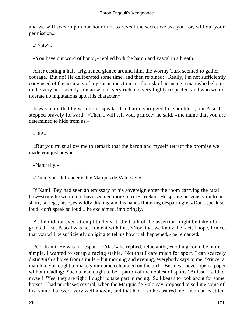and we will swear upon our honor not to reveal the secret we ask you for, without your permission.»

«Truly?»

«You have our word of honor,» replied both the baron and Pascal in a breath.

 After casting a half−frightened glance around him, the worthy Turk seemed to gather courage. But no! He deliberated some time, and then rejoined: «Really, I'm not sufficiently convinced of the accuracy of my suspicions to incur the risk of accusing a man who belongs in the very best society; a man who is very rich and very highly respected, and who would tolerate no imputations upon his character.»

 It was plain that he would not speak. The baron shrugged his shoulders, but Pascal stepped bravely forward. «Then I will tell you, prince,» he said, «the name that you are determined to hide from us.»

«Oh!»

 «But you must allow me to remark that the baron and myself retract the promise we made you just now.»

«Naturally.»

«Then, your defrauder is the Marquis de Valorsay!»

 If Kami−Bey had seen an emissary of his sovereign enter the room carrying the fatal bow−string he would not have seemed more terror−stricken. He sprang nervously on to his short, fat legs, his eyes wildly dilating and his hands fluttering despairingly. «Don't speak so loud! don't speak so loud!» he exclaimed, imploringly.

 As he did not even attempt to deny it, the truth of the assertion might be taken for granted. But Pascal was not content with this. «Now that we know the fact, I hope, Prince, that you will be sufficiently obliging to tell us how it all happened,» he remarked.

 Poor Kami. He was in despair. «Alas!» he replied, reluctantly, «nothing could be more simple. I wanted to set up a racing stable. Not that I care much for sport. I can scarcely distinguish a horse from a mule – but morning and evening, everybody says to me: 'Prince, a man like you ought to make your name celebrated on the turf.' Besides I never open a paper without reading: 'Such a man ought to be a patron of the noblest of sports.' At last, I said to myself: 'Yes, they are right. I ought to take part in racing.' So I began to look about for some horses. I had purchased several, when the Marquis de Valorsay proposed to sell me some of his, some that were very well known, and that had – so he assured me – won at least ten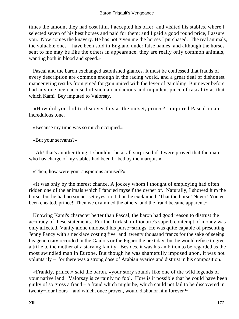times the amount they had cost him. I accepted his offer, and visited his stables, where I selected seven of his best horses and paid for them; and I paid a good round price, I assure you. Now comes the knavery. He has not given me the horses I purchased. The real animals, the valuable ones – have been sold in England under false names, and although the horses sent to me may be like the others in appearance, they are really only common animals, wanting both in blood and speed.»

 Pascal and the baron exchanged astonished glances. It must be confessed that frauds of every description are common enough in the racing world, and a great deal of dishonest manoeuvring results from greed for gain united with the fever of gambling. But never before had any one been accused of such an audacious and impudent piece of rascality as that which Kami−Bey imputed to Valorsay.

 «How did you fail to discover this at the outset, prince?» inquired Pascal in an incredulous tone.

«Because my time was so much occupied.»

«But your servants?»

 «Ah! that's another thing. I shouldn't be at all surprised if it were proved that the man who has charge of my stables had been bribed by the marquis.»

«Then, how were your suspicions aroused?»

 «It was only by the merest chance. A jockey whom I thought of employing had often ridden one of the animals which I fancied myself the owner of. Naturally, I showed him the horse, but he had no sooner set eyes on it than he exclaimed: 'That the horse! Never! You've been cheated, prince!' Then we examined the others, and the fraud became apparent.»

 Knowing Kami's character better than Pascal, the baron had good reason to distrust the accuracy of these statements. For the Turkish millionaire's superb contempt of money was only affected. Vanity alone unloosed his purse−strings. He was quite capable of presenting Jenny Fancy with a necklace costing five−and−twenty thousand francs for the sake of seeing his generosity recorded in the Gaulois or the Figaro the next day; but he would refuse to give a trifle to the mother of a starving family. Besides, it was his ambition to be regarded as the most swindled man in Europe. But though he was shamefully imposed upon, it was not voluntarily – for there was a strong dose of Arabian avarice and distrust in his composition.

 «Frankly, prince,» said the baron, «your story sounds like one of the wild legends of your native land. Valorsay is certainly no fool. How is it possible that he could have been guilty of so gross a fraud – a fraud which might be, which could not fail to be discovered in twenty−four hours – and which, once proven, would dishonor him forever?»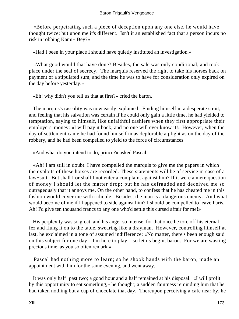«Before perpetrating such a piece of deception upon any one else, he would have thought twice; but upon me it's different. Isn't it an established fact that a person incurs no risk in robbing Kami− Bey?»

«Had I been in your place I should have quietly instituted an investigation.»

 «What good would that have done? Besides, the sale was only conditional, and took place under the seal of secrecy. The marquis reserved the right to take his horses back on payment of a stipulated sum, and the time he was to have for consideration only expired on the day before yesterday.»

«Eh! why didn't you tell us that at first?» cried the baron.

 The marquis's rascality was now easily explained. Finding himself in a desperate strait, and feeling that his salvation was certain if he could only gain a little time, he had yielded to temptation, saying to himself, like unfaithful cashiers when they first appropriate their employers' money: «I will pay it back, and no one will ever know it!» However, when the day of settlement came he had found himself in as deplorable a plight as on the day of the robbery, and he had been compelled to yield to the force of circumstances.

«And what do you intend to do, prince?» asked Pascal.

 «Ah! I am still in doubt. I have compelled the marquis to give me the papers in which the exploits of these horses are recorded. These statements will be of service in case of a law−suit. But shall I or shall I not enter a complaint against him? If it were a mere question of money I should let the matter drop; but he has defrauded and deceived me so outrageously that it annoys me. On the other hand, to confess that he has cheated me in this fashion would cover me with ridicule. Besides, the man is a dangerous enemy. And what would become of me if I happened to side against him? I should be compelled to leave Paris. Ah! I'd give ten thousand francs to any one who'd settle this cursed affair for me!»

 His perplexity was so great, and his anger so intense, for that once he tore off his eternal fez and flung it on to the table, swearing like a drayman. However, controlling himself at last, he exclaimed in a tone of assumed indifference: «No matter, there's been enough said on this subject for one day – I'm here to play – so let us begin, baron. For we are wasting precious time, as you so often remark.»

 Pascal had nothing more to learn; so he shook hands with the baron, made an appointment with him for the same evening, and went away.

 It was only half−past two; a good hour and a half remained at his disposal. «I will profit by this opportunity to eat something,» he thought; a sudden faintness reminding him that he had taken nothing but a cup of chocolate that day. Thereupon perceiving a cafe near by, he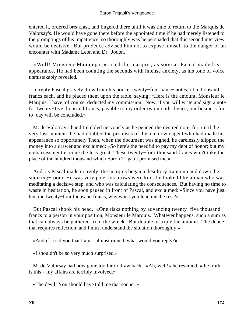entered it, ordered breakfast, and lingered there until it was time to return to the Marquis de Valorsay's. He would have gone there before the appointed time if he had merely listened to the promptings of his impatience, so thoroughly was he persuaded that this second interview would be decisive. But prudence advised him not to expose himself to the danger of an encounter with Madame Leon and Dr. Jodon.

 «Well! Monsieur Maumejan,» cried the marquis, as soon as Pascal made his appearance. He had been counting the seconds with intense anxiety, as his tone of voice unmistakably revealed.

 In reply Pascal gravely drew from his pocket twenty−four bank− notes, of a thousand francs each, and he placed them upon the table, saying: «Here is the amount, Monsieur le Marquis. I have, of course, deducted my commission. Now, if you will write and sign a note for twenty−five thousand francs, payable to my order two months hence, our business for to−day will be concluded.»

 M. de Valorsay's hand trembled nervously as he penned the desired note, for, until the very last moment, he had doubted the promises of this unknown agent who had made his appearance so opportunely Then, when the document was signed, he carelessly slipped the money into a drawer and exclaimed: «So here's the needful to pay my debt of honor; but my embarrassment is none the less great. These twenty−four thousand francs won't take the place of the hundred thousand which Baron Trigault promised me.»

 And, as Pascal made no reply, the marquis began a desultory tramp up and down the smoking−room. He was very pale, his brows were knit; he looked like a man who was meditating a decisive step, and who was calculating the consequences. But having no time to waste in hesitation, he soon paused in front of Pascal, and exclaimed: «Since you have just lent me twenty−four thousand francs, why won't you lend me the rest?»

 But Pascal shook his head. «One risks nothing by advancing twenty−five thousand francs to a person in your position, Monsieur le Marquis. Whatever happens, such a sum as that can always be gathered from the wreck. But double or triple the amount! The deuce! that requires reflection, and I must understand the situation thoroughly.»

«And if I told you that I am – almost ruined, what would you reply?»

«I shouldn't be so very much surprised.»

 M. de Valorsay had now gone too far to draw back. «Ah, well!» he resumed, «the truth is this – my affairs are terribly involved.»

«The devil! You should have told me that sooner.»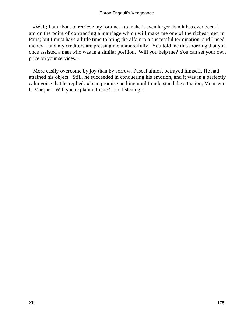«Wait; I am about to retrieve my fortune – to make it even larger than it has ever been. I am on the point of contracting a marriage which will make me one of the richest men in Paris; but I must have a little time to bring the affair to a successful termination, and I need money – and my creditors are pressing me unmercifully. You told me this morning that you once assisted a man who was in a similar position. Will you help me? You can set your own price on your services.»

 More easily overcome by joy than by sorrow, Pascal almost betrayed himself. He had attained his object. Still, he succeeded in conquering his emotion, and it was in a perfectly calm voice that he replied: «I can promise nothing until I understand the situation, Monsieur le Marquis. Will you explain it to me? I am listening.»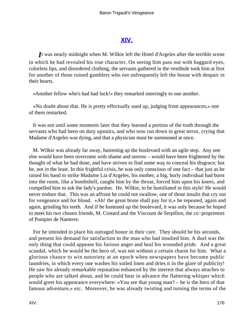# **[XIV.](#page-256-0)**

*I*t was nearly midnight when M. Wilkie left the Hotel d'Argeles after the terrible scene in which he had revealed his true character. On seeing him pass out with haggard eyes, colorless lips, and disordered clothing, the servants gathered in the vestibule took him at first for another of those ruined gamblers who not unfrequently left the house with despair in their hearts.

«Another fellow who's had bad luck!» they remarked sneeringly to one another.

 «No doubt about that. He is pretty effectually used up, judging from appearances,» one of them remarked.

 It was not until some moments later that they learned a portion of the truth through the servants who had been on duty upstairs, and who now ran down in great terror, crying that Madame d'Argeles was dying, and that a physician must be summoned at once.

 M. Wilkie was already far away, hastening up the boulevard with an agile step. Any one else would have been overcome with shame and sorrow – would have been frightened by the thought of what he had done, and have striven to find some way to conceal his disgrace; but he, not in the least. In this frightful crisis, he was only conscious of one fact – that just as he raised his hand to strike Madame Lia d'Argeles, his mother, a big, burly individual had burst into the room, like a bombshell, caught him by the throat, forced him upon his knees, and compelled him to ask the lady's pardon. He, Wilkie, to be humiliated in this style! He would never endure that. This was an affront he could not swallow, one of those insults that cry out for vengeance and for blood. «Ah! the great brute shall pay for it,» he repeated, again and again, grinding his teeth. And if he hastened up the boulevard, it was only because he hoped to meet his two chosen friends, M. Costard and the Viscount de Serpillon, the co−proprietors of Pompier de Nanterre.

 For he intended to place his outraged honor in their care. They should be his seconds, and present his demand for satisfaction to the man who had insulted him. A duel was the only thing that could appease his furious anger and heal his wounded pride. And a great scandal, which he would be the hero of, was not without a certain charm for him. What a glorious chance to win notoriety at an epoch when newspapers have become public laundries, in which every one washes his soiled linen and dries it in the glare of publicity! He saw his already remarkable reputation enhanced by the interest that always attaches to people who are talked about, and he could hear in advance the flattering whisper which would greet his appearance everywhere: «You see that young man? – he is the hero of that famous adventure,» etc. Moreover, he was already twisting and turning the terms of the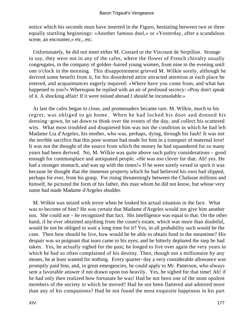notice which his seconds must have inserted in the Figaro, hesitating between two or three equally startling beginnings: «Another famous duel,» or «Yesterday, after a scandalous scene, an encounter,» etc., etc.

 Unfortunately, he did not meet either M. Costard or the Viscount de Serpillon. Strange to say, they were not in any of the cafes, where the flower of French chivalry usually congregates, in the company of golden−haired young women, from nine in the evening until one o'clock in the morning. This disappointment grieved M. Wilkie sorely, although he derived some benefit from it, for his disordered attire attracted attention at each place he entered, and acquaintances eagerly inquired: «Where have you come from, and what has happened to you?» Whereupon he replied with an air of profound secrecy: «Pray don't speak of it. A shocking affair! If it were noised abroad I should be inconsolable.»

 At last the cafes began to close, and promenaders became rare. M. Wilkie, much to his regret, was obliged to go home. When he had locked his door and donned his dressing−gown, he sat down to think over the events of the day, and collect his scattered wits. What most troubled and disquieted him was not the condition in which he had left Madame Lia d'Argeles, his mother, who was, perhaps, dying, through his fault! It was not the terrible sacrifice that this poor woman had made for him in a transport of maternal love! It was not the thought of the source from which the money he had squandered for so many years had been derived. No, M. Wilkie was quite above such paltry considerations – good enough for commonplace and antiquated people. «He was too clever for that. Ah! yes. He had a stronger stomach, and was up with the times!» If he were sorely vexed in spirit it was because he thought that the immense property which he had believed his own had slipped, perhaps for ever, from his grasp. For rising threateningly between the Chalusse millions and himself, he pictured the form of his father, this man whom he did not know, but whose very name had made Madame d'Argeles shudder.

 M. Wilkie was seized with terror when he looked his actual situation in the face. What was to become of him? He was certain that Madame d'Argeles would not give him another sou. She could not – he recognized that fact. His intelligence was equal to that. On the other hand, if he ever obtained anything from the count's estate, which was more than doubtful, would he not be obliged to wait a long time for it? Yes, in all probability such would be the case. Then how should he live, how would he be able to obtain food in the meantime? His despair was so poignant that tears came to his eyes; and he bitterly deplored the step he had taken. Yes, he actually sighed for the past; he longed to live over again the very years in which he had so often complained of his destiny. Then, though not a millionaire by any means, he at least wanted for nothing. Every quarter−day a very considerable allowance was promptly paid him, and, in great emergencies, he could apply to Mr. Patterson, who always sent a favorable answer if not drawn upon too heavily. Yes, he sighed for that time! Ah! if he had only then realized how fortunate he was! Had he not been one of the most opulent members of the society in which he moved? Had he not been flattered and admired more than any of his companions? Had he not found the most exquisite happiness in his part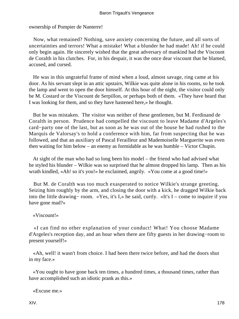ownership of Pompier de Nanterre!

 Now, what remained? Nothing, save anxiety concerning the future, and all sorts of uncertainties and terrors! What a mistake! What a blunder he had made! Ah! if he could only begin again. He sincerely wished that the great adversary of mankind had the Viscount de Coralth in his clutches. For, in his despair, it was the once dear viscount that he blamed, accused, and cursed.

 He was in this ungrateful frame of mind when a loud, almost savage, ring came at his door. As his servant slept in an attic upstairs, Wilkie was quite alone in his rooms, so he took the lamp and went to open the door himself. At this hour of the night, the visitor could only be M. Costard or the Viscount de Serpillon, or perhaps both of them. «They have heard that I was looking for them, and so they have hastened here,» he thought.

 But he was mistaken. The visitor was neither of these gentlemen, but M. Ferdinand de Coralth in person. Prudence had compelled the viscount to leave Madame d'Argeles's card−party one of the last, but as soon as he was out of the house he had rushed to the Marquis de Valorsay's to hold a conference with him, far from suspecting that he was followed, and that an auxiliary of Pascal Ferailleur and Mademoiselle Marguerite was even then waiting for him below – an enemy as formidable as he was humble – Victor Chupin.

 At sight of the man who had so long been his model – the friend who had advised what he styled his blunder – Wilkie was so surprised that he almost dropped his lamp. Then as his wrath kindled, «Ah! so it's you!» he exclaimed, angrily. «You come at a good time!»

 But M. de Coralth was too much exasperated to notice Wilkie's strange greeting. Seizing him roughly by the arm, and closing the door with a kick, he dragged Wilkie back into the little drawing− room. «Yes, it's I,» he said, curtly. «It's I – come to inquire if you have gone mad?»

«Viscount!»

 «I can find no other explanation of your conduct! What! You choose Madame d'Argeles's reception day, and an hour when there are fifty guests in her drawing−room to present yourself!»

 «Ah, well! it wasn't from choice. I had been there twice before, and had the doors shut in my face.»

 «You ought to have gone back ten times, a hundred times, a thousand times, rather than have accomplished such an idiotic prank as this.»

«Excuse me.»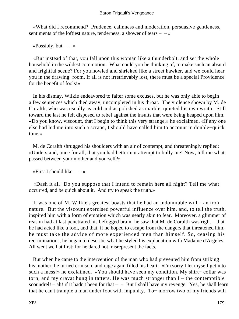«What did I recommend? Prudence, calmness and moderation, persuasive gentleness, sentiments of the loftiest nature, tenderness, a shower of tears  $- \rightarrow \infty$ 

«Possibly, but  $- \rightarrow \infty$ 

 «But instead of that, you fall upon this woman like a thunderbolt, and set the whole household in the wildest commotion. What could you be thinking of, to make such an absurd and frightful scene? For you howled and shrieked like a street hawker, and we could hear you in the drawing−room. If all is not irretrievably lost, there must be a special Providence for the benefit of fools!»

 In his dismay, Wilkie endeavored to falter some excuses, but he was only able to begin a few sentences which died away, uncompleted in his throat. The violence shown by M. de Coralth, who was usually as cold and as polished as marble, quieted his own wrath. Still toward the last he felt disposed to rebel against the insults that were being heaped upon him. «Do you know, viscount, that I begin to think this very strange,» he exclaimed. «If any one else had led me into such a scrape, I should have called him to account in double−quick time.»

 M. de Coralth shrugged his shoulders with an air of contempt, and threateningly replied: «Understand, once for all, that you had better not attempt to bully me! Now, tell me what passed between your mother and yourself?»

«First I should like  $- - \infty$ 

 «Dash it all! Do you suppose that I intend to remain here all night? Tell me what occurred, and be quick about it. And try to speak the truth.»

 It was one of M. Wilkie's greatest boasts that he had an indomitable will – an iron nature. But the viscount exercised powerful influence over him, and, to tell the truth, inspired him with a form of emotion which was nearly akin to fear. Moreover, a glimmer of reason had at last penetrated his befogged brain: he saw that M. de Coralth was right – that he had acted like a fool, and that, if he hoped to escape from the dangers that threatened him, he must take the advice of more experienced men than himself. So, ceasing his recriminations, he began to describe what he styled his explanation with Madame d'Argeles. All went well at first; for he dared not misrepresent the facts.

 But when he came to the intervention of the man who had prevented him from striking his mother, he turned crimson, and rage again filled his heart. «I'm sorry I let myself get into such a mess!» he exclaimed. «You should have seen my condition. My shirt– collar was torn, and my cravat hung in tatters. He was much stronger than I – the contemptible scoundrel! – ah! if it hadn't been for that  $-$  – But I shall have my revenge. Yes, he shall learn that he can't trample a man under foot with impunity. To− morrow two of my friends will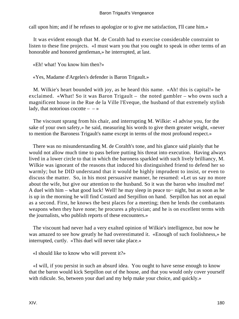### Baron Trigault's Vengeance

call upon him; and if he refuses to apologize or to give me satisfaction, I'll cane him.»

 It was evident enough that M. de Coralth had to exercise considerable constraint to listen to these fine projects. «I must warn you that you ought to speak in other terms of an honorable and honored gentleman,» he interrupted, at last.

«Eh! what! You know him then?»

«Yes, Madame d'Argeles's defender is Baron Trigault.»

 M. Wilkie's heart bounded with joy, as he heard this name. «Ah! this is capital!» he exclaimed. «What! So it was Baron Trigault – the noted gambler – who owns such a magnificent house in the Rue de la Ville l'Eveque, the husband of that extremely stylish lady, that notorious cocotte  $-$  – »

 The viscount sprang from his chair, and interrupting M. Wilkie: «I advise you, for the sake of your own safety,» he said, measuring his words to give them greater weight, «never to mention the Baroness Trigault's name except in terms of the most profound respect.»

 There was no misunderstanding M. de Coralth's tone, and his glance said plainly that he would not allow much time to pass before putting his threat into execution. Having always lived in a lower circle to that in which the baroness sparkled with such lively brilliancy, M. Wilkie was ignorant of the reasons that induced his distinguished friend to defend her so warmly; but he DID understand that it would be highly imprudent to insist, or even to discuss the matter. So, in his most persuasive manner, he resumed: «Let us say no more about the wife, but give our attention to the husband. So it was the baron who insulted me! A duel with him – what good luck! Well! he may sleep in peace to− night, but as soon as he is up in the morning he will find Costard and Serpillon on hand. Serpillon has not an equal as a second. First, he knows the best places for a meeting; then he lends the combatants weapons when they have none; he procures a physician; and he is on excellent terms with the journalists, who publish reports of these encounters.»

 The viscount had never had a very exalted opinion of Wilkie's intelligence, but now he was amazed to see how greatly he had overestimated it. «Enough of such foolishness,» he interrupted, curtly. «This duel will never take place.»

«I should like to know who will prevent it?»

 «I will, if you persist in such an absurd idea. You ought to have sense enough to know that the baron would kick Serpillon out of the house, and that you would only cover yourself with ridicule. So, between your duel and my help make your choice, and quickly.»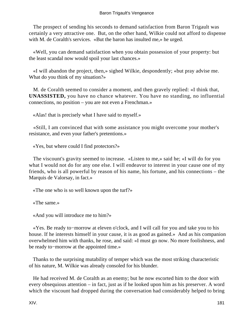The prospect of sending his seconds to demand satisfaction from Baron Trigault was certainly a very attractive one. But, on the other hand, Wilkie could not afford to dispense with M. de Coralth's services. «But the baron has insulted me,» he urged.

 «Well, you can demand satisfaction when you obtain possession of your property: but the least scandal now would spoil your last chances.»

 «I will abandon the project, then,» sighed Wilkie, despondently; «but pray advise me. What do you think of my situation?»

 M. de Coralth seemed to consider a moment, and then gravely replied: «I think that, **UNASSISTED,** you have no chance whatever. You have no standing, no influential connections, no position – you are not even a Frenchman.»

«Alas! that is precisely what I have said to myself.»

 «Still, I am convinced that with some assistance you might overcome your mother's resistance, and even your father's pretentions.»

«Yes, but where could I find protectors?»

 The viscount's gravity seemed to increase. «Listen to me,» said he; «I will do for you what I would not do for any one else. I will endeavor to interest in your cause one of my friends, who is all powerful by reason of his name, his fortune, and his connections – the Marquis de Valorsay, in fact.»

«The one who is so well known upon the turf?»

«The same.»

«And you will introduce me to him?»

 «Yes. Be ready to−morrow at eleven o'clock, and I will call for you and take you to his house. If he interests himself in your cause, it is as good as gained.» And as his companion overwhelmed him with thanks, he rose, and said: «I must go now. No more foolishness, and be ready to−morrow at the appointed time.»

 Thanks to the surprising mutability of temper which was the most striking characteristic of his nature, M. Wilkie was already consoled for his blunder.

 He had received M. de Coralth as an enemy; but he now escorted him to the door with every obsequious attention – in fact, just as if he looked upon him as his preserver. A word which the viscount had dropped during the conversation had considerably helped to bring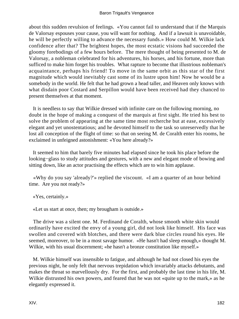about this sudden revulsion of feelings. «You cannot fail to understand that if the Marquis de Valorsay espouses your cause, you will want for nothing. And if a lawsuit is unavoidable, he will be perfectly willing to advance the necessary funds.» How could M. Wilkie lack confidence after that? The brightest hopes, the most ecstatic visions had succeeded the gloomy forebodings of a few hours before. The mere thought of being presented to M. de Valorsay, a nobleman celebrated for his adventures, his horses, and his fortune, more than sufficed to make him forget his troubles. What rapture to become that illustrious nobleman's acquaintance, perhaps his friend! To move in the same orbit as this star of the first magnitude which would inevitably cast some of its lustre upon him! Now he would be a somebody in the world. He felt that he had grown a head taller, and Heaven only knows with what disdain poor Costard and Serpillon would have been received had they chanced to present themselves at that moment.

 It is needless to say that Wilkie dressed with infinite care on the following morning, no doubt in the hope of making a conquest of the marquis at first sight. He tried his best to solve the problem of appearing at the same time most recherche but at ease, excessively elegant and yet unostentatious; and he devoted himself to the task so unreservedly that he lost all conception of the flight of time: so that on seeing M. de Coralth enter his rooms, he exclaimed in unfeigned astonishment: «You here already?»

 It seemed to him that barely five minutes had elapsed since he took his place before the looking−glass to study attitudes and gestures, with a new and elegant mode of bowing and sitting down, like an actor practising the effects which are to win him applause.

 «Why do you say 'already?'» replied the viscount. «I am a quarter of an hour behind time. Are you not ready?»

«Yes, certainly.»

«Let us start at once, then; my brougham is outside.»

 The drive was a silent one. M. Ferdinand de Coralth, whose smooth white skin would ordinarily have excited the envy of a young girl, did not look like himself. His face was swollen and covered with blotches, and there were dark blue circles round his eyes. He seemed, moreover, to be in a most savage humor. «He hasn't had sleep enough,» thought M. Wilkie, with his usual discernment; «he hasn't a bronze constitution like myself.»

 M. Wilkie himself was insensible to fatigue, and although he had not closed his eyes the previous night, he only felt that nervous trepidation which invariably attacks debutants, and makes the throat so marvellously dry. For the first, and probably the last time in his life, M. Wilkie distrusted his own powers, and feared that he was not «quite up to the mark,» as he elegantly expressed it.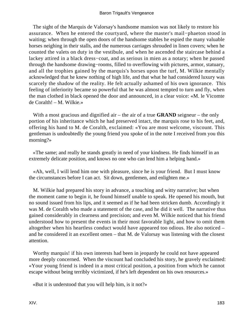The sight of the Marquis de Valorsay's handsome mansion was not likely to restore his assurance. When he entered the courtyard, where the master's mail−phaeton stood in waiting; when through the open doors of the handsome stables he espied the many valuable horses neighing in their stalls, and the numerous carriages shrouded in linen covers; when he counted the valets on duty in the vestibule, and when he ascended the staircase behind a lackey attired in a black dress−coat, and as serious in mien as a notary; when he passed through the handsome drawing−rooms, filled to overflowing with pictures, armor, statuary, and all the trophies gained by the marquis's horses upon the turf, M. Wilkie mentally acknowledged that he knew nothing of high life, and that what he had considered luxury was scarcely the shadow of the reality. He felt actually ashamed of his own ignorance. This feeling of inferiority became so powerful that he was almost tempted to turn and fly, when the man clothed in black opened the door and announced, in a clear voice: «M. le Vicomte de Coralth! – M. Wilkie.»

With a most gracious and dignified air – the air of a true **GRAND** seigneur – the only portion of his inheritance which he had preserved intact, the marquis rose to his feet, and, offering his hand to M. de Coralth, exclaimed: «You are most welcome, viscount. This gentleman is undoubtedly the young friend you spoke of in the note I received from you this morning?»

 «The same; and really he stands greatly in need of your kindness. He finds himself in an extremely delicate position, and knows no one who can lend him a helping hand.»

 «Ah, well, I will lend him one with pleasure, since he is your friend. But I must know the circumstances before I can act. Sit down, gentlemen, and enlighten me.»

 M. Wilkie had prepared his story in advance, a touching and witty narrative; but when the moment came to begin it, he found himself unable to speak. He opened his mouth, but no sound issued from his lips, and it seemed as if he had been stricken dumb. Accordingly it was M. de Coralth who made a statement of the case, and he did it well. The narrative thus gained considerably in clearness and precision; and even M. Wilkie noticed that his friend understood how to present the events in their most favorable light, and how to omit them altogether when his heartless conduct would have appeared too odious. He also noticed – and he considered it an excellent omen – that M. de Valorsay was listening with the closest attention.

 Worthy marquis! if his own interests had been in jeopardy he could not have appeared more deeply concerned. When the viscount had concluded his story, he gravely exclaimed: «Your young friend is indeed in a most critical position, a position from which he cannot escape without being terribly victimized, if he's left dependent on his own resources.»

«But it is understood that you will help him, is it not?»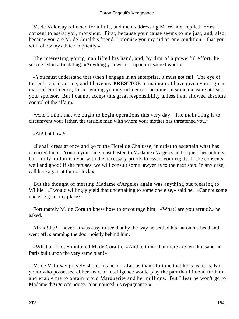M. de Valorsay reflected for a little, and then, addressing M. Wilkie, replied: «Yes, I consent to assist you, monsieur. First, because your cause seems to me just, and, also, because you are M. de Coralth's friend. I promise you my aid on one condition – that you will follow my advice implicitly.»

 The interesting young man lifted his hand, and, by dint of a powerful effort, he succeeded in articulating: «Anything you wish! – upon my sacred word!»

 «You must understand that when I engage in an enterprise, it must not fail. The eye of the public is upon me, and I have my **PRESTIGE** to maintain. I have given you a great mark of confidence, for in lending you my influence I become, in some measure at least, your sponsor. But I cannot accept this great responsibility unless I am allowed absolute control of the affair.»

 «And I think that we ought to begin operations this very day. The main thing is to circumvent your father, the terrible man with whom your mother has threatened you.»

«Ah! but how?»

 «I shall dress at once and go to the Hotel de Chalusse, in order to ascertain what has occurred there. You on your side must hasten to Madame d'Argeles and request her politely, but firmly, to furnish you with the necessary proofs to assert your rights. If she consents, well and good! If she refuses, we will consult some lawyer as to the next step. In any case, call here again at four o'clock.»

 But the thought of meeting Madame d'Argeles again was anything but pleasing to Wilkie. «I would willingly yield that undertaking to some one else,» said he. «Cannot some one else go in my place?»

 Fortunately M. de Coralth knew how to encourage him. «What! are you afraid?» he asked.

 Afraid! he? – never! It was easy to see that by the way he settled his hat on his head and went off, slamming the door noisily behind him.

 «What an idiot!» muttered M. de Coralth. «And to think that there are ten thousand in Paris built upon the very same plan!»

 M. de Valorsay gravely shook his head. «Let us thank fortune that he is as he is. No youth who possessed either heart or intelligence would play the part that I intend for him, and enable me to obtain proud Marguerite and her millions. But I fear he won't go to Madame d'Argeles's house. You noticed his repugnance!»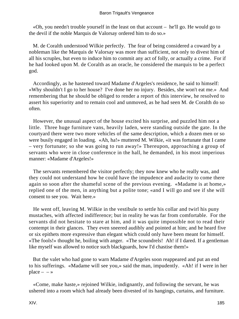### Baron Trigault's Vengeance

 «Oh, you needn't trouble yourself in the least on that account – he'll go. He would go to the devil if the noble Marquis de Valorsay ordered him to do so.»

 M. de Coralth understood Wilkie perfectly. The fear of being considered a coward by a nobleman like the Marquis de Valorsay was more than sufficient, not only to divest him of all his scruples, but even to induce him to commit any act of folly, or actually a crime. For if he had looked upon M. de Coralth as an oracle, he considered the marquis to be a perfect god.

 Accordingly, as he hastened toward Madame d'Argeles's residence, he said to himself: «Why shouldn't I go to her house? I've done her no injury. Besides, she won't eat me.» And remembering that he should be obliged to render a report of this interview, he resolved to assert his superiority and to remain cool and unmoved, as he had seen M. de Coralth do so often.

 However, the unusual aspect of the house excited his surprise, and puzzled him not a little. Three huge furniture vans, heavily laden, were standing outside the gate. In the courtyard there were two more vehicles of the same description, which a dozen men or so were busily engaged in loading. «Ah, ha!» muttered M. Wilkie, «it was fortunate that I came – very fortunate; so she was going to run away!» Thereupon, approaching a group of servants who were in close conference in the hall, he demanded, in his most imperious manner: «Madame d'Argeles!»

 The servants remembered the visitor perfectly; they now knew who he really was, and they could not understand how he could have the impudence and audacity to come there again so soon after the shameful scene of the previous evening. «Madame is at home,» replied one of the men, in anything but a polite tone; «and I will go and see if she will consent to see you. Wait here.»

 He went off, leaving M. Wilkie in the vestibule to settle his collar and twirl his puny mustaches, with affected indifference; but in reality he was far from comfortable. For the servants did not hesitate to stare at him, and it was quite impossible not to read their contempt in their glances. They even sneered audibly and pointed at him; and he heard five or six epithets more expressive than elegant which could only have been meant for himself. «The fools!» thought he, boiling with anger. «The scoundrels! Ah! if I dared. If a gentleman like myself was allowed to notice such blackguards, how I'd chastise them!»

 But the valet who had gone to warn Madame d'Argeles soon reappeared and put an end to his sufferings. «Madame will see you,» said the man, impudently. «Ah! if I were in her  $place - \rightarrow$ 

 «Come, make haste,» rejoined Wilkie, indignantly, and following the servant, he was ushered into a room which had already been divested of its hangings, curtains, and furniture.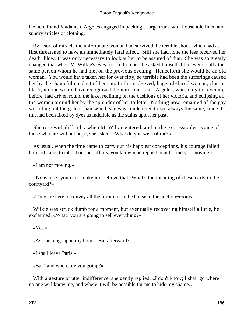He here found Madame d'Argeles engaged in packing a large trunk with household linen and sundry articles of clothing.

 By a sort of miracle the unfortunate woman had survived the terrible shock which had at first threatened to have an immediately fatal effect. Still she had none the less received her death−blow. It was only necessary to look at her to be assured of that. She was so greatly changed that when M. Wilkie's eyes first fell on her, he asked himself if this were really the same person whom he had met on the previous evening. Henceforth she would be an old woman. You would have taken her for over fifty, so terrible had been the sufferings caused her by the shameful conduct of her son. In this sad−eyed, haggard−faced woman, clad in black, no one would have recognized the notorious Lia d'Argeles, who, only the evening before, had driven round the lake, reclining on the cushions of her victoria, and eclipsing all the women around her by the splendor of her toilette. Nothing now remained of the gay worldling but the golden hair which she was condemned to see always the same, since its tint had been fixed by dyes as indelible as the stains upon her past.

 She rose with difficulty when M. Wilkie entered, and in the expressionless voice of those who are without hope, she asked: «What do you wish of me?»

 As usual, when the time came to carry out his happiest conceptions, his courage failed him. «I came to talk about our affairs, you know,» he replied, «and I find you moving.»

«I am not moving.»

 «Nonsense! you can't make me believe that! What's the meaning of these carts in the courtyard?»

«They are here to convey all the furniture in the house to the auction−rooms.»

 Wilkie was struck dumb for a moment, but eventually recovering himself a little, he exclaimed: «What! you are going to sell everything?»

«Yes.»

«Astonishing, upon my honor! But afterward?»

«I shall leave Paris.»

«Bah! and where are you going?»

With a gesture of utter indifference, she gently replied: «I don't know; I shall go where no one will know me, and where it will be possible for me to hide my shame.»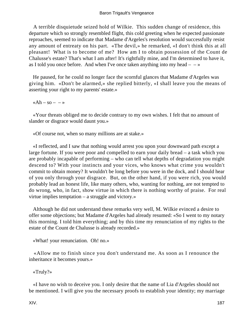A terrible disquietude seized hold of Wilkie. This sudden change of residence, this departure which so strongly resembled flight, this cold greeting when he expected passionate reproaches, seemed to indicate that Madame d'Argeles's resolution would successfully resist any amount of entreaty on his part. «The devil,» he remarked, «I don't think this at all pleasant! What is to become of me? How am I to obtain possession of the Count de Chalusse's estate? That's what I am after! It's rightfully mine, and I'm determined to have it, as I told you once before. And when I've once taken anything into my head  $- \rightarrow \infty$ 

 He paused, for he could no longer face the scornful glances that Madame d'Argeles was giving him. «Don't be alarmed,» she replied bitterly, «I shall leave you the means of asserting your right to my parents' estate.»

 $\kappa$ Ah – so – – »

 «Your threats obliged me to decide contrary to my own wishes. I felt that no amount of slander or disgrace would daunt you.»

«Of course not, when so many millions are at stake.»

 «I reflected, and I saw that nothing would arrest you upon your downward path except a large fortune. If you were poor and compelled to earn your daily bread – a task which you are probably incapable of performing – who can tell what depths of degradation you might descend to? With your instincts and your vices, who knows what crime you wouldn't commit to obtain money? It wouldn't be long before you were in the dock, and I should hear of you only through your disgrace. But, on the other hand, if you were rich, you would probably lead an honest life, like many others, who, wanting for nothing, are not tempted to do wrong, who, in fact, show virtue in which there is nothing worthy of praise. For real virtue implies temptation – a struggle and victory.»

 Although he did not understand these remarks very well, M. Wilkie evinced a desire to offer some objections; but Madame d'Argeles had already resumed: «So I went to my notary this morning. I told him everything; and by this time my renunciation of my rights to the estate of the Count de Chalusse is already recorded.»

«What! your renunciation. Oh! no.»

 «Allow me to finish since you don't understand me. As soon as I renounce the inheritance it becomes yours.»

«Truly?»

 «I have no wish to deceive you. I only desire that the name of Lia d'Argeles should not be mentioned. I will give you the necessary proofs to establish your identity; my marriage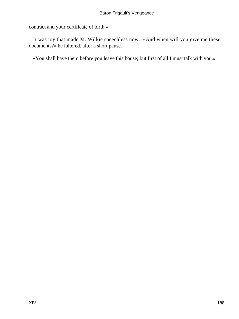contract and your certificate of birth.»

 It was joy that made M. Wilkie speechless now. «And when will you give me these documents?» he faltered, after a short pause.

«You shall have them before you leave this house; but first of all I must talk with you.»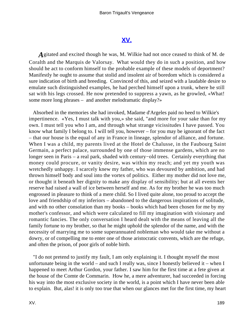## **[XV.](#page-256-0)**

*A*gitated and excited though he was, M. Wilkie had not once ceased to think of M. de Coralth and the Marquis de Valorsay. What would they do in such a position, and how should he act to conform himself to the probable example of these models of deportment? Manifestly he ought to assume that stolid and insolent air of boredom which is considered a sure indication of birth and breeding. Convinced of this, and seized with a laudable desire to emulate such distinguished examples, he had perched himself upon a trunk, where he still sat with his legs crossed. He now pretended to suppress a yawn, as he growled, «What! some more long phrases – and another melodramatic display?»

 Absorbed in the memories she had invoked, Madame d'Argeles paid no heed to Wilkie's impertinence. «Yes, I must talk with you,» she said, "and more for your sake than for my own. I must tell you who I am, and through what strange vicissitudes I have passed. You know what family I belong to. I will tell you, however – for you may be ignorant of the fact – that our house is the equal of any in France in lineage, splendor of alliance, and fortune. When I was a child, my parents lived at the Hotel de Chalusse, in the Faubourg Saint Germain, a perfect palace, surrounded by one of those immense gardens, which are no longer seen in Paris – a real park, shaded with century−old trees. Certainly everything that money could procure, or vanity desire, was within my reach; and yet my youth was wretchedly unhappy. I scarcely knew my father, who was devoured by ambition, and had thrown himself body and soul into the vortex of politics. Either my mother did not love me, or thought it beneath her dignity to make any display of sensibility; but at all events her reserve had raised a wall of ice between herself and me. As for my brother he was too much engrossed in pleasure to think of a mere child. So I lived quite alone, too proud to accept the love and friendship of my inferiors – abandoned to the dangerous inspirations of solitude, and with no other consolation than my books – books which had been chosen for me by my mother's confessor, and which were calculated to fill my imagination with visionary and romantic fancies. The only conversation I heard dealt with the means of leaving all the family fortune to my brother, so that he might uphold the splendor of the name, and with the necessity of marrying me to some superannuated nobleman who would take me without a dowry, or of compelling me to enter one of those aristocratic convents, which are the refuge, and often the prison, of poor girls of noble birth.

 "I do not pretend to justify my fault, I am only explaining it. I thought myself the most unfortunate being in the world – and such I really was, since I honestly believed it – when I happened to meet Arthur Gordon, your father. I saw him for the first time at a fete given at the house of the Comte de Commarin. How he, a mere adventurer, had succeeded in forcing his way into the most exclusive society in the world, is a point which I have never been able to explain. But, alas! it is only too true that when our glances met for the first time, my heart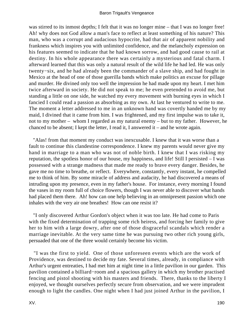was stirred to its inmost depths; I felt that it was no longer mine – that I was no longer free! Ah! why does not God allow a man's face to reflect at least something of his nature? This man, who was a corrupt and audacious hypocrite, had that air of apparent nobility and frankness which inspires you with unlimited confidence, and the melancholy expression on his features seemed to indicate that he had known sorrow, and had good cause to rail at destiny. In his whole appearance there was certainly a mysterious and fatal charm. I afterward learned that this was only a natural result of the wild life he had led. He was only twenty−six, and he had already been the commander of a slave ship, and had fought in Mexico at the head of one of those guerilla bands which make politics an excuse for pillage and murder. He divined only too well the impression he had made upon my heart. I met him twice afterward in society. He did not speak to me; he even pretended to avoid me, but standing a little on one side, he watched my every movement with burning eyes in which I fancied I could read a passion as absorbing as my own. At last he ventured to write to me. The moment a letter addressed to me in an unknown hand was covertly handed me by my maid, I divined that it came from him. I was frightened, and my first impulse was to take it, not to my mother – whom I regarded as my natural enemy – but to my father. However, he chanced to be absent; I kept the letter, I read it, I answered it – and he wrote again.

 "Alas! from that moment my conduct was inexcusable. I knew that it was worse than a fault to continue this clandestine correspondence. I knew my parents would never give my hand in marriage to a man who was not of noble birth. I knew that I was risking my reputation, the spotless honor of our house, my happiness, and life! Still I persisted – I was possessed with a strange madness that made me ready to brave every danger. Besides, he gave me no time to breathe, or reflect. Everywhere, constantly, every instant, he compelled me to think of him. By some miracle of address and audacity, he had discovered a means of intruding upon my presence, even in my father's house. For instance, every morning I found the vases in my room full of choice flowers, though I was never able to discover what hands had placed them there. Ah! how can one help believing in an omnipresent passion which one inhales with the very air one breathes! How can one resist it?

 "I only discovered Arthur Gordon's object when it was too late. He had come to Paris with the fixed determination of trapping some rich heiress, and forcing her family to give her to him with a large dowry, after one of those disgraceful scandals which render a marriage inevitable. At the very same time he was pursuing two other rich young girls, persuaded that one of the three would certainly become his victim.

 "I was the first to yield. One of those unforeseen events which are the work of Providence, was destined to decide my fate. Several times, already, in compliance with Arthur's urgent entreaties, I had met him at night time in a little pavilion in our garden. This pavilion contained a billiard−room and a spacious gallery in which my brother practised fencing and pistol shooting with his masters and friends. There, thanks to the liberty I enjoyed, we thought ourselves perfectly secure from observation, and we were imprudent enough to light the candles. One night when I had just joined Arthur in the pavilion, I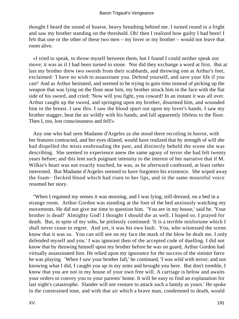thought I heard the sound of hoarse, heavy breathing behind me. I turned round in a fright and saw my brother standing on the threshold. Oh! then I realized how guilty I had been! I felt that one or the other of these two men – my lover or my brother – would not leave that room alive.

 «I tried to speak, to throw myself between them, but I found I could neither speak nor move; it was as if I had been turned to stone. Nor did they exchange a word at first. But at last my brother drew two swords from their scabbards, and throwing one at Arthur's feet, exclaimed: 'I have no wish to assassinate you. Defend yourself, and save your life if you can!' And as Arthur hesitated, and seemed to be trying to gain time instead of picking up the weapon that was lying on the floor near him, my brother struck him in the face with the flat side of his sword, and cried: 'Now will you fight, you coward! In an instant it was all over. Arthur caught up the sword, and springing upon my brother, disarmed him, and wounded him in the breast. I saw this. I saw the blood spurt out upon my lover's hands. I saw my brother stagger, beat the air wildly with his hands, and fall apparently lifeless to the floor. Then I, too, lost consciousness and fell!»

 Any one who had seen Madame d'Argeles as she stood there recoiling in horror, with her features contracted, and her eyes dilated, would have realized that by strength of will she had dispelled the mists enshrouding the past, and distinctly beheld the scene she was describing. She seemed to experience anew the same agony of terror she had felt twenty years before; and this lent such poignant intensity to the interest of her narrative that if M. Wilkie's heart was not exactly touched, he was, as he afterward confessed, at least rather interested. But Madame d'Argeles seemed to have forgotten his existence. She wiped away the foam− flecked blood which had risen to her lips, and in the same mournful voice resumed her story.

 "When I regained my senses it was morning, and I was lying, still dressed, on a bed in a strange room. Arthur Gordon was standing at the foot of the bed anxiously watching my movements. He did not give me time to question him. 'You are in my house,' said he. 'Your brother is dead!' Almighty God! I thought I should die as well. I hoped so. I prayed for death. But, in spite of my sobs, he pitilessly continued: 'It is a terrible misfortune which I shall never cease to regret. And yet, it was his own fault. You, who witnessed the scene. know that it was so. You can still see on my face the mark of the blow he dealt me. I only defended myself and you.' I was ignorant then of the accepted code of duelling. I did not know that by throwing himself upon my brother before he was on guard, Arthur Gordon had virtually assassinated him. He relied upon my ignorance for the success of the sinister farce he was playing. 'When I saw your brother fall,' he continued, 'I was wild with terror; and not knowing what I did, I caught you up in my arms and brought you here. But don't tremble, I know that you are not in my house of your own free will. A carriage is below and awaits your orders to convey you to your parents' home. It will be easy to find an explanation for last night's catastrophe. Slander will not venture to attack such a family as yours.' He spoke in the constrained tone, and with that air which a brave man, condemned to death, would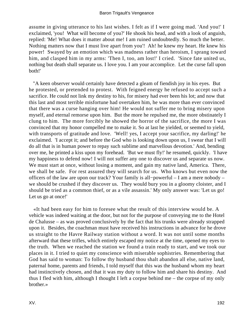assume in giving utterance to his last wishes. I felt as if I were going mad. 'And you!' I exclaimed, 'you! What will become of you?' He shook his head, and with a look of anguish, replied: 'Me! What does it matter about me! I am ruined undoubtedly. So much the better. Nothing matters now that I must live apart from you'! Ah! he knew my heart. He knew his power! Swayed by an emotion which was madness rather than heroism, I sprang toward him, and clasped him in my arms: 'Then I, too, am lost!' I cried. 'Since fate united us, nothing but death shall separate us. I love you. I am your accomplice. Let the curse fall upon both!'

 "A keen observer would certainly have detected a gleam of fiendish joy in his eyes. But he protested, or pretended to protest. With feigned energy he refused to accept such a sacrifice. He could not link my destiny to his, for misery had ever been his lot; and now that this last and most terrible misfortune had overtaken him, he was more than ever convinced that there was a curse hanging over him! He would not suffer me to bring misery upon myself, and eternal remorse upon him. But the more he repulsed me, the more obstinately I clung to him. The more forcibly he showed the horror of the sacrifice, the more I was convinced that my honor compelled me to make it. So at last he yielded, or seemed to yield, with transports of gratitude and love. 'Well! yes, I accept your sacrifice, my darling!' he exclaimed. 'I accept it; and before the God who is looking down upon us, I swear that I will do all that is in human power to repay such sublime and marvellous devotion.' And, bending over me, he printed a kiss upon my forehead. 'But we must fly!' he resumed, quickly. 'I have my happiness to defend now! I will not suffer any one to discover us and separate us now. We must start at once, without losing a moment, and gain my native land, America. There, we shall be safe. For rest assured they will search for us. Who knows but even now the officers of the law are upon our track? Your family is all−powerful – I am a mere nobody – we should be crushed if they discover us. They would bury you in a gloomy cloister, and I should be tried as a common thief, or as a vile assassin.' My only answer was: 'Let us go! Let us go at once!'

 «It had been easy for him to foresee what the result of this interview would be. A vehicle was indeed waiting at the door, but not for the purpose of conveying me to the Hotel de Chalusse – as was proved conclusively by the fact that his trunks were already strapped upon it. Besides, the coachman must have received his instructions in advance for he drove us straight to the Havre Railway station without a word. It was not until some months afterward that these trifles, which entirely escaped my notice at the time, opened my eyes to the truth. When we reached the station we found a train ready to start, and we took our places in it. I tried to quiet my conscience with miserable sophistries. Remembering that God has said to woman: To follow thy husband thou shalt abandon all else, native land, paternal home, parents and friends, I told myself that this was the husband whom my heart had instinctively chosen, and that it was my duty to follow him and share his destiny. And thus I fled with him, although I thought I left a corpse behind me – the corpse of my only brother.»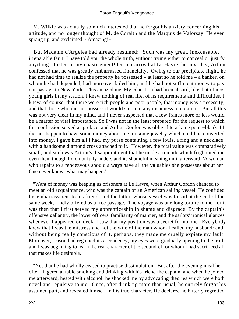M. Wilkie was actually so much interested that he forgot his anxiety concerning his attitude, and no longer thought of M. de Coralth and the Marquis de Valorsay. He even sprang up, and exclaimed: «Amazing!»

 But Madame d'Argeles had already resumed: "Such was my great, inexcusable, irreparable fault. I have told you the whole truth, without trying either to conceal or justify anything. Listen to my chastisement! On our arrival at Le Havre the next day, Arthur confessed that he was greatly embarrassed financially. Owing to our precipitate flight, he had not had time to realize the property he possessed – at least so he told me – a banker, on whom he had depended, had moreover failed him, and he had not sufficient money to pay our passage to New York. This amazed me. My education had been absurd, like that of most young girls in my station. I knew nothing of real life, of its requirements and difficulties. I knew, of course, that there were rich people and poor people, that money was a necessity, and that those who did not possess it would stoop to any meanness to obtain it. But all this was not very clear in my mind, and I never suspected that a few francs more or less would be a matter of vital importance. So I was not in the least prepared for the request to which this confession served as preface, and Arthur Gordon was obliged to ask me point−blank if I did not happen to have some money about me, or some jewelry which could be converted into money. I gave him all I had, my purse containing a few louis, a ring and a necklace, with a handsome diamond cross attached to it. However, the total value was comparatively small, and such was Arthur's disappointment that he made a remark which frightened me even then, though I did not fully understand its shameful meaning until afterward: 'A woman who repairs to a rendezvous should always have all the valuables she possesses about her. One never knows what may happen.'

 "Want of money was keeping us prisoners at Le Havre, when Arthur Gordon chanced to meet an old acquaintance, who was the captain of an American sailing vessel. He confided his embarrassment to his friend, and the latter, whose vessel was to sail at the end of the same week, kindly offered us a free passage. The voyage was one long torture to me, for it was then that I first served my apprenticeship in shame and disgrace. By the captain's offensive gallantry, the lower officers' familiarity of manner, and the sailors' ironical glances whenever I appeared on deck, I saw that my position was a secret for no one. Everybody knew that I was the mistress and not the wife of the man whom I called my husband: and, without being really conscious of it, perhaps, they made me cruelly expiate my fault. Moreover, reason had regained its ascendency, my eyes were gradually opening to the truth, and I was beginning to learn the real character of the scoundrel for whom I had sacrificed all that makes life desirable.

 "Not that he had wholly ceased to practise dissimulation. But after the evening meal he often lingered at table smoking and drinking with his friend the captain, and when he joined me afterward, heated with alcohol, he shocked me by advocating theories which were both novel and repulsive to me. Once, after drinking more than usual, he entirely forgot his assumed part, and revealed himself in his true character. He declared he bitterly regretted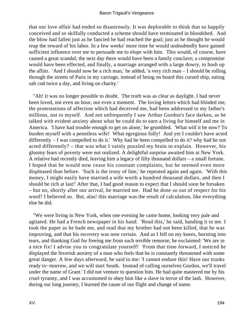### Baron Trigault's Vengeance

that our love affair had ended so disastrously. It was deplorable to think that so happily conceived and so skilfully conducted a scheme should have terminated in bloodshed. And the blow had fallen just as he fancied he had reached the goal; just as he thought he would reap the reward of his labor. In a few weeks' more time he would undoubtedly have gained sufficient influence over me to persuade me to elope with him. This would, of course, have caused a great scandal; the next day there would have been a family conclave; a compromise would have been effected, and finally, a marriage arranged with a large dowry, to hush up the affair. 'And I should now be a rich man,' he added, 'a very rich man – I should be rolling through the streets of Paris in my carriage, instead of being on board this cursed ship, eating salt cod twice a day, and living on charity.'

 "Ah! it was no longer possible to doubt. The truth was as clear as daylight. I had never been loved, not even an hour, not even a moment. The loving letters which had blinded me, the protestations of affection which had deceived me, had been addressed to my father's millions, not to myself. And not unfrequently I saw Arthur Gordon's face darken, as he talked with evident anxiety about what he could do to earn a living for himself and me in America. 'I have had trouble enough to get on alone,' he grumbled. 'What will it be now? To burden myself with a penniless wife! What egregious folly! And yet I couldn't have acted differently – I was compelled to do it.' Why had he been compelled to do it? why had he not acted differently? – that was what I vainly puzzled my brain to explain. However, his gloomy fears of poverty were not realized. A delightful surprise awaited him at New York. A relative had recently died, leaving him a legacy of fifty thousand dollars – a small fortune. I hoped that he would now cease his constant complaints, but he seemed even more displeased than before. 'Such is the irony of fate,' he repeated again and again. 'With this money, I might easily have married a wife worth a hundred thousand dollars, and then I should be rich at last!' After that, I had good reason to expect that I should soon be forsaken – but no, shortly after our arrival, he married me. Had he done so out of respect for his word? I believed so. But, alas! this marriage was the result of calculation, like everything else he did.

 "We were living in New York, when one evening he came home, looking very pale and agitated. He had a French newspaper in his hand. 'Read this,' he said, handing it to me. I took the paper as he bade me, and read that my brother had not been killed, that he was improving, and that his recovery was now certain. And as I fell on my knees, bursting into tears, and thanking God for freeing me from such terrible remorse, he exclaimed: 'We are in a nice fix! I advise you to congratulate yourself! 'From that time forward, I noticed he displayed the feverish anxiety of a man who feels that he is constantly threatened with some great danger. A few days afterward, he said to me: 'I cannot endure this! Have our trunks ready to−morrow, and we will start South. Instead of calling ourselves Gordon, we'll travel under the name of Grant.' I did not venture to question him. He had quite mastered me by his cruel tyranny, and I was accustomed to obey him like a slave in terror of the lash. However, during our long journey, I learned the cause of our flight and change of name.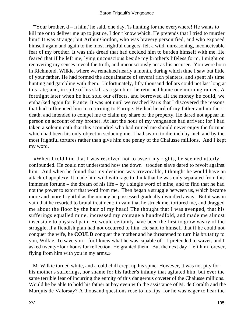"Your brother,  $d - n$  him,' he said, one day, 'is hunting for me everywhere! He wants to kill me or to deliver me up to justice, I don't know which. He pretends that I tried to murder him!' It was strange; but Arthur Gordon, who was bravery personified, and who exposed himself again and again to the most frightful dangers, felt a wild, unreasoning, inconceivable fear of my brother. It was this dread that had decided him to burden himself with me. He feared that if he left me, lying unconscious beside my brother's lifeless form, I might on recovering my senses reveal the truth, and unconsciously act as his accuser. You were born in Richmond, Wilkie, where we remained nearly a month, during which time I saw but little of your father. He had formed the acquaintance of several rich planters, and spent his time hunting and gambling with them. Unfortunately, fifty thousand dollars could not last long at this rate; and, in spite of his skill as a gambler, he returned home one morning ruined. A fortnight later when he had sold our effects, and borrowed all the money he could, we embarked again for France. It was not until we reached Paris that I discovered the reasons that had influenced him in returning to Europe. He had heard of my father and mother's death, and intended to compel me to claim my share of the property. He dared not appear in person on account of my brother. At last the hour of my vengeance had arrived; for I had taken a solemn oath that this scoundrel who had ruined me should never enjoy the fortune which had been his only object in seducing me. I had sworn to die inch by inch and by the most frightful tortures rather than give him one penny of the Chalusse millions. And I kept my word.

 «When I told him that I was resolved not to assert my rights, he seemed utterly confounded. He could not understand how the down− trodden slave dared to revolt against him. And when he found that my decision was irrevocable, I thought he would have an attack of apoplexy. It made him wild with rage to think that he was only separated from this immense fortune – the dream of his life – by a single word of mine, and to find that he had not the power to extort that word from me. Then began a struggle between us, which became more and more frightful as the money he possessed gradually dwindled away. But it was in vain that he resorted to brutal treatment; in vain that he struck me, tortured me, and dragged me about the floor by the hair of my head! The thought that I was avenged, that his sufferings equalled mine, increased my courage a hundredfold, and made me almost insensible to physical pain. He would certainly have been the first to grow weary of the struggle, if a fiendish plan had not occurred to him. He said to himself that if he could not conquer the wife, he **COULD** conquer the mother and he threatened to turn his brutatity to you, Wilkie. To save you – for I knew what he was capable of – I pretended to waver, and I asked twenty−four hours for reflection. He granted them. But the next day I left him forever, flying from him with you in my arms.»

 M. Wilkie turned white, and a cold chill crept up his spine. However, it was not pity for his mother's sufferings, nor shame for his father's infamy that agitated him, but ever the same terrible fear of incurring the enmity of this dangerous coveter of the Chalusse millions. Would he be able to hold his father at bay even with the assistance of M. de Coralth and the Marquis de Valorsay? A thousand questions rose to his lips, for he was eager to hear the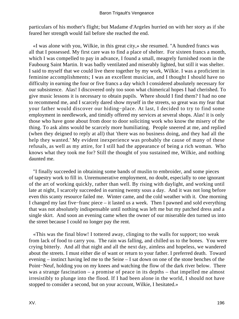particulars of his mother's flight; but Madame d'Argeles hurried on with her story as if she feared her strength would fail before she reached the end.

 «I was alone with you, Wilkie, in this great city,» she resumed. "A hundred francs was all that I possessed. My first care was to find a place of shelter. For sixteen francs a month, which I was compelled to pay in advance, I found a small, meagrely furnished room in the Faubourg Saint Martin. It was badly ventilated and miserably lighted, but still it was shelter. I said to myself that we could live there together by my work, Wilkie. I was a proficient in feminine accomplishments; I was an excellent musician, and I thought I should have no difficulty in earning the four or five francs a day which I considered absolutely necessary for our subsistence. Alas! I discovered only too soon what chimerical hopes I had cherished. To give music lessons it is necessary to obtain pupils. Where should I find them? I had no one to recommend me, and I scarcely dared show myself in the streets, so great was my fear that your father would discover our hiding−place. At last, I decided to try to find some employment in needlework, and timidly offered my services at several shops. Alas! it is only those who have gone about from door to door soliciting work who know the misery of the thing. To ask alms would be scarcely more humiliating. People sneered at me, and replied (when they deigned to reply at all) that 'there was no business doing, and they had all the help they wanted.' My evident inexperience was probably the cause of many of these refusals, as well as my attire, for I still had the appearance of being a rich woman. Who knows what they took me for? Still the thought of you sustained me, Wilkie, and nothing daunted me.

 "I finally succeeded in obtaining some bands of muslin to embroider, and some pieces of tapestry work to fill in. Unremunerative employment, no doubt, especially to one ignorant of the art of working quickly, rather than well. By rising with daylight, and working until late at night, I scarcely succeeded in earning twenty sous a day. And it was not long before even this scanty resource failed me. Winter came, and the cold weather with it. One morning I changed my last five−franc piece – it lasted us a week. Then I pawned and sold everything that was not absolutely indispensable until nothing was left me but my patched dress and a single skirt. And soon an evening came when the owner of our miserable den turned us into the street because I could no longer pay the rent.

 «This was the final blow! I tottered away, clinging to the walls for support; too weak from lack of food to carry you. The rain was falling, and chilled us to the bones. You were crying bitterly. And all that night and all the next day, aimless and hopeless, we wandered about the streets. I must either die of want or return to your father. I preferred death. Toward evening – instinct having led me to the Seine – I sat down on one of the stone benches of the Point−Neuf, holding you on my knees and watching the flow of the dark river below. There was a strange fascination – a promise of peace in its depths – that impelled me almost irresistibly to plunge into the flood. If I had been alone in the world, I should not have stopped to consider a second, but on your account, Wilkie, I hesitated.»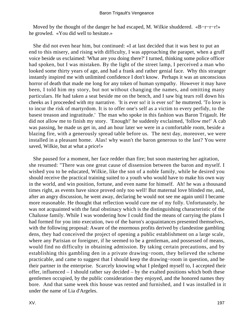Moved by the thought of the danger he had escaped, M. Wilkie shuddered. «B−r−r−r!» he growled. «You did well to hesitate.»

 She did not even hear him, but continued: «I at last decided that it was best to put an end to this misery, and rising with difficulty, I was approaching the parapet, when a gruff voice beside us exclaimed: 'What are you doing there?' I turned, thinking some police officer had spoken, but I was mistaken. By the light of the street lamp, I perceived a man who looked some thirty years of age, and had a frank and rather genial face. Why this stranger instantly inspired me with unlimited confidence I don't know. Perhaps it was an unconscious horror of death that made me long for any token of human sympathy. However it may have been, I told him my story, but not without changing the names, and omitting many particulars. He had taken a seat beside me on the bench, and I saw big tears roll down his cheeks as I proceeded with my narrative. 'It is ever so! it is ever so!' he muttered. 'To love is to incur the risk of martyrdom. It is to offer one's self as a victim to every perfidy, to the basest treason and ingratitude.' The man who spoke in this fashion was Baron Trigault. He did not allow me to finish my story. 'Enough!' he suddenly exclaimed, 'follow me!' A cab was passing, he made us get in, and an hour later we were in a comfortable room, beside a blazing fire, with a generously spread table before us. The next day, moreover, we were installed in a pleasant home. Alas! why wasn't the baron generous to the last? You were saved, Wilkie, but at what a price!»

 She paused for a moment, her face redder than fire; but soon mastering her agitation, she resumed: "There was one great cause of dissension between the baron and myself. I wished you to be educated, Wilkie, like the son of a noble family, while he desired you should receive the practical training suited to a youth who would have to make his own way in the world, and win position, fortune, and even name for himself. Ah! he was a thousand times right, as events have since proved only too well! But maternal love blinded me, and, after an angry discussion, he went away, declaring he would not see me again until I became more reasonable. He thought that reflection would cure me of my folly. Unfortunately, he was not acquainted with the fatal obstinacy which is the distinguishing characteristic of the Chalusse family. While I was wondering how I could find the means of carrying the plans I had formed for you into execution, two of the baron's acquaintances presented themselves, with the following proposal: Aware of the enormous profits derived by clandestine gambling dens, they had conceived the project of opening a public establishment on a large scale, where any Parisian or foreigner, if he seemed to be a gentleman, and possessed of means, would find no difficulty in obtaining admission. By taking certain precautions, and by establishing this gambling den in a private drawing−room, they believed the scheme practicable, and came to suggest that I should keep the drawing−room in question, and be their partner in the enterprise. Scarcely knowing what I pledged myself to, I accepted their offer, influenced – I should rather say decided – by the exalted positions which both these gentlemen occupied, by the public consideration they enjoyed, and the honored names they bore. And that same week this house was rented and furnished, and I was installed in it under the name of Lia d'Argeles.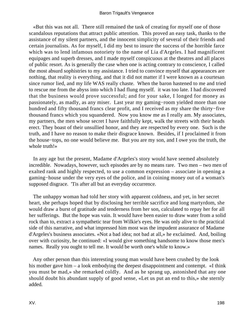«But this was not all. There still remained the task of creating for myself one of those scandalous reputations that attract public attention. This proved an easy task, thanks to the assistance of my silent partners, and the innocent simplicity of several of their friends and certain journalists. As for myself, I did my best to insure the success of the horrible farce which was to lend infamous notoriety to the name of Lia d'Argeles. I had magnificent equipages and superb dresses, and I made myself conspicuous at the theatres and all places of public resort. As is generally the case when one is acting contrary to conscience, I called the most absurd sophistries to my assistance. I tried to convince myself that appearances are nothing, that reality is everything, and that it did not matter if I were known as a courtesan since rumor lied, and my life WAS really chaste. When the baron hastened to me and tried to rescue me from the abyss into which I had flung myself. it was too late. I had discovered that the business would prove successful; and for your sake, I longed for money as passionately, as madly, as any miser. Last year my gaming−room yielded more than one hundred and fifty thousand francs clear profit, and I received as my share the thirty−five thousand francs which you squandered. Now you know me as I really am. My associates, my partners, the men whose secret I have faithfully kept, walk the streets with their heads erect. They boast of their unsullied honor, and they are respected by every one. Such is the truth, and I have no reason to make their disgrace known. Besides, if I proclaimed it from the house−tops, no one would believe me. But you are my son, and I owe you the truth, the whole truth!»

 In any age but the present, Madame d'Argeles's story would have seemed absolutely incredible. Nowadays, however, such episodes are by no means rare. Two men – two men of exalted rank and highly respected, to use a common expression – associate in opening a gaming−house under the very eyes of the police, and in coining money out of a woman's supposed disgrace. 'Tis after all but an everyday occurrence.

 The unhappy woman had told her story with apparent coldness, and yet, in her secret heart, she perhaps hoped that by disclosing her terrible sacrifice and long martyrdom, she would draw a burst of gratitude and tenderness from her son, calculated to repay her for all her sufferings. But the hope was vain. It would have been easier to draw water from a solid rock than to, extract a sympathetic tear from Wilkie's eyes. He was only alive to the practical side of this narrative, and what impressed him most was the impudent assurance of Madame d'Argeles's business associates. «Not a bad idea; not bad at all,» he exclaimed. And, boiling over with curiosity, he continued: «I would give something handsome to know those men's names. Really you ought to tell me. It would be worth one's while to know.»

 Any other person than this interesting young man would have been crushed by the look his mother gave him – a look embodying the deepest disappointment and contempt. «I think you must be mad,» she remarked coldly. And as he sprang up, astonished that any one should doubt his abundant supply of good sense, «Let us put an end to this,» she sternly added.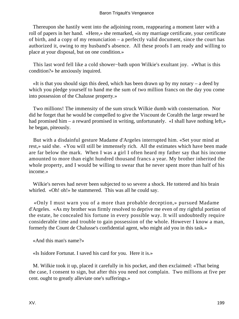Thereupon she hastily went into the adjoining room, reappearing a moment later with a roll of papers in her hand. «Here,» she remarked, «is my marriage certificate, your certificate of birth, and a copy of my renunciation – a perfectly valid document, since the court has authorized it, owing to my husband's absence. All these proofs I am ready and willing to place at your disposal, but on one condition.»

 This last word fell like a cold shower−bath upon Wilkie's exultant joy. «What is this condition?» he anxiously inquired.

 «It is that you should sign this deed, which has been drawn up by my notary – a deed by which you pledge yourself to hand me the sum of two million francs on the day you come into possession of the Chalusse property.»

 Two millions! The immensity of the sum struck Wilkie dumb with consternation. Nor did he forget that he would be compelled to give the Viscount de Coralth the large reward he had promised him – a reward promised in writing, unfortunately. «I shall have nothing left,» he began, piteously.

 But with a disdainful gesture Madame d'Argeles interrupted him. «Set your mind at rest,» said she. «You will still be immensely rich. All the estimates which have been made are far below the mark. When I was a girl I often heard my father say that his income amounted to more than eight hundred thousand francs a year. My brother inherited the whole property, and I would be willing to swear that he never spent more than half of his income.»

 Wilkie's nerves had never been subjected to so severe a shock. He tottered and his brain whirled. «Oh! oh!» he stammered. This was all he could say.

 «Only I must warn you of a more than probable deception,» pursued Madame d'Argeles. «As my brother was firmly resolved to deprive me even of my rightful portion of the estate, he concealed his fortune in every possible way. It will undoubtedly require considerable time and trouble to gain possession of the whole. However I know a man, formerly the Count de Chalusse's confidential agent, who might aid you in this task.»

«And this man's name?»

«Is Isidore Fortunat. I saved his card for you. Here it is.»

 M. Wilkie took it up, placed it carefully in his pocket, and then exclaimed: «That being the case, I consent to sign, but after this you need not complain. Two millions at five per cent. ought to greatly alleviate one's sufferings.»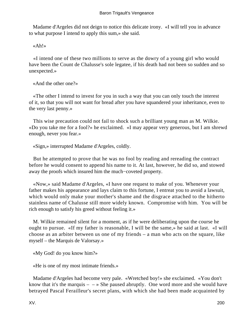Madame d'Argeles did not deign to notice this delicate irony. «I will tell you in advance to what purpose I intend to apply this sum,» she said.

«Ah!»

 «I intend one of these two millions to serve as the dowry of a young girl who would have been the Count de Chalusse's sole legatee, if his death had not been so sudden and so unexpected.»

«And the other one?»

 «The other I intend to invest for you in such a way that you can only touch the interest of it, so that you will not want for bread after you have squandered your inheritance, even to the very last penny.»

 This wise precaution could not fail to shock such a brilliant young man as M. Wilkie. «Do you take me for a fool?» he exclaimed. «I may appear very generous, but I am shrewd enough, never you fear.»

«Sign,» interrupted Madame d'Argeles, coldly.

 But he attempted to prove that he was no fool by reading and rereading the contract before he would consent to append his name to it. At last, however, he did so, and stowed away the proofs which insured him the much−coveted property.

 «Now,» said Madame d'Argeles, «I have one request to make of you. Whenever your father makes his appearance and lays claim to this fortune, I entreat you to avoid a lawsuit, which would only make your mother's shame and the disgrace attached to the hitherto stainless name of Chalusse still more widely known. Compromise with him. You will be rich enough to satisfy his greed without feeling it.»

 M. Wilkie remained silent for a moment, as if he were deliberating upon the course he ought to pursue. «If my father is reasonable, I will be the same,» he said at last. «I will choose as an arbiter between us one of my friends – a man who acts on the square, like myself – the Marquis de Valorsay.»

«My God! do you know him?»

«He is one of my most intimate friends.»

 Madame d'Argeles had become very pale. «Wretched boy!» she exclaimed. «You don't know that it's the marquis  $- \rightarrow$  She paused abruptly. One word more and she would have betrayed Pascal Ferailleur's secret plans, with which she had been made acquainted by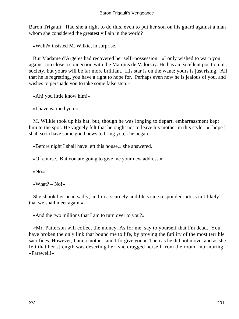Baron Trigault. Had she a right to do this, even to put her son on his guard against a man whom she considered the greatest villain in the world?

«Well?» insisted M. Wilkie, in surprise.

 But Madame d'Argeles had recovered her self−possession. «I only wished to warn you against too close a connection with the Marquis de Valorsay. He has an excellent position in society, but yours will be far more brilliant. His star is on the wane; yours is just rising. All that he is regretting, you have a right to hope for. Perhaps even now he is jealous of you, and wishes to persuade you to take some false step.»

«Ah! you little know him!»

«I have warned you.»

 M. Wilkie took up his hat, but, though he was longing to depart, embarrassment kept him to the spot. He vaguely felt that he ought not to leave his mother in this style. «I hope I shall soon have some good news to bring you,» he began.

«Before night I shall have left this house,» she answered.

«Of course. But you are going to give me your new address.»

«No.»

«What? –  $No! \times$ 

 She shook her head sadly, and in a scarcely audible voice responded: «It is not likely that we shall meet again.»

«And the two millions that I am to turn over to you?»

 «Mr. Patterson will collect the money. As for me, say to yourself that I'm dead. You have broken the only link that bound me to life, by proving the futility of the most terrible sacrifices. However, I am a mother, and I forgive you.» Then as he did not move, and as she felt that her strength was deserting her, she dragged herself from the room, murmuring, «Farewell!»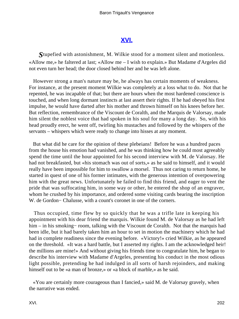## **[XVI.](#page-256-0)**

*S*tupefied with astonishment, M. Wilkie stood for a moment silent and motionless. «Allow me,» he faltered at last; «Allow me – I wish to explain.» But Madame d'Argeles did not even turn her head; the door closed behind her and he was left alone.

 However strong a man's nature may be, he always has certain moments of weakness. For instance, at the present moment Wilkie was completely at a loss what to do. Not that he repented, he was incapable of that; but there are hours when the most hardened conscience is touched, and when long dormant instincts at last assert their rights. If he had obeyed his first impulse, he would have darted after his mother and thrown himself on his knees before her. But reflection, remembrance of the Viscount de Coralth, and the Marquis de Valorsay, made him silent the noblest voice that had spoken in his soul for many a long day. So, with his head proudly erect, he went off, twirling his mustaches and followed by the whispers of the servants – whispers which were ready to change into hisses at any moment.

 But what did he care for the opinion of these plebeians! Before he was a hundred paces from the house his emotion had vanished, and he was thinking how he could most agreeably spend the time until the hour appointed for his second interview with M. de Valorsay. He had not breakfasted, but «his stomach was out of sorts,» as he said to himself, and it would really have been impossible for him to swallow a morsel. Thus not caring to return home, he started in quest of one of his former intimates, with the generous intention of overpowering him with the great news. Unfortunately he failed to find this friend, and eager to vent the pride that was suffocating him, in some way or other, he entered the shop of an engraver, whom he crushed by his importance, and ordered some visiting cards bearing the inscription W. de Gordon− Chalusse, with a count's coronet in one of the corners.

 Thus occupied, time flew by so quickly that he was a trifle late in keeping his appointment with his dear friend the marquis. Wilkie found M. de Valorsay as he had left him – in his smoking− room, talking with the Viscount de Coralth. Not that the marquis had been idle, but it had barely taken him an hour to set in motion the machinery which he had had in complete readiness since the evening before. «Victory!» cried Wilkie, as he appeared on the threshold. «It was a hard battle, but I asserted my rights. I am the acknowledged heir! the millions are mine!» And without giving his friends time to congratulate him, he began to describe his interview with Madame d'Argeles, presenting his conduct in the most odious light possible, pretending he had indulged in all sorts of harsh rejoinders, and making himself out to be «a man of bronze,» or «a block of marble,» as he said.

 «You are certainly more courageous than I fancied,» said M. de Valorsay gravely, when the narrative was ended.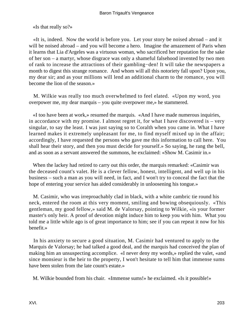«Is that really so?»

 «It is, indeed. Now the world is before you. Let your story be noised abroad – and it will be noised abroad – and you will become a hero. Imagine the amazement of Paris when it learns that Lia d'Argeles was a virtuous woman, who sacrificed her reputation for the sake of her son – a martyr, whose disgrace was only a shameful falsehood invented by two men of rank to increase the attractions of their gambling−den! It will take the newspapers a month to digest this strange romance. And whom will all this notoriety fall upon? Upon you, my dear sir; and as your millions will lend an additional charm to the romance, you will become the lion of the season.»

 M. Wilkie was really too much overwhelmed to feel elated. «Upon my word, you overpower me, my dear marquis – you quite overpower me,» he stammered.

 «I too have been at work,» resumed the marquis. «And I have made numerous inquiries, in accordance with my promise. I almost regret it, for what I have discovered is – very singular, to say the least. I was just saying so to Coralth when you came in. What I have learned makes it extremely unpleasant for me, to find myself mixed up in the affair; accordingly, I have requested the persons who gave me this information to call here. You shall hear their story, and then you must decide for yourself.» So saying, he rang the bell, and as soon as a servant answered the summons, he exclaimed: «Show M. Casimir in.»

 When the lackey had retired to carry out this order, the marquis remarked: «Casimir was the deceased count's valet. He is a clever fellow, honest, intelligent, and well up in his business – such a man as you will need, in fact, and I won't try to conceal the fact that the hope of entering your service has aided considerably in unloosening his tongue.»

 M. Casimir, who was irreproachably clad in black, with a white cambric tie round his neck, entered the room at this very moment, smiling and bowing obsequiously. «This gentleman, my good fellow,» said M. de Valorsay, pointing to Wilkie, «is your former master's only heir. A proof of devotion might induce him to keep you with him. What you told me a little while ago is of great importance to him; see if you can repeat it now for his benefit.»

 In his anxiety to secure a good situation, M. Casimir had ventured to apply to the Marquis de Valorsay; he had talked a good deal, and the marquis had conceived the plan of making him an unsuspecting accomplice. «I never deny my words,» replied the valet, «and since monsieur is the heir to the property, I won't hesitate to tell him that immense sums have been stolen from the late count's estate.»

M. Wilkie bounded from his chair. «Immense sums!» he exclaimed. «Is it possible!»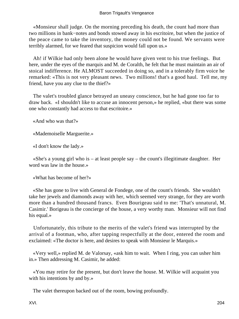## Baron Trigault's Vengeance

 «Monsieur shall judge. On the morning preceding his death, the count had more than two millions in bank−notes and bonds stowed away in his escritoire, but when the justice of the peace came to take the inventory, the money could not be found. We servants were terribly alarmed, for we feared that suspicion would fall upon us.»

 Ah! if Wilkie had only been alone he would have given vent to his true feelings. But here, under the eyes of the marquis and M. de Coralth, he felt that he must maintain an air of stoical indifference. He ALMOST succeeded in doing so, and in a tolerably firm voice he remarked: «This is not very pleasant news. Two millions! that's a good haul. Tell me, my friend, have you any clue to the thief?»

 The valet's troubled glance betrayed an uneasy conscience, but he had gone too far to draw back. «I shouldn't like to accuse an innocent person,» he replied, «but there was some one who constantly had access to that escritoire.»

«And who was that?»

«Mademoiselle Marguerite.»

«I don't know the lady.»

 «She's a young girl who is – at least people say – the count's illegitimate daughter. Her word was law in the house.»

«What has become of her?»

 «She has gone to live with General de Fondege, one of the count's friends. She wouldn't take her jewels and diamonds away with her, which seemed very strange, for they are worth more than a hundred thousand francs. Even Bourigeau said to me: 'That's unnatural, M. Casimir.' Borigeau is the concierge of the house, a very worthy man. Monsieur will not find his equal.»

 Unfortunately, this tribute to the merits of the valet's friend was interrupted by the arrival of a footman, who, after tapping respectfully at the door, entered the room and exclaimed: «The doctor is here, and desires to speak with Monsieur le Marquis.»

 «Very well,» replied M. de Valorsay, «ask him to wait. When I ring, you can usher him in.» Then addressing M. Casimir, he added:

 «You may retire for the present, but don't leave the house. M. Wilkie will acquaint you with his intentions by and by.»

The valet thereupon backed out of the room, bowing profoundly.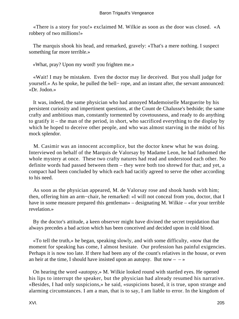«There is a story for you!» exclaimed M. Wilkie as soon as the door was closed. «A robbery of two millions!»

 The marquis shook his head, and remarked, gravely: «That's a mere nothing. I suspect something far more terrible.»

«What, pray? Upon my word! you frighten me.»

 «Wait! I may be mistaken. Even the doctor may lie deceived. But you shall judge for yourself.» As he spoke, he pulled the bell− rope, and an instant after, the servant announced: «Dr. Jodon.»

 It was, indeed, the same physician who had annoyed Mademoiselle Marguerite by his persistent curiosity and impertinent questions, at the Count de Chalusse's bedside; the same crafty and ambitious man, constantly tormented by covetousness, and ready to do anything to gratify it – the man of the period, in short, who sacrificed everything to the display by which he hoped to deceive other people, and who was almost starving in the midst of his mock splendor.

 M. Casimir was an innocent accomplice, but the doctor knew what he was doing. Interviewed on behalf of the Marquis de Valorsay by Madame Leon, he had fathomed the whole mystery at once. These two crafty natures had read and understood each other. No definite words had passed between them – they were both too shrewd for that; and yet, a compact had been concluded by which each had tacitly agreed to serve the other according to his need.

 As soon as the physician appeared, M. de Valorsay rose and shook hands with him; then, offering him an arm−chair, he remarked: «I will not conceal from you, doctor, that I have in some measure prepared this gentleman» – designating M. Wilkie – «for your terrible revelation.»

 By the doctor's attitude, a keen observer might have divined the secret trepidation that always precedes a bad action which has been conceived and decided upon in cold blood.

 «To tell the truth,» he began, speaking slowly, and with some difficulty, «now that the moment for speaking has come, I almost hesitate. Our profession has painful exigencies. Perhaps it is now too late. If there had been any of the count's relatives in the house, or even an heir at the time, I should have insisted upon an autopsy. But now  $- - \infty$ 

 On hearing the word «autopsy,» M. Wilkie looked round with startled eyes. He opened his lips to interrupt the speaker, but the physician had already resumed his narrative. «Besides, I had only suspicions,» he said, «suspicions based, it is true, upon strange and alarming circumstances. I am a man, that is to say, I am liable to error. In the kingdom of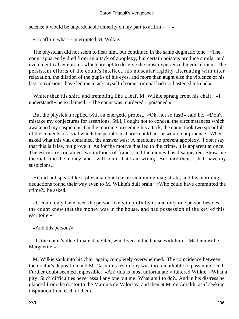science it would be unpardonable temerity on my part to affirm  $- \rightarrow \infty$ 

«To affirm what?» interrupted M. Wilkie.

 The physician did not seem to hear him, but continued in the same dogmatic tone. «The count apparently died from an attack of apoplexy, but certain poisons produce similar and even identical symptoms which are apt to deceive the most experienced medical men. The persistent efforts of the count's intellect, his muscular rigidity alternating with utter relaxation, the dilation of the pupils of his eyes, and more than aught else the violence of his last convulsions, have led me to ask myself if some criminal had not hastened his end.»

Whiter than his shirt, and trembling like a leaf, M. Wilkie sprang from his chair. «I understand!» he exclaimed. «The count was murdered – poisoned.»

 But the physician replied with an energetic protest. «Oh, not so fast!» said he. «Don't mistake my conjectures for assertions. Still, I ought not to conceal the circumstances which awakened my suspicions. On the morning preceding his attack, the count took two spoonfuls of the contents of a vial which the people in charge could not or would not produce. When I asked what this vial contained, the answer was: 'A medicine to prevent apoplexy.' I don't say that this is false, but prove it. As for the motive that led to the crime, it is apparent at once. The escritoire contained two millions of francs, and the money has disappeared. Show me the vial, find the money, and I will admit that I am wrong. But until then, I shall have my suspicions.»

 He did not speak like a physician but like an examining magistrate, and his alarming deductions found their way even to M. Wilkie's dull brain. «Who could have committed the crime?» he asked.

 «It could only have been the person likely to profit by it; and only one person besides the count knew that the money was in the house, and had possession of the key of this escritoire.»

«And this person?»

 «Is the count's illegitimate daughter, who lived in the house with him – Mademoiselle Marguerite.»

 M. Wilkie sank into his chair again, completely overwhelmed. The coincidence between the doctor's deposition and M. Casimir's testimony was too remarkable to pass unnoticed. Further doubt seemed impossible. «Ah! this is most unfortunate!» faltered Wilkie. «What a pity! Such difficulties never assail any one but me! What am I to do?» And in his distress he glanced from the doctor to the Marquis de Valorsay, and then at M. de Coralth, as if seeking inspiration from each of them.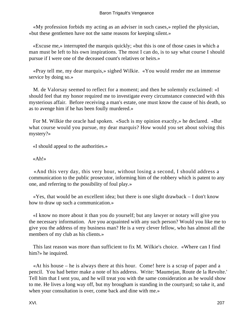«My profession forbids my acting as an adviser in such cases,» replied the physician, «but these gentlemen have not the same reasons for keeping silent.»

 «Excuse me,» interrupted the marquis quickly; «but this is one of those cases in which a man must be left to his own inspirations. The most I can do, is to say what course I should pursue if I were one of the deceased count's relatives or heirs.»

 «Pray tell me, my dear marquis,» sighed Wilkie. «You would render me an immense service by doing so.»

 M. de Valorsay seemed to reflect for a moment; and then he solemnly exclaimed: «I should feel that my honor required me to investigate every circumstance connected with this mysterious affair. Before receiving a man's estate, one must know the cause of his death, so as to avenge him if he has been foully murdered.»

 For M. Wilkie the oracle had spoken. «Such is my opinion exactly,» he declared. «But what course would you pursue, my dear marquis? How would you set about solving this mystery?»

«I should appeal to the authorities.»

«Ah!»

 «And this very day, this very hour, without losing a second, I should address a communication to the public prosecutor, informing him of the robbery which is patent to any one, and referring to the possibility of foul play.»

 «Yes, that would be an excellent idea; but there is one slight drawback – I don't know how to draw up such a communication.»

 «I know no more about it than you do yourself; but any lawyer or notary will give you the necessary information. Are you acquainted with any such person? Would you like me to give you the address of my business man? He is a very clever fellow, who has almost all the members of my club as his clients.»

 This last reason was more than sufficient to fix M. Wilkie's choice. «Where can I find him?» he inquired.

 «At his house – he is always there at this hour. Come! here is a scrap of paper and a pencil. You had better make a note of his address. Write: 'Maumejan, Route de la Revolte.' Tell him that I sent you, and he will treat you with the same consideration as he would show to me. He lives a long way off, but my brougham is standing in the courtyard; so take it, and when your consultation is over, come back and dine with me.»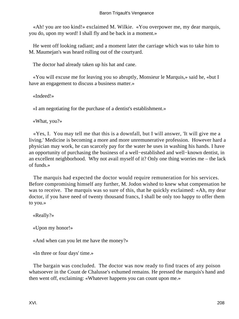«Ah! you are too kind!» exclaimed M. Wilkie. «You overpower me, my dear marquis, you do, upon my word! I shall fly and be back in a moment.»

 He went off looking radiant; and a moment later the carriage which was to take him to M. Maumejan's was heard rolling out of the courtyard.

The doctor had already taken up his hat and cane.

 «You will excuse me for leaving you so abruptly, Monsieur le Marquis,» said he, «but I have an engagement to discuss a business matter.»

«Indeed!»

«I am negotiating for the purchase of a dentist's establishment.»

«What, you?»

 «Yes, I. You may tell me that this is a downfall, but I will answer, 'It will give me a living.' Medicine is becoming a more and more unremunerative profession. However hard a physician may work, he can scarcely pay for the water he uses in washing his hands. I have an opportunity of purchasing the business of a well−established and well−known dentist, in an excellent neighborhood. Why not avail myself of it? Only one thing worries me – the lack of funds.»

 The marquis had expected the doctor would require remuneration for his services. Before compromising himself any further, M. Jodon wished to knew what compensation he was to receive. The marquis was so sure of this, that he quickly exclaimed: «Ah, my dear doctor, if you have need of twenty thousand francs, I shall be only too happy to offer them to you.»

«Really?»

«Upon my honor!»

«And when can you let me have the money?»

«In three or four days' time.»

 The bargain was concluded. The doctor was now ready to find traces of any poison whatsoever in the Count de Chalusse's exhumed remains. He pressed the marquis's hand and then went off, exclaiming: «Whatever happens you can count upon me.»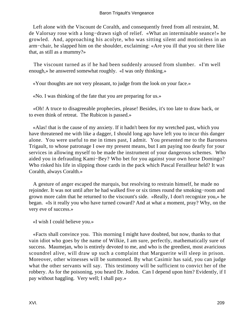Left alone with the Viscount de Coralth, and consequently freed from all restraint, M. de Valorsay rose with a long−drawn sigh of relief. «What an interminable seance!» he growled. And, approaching his acolyte, who was sitting silent and motionless in an arm−chair, he slapped him on the shoulder, exclaiming: «Are you ill that you sit there like that, as still as a mummy?»

 The viscount turned as if he had been suddenly aroused from slumber. «I'm well enough,» he answered somewhat roughly. «I was only thinking.»

«Your thoughts are not very pleasant, to judge from the look on your face.»

«No. I was thinking of the fate that you are preparing for us.»

 «Oh! A truce to disagreeable prophecies, please! Besides, it's too late to draw back, or to even think of retreat. The Rubicon is passed.»

 «Alas! that is the cause of my anxiety. If it hadn't been for my wretched past, which you have threatened me with like a dagger, I should long ago have left you to incur this danger alone. You were useful to me in times past, I admit. You presented me to the Baroness Trigault, to whose patronage I owe my present means, but I am paying too dearly for your services in allowing myself to be made the instrument of your dangerous schemes. Who aided you in defrauding Kami−Bey? Who bet for you against your own horse Domingo? Who risked his life in slipping those cards in the pack which Pascal Ferailleur held? It was Coralth, always Coralth.»

 A gesture of anger escaped the marquis, but resolving to restrain himself, he made no rejoinder. It was not until after he had walked five or six times round the smoking−room and grown more calm that he returned to the viscount's side. «Really, I don't recognize you,» he began. «Is it really you who have turned coward? And at what a moment, pray? Why, on the very eve of success.»

«I wish I could believe you.»

 «Facts shall convince you. This morning I might have doubted, but now, thanks to that vain idiot who goes by the name of Wilkie, I am sure, perfectly, mathematically sure of success. Maumejan, who is entirely devoted to me, and who is the greediest, most avaricious scoundrel alive, will draw up such a complaint that Marguerite will sleep in prison. Moreover, other witnesses will be summoned. By what Casimir has said, you can judge what the other servants will say. This testimony will be sufficient to convict her of the robbery. As for the poisoning, you heard Dr. Jodon. Can I depend upon him? Evidently, if I pay without haggling. Very well; I shall pay.»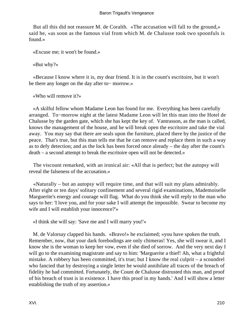But all this did not reassure M. de Coralth. «The accusation will fall to the ground,» said he, «as soon as the famous vial from which M. de Chalusse took two spoonfuls is found.»

«Excuse me; it won't be found.»

«But why?»

 «Because I know where it is, my dear friend. It is in the count's escritoire, but it won't be there any longer on the day after to− morrow.»

«Who will remove it?»

 «A skilful fellow whom Madame Leon has found for me. Everything has been carefully arranged. To−morrow night at the latest Madame Leon will let this man into the Hotel de Chalusse by the garden gate, which she has kept the key of. Vantrasson, as the man is called, knows the management of the house, and he will break open the escritoire and take the vial away. You may say that there are seals upon the furniture, placed there by the justice of the peace. That's true, but this man tells me that he can remove and replace them in such a way as to defy detection; and as the lock has been forced once already – the day after the count's death – a second attempt to break the escritoire open will not be detected.»

 The viscount remarked, with an ironical air: «All that is perfect; but the autopsy will reveal the falseness of the accusation.»

 «Naturally – but an autopsy will require time, and that will suit my plans admirably. After eight or ten days' solitary confinement and several rigid examinations, Mademoiselle Marguerite's energy and courage will flag. What do you think she will reply to the man who says to her: 'I love you, and for your sake I will attempt the impossible. Swear to become my wife and I will establish your innocence?'»

«I think she will say: 'Save me and I will marry you!'»

 M. de Valorsay clapped his hands. «Bravo!» he exclaimed; «you have spoken the truth. Remember, now, that your dark forebodings are only chimeras! Yes, she will swear it, and I know she is the woman to keep her vow, even if she died of sorrow. And the very next day I will go to the examining magistrate and say to him: 'Marguerite a thief! Ah, what a frightful mistake. A robbery has been committed, it's true; but I know the real culprit – a scoundrel who fancied that by destroying a single letter he would annihilate all traces of the breach of fidelity he had committed. Fortunately, the Count de Chalusse distrusted this man, and proof of his breach of trust is in existence. I have this proof in my hands.' And I will show a letter establishing the truth of my assertion.»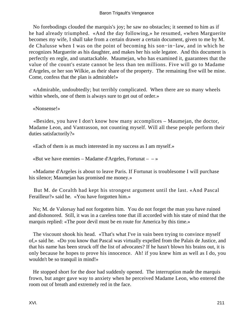## Baron Trigault's Vengeance

 No forebodings clouded the marquis's joy; he saw no obstacles; it seemed to him as if he had already triumphed. «And the day following,» he resumed, «when Marguerite becomes my wife, I shall take from a certain drawer a certain document, given to me by M. de Chalusse when I was on the point of becoming his son−in−law, and in which he recognizes Marguerite as his daughter, and makes her his sole legatee. And this document is perfectly en regle, and unattackable. Maumejan, who has examined it, guarantees that the value of the count's estate cannot be less than ten millions. Five will go to Madame d'Argeles, or her son Wilkie, as their share of the property. The remaining five will be mine. Come, confess that the plan is admirable!»

 «Admirable, undoubtedly; but terribly complicated. When there are so many wheels within wheels, one of them is always sure to get out of order.»

«Nonsense!»

 «Besides, you have I don't know how many accomplices – Maumejan, the doctor, Madame Leon, and Vantrasson, not counting myself. Will all these people perform their duties satisfactorily?»

«Each of them is as much interested in my success as I am myself.»

«But we have enemies – Madame d'Argeles, Fortunat –  $-\infty$ 

 «Madame d'Argeles is about to leave Paris. If Fortunat is troublesome I will purchase his silence; Maumejan has promised me money.»

 But M. de Coralth had kept his strongest argument until the last. «And Pascal Ferailleur?» said he. «You have forgotten him.»

 No; M. de Valorsay had not forgotten him. You do not forget the man you have ruined and dishonored. Still, it was in a careless tone that ill accorded with his state of mind that the marquis replied: «The poor devil must be en route for America by this time.»

 The viscount shook his head. «That's what I've in vain been trying to convince myself of,» said he. «Do you know that Pascal was virtually expelled from the Palais de Justice, and that his name has been struck off the list of advocates? If he hasn't blown his brains out, it is only because he hopes to prove his innocence. Ah! if you knew him as well as I do, you wouldn't be so tranquil in mind!»

 He stopped short for the door had suddenly opened. The interruption made the marquis frown, but anger gave way to anxiety when he perceived Madame Leon, who entered the room out of breath and extremely red in the face.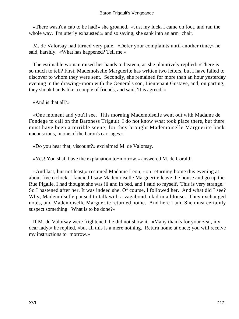«There wasn't a cab to be had!» she groaned. «Just my luck. I came on foot, and ran the whole way. I'm utterly exhausted;» and so saying, she sank into an arm−chair.

 M. de Valorsay had turned very pale. «Defer your complaints until another time,» he said, harshly. «What has happened? Tell me.»

 The estimable woman raised her hands to heaven, as she plaintively replied: «There is so much to tell? First, Mademoiselle Marguerite has written two letters, but I have failed to discover to whom they were sent. Secondly, she remained for more than an hour yesterday evening in the drawing−room with the General's son, Lieutenant Gustave, and, on parting, they shook hands like a couple of friends, and said, 'It is agreed.'»

«And is that all?»

 «One moment and you'll see. This morning Mademoiselle went out with Madame de Fondege to call on the Baroness Trigault. I do not know what took place there, but there must have been a terrible scene; for they brought Mademoiselle Marguerite back unconscious, in one of the baron's carriages.»

«Do you hear that, viscount?» exclaimed M. de Valorsay.

«Yes! You shall have the explanation to−morrow,» answered M. de Coralth.

 «And last, but not least,» resumed Madame Leon, «on returning home this evening at about five o'clock, I fancied I saw Mademoiselle Marguerite leave the house and go up the Rue Pigalle. I had thought she was ill and in bed, and I said to myself, 'This is very strange.' So I hastened after her. It was indeed she. Of course, I followed her. And what did I see? Why, Mademoiselle paused to talk with a vagabond, clad in a blouse. They exchanged notes, and Mademoiselle Marguerite returned home. And here I am. She must certainly suspect something. What is to be done?»

 If M. de Valorsay were frightened, he did not show it. «Many thanks for your zeal, my dear lady,» he replied, «but all this is a mere nothing. Return home at once; you will receive my instructions to−morrow.»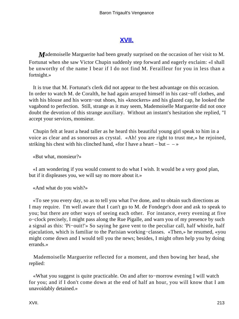# **[XVII.](#page-256-0)**

*M*ademoiselle Marguerite had been greatly surprised on the occasion of her visit to M. Fortunat when she saw Victor Chupin suddenly step forward and eagerly exclaim: «I shall be unworthy of the name I bear if I do not find M. Ferailleur for you in less than a fortnight.»

 It is true that M. Fortunat's clerk did not appear to the best advantage on this occasion. In order to watch M. de Coralth, he had again arrayed himself in his cast−off clothes, and with his blouse and his worn−out shoes, his «knockers» and his glazed cap, he looked the vagabond to perfection. Still, strange as it may seem, Mademoiselle Marguerite did not once doubt the devotion of this strange auxiliary. Without an instant's hesitation she replied, "I accept your services, monsieur.

 Chupin felt at least a head taller as he heard this beautiful young girl speak to him in a voice as clear and as sonorous as crystal. «Ah! you are right to trust me,» he rejoined, striking his chest with his clinched hand, «for I have a heart – but –  $-\infty$ 

«But what, monsieur?»

 «I am wondering if you would consent to do what I wish. It would be a very good plan, but if it displeases you, we will say no more about it.»

«And what do you wish?»

 «To see you every day, so as to tell you what I've done, and to obtain such directions as I may require. I'm well aware that I can't go to M. de Fondege's door and ask to speak to you; but there are other ways of seeing each other. For instance, every evening at five o−clock precisely, I might pass along the Rue Pigalle, and warn you of my presence by such a signal as this: 'Pi−ouit!'» So saying he gave vent to the peculiar call, half whistle, half ejaculation, which is familiar to the Parisian working−classes. «Then,» he resumed, «you might come down and I would tell you the news; besides, I might often help you by doing errands.»

 Mademoiselle Marguerite reflected for a moment, and then bowing her head, she replied:

 «What you suggest is quite practicable. On and after to−morrow evening I will watch for you; and if I don't come down at the end of half an hour, you will know that I am unavoidably detained.»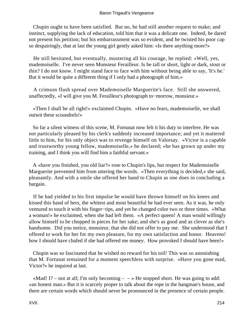### Baron Trigault's Vengeance

 Chupin ought to have been satisfied. But no, he had still another request to make; and instinct, supplying the lack of education, told him that it was a delicate one. Indeed, he dared not present his petition; but his embarrassment was so evident, and he twisted his poor cap so despairingly, that at last the young girl gently asked him: «Is there anything more?»

 He still hesitated, but eventually, mustering all his courage, he replied: «Well, yes, mademoiselle. I've never seen Monsieur Ferailleur. Is he tall or short, light or dark, stout or thin? I do not know. I might stand face to face with him without being able to say, 'It's he.' But it would be quite a different thing if I only had a photograph of him.»

 A crimson flush spread over Mademoiselle Marguerite's face. Still she answered, unaffectedly, «I will give you M. Ferailleur's photograph to−morrow, monsieur.»

 «Then I shall be all right!» exclaimed Chupin. «Have no fears, mademoiselle, we shall outwit these scoundrels!»

 So far a silent witness of this scene, M. Fortunat now felt it his duty to interfere. He was not particularly pleased by his clerk's suddenly increased importance; and yet it mattered little to him, for his only object was to revenge himself on Valorsay. «Victor is a capable and trustworthy young fellow, mademoiselle,» he declared; «he has grown up under my training, and I think you will find him a faithful servant.»

 A «have you finished, you old liar?» rose to Chupin's lips, but respect for Mademoiselle Marguerite prevented him from uttering the words. «Then everything is decided,» she said, pleasantly. And with a smile she offered her hand to Chupin as one does in concluding a bargain.

 If he had yielded to his first impulse he would have thrown himself on his knees and kissed this hand of hers, the whitest and most beautiful he had ever seen. As it was, he only ventured to touch it with his finger−tips, and yet he changed color two or three times. «What a woman!» he exclaimed, when she had left them. «A perfect queen! A man would willingly allow himself to be chopped in pieces for her sake; and she's as good and as clever as she's handsome. Did you notice, monsieur, that she did not offer to pay me. She understood that I offered to work for her for my own pleasure, for my own satisfaction and honor. Heavens! how I should have chafed if she had offered me money. How provoked I should have been!»

 Chupin was so fascinated that he wished no reward for his toil! This was so astonishing that M. Fortunat remained for a moment speechless with surprise. «Have you gone mad, Victor?» he inquired at last.

«Mad! I? – not at all; I'm only becoming –  $\rightarrow$  He stopped short. He was going to add: «an honest man.» But it is scarcely proper to talk about the rope in the hangman's house, and there are certain words which should never be pronounced in the presence of certain people.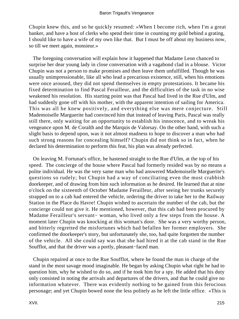Chupin knew this, and so he quickly resumed: «When I become rich, when I'm a great banker, and have a host of clerks who spend their time in counting my gold behind a grating, I should like to have a wife of my own like that. But I must be off about my business now, so till we meet again, monsieur.»

 The foregoing conversation will explain how it happened that Madame Leon chanced to surprise her dear young lady in close conversation with a vagabond clad in a blouse. Victor Chupin was not a person to make promises and then leave them unfulfilled. Though he was usually unimpressionable, like all who lead a precarious existence, still, when his emotions were once aroused, they did not spend themselves in empty protestations. It became his fixed determination to find Pascal Ferailleur, and the difficulties of the task in no wise weakened his resolution. His starting point was that Pascal had lived in the Rue d'Ulm, and had suddenly gone off with his mother, with the apparent intention of sailing for America. This was all he knew positively, and everything else was mere conjecture. Still Mademoiselle Marguerite had convinced him that instead of leaving Paris, Pascal was really still there, only waiting for an opportunity to establish his innocence, and to wreak his vengeance upon M. de Coralth and the Marquis de Valorsay. On the other hand, with such a slight basis to depend upon, was it not almost madness to hope to discover a man who had such strong reasons for concealing himself? Chupin did not think so in fact, when he declared his determination to perform this feat, his plan was already perfected.

 On leaving M. Fortunat's office, he hastened straight to the Rue d'Ulm, at the top of his speed. The concierge of the house where Pascal had formerly resided was by no means a polite individual. He was the very same man who had answered Mademoiselle Marguerite's questions so rudely; but Chupin had a way of conciliating even the most crabbish doorkeeper, and of drawing from him such information as he desired. He learned that at nine o'clock on the sixteenth of October Madame Ferailleur, after seeing her trunks securely strapped on to a cab had entered the vehicle, ordering the driver to take her to the Railway Station in the Place du Havre! Chupin wished to ascertain the number of the cab, but the concierge could not give it. He mentioned, however, that this cab had been procured by Madame Ferailleur's servant− woman, who lived only a few steps from the house. A moment later Chupin was knocking at this woman's door. She was a very worthy person, and bitterly regretted the misfortunes which had befallen her former employers. She confirmed the doorkeeper's story, but unfortunately she, too, had quite forgotten the number of the vehicle. All she could say was that she had hired it at the cab stand in the Rue Soufflot, and that the driver was a portly, pleasant−faced man.

 Chupin repaired at once to the Rue Soufflot, where he found the man in charge of the stand in the most savage mood imaginable. He began by asking Chupin what right he had to question him, why he wished to do so, and if he took him for a spy. He added that his duty only consisted in noting the arrivals and departures of the drivers, and that he could give no information whatever. There was evidently nothing to be gained from this ferocious personage; and yet Chupin bowed none the less politely as he left the little office. «This is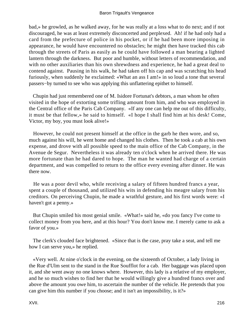### Baron Trigault's Vengeance

bad,» he growled, as he walked away, for he was really at a loss what to do next; and if not discouraged, he was at least extremely disconcerted and perplexed. Ah! if he had only had a card from the prefecture of police in his pocket, or if he had been more imposing in appearance, he would have encountered no obstacles; he might then have tracked this cab through the streets of Paris as easily as he could have followed a man bearing a lighted lantern through the darkness. But poor and humble, without letters of recommendation, and with no other auxiliaries than his own shrewdness and experience, he had a great deal to contend against. Pausing in his walk, he had taken off his cap and was scratching his head furiously, when suddenly he exclaimed: «What an ass I am!» in so loud a tone that several passers−by turned to see who was applying this unflattering epithet to himself.

 Chupin had just remembered one of M. Isidore Fortunat's debtors, a man whom he often visited in the hope of extorting some trifling amount from him, and who was employed in the Central office of the Paris Cab Company. «If any one can help me out of this difficulty, it must be that fellow,» he said to himself. «I hope I shall find him at his desk! Come, Victor, my boy, you must look alive!»

 However, he could not present himself at the office in the garb he then wore, and so, much against his will, he went home and changed his clothes. Then he took a cab at his own expense, and drove with all possible speed to the main office of the Cab Company, in the Avenue de Segur. Nevertheless it was already ten o'clock when he arrived there. He was more fortunate than he had dared to hope. The man he wanted had charge of a certain department, and was compelled to return to the office every evening after dinner. He was there now.

 He was a poor devil who, while receiving a salary of fifteen hundred francs a year, spent a couple of thousand, and utilized his wits in defending his meagre salary from his creditors. On perceiving Chupin, he made a wrathful gesture, and his first words were: «I haven't got a penny.»

 But Chupin smiled his most genial smile. «What!» said he, «do you fancy I've come to collect money from you here, and at this hour? You don't know me. I merely came to ask a favor of you.»

 The clerk's clouded face brightened. «Since that is the case, pray take a seat, and tell me how I can serve you,» he replied.

 «Very well. At nine o'clock in the evening, on the sixteenth of October, a lady living in the Rue d'Ulm sent to the stand in the Rue Soufflot for a cab. Her baggage was placed upon it, and she went away no one knows where. However, this lady is a relative of my employer, and he so much wishes to find her that he would willingly give a hundred francs over and above the amount you owe him, to ascertain the number of the vehicle. He pretends that you can give him this number if you choose; and it isn't an impossibility, is it?»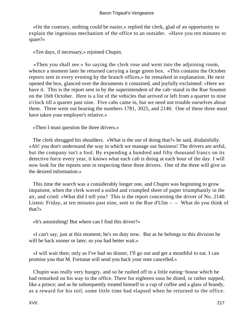«On the contrary, nothing could be easier,» replied the clerk, glad of an opportunity to explain the ingenious mechanism of the office to an outsider. «Have you ten minutes to spare?»

«Ten days, if necessary,» rejoined Chupin.

 «Then you shall see.» So saying the clerk rose and went into the adjoining room, whence a moment later he returned carrying a large green box. «This contains the October reports sent in every evening by the branch offices,» he remarked in explanation. He next opened the box, glanced over the documents it contained, and joyfully exclaimed: «Here we have it. This is the report sent in by the superintendent of the cab−stand in the Rue Soumot on the 16th October. Here is a list of the vehicles that arrived or left from a quarter to nine o'clock till a quarter past nine. Five cabs came in, but we need not trouble ourselves about them. Three went out bearing the numbers 1781, 3025, and 2140. One of these three must have taken your employer's relative.»

«Then I must question the three drivers.»

 The clerk shrugged his shoulders. «What is the use of doing that?» he said, disdainfully. «Ah! you don't understand the way in which we manage our business! The drivers are artful, but the company isn't a fool. By expending a hundred and fifty thousand francs on its detective force every year, it knows what each cab is doing at each hour of the day. I will now look for the reports sent in respecting these three drivers. One of the three will give us the desired information.»

 This time the search was a considerably longer one, and Chupin was beginning to grow impatient, when the clerk waved a soiled and crumpled sheet of paper triumphantly in the air, and cried: «What did I tell you? This is the report concerning the driver of No. 2140. Listen: Friday, at ten minutes past nine, sent to the Rue d'Ulm  $-$  – What do you think of that?»

«It's astonishing! But where can I find this driver?»

 «I can't say, just at this moment; he's on duty now. But as he belongs to this division he will be back sooner or later, so you had better wait.»

 «I will wait then; only as I've had no dinner, I'll go out and get a mouthful to eat. I can promise you that M. Fortunat will send you back your note cancelled.»

 Chupin was really very hungry, and so he rushed off to a little eating−house which he had remarked on his way to the office. There for eighteen sous he dined, or rather supped, like a prince; and as he subsequently treated himself to a cup of coffee and a glass of brandy, as a reward for his toil, some little time had elapsed when he returned to the office.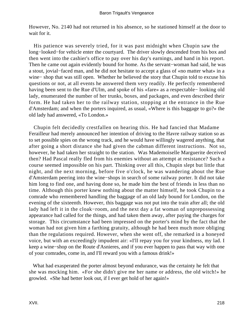However, No. 2140 had not returned in his absence, so he stationed himself at the door to wait for it.

 His patience was severely tried, for it was past midnight when Chupin saw the long−looked−for vehicle enter the courtyard. The driver slowly descended from his box and then went into the cashier's office to pay over his day's earnings, and hand in his report. Then he came out again evidently bound for home. As the servant−woman had said, he was a stout, jovial−faced man, and he did not hesitate to accept a glass of «no matter what» in a wine− shop that was still open. Whether he believed the story that Chupin told to excuse his questions or not, at all events he answered them very readily. He perfectly remembered having been sent to the Rue d'Ulm, and spoke of his «fare» as a respectable− looking old lady, enumerated the number of her trunks, boxes, and packages, and even described their form. He had taken her to the railway station, stopping at the entrance in the Rue d'Amsterdam; and when the porters inquired, as usual, «Where is this baggage to go?» the old lady had answered, «To London.»

 Chupin felt decidedly crestfallen on hearing this. He had fancied that Madame Ferailleur had merely announced her intention of driving to the Havre railway station so as to set possible spies on the wrong track, and he would have willingly wagered anything, that after going a short distance she had given the cabman different instructions. Not so, however, he had taken her straight to the station. Was Mademoiselle Marguerite deceived then? Had Pascal really fled from his enemies without an attempt at resistance? Such a course seemed impossible on his part. Thinking over all this, Chupin slept but little that night, and the next morning, before five o'clock, he was wandering about the Rue d'Amsterdam peering into the wine−shops in search of some railway porter. It did not take him long to find one, and having done so, he made him the best of friends in less than no time. Although this porter knew nothing about the matter himself, he took Chupin to a comrade who remembered handling the baggage of an old lady bound for London, on the evening of the sixteenth. However, this baggage was not put into the train after all; the old lady had left it in the cloak−room, and the next day a fat woman of unprepossessing appearance had called for the things, and had taken them away, after paying the charges for storage. This circumstance had been impressed on the porter's mind by the fact that the woman had not given him a farthing gratuity, although he had been much more obliging than the regulations required. However, when she went off, she remarked in a honeyed voice, but with an exceedingly impudent air: «I'll repay you for your kindness, my lad. I keep a wine−shop on the Route d'Asnieres, and if you ever happen to pass that way with one of your comrades, come in, and I'll reward you with a famous drink!»

 What had exasperated the porter almost beyond endurance, was the certainty he felt that she was mocking him. «For she didn't give me her name or address, the old witch!» he growled. «She had better look out, if I ever get hold of her again!»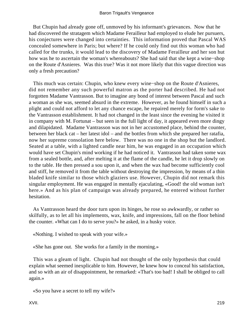But Chupin had already gone off, unmoved by his informant's grievances. Now that he had discovered the stratagem which Madame Ferailleur had employed to elude her pursuers, his conjectures were changed into certainties. This information proved that Pascal WAS concealed somewhere in Paris; but where? If he could only find out this woman who had called for the trunks, it would lead to the discovery of Madame Ferailleur and her son hut how was he to ascertain the woman's whereabouts? She had said that she kept a wine−shop on the Route d'Asnieres. Was this true? Was it not more likely that this vague direction was only a fresh precaution?

 This much was certain: Chupin, who knew every wine−shop on the Route d'Asnieres, did not remember any such powerful matron as the porter had described. He had not forgotten Madame Vantrasson. But to imagine any bond of interest between Pascal and such a woman as she was, seemed absurd in the extreme. However, as he found himself in such a plight and could not afford to let any chance escape, he repaired merely for form's sake to the Vantrasson establishment. It had not changed in the least since the evening he visited it in company with M. Fortunat – but seen in the full light of day, it appeared even more dingy and dilapidated. Madame Vantrasson was not in her accustomed place, behind the counter, between her black cat – her latest idol – and the bottles from which she prepared her ratafia, now her supreme consolation here below. There was no one in the shop but the landlord. Seated at a table, with a lighted candle near him, he was engaged in an occupation which would have set Chupin's mind working if he had noticed it. Vantrasson had taken some wax from a sealed bottle, and, after melting it at the flame of the candle, he let it drop slowly on to the table. He then pressed a sou upon it, and when the wax had become sufficiently cool and stiff, he removed it from the table without destroying the impression, by means of a thin bladed knife similar to those which glaziers use. However, Chupin did not remark this singular employment. He was engaged in mentally ejaculating, «Good! the old woman isn't here.» And as his plan of campaign was already prepared, he entered without further hesitation.

 As Vantrasson heard the door turn upon its hinges, he rose so awkwardly, or rather so skilfully, as to let all his implements, wax, knife, and impressions, fall on the floor behind the counter. «What can I do to serve you?» he asked, in a husky voice.

«Nothing. I wished to speak with your wife.»

«She has gone out. She works for a family in the morning.»

 This was a gleam of light. Chupin had not thought of the only hypothesis that could explain what seemed inexplicable to him. However, he knew how to conceal his satisfaction, and so with an air of disappointment, he remarked: «That's too bad! I shall be obliged to call again.»

«So you have a secret to tell my wife?»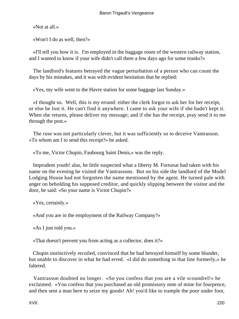«Not at all.»

«Won't I do as well, then?»

 «I'll tell you how it is. I'm employed in the baggage room of the western railway station, and I wanted to know if your wife didn't call there a few days ago for some trunks?»

 The landlord's features betrayed the vague perturbation of a person who can count the days by his mistakes, and it was with evident hesitation that he replied:

«Yes, my wife went to the Havre station for some baggage last Sunday.»

 «I thought so. Well, this is my errand: either the clerk forgot to ask her for her receipt, or else he lost it. He can't find it anywhere. I came to ask your wife if she hadn't kept it. When she returns, please deliver my message; and if she has the receipt, pray send it to me through the post.»

 The ruse was not particularly clever, but it was sufficiently so to deceive Vantrasson. «To whom am I to send this receipt?» he asked.

«To me, Victor Chupin, Faubourg Saint Denis,» was the reply.

 Imprudent youth! alas, he little suspected what a liberty M. Fortunat had taken with his name on the evening he visited the Vantrassons. But on his side the landlord of the Model Lodging House had not forgotten the name mentioned by the agent. He turned pale with anger on beholding his supposed creditor, and quickly slipping between the visitor and the door, he said: «So your name is Victor Chupin?»

«Yes, certainly.»

«And you are in the employment of the Railway Company?»

«As I just told you.»

«That doesn't prevent you from acting as a collector, does it?»

 Chupin instinctively recoiled, convinced that he had betrayed himself by some blunder, but unable to discover in what he had erred. «I did do something in that line formerly,» he faltered.

 Vantrasson doubted no longer. «So you confess that you are a vile scoundrel!» he exclaimed. «You confess that you purchased an old promissory note of mine for fourpence, and then sent a man here to seize my goods! Ah! you'd like to trample the poor under foot,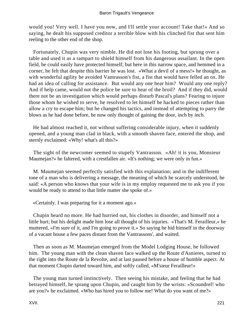would you! Very well. I have you now, and I'll settle your account! Take that!» And so saying, he dealt his supposed creditor a terrible blow with his clinched fist that sent him reeling to the other end of the shop.

 Fortunately, Chupin was very nimble. He did not lose his footing, but sprung over a table and used it as a rampart to shield himself from his dangerous assailant. In the open field, he could easily have protected himself; but here in this narrow space, and hemmed in a corner, he felt that despite this barrier he was lost. «What a devil of a mess!» he thought, as with wonderful agility he avoided Vantrasson's fist, a fist that would have felled an ox. He had an idea of calling for assistance. But would any one hear him? Would any one reply? And if help came, would not the police be sure to hear of the broil? And if they did, would there not be an investigation which would perhaps disturb Pascal's plans? Fearing to injure those whom he wished to serve, he resolved to let himself be hacked to pieces rather than allow a cry to escape him; but he changed his tactics, and instead of attempting to parry the blows as he had done before, he now only thought of gaining the door, inch by inch.

 He had almost reached it, not without suffering considerable injury, when it suddenly opened, and a young man clad in black, with a smooth shaven face, entered the shop, and sternly exclaimed: «Why! what's all this?»

 The sight of the newcomer seemed to stupefy Vantrasson. «Ah! it is you, Monsieur Maumejan?» he faltered, with a crestfallen air. «It's nothing; we were only in fun.»

 M. Maumejan seemed perfectly satisfied with this explanation; and in the indifferent tone of a man who is delivering a message, the meaning of which he scarcely understood, he said: «A person who knows that your wife is in my employ requested me to ask you if you would be ready to attend to that little matter she spoke of.»

«Certainly. I was preparing for it a moment ago.»

 Chupin heard no more. He had hurried out, his clothes in disorder, and himself not a little hurt; but his delight made him lose all thought of his injuries. «That's M. Ferailleur,» he muttered, «I'm sure of it, and I'm going to prove it.» So saying he hid himself in the doorway of a vacant house a few paces distant from the Vantrassons', and waited.

 Then as soon as M. Maumejan emerged from the Model Lodging House, he followed him. The young man with the clean shaven face walked up the Route d'Asnieres, turned to the right into the Route de la Revolte, and at last paused before a house of humble aspect. At that moment Chupin darted toward him, and softly called, «M'sieur Ferailleur!»

 The young man turned instinctively. Then seeing his mistake, and feeling that he had betrayed himself, he sprang upon Chupin, and caught him by the wrists: «Scoundrel! who are you?» he exclaimed. «Who has hired you to follow me! What do you want of me?»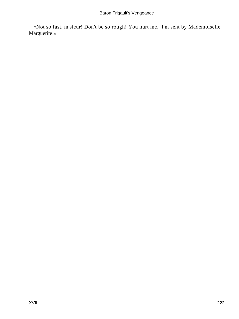«Not so fast, m'sieur! Don't be so rough! You hurt me. I'm sent by Mademoiselle Marguerite!»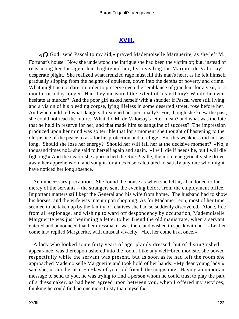## **[XVIII.](#page-256-0)**

*«O* God! send Pascal to my aid,» prayed Mademoiselle Marguerite, as she left M. Fortunat's house. Now she understood the intrigue she had been the victim of; but, instead of reassuring her the agent had frightened her, by revealing the Marquis de Valorsay's desperate plight. She realized what frenzied rage must fill this man's heart as he felt himself gradually slipping from the heights of opulence, down into the depths of poverty and crime. What might he not dare, in order to preserve even the semblance of grandeur for a year, or a month, or a day longer! Had they measured the extent of his villainy? Would he even hesitate at murder? And the poor girl asked herself with a shudder if Pascal were still living; and a vision of his bleeding corpse, lying lifeless in some deserted street, rose before her. And who could tell what dangers threatened her personally? For, though she knew the past, she could not read the future. What did M. de Valorsay's letter mean? and what was the fate that he held in reserve for her, and that made him so sanguine of success? The impression produced upon her mind was so terrible that for a moment she thought of hastening to the old justice of the peace to ask for his protection and a refuge. But this weakness did not last long. Should she lose her energy? Should her will fail her at the decisive moment? «No, a thousand times no!» she said to herself again and again. «I will die if needs be, but I will die fighting!» And the nearer she approached the Rue Pigalle, the more energetically she drove away her apprehension, and sought for an excuse calculated to satisfy any one who might have noticed her long absence.

 An unnecessary precaution. She found the house as when she left it, abandoned to the mercy of the servants – the strangers sent the evening before from the employment office. Important matters still kept the General and his wife from home. The husband had to show his horses; and the wife was intent upon shopping. As for Madame Leon, most of her time seemed to be taken up by the family of relatives she had so suddenly discovered. Alone, free from all espionage, and wishing to ward off despondency by occupation, Mademoiselle Marguerite was just beginning a letter to her friend the old magistrate, when a servant entered and announced that her dressmaker was there and wished to speak with her. «Let her come in,» replied Marguerite, with unusual vivacity. «Let her come in at once.»

 A lady who looked some forty years of age, plainly dressed, but of distinguished appearance, was thereupon ushered into the room. Like any well−bred modiste, she bowed respectfully while the servant was present, but as soon as he had left the room she approached Mademoiselle Marguerite and took hold of her hands: «My dear young lady,» said she, «I am the sister−in−law of your old friend, the magistrate. Having an important message to send to you, he was trying to find a person whom he could trust to play the part of a dressmaker, as had been agreed upon between you, when I offered my services, thinking he could find no one more trusty than myself.»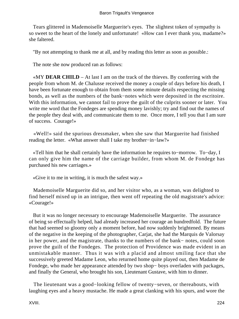Tears glittered in Mademoiselle Marguerite's eyes. The slightest token of sympathy is so sweet to the heart of the lonely and unfortunate! «How can I ever thank you, madame?» she faltered.

"By not attempting to thank me at all, and by reading this letter as soon as possible.:

The note she now produced ran as follows:

 «MY **DEAR CHILD** – At last I am on the track of the thieves. By conferring with the people from whom M. de Chalusse received the money a couple of days before his death, I have been fortunate enough to obtain from them some minute details respecting the missing bonds, as well as the numbers of the bank−notes which were deposited in the escritoire. With this information, we cannot fail to prove the guilt of the culprits sooner or later. You write me word that the Fondeges are spending money lavishly; try and find out the names of the people they deal with, and communicate them to me. Once more, I tell you that I am sure of success. Courage!»

 «Well!» said the spurious dressmaker, when she saw that Marguerite had finished reading the letter. «What answer shall I take my brother−in−law?»

 «Tell him that he shall certainly have the information he requires to−morrow. To−day, I can only give him the name of the carriage builder, from whom M. de Fondege has purchased his new carriages.»

«Give it to me in writing, it is much the safest way.»

 Mademoiselle Marguerite did so, and her visitor who, as a woman, was delighted to find herself mixed up in an intrigue, then went off repeating the old magistrate's advice: «Courage!»

 But it was no longer necessary to encourage Mademoiselle Marguerite. The assurance of being so effectually helped, had already increased her courage an hundredfold. The future that had seemed so gloomy only a moment before, had now suddenly brightened. By means of the negative in the keeping of the photographer, Carjat, she had the Marquis de Valorsay in her power, and the magistrate, thanks to the numbers of the bank− notes, could soon prove the guilt of the Fondeges. The protection of Providence was made evident in an unmistakable manner. Thus it was with a placid and almost smiling face that she successively greeted Madame Leon, who returned home quite played out, then Madame de Fondege, who made her appearance attended by two shop− boys overladen with packages, and finally the General, who brought his son, Lieutenant Gustave, with him to dinner.

 The lieutenant was a good−looking fellow of twenty−seven, or thereabouts, with laughing eyes and a heavy mustache. He made a great clanking with his spurs, and wore the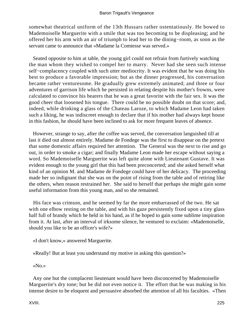somewhat theatrical uniform of the 13th Hussars rather ostentatiously. He bowed to Mademoiselle Marguerite with a smile that was too becoming to be displeasing; and he offered her his arm with an air of triumph to lead her to the dining−room, as soon as the servant came to announce that «Madame la Comtesse was served.»

 Seated opposite to him at table, the young girl could not refrain from furtively watching the man whom they wished to compel her to marry. Never had she seen such intense self−complacency coupled with such utter mediocrity. It was evident that he was doing his best to produce a favorable impression; but as the dinner progressed, his conversation became rather venturesome. He gradually grew extremely animated; and three or four adventures of garrison life which he persisted in relating despite his mother's frowns, were calculated to convince his hearers that he was a great favorite with the fair sex. It was the good cheer that loosened his tongue. There could be no possible doubt on that score; and, indeed, while drinking a glass of the Chateau Laroze, to which Madame Leon had taken such a liking, he was indiscreet enough to declare that if his mother had always kept house in this fashion, he should have been inclined to ask for more frequent leaves of absence.

 However, strange to say, after the coffee was served, the conversation languished till at last it died out almost entirely. Madame de Fondege was the first to disappear on the pretext that some domestic affairs required her attention. The General was the next to rise and go out, in order to smoke a cigar; and finally Madame Leon made her escape without saying a word. So Mademoiselle Marguerite was left quite alone with Lieutenant Gustave. It was evident enough to the young girl that this had been preconcerted; and she asked herself what kind of an opinion M. and Madame de Fondege could have of her delicacy. The proceeding made her so indignant that she was on the point of rising from the table and of retiring like the others, when reason restrained her. She said to herself that perhaps she might gain some useful information from this young man, and so she remained.

 His face was crimson, and he seemed by far the more embarrassed of the two. He sat with one elbow resting on the table, and with his gaze persistently fixed upon a tiny glass half full of brandy which he held in his hand, as if he hoped to gain some sublime inspiration from it. At last, after an interval of irksome silence, he ventured to exclaim: «Mademoiselle, should you like to be an officer's wife?»

«I don't know,» answered Marguerite.

«Really! But at least you understand my motive in asking this question?»

«No.»

 Any one but the complacent lieutenant would have been disconcerted by Mademoiselle Marguerite's dry tone; but he did not even notice it. The effort that he was making in his intense desire to be eloquent and persuasive absorbed the attention of all his faculties. «Then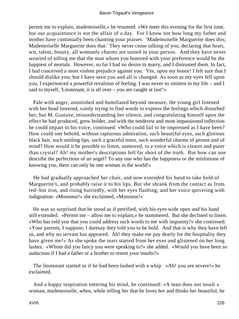permit me to explain, mademoiselle,» he resumed. «We meet this evening for the first time, but our acquaintance is not the affair of a day. For I know not how long my father and mother have continually been chanting your praises. 'Mademoiselle Marguerite does this; Mademoiselle Marguerite does that.' They never cease talking of you, declaring that heart, wit, talent, beauty, all womanly charms are united in your person. And they have never wearied of telling me that the man whom you honored with your preference would be the happiest of mortals. However, so far I had no desire to marry, and I distrusted them. In fact, I had conceived a most violent prejudice against you. Yes, upon my honor! I felt sure that I should dislike you; but I have seen you and all is changed. As soon as my eyes fell upon you, I experienced a powerful revulsion of feeling. I was never so smitten in my life – and I said to myself, 'Lieutenant, it is all over – you are caught at last!'»

 Pale with anger, astonished and humiliated beyond measure, the young girl listened with her head lowered, vainly trying to find words to express the feelings which disturbed her; but M. Gustave, misunderstanding her silence, and congratulating himself upon the effect he had produced, grew bolder, and with the tenderest and most impassioned inflection he could impart to his voice, continued: «Who could fail to be impressed as I have been? How could one behold, without rapturous admiration, such beautiful eyes, such glorious black hair, such smiling lips, such a graceful mien, such wonderful charms of person and of mind? How would it be possible to listen, unmoved, to a voice which is clearer and purer than crystal? Ah! my mother's descriptions fell far short of the truth. But how can one describe the perfections of an angel? To any one who has the happiness or the misfortune of knowing you, there can only be one woman in the world!»

 He had gradually approached her chair, and now extended his hand to take hold of Marguerite's, and probably raise it to his lips. But she shrank from the contact as from red−hot iron, and rising hurriedly, with her eyes flashing, and her voice quivering with indignation: «Monsieur!» she exclaimed, «Monsieur!»

 He was so surprised that he stood as if petrified, with his eyes wide open and his hand still extended. «Permit me – allow me to explain,» he stammered. But she declined to listen. «Who has told you that you could address such words to me with impunity?» she continued. «Your parents, I suppose; I daresay they told you to be bold. And that is why they have left us, and why no servant has appeared. Ah! they make me pay dearly for the hospitality they have given me!» As she spoke the tears started from her eyes and glistened on her long lashes. «Whom did you fancy you were speaking to?» she added. «Would you have been so audacious if I had a father or a brother to resent your insults?»

 The lieutenant started as if he had been lashed with a whip. «Ah! you are severe!» he exclaimed.

 And a happy inspiration entering his mind, he continued: «A man does not insult a woman, mademoiselle, when, while telling her that he loves her and thinks her beautiful, he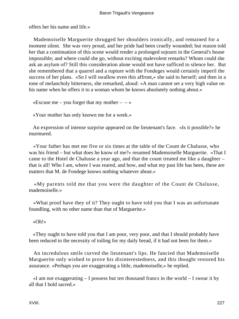offers her his name and life.»

 Mademoiselle Marguerite shrugged her shoulders ironically, and remained for a moment silent. She was very proud, and her pride had been cruelly wounded; but reason told her that a continuation of this scene would render a prolonged sojourn in the General's house impossible; and where could she go, without exciting malevolent remarks? Whom could she ask an asylum of? Still this consideration alone would not have sufficed to silence her. But she remembered that a quarrel and a rupture with the Fondeges would certainly imperil the success of her plans. «So I will swallow even this affront,» she said to herself; and then in a tone of melancholy bitterness, she remarked, aloud: «A man cannot set a very high value on his name when he offers it to a woman whom he knows absolutely nothing about.»

«Excuse me – you forget that my mother –  $-\infty$ 

«Your mother has only known me for a week.»

 An expression of intense surprise appeared on the lieutenant's face. «Is it possible?» he murmured.

 «Your father has met me five or six times at the table of the Count de Chalusse, who was his friend – but what does he know of me?» resumed Mademoiselle Marguerite. «That I came to the Hotel de Chalusse a year ago, and that the count treated me like a daughter – that is all! Who I am, where I was reared, and how, and what my past life has been, these are matters that M. de Fondege knows nothing whatever about.»

 «My parents told me that you were the daughter of the Count de Chalusse, mademoiselle.»

 «What proof have they of it? They ought to have told you that I was an unfortunate foundling, with no other name than that of Marguerite.»

«Oh!»

 «They ought to have told you that I am poor, very poor, and that I should probably have been reduced to the necessity of toiling for my daily bread, if it had not been for them.»

 An incredulous smile curved the lieutenant's lips. He fancied that Mademoiselle Marguerite only wished to prove his disinterestedness, and this thought restored his assurance. «Perhaps you are exaggerating a little, mademoiselle,» he replied.

 $\ll$ I am not exaggerating  $-$  I possess but ten thousand francs in the world  $-$  I swear it by all that I hold sacred.»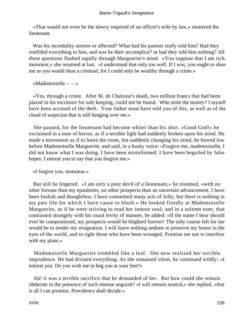«That would not even be the dowry required of an officer's wife by law,» muttered the lieutenant.

 Was his incredulity sincere or affected? What had his parents really told him? Had they confided everything to him, and was he their accomplice? or had they told him nothing? All these questions flashed rapidly through Marguerite's mind. «You suppose that I am rich, monsieur,» she resumed at last. «I understand that only too well. If I was, you ought to shun me as you would shun a criminal, for I could only be wealthy through a crime.»

«Mademoiselle –  $-\infty$ 

 «Yes, through a crime. After M. de Chalusse's death, two million francs that had been placed in his escritoire for safe keeping, could not be found. Who stole the money? I myself have been accused of the theft. Your father must have told you of this, as well as of the cloud of suspicion that is still hanging over me.»

 She paused, for the lieutenant had become whiter than his shirt. «Good God!» he exclaimed in a tone of horror, as if a terrible light had suddenly broken upon his mind. He made a movement as if to leave the room, but suddenly changing his mind, he bowed low before Mademoiselle Marguerite, and said, in a husky voice: «Forgive me, mademoiselle, I did not know what I was doing. I have been misinformed. I have been beguiled by false hopes. I entreat you to say that you forgive me.»

«I forgive you, monsieur.»

 But still he lingered. «I am only a poor devil of a lieutenant,» he resumed, «with no other fortune than my epaulettes, no other prospects than an uncertain advancement. I have been foolish and thoughtless. I have committed many acts of folly; but there is nothing in my past life for which I have cause to blush.» He looked fixedly at Mademoiselle Marguerite, as if he were striving to read her inmost soul; and in a solemn tone, that contrasted strangely with his usual levity of manner, he added: «If the name I bear should ever be compromised, my prospects would be blighted forever! The only course left for me would be to tender my resignation. I will leave nothing undone to preserve my honor in the eyes of the world, and to right those who have been wronged. Promise me not to interfere with my plans.»

 Mademoiselle Marguerite trembled like a leaf. She now realized her terrible imprudence. He had divined everything. As she remained silent, he continued wildly: «I entreat you. Do you wish me to beg you at your feet?»

 Ah! it was a terrible sacrifice that he demanded of her. But how could she remain obdurate in the presence of such intense anguish? «I will remain neutral,» she replied, «that is all I can promise. Providence shall decide.»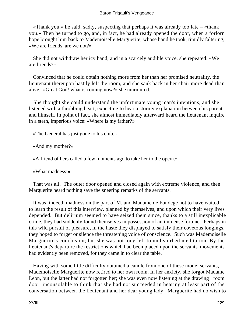### Baron Trigault's Vengeance

 «Thank you,» he said, sadly, suspecting that perhaps it was already too late – «thank you.» Then he turned to go, and, in fact, he had already opened the door, when a forlorn hope brought him back to Mademoiselle Marguerite, whose hand he took, timidly faltering, «We are friends, are we not?»

 She did not withdraw her icy hand, and in a scarcely audible voice, she repeated: «We are friends?»

 Convinced that he could obtain nothing more from her than her promised neutrality, the lieutenant thereupon hastily left the room, and she sank back in her chair more dead than alive. «Great God! what is coming now?» she murmured.

 She thought she could understand the unfortunate young man's intentions, and she listened with a throbbing heart, expecting to hear a stormy explanation between his parents and himself. In point of fact, she almost immediately afterward heard the lieutenant inquire in a stern, imperious voice: «Where is my father?»

«The General has just gone to his club.»

«And my mother?»

«A friend of hers called a few moments ago to take her to the opera.»

«What madness!»

 That was all. The outer door opened and closed again with extreme violence, and then Marguerite heard nothing save the sneering remarks of the servants.

 It was, indeed, madness on the part of M. and Madame de Fondege not to have waited to learn the result of this interview, planned by themselves, and upon which their very lives depended. But delirium seemed to have seized them since, thanks to a still inexplicable crime, they had suddenly found themselves in possession of an immense fortune. Perhaps in this wild pursuit of pleasure, in the haste they displayed to satisfy their covetous longings, they hoped to forget or silence the threatening voice of conscience. Such was Mademoiselle Marguerite's conclusion; but she was not long left to undisturbed meditation. By the lieutenant's departure the restrictions which had been placed upon the servants' movements had evidently been removed, for they came in to clear the table.

 Having with some little difficulty obtained a candle from one of these model servants, Mademoiselle Marguerite now retired to her own room. In her anxiety, she forgot Madame Leon, but the latter had not forgotten her; she was even now listening at the drawing− room door, inconsolable to think that she had not succeeded in hearing at least part of the conversation between the lieutenant and her dear young lady. Marguerite had no wish to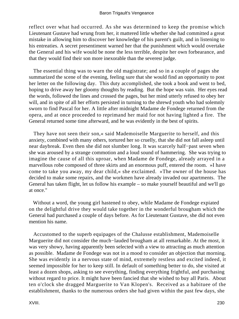reflect over what had occurred. As she was determined to keep the promise which Lieutenant Gustave had wrung from her, it mattered little whether she had committed a great mistake in allowing him to discover her knowledge of his parent's guilt, and in listening to his entreaties. A secret presentiment warned her that the punishment which would overtake the General and his wife would be none the less terrible, despite her own forbearance, and that they would find their son more inexorable than the severest judge.

 The essential thing was to warn the old magistrate; and so in a couple of pages she summarized the scene of the evening, feeling sure that she would find an opportunity to post her letter on the following day. This duty accomplished, she took a book and went to bed, hoping to drive away her gloomy thoughts by reading. But the hope was vain. Her eyes read the words, followed the lines and crossed the pages, but her mind utterly refused to obey her will, and in spite of all her efforts persisted in turning to the shrewd youth who had solemnly sworn to find Pascal for her. A little after midnight Madame de Fondege returned from the opera, and at once proceeded to reprimand her maid for not having lighted a fire. The General returned some time afterward, and he was evidently in the best of spirits.

 They have not seen their son,« said Mademoiselle Marguerite to herself, and this anxiety, combined with many others, tortured her so cruelly, that she did not fall asleep until near daybreak. Even then she did not slumber long. It was scarcely half−past seven when she was aroused by a strange commotion and a loud sound of hammering. She was trying to imagine the cause of all this uproar, when Madame de Fondege, already arrayed in a marvellous robe composed of three skirts and an enormous puff, entered the room. »I have come to take you away, my dear child,« she exclaimed. »The owner of the house has decided to make some repairs, and the workmen have already invaded our apartments. The General has taken flight, let us follow his example – so make yourself beautiful and we'll go at once."

 Without a word, the young girl hastened to obey, while Madame de Fondege expiated on the delightful drive they would take together in the wonderful brougham which the General had purchased a couple of days before. As for Lieutenant Gustave, she did not even mention his name.

 Accustomed to the superb equipages of the Chalusse establishment, Mademoiselle Marguerite did not consider the much−lauded brougham at all remarkable. At the most, it was very showy, having apparently been selected with a view to attracting as much attention as possible. Madame de Fondege was not in a mood to consider an objection that morning. She was evidently in a nervous state of mind, extremely restless and excited indeed, it seemed impossible for her to keep still. In default of something better to do, she visited at least a dozen shops, asking to see everything, finding everything frightful, and purchasing without regard to price. It might have been fancied that she wished to buy all Paris. About ten o'clock she dragged Marguerite to Van Klopen's. Received as a habituee of the establishment, thanks to the numerous orders she had given within the past few days, she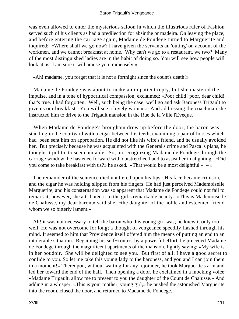was even allowed to enter the mysterious saloon in which the illustrious ruler of Fashion served such of his clients as had a predilection for absinthe or madeira. On leaving the place, and before entering the carriage again, Madame de Fondege turned to Marguerite and inquired: «Where shall we go now? I have given the servants an 'outing' on account of the workmen, and we cannot breakfast at home. Why can't we go to a restaurant, we two? Many of the most distinguished ladies are in the habit of doing so. You will see how people will look at us! I am sure it will amuse you immensely.»

«Ah! madame, you forget that it is not a fortnight since the count's death!»

 Madame de Fondege was about to make an impatient reply, but she mastered the impulse, and in a tone of hypocritical compassion, exclaimed: «Poor child! poor, dear child! that's true. I had forgotten. Well, such being the case, we'll go and ask Baroness Trigault to give us our breakfast. You will see a lovely woman.» And addressing the coachman she instructed him to drive to the Trigault mansion in the Rue de la Ville l'Eveque.

 When Madame de Fondege's brougham drew up before the door, the baron was standing in the courtyard with a cigar between his teeth, examining a pair of horses which had been sent him on approbation. He did not like his wife's friend, and he usually avoided her. But precisely because he was acquainted with the General's crime and Pascal's plans, he thought it politic to seem amiable. So, on recognizing Madame de Fondege through the carriage window, he hastened forward with outstretched hand to assist her in alighting. «Did you come to take breakfast with us?» he asked. «That would be a most delightful  $- \rightarrow \infty$ 

 The remainder of the sentence died unuttered upon his lips. His face became crimson, and the cigar he was holding slipped from his fingers. He had just perceived Mademoiselle Marguerite, and his consternation was so apparent that Madame de Fondege could not fail to remark it; however, she attributed it to the girl's remarkable beauty. «This is Mademoiselle de Chalusse, my dear baron,» said she, «the daughter of the noble and esteemed friend whom we so bitterly lament.»

 Ah! it was not necessary to tell the baron who this young girl was; he knew it only too well. He was not overcome for long; a thought of vengeance speedily flashed through his mind. It seemed to him that Providence itself offered him the means of putting an end to an intolerable situation. Regaining his self−control by a powerful effort, he preceded Madame de Fondege through the magnificent apartments of the mansion, lightly saying: «My wife is in her boudoir. She will be delighted to see you. But first of all, I have a good secret to confide to you. So let me take this young lady to the baroness, and you and I can join them in a moment!» Thereupon, without waiting for any rejoinder, he took Marguerite's arm and led her toward the end of the hall. Then opening a door, he exclaimed in a mocking voice: «Madame Trigault, allow me to present to you the daughter of the Count de Chalusse.» And adding in a whisper: «This is your mother, young girl,» he pushed the astonished Marguerite into the room, closed the door, and returned to Madame de Fondege.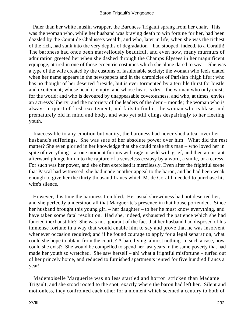Paler than her white muslin wrapper, the Baroness Trigault sprang from her chair. This was the woman who, while her husband was braving death to win fortune for her, had been dazzled by the Count de Chalusse's wealth, and who, later in life, when she was the richest of the rich, had sunk into the very depths of degradation – had stooped, indeed, to a Coralth! The baroness had once been marvellously beautiful, and even now, many murmurs of admiration greeted her when she dashed through the Champs Elysees in her magnificent equipage, attired in one of those eccentric costumes which she alone dared to wear. She was a type of the wife created by the customs of fashionable society; the woman who feels elated when her name appears in the newspapers and in the chronicles of Parisian «high life»; who has no thought of her deserted fireside, but is ever tormented by a terrible thirst for bustle and excitement; whose head is empty, and whose heart is dry – the woman who only exists for the world; and who is devoured by unappeasable covetousness, and who, at times, envies an actress's liberty, and the notoriety of the leaders of the demi− monde; the woman who is always in quest of fresh excitement, and fails to find it; the woman who is blase, and prematurely old in mind and body, and who yet still clings despairingly to her fleeting youth.

 Inaccessible to any emotion but vanity, the baroness had never shed a tear over her husband's sufferings. She was sure of her absolute power over him. What did the rest matter? She even gloried in her knowledge that she could make this man – who loved her in spite of everything – at one moment furious with rage or wild with grief, and then an instant afterward plunge him into the rapture of a senseless ecstasy by a word, a smile, or a caress. For such was her power, and she often exercised it mercilessly. Even after the frightful scene that Pascal had witnessed, she had made another appeal to the baron, and he had been weak enough to give her the thirty thousand francs which M. de Coralth needed to purchase his wife's silence.

 However, this time the baroness trembled. Her usual shrewdness had not deserted her, and she perfectly understood all that Marguerite's presence in that house portended. Since her husband brought this young girl – her daughter – to her he must know everything, and have taken some fatal resolution. Had she, indeed, exhausted the patience which she had fancied inexhaustible? She was not ignorant of the fact that her husband had disposed of his immense fortune in a way that would enable him to say and prove that he was insolvent whenever occasion required; and if he found courage to apply for a legal separation, what could she hope to obtain from the courts? A bare living, almost nothing. In such a case, how could she exist? She would be compelled to spend her last years in the same poverty that had made her youth so wretched. She saw herself – ah! what a frightful misfortune – turfed out of her princely home, and reduced to furnished apartments rented for five hundred francs a year!

 Mademoiselle Marguerite was no less startled and horror−stricken than Madame Trigault, and she stood rooted to the spot, exactly where the baron had left her. Silent and motionless, they confronted each other for a moment which seemed a century to both of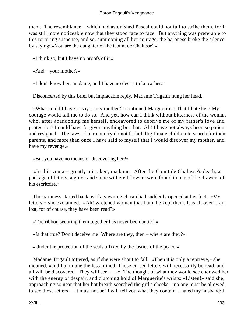them. The resemblance – which had astonished Pascal could not fail to strike them, for it was still more noticeable now that they stood face to face. But anything was preferable to this torturing suspense, and so, summoning all her courage, the baroness broke the silence by saying: «You are the daughter of the Count de Chalusse?»

«I think so, but I have no proofs of it.»

«And – your mother?»

«I don't know her; madame, and I have no desire to know her.»

Disconcerted by this brief but implacable reply, Madame Trigault hung her head.

 «What could I have to say to my mother?» continued Marguerite. «That I hate her? My courage would fail me to do so. And yet, how can I think without bitterness of the woman who, after abandoning me herself, endeavored to deprive me of my father's love and protection? I could have forgiven anything but that. Ah! I have not always been so patient and resigned! The laws of our country do not forbid illigitimate children to search for their parents, and more than once I have said to myself that I would discover my mother, and have my revenge.»

«But you have no means of discovering her?»

 «In this you are greatly mistaken, madame. After the Count de Chalusse's death, a package of letters, a glove and some withered flowers were found in one of the drawers of his escritoire.»

 The baroness started back as if a yawning chasm had suddenly opened at her feet. «My letters!» she exclaimed. «Ah! wretched woman that I am, he kept them. It is all over! I am lost, for of course, they have been read?»

«The ribbon securing them together has never been untied.»

«Is that true? Don t deceive me! Where are they, then – where are they?»

«Under the protection of the seals affixed by the justice of the peace.»

 Madame Trigault tottered, as if she were about to fall. «Then it is only a reprieve,» she moaned, «and I am none the less ruined. Those cursed letters will necessarily be read, and all will be discovered. They will see –  $\rightarrow$  The thought of what they would see endowed her with the energy of despair, and clutching hold of Marguerite's wrists: «Listen!» said she, approaching so near that her hot breath scorched the girl's cheeks, «no one must be allowed to see those letters! – it must not be! I will tell you what they contain. I hated my husband; I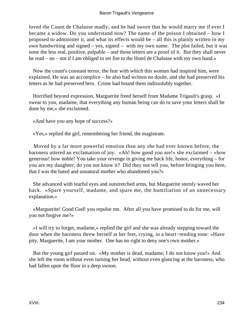loved the Count de Chalusse madly, and he had sworn that he would marry me if ever I became a widow. Do you understand now? The name of the poison I obtained – how I proposed to administer it, and what its effects would be – all this is plainly written in my own handwriting and signed – yes, signed – with my own name. The plot failed, but it was none the less real, positive, palpable – and those letters are a proof of it. But they shall never be read – no – not if I am obliged to set fire to the Hotel de Chalusse with my own hand.»

 Now the count's constant terror, the fear with which this woman had inspired him, were explained. He was an accomplice – he also had written no doubt, and she had preserved his letters as he had preserved hers. Crime had bound them indissolubly together.

 Horrified beyond expression, Marguerite freed herself from Madame Trigault's grasp. «I swear to you, madame, that everything any human being can do to save your letters shall be done by me,» she exclaimed.

«And have you any hope of success?»

«Yes,» replied the girl, remembering her friend, the magistrate.

 Moved by a far more powerful emotion than any she had ever known before, the baroness uttered an exclamation of joy. «Ah! how good you are!» she exclaimed – «how generous! how noble! You take your revenge in giving me back life, honor, everything – for you are my daughter; do you not know it? Did they not tell you, before bringing you here, that I was the hated and unnatural mother who abandoned you?»

 She advanced with tearful eyes and outstretched arms, but Marguerite sternly waved her back. «Spare yourself, madame, and spare me, the humiliation of an unnecessary explanation.»

 «Marguerite! Good God! you repulse me. After all you have promised to do for me, will you not forgive me?»

 «I will try to forget, madame,» replied the girl and she was already stepping toward the door when the baroness threw herself at her feet, crying, in a heart−rending tone: «Have pity, Marguerite, I am your mother. One has no right to deny one's own mother.»

 But the young girl passed on. «My mother is dead, madame; I do not know you!» And she left the room without even turning her head, without even glancing at the baroness, who had fallen upon the floor in a deep swoon.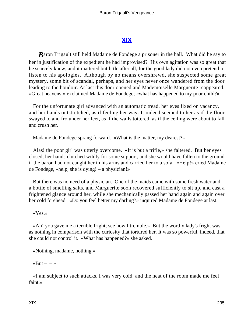# **[XIX](#page-256-0)**

*Baron Trigault still held Madame de Fondege a prisoner in the hall. What did he say to* her in justification of the expedient he had improvised? His own agitation was so great that he scarcely knew, and it mattered but little after all, for the good lady did not even pretend to listen to his apologies. Although by no means overshrewd, she suspected some great mystery, some bit of scandal, perhaps, and her eyes never once wandered from the door leading to the boudoir. At last this door opened and Mademoiselle Marguerite reappeared. «Great heavens!» exclaimed Madame de Fondege; «what has happened to my poor child?»

 For the unfortunate girl advanced with an automatic tread, her eyes fixed on vacancy, and her hands outstretched, as if feeling her way. It indeed seemed to her as if the floor swayed to and fro under her feet, as if the walls tottered, as if the ceiling were about to fall and crush her.

Madame de Fondege sprang forward. «What is the matter, my dearest?»

 Alas! the poor girl was utterly overcome. «It is but a trifle,» she faltered. But her eyes closed, her hands clutched wildly for some support, and she would have fallen to the ground if the baron had not caught her in his arms and carried her to a sofa. «Help!» cried Madame de Fondege, «help, she is dying! – a physician!»

 But there was no need of a physician. One of the maids came with some fresh water and a bottle of smelling salts, and Marguerite soon recovered sufficiently to sit up, and cast a frightened glance around her, while she mechanically passed her hand again and again over her cold forehead. «Do you feel better my darling?» inquired Madame de Fondege at last.

«Yes.»

 «Ah! you gave me a terrible fright; see how I tremble.» But the worthy lady's fright was as nothing in comparison with the curiosity that tortured her. It was so powerful, indeed, that she could not control it. «What has happened?» she asked.

«Nothing, madame, nothing.»

«But –  $-\infty$ 

 «I am subject to such attacks. I was very cold, and the heat of the room made me feel faint.»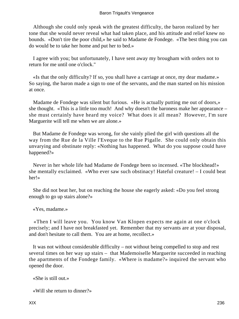Although she could only speak with the greatest difficulty, the baron realized by her tone that she would never reveal what had taken place, and his attitude and relief knew no bounds. «Don't tire the poor child,» he said to Madame de Fondege. «The best thing you can do would be to take her home and put her to bed.»

 I agree with you; but unfortunately, I have sent away my brougham with orders not to return for me until one o'clock."

 «Is that the only difficulty? If so, you shall have a carriage at once, my dear madame.» So saying, the baron made a sign to one of the servants, and the man started on his mission at once.

 Madame de Fondege was silent but furious. «He is actually putting me out of doors,» she thought. «This is a little too much! And why doesn't the baroness make her appearance – she must certainly have heard my voice? What does it all mean? However, I'm sure Marguerite will tell me when we are alone.»

 But Madame de Fondege was wrong, for she vainly plied the girl with questions all the way from the Rue de la Ville l'Eveque to the Rue Pigalle. She could only obtain this unvarying and obstinate reply: «Nothing has happened. What do you suppose could have happened?»

 Never in her whole life had Madame de Fondege been so incensed. «The blockhead!» she mentally exclaimed. «Who ever saw such obstinacy! Hateful creature! – I could beat her!»

 She did not beat her, but on reaching the house she eagerly asked: «Do you feel strong enough to go up stairs alone?»

«Yes, madame.»

 «Then I will leave you. You know Van Klopen expects me again at one o'clock precisely; and I have not breakfasted yet. Remember that my servants are at your disposal, and don't hesitate to call them. You are at home, recollect.»

 It was not without considerable difficulty – not without being compelled to stop and rest several times on her way up stairs – that Mademoiselle Marguerite succeeded in reaching the apartments of the Fondege family. «Where is madame?» inquired the servant who opened the door.

«She is still out.»

«Will she return to dinner?»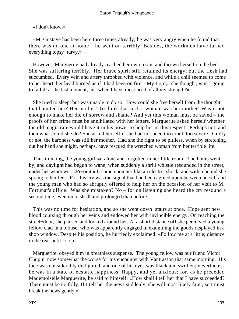«I don't know.»

 «M. Gustave has been here three times already; he was very angry when he found that there was no one at home – he went on terribly. Besides, the workmen have turned everything topsy−turvy.»

 However, Marguerite had already reached her own room, and thrown herself on the bed. She was suffering terribly. Her brave spirit still retained its energy; but the flesh had succumbed. Every vein and artery throbbed with violence, and while a chill seemed to come to her heart, her head burned as if it had been on fire. «My Lord,» she thought, «am I going to fall ill at the last moment, just when I have most need of all my strength?»

 She tried to sleep, but was unable to do so. How could she free herself from the thought that haunted her? Her mother! To think that such a woman was her mother! Was it not enough to make her die of sorrow and shame? And yet this woman must be saved – the proofs of her crime must be annihilated with her letters. Marguerite asked herself whether the old magistrate would have it in his power to help her in this respect. Perhaps not, and then what could she do? She asked herself if she had not been too cruel, too severe. Guilty or not, the baroness was still her mother. Had she the right to be pitiless, when by stretching out her hand she might, perhaps, have rescued the wretched woman from her terrible life.

 Thus thinking, the young girl sat alone and forgotten in her little room. The hours went by, and daylight had begun to wane, when suddenly a shrill whistle resounded in the street, under her windows. «Pi−ouit.» It came upon her like an electric shock, and with a bound she sprang to her feet. For this cry was the signal that had been agreed upon between herself and the young man who had so abruptly offered to help her on the occasion of her visit to M. Fortunat's office. Was she mistaken? No – for on listening she heard the cry resound a second time, even more shrill and prolonged than before.

 This was no time for hesitation, and so she went down−stairs at once. Hope sent new blood coursing through her veins and endowed her with invincible energy. On reaching the street−door, she paused and looked around her. At a short distance off she perceived a young fellow clad in a blouse, who was apparently engaged in examining the goods displayed in a shop window. Despite his position, he hurriedly exclaimed: «Follow me at a little; distance in the rear until I stop.»

 Marguerite, obeyed him in breathless suspense. The young fellow was our friend Victor Chupin, now somewhat the worse for his encounter with Vantrasson that same morning. His face was considerably disfigured, and one of his eyes was black and swollen; nevertheless he was in a state of ecstatic happiness. Happy, and yet anxious; for, as he preceded Mademoiselle Marguerite, he said to himself: «How shall I tell her that I have succeeded? There must be no folly. If I tell her the news suddenly, she will most likely faint, so I must break the news gently.»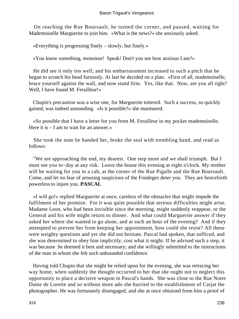On reaching the Rue Boursault, he turned the corner, and paused, waiting for Mademoiselle Marguerite to join him. «What is the news?» she anxiously asked.

«Everything is progressing finely – slowly, but finely.»

«You know something, monsieur! Speak! Don't you see how anxious I am?»

 He did see it only too well; and his embarrassment increased to such a pitch that he began to scratch his head furiously. At last he decided on a plan. «First of all, mademoiselle, brace yourself against the wall, and now stand firm. Yes, like that. Now, are you all right? Well, I have found M. Ferailleur!»

 Chupin's precaution was a wise one, for Marguerite tottered. Such a success, so quickly gained, was indeed astounding. «Is it possible?» she murmured.

 «So possible that I have a letter for you from M. Ferailleur in my pocket mademoiselle. Here it is – I am to wait for an answer.»

 She took the note he handed her, broke the seal with trembling hand, and read as follows:

 "We are approaching the end, my dearest. One step more and we shall triumph. But I must see you to−day at any risk. Leave the house this evening at eight o'clock. My mother will be waiting for you in a cab, at the corner of the Rue Pigalle and the Rue Boursault. Come, and let no fear of arousing suspicions of the Fondeges deter you. They are henceforth powerless to injure you. **PASCAL**

 «I will go!» replied Marguerite at once, careless of the obstacles that might impede the fulfilment of her promise. For it was quite possible that serious difficulties might arise. Madame Leon, who had been invisible since the morning, might suddenly reappear, or the General and his wife might return to dinner. And what could Marguerite answer if they asked her where she wanted to go alone, and at such an hour of the evening? And if they attempted to prevent her from keeping her appointment, how could she resist? All these were weighty questions and yet she did not hesitate. Pascal had spoken, that sufficed, and she was determined to obey him implicitly, cost what it might. If he advised such a step, it was because he deemed it best and necessary; and she willingly submitted to the instructions of the man in whom she felt such unbounded confidence.

 Having told Chupin that she might be relied upon for the evening, she was retracing her way home, when suddenly the thought occurred to her that she ought not to neglect this opportunity to place a decisive weapon in Pascal's hands. She was close to the Rue Notre Dame de Lorette and so without more ado she hurried to the establishment of Carjat the photographer. He was fortunately disengaged, and she at once obtained from him a proof of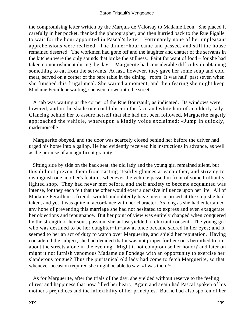the compromising letter written by the Marquis de Valorsay to Madame Leon. She placed it carefully in her pocket, thanked the photographer, and then hurried back to the Rue Pigalle to wait for the hour appointed in Pascal's letter. Fortunately none of her unpleasant apprehensions were realized. The dinner−hour came and passed, and still the house remained deserted. The workmen had gone off and the laughter and chatter of the servants in the kitchen were the only sounds that broke the stillness. Faint for want of food – for she had taken no nourishment during the day – Marguerite had considerable difficulty in obtaining something to eat from the servants. At last, however, they gave her some soup and cold meat, served on a corner of the bare table in the dining− room. It was half−past seven when she finished this frugal meal. She waited a moment, and then fearing she might keep Madame Ferailleur waiting, she went down into the street.

 A cab was waiting at the corner of the Rue Boursault, as indicated. Its windows were lowered, and in the shade one could discern the face and white hair of an elderly lady. Glancing behind her to assure herself that she had not been followed, Marguerite eagerly approached the vehicle, whereupon a kindly voice exclaimed: «Jump in quickly, mademoiselle »

 Marguerite obeyed, and the door was scarcely closed behind her before the driver had urged his horse into a gallop. He had evidently received his instructions in advance, as well as the promise of a magnificent gratuity.

 Sitting side by side on the back seat, the old lady and the young girl remained silent, but this did not prevent them from casting stealthy glances at each other, and striving to distinguish one another's features whenever the vehicle passed in front of some brilliantly lighted shop. They had never met before, and their anxiety to become acquainted was intense, for they each felt that the other would exert a decisive influence upon her life. All of Madame Ferailleur's friends would undoubtedly have been surprised at the step she had taken, and yet it was quite in accordance with her character. As long as she had entertained any hope of preventing this marriage she had not hesitated to express and even exaggerate her objections and repugnance. But her point of view was entirely changed when conquered by the strength of her son's passion, she at last yielded a reluctant consent. The young girl who was destined to be her daughter−in−law at once became sacred in her eyes; and it seemed to her an act of duty to watch over Marguerite, and shield her reputation. Having considered the subject, she had decided that it was not proper for her son's betrothed to run about the streets alone in the evening. Might it not compromise her honor? and later on might it not furnish venomous Madame de Fondege with an opportunity to exercise her slanderous tongue? Thus the puritanical old lady had come to fetch Marguerite, so that whenever occasion required she might be able to say: «I was there!»

 As for Marguerite, after the trials of the day, she yielded without reserve to the feeling of rest and happiness that now filled her heart. Again and again had Pascal spoken of his mother's prejudices and the inflexibility of her principles. But he had also spoken of her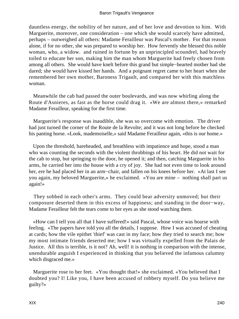dauntless energy, the nobility of her nature, and of her love and devotion to him. With Marguerite, moreover, one consideration – one which she would scarcely have admitted, perhaps – outweighed all others: Madame Ferailleur was Pascal's mother. For that reason alone, if for no other, she was prepared to worship her. How fervently she blessed this noble woman, who, a widow. and ruined in fortune by an unprincipled scoundrel, had bravely toiled to educate her son, making him the man whom Marguerite had freely chosen from among all others. She would have knelt before this grand but simple−hearted mother had she dared; she would have kissed her hands. And a poignant regret came to her heart when she remembered her own mother, Baroness Trigault, and compared her with this matchless woman.

 Meanwhile the cab had passed the outer boulevards, and was now whirling along the Route d'Asnieres, as fast as the horse could drag it. «We are almost there,» remarked Madame Ferailleur, speaking for the first time.

 Marguerite's response was inaudible, she was so overcome with emotion. The driver had just turned the corner of the Route de la Revolte; and it was not long before he checked his panting horse. «Look, mademoiselle,» said Madame Ferailleur again, «this is our home.»

 Upon the threshold, bareheaded, and breathless with impatience and hope, stood a man who was counting the seconds with the violent throbbings of his heart. He did not wait for the cab to stop, but springing to the door, he opened it; and then, catching Marguerite in his arms, he carried her into the house with a cry of joy. She had not even time to look around her, ere he had placed her in an arm−chair, and fallen on his knees before her. «At last I see you again, my beloved Marguerite,» he exclaimed. «You are mine – nothing shall part us again!»

 They sobbed in each other's arms. They could bear adversity unmoved; but their composure deserted them in this excess of happiness; and standing in the door−way, Madame Ferailleur felt the tears come to her eyes as she stood watching them.

 «How can I tell you all that I have suffered!» said Pascal, whose voice was hoarse with feeling. «The papers have told you all the details, I suppose. How I was accused of cheating at cards; how the vile epithet 'thief' was cast in my face; how they tried to search me; how my most intimate friends deserted me; how I was virtually expelled from the Palais de Justice. All this is terrible, is it not? Ah, well! it is nothing in comparison with the intense, unendurable anguish I experienced in thinking that you believed the infamous calumny which disgraced me.»

 Marguerite rose to her feet. «You thought that!» she exclaimed. «You believed that I doubted you? I! Like you, I have been accused of robbery myself. Do you believe me guilty?»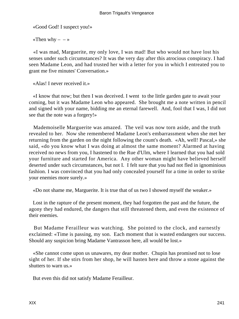«Good God! I suspect you!»

«Then why  $- - \infty$ 

 «I was mad, Marguerite, my only love, I was mad! But who would not have lost his senses under such circumstances? It was the very day after this atrocious conspiracy. I had seen Madame Leon, and had trusted her with a letter for you in which I entreated you to grant me five minutes' Conversation.»

«Alas! I never received it.»

 «I know that now; but then I was deceived. I went to the little garden gate to await your coming, but it was Madame Leon who appeared. She brought me a note written in pencil and signed with your name, bidding me an eternal farewell. And, fool that I was, I did not see that the note was a forgery!»

 Mademoiselle Marguerite was amazed. The veil was now torn aside, and the truth revealed to her. Now she remembered Madame Leon's embarrassment when she met her returning from the garden on the night following the count's death. «Ah, well! Pascal,» she said, «do you know what I was doing at almost the same moment? Alarmed at having received no news from you, I hastened to the Rue d'Ulm, where I learned that you had sold your furniture and started for America. Any other woman might have believed herself deserted under such circumstances, but not I. I felt sure that you had not fled in ignominious fashion. I was convinced that you had only concealed yourself for a time in order to strike your enemies more surely.»

«Do not shame me, Marguerite. It is true that of us two I showed myself the weaker.»

 Lost in the rapture of the present moment, they had forgotten the past and the future, the agony they had endured, the dangers that still threatened them, and even the existence of their enemies.

 But Madame Ferailleur was watching. She pointed to the clock, and earnestly exclaimed: «Time is passing, my son. Each moment that is wasted endangers our success. Should any suspicion bring Madame Vantrasson here, all would be lost.»

 «She cannot come upon us unawares, my dear mother. Chupin has promised not to lose sight of her. If she stirs from her shop, he will hasten here and throw a stone against the shutters to warn us.»

But even this did not satisfy Madame Ferailleur.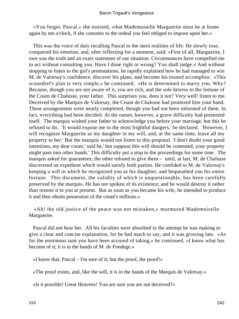«You forget, Pascal.» she insisted, «that Mademoiselle Marguerite must be at home again by ten o'clock, if she consents to the ordeal you feel obliged to impose upon her.»

 This was the voice of duty recalling Pascal to the stern realities of life. He slowly rose, conquered his emotion, and, after reflecting for a moment, said: «First of all, Marguerite, I owe you the truth and an exact statement of our situation. Circumstances have compelled me to act without consulting you. Have I done right or wrong? You shall judge.» And without stopping to listen to the girl's protestations, he rapidly explained how he had managed to win M. de Valorsay's confidence, discover his plans, and become his trusted accomplice. «This scoundrel's plan is very simple,» he continued. «He is determined to marry you. Why? Because, though you are not aware of it, you are rich, and the sole heiress to the fortune of the Count de Chalusse, your father. This surprises you, does it not? Very well! listen to me. Deceived by the Marquis de Valorsay, the Count de Chalusse had promised him your hand. These arrangements were nearly completed, though you had not been informed of them. In fact, everything had been decided. At the outset, however, a grave difficulty had presented itself. The marquis wished your father to acknowledge you before your marriage, but this he refused to do. 'It would expose me to the most frightful dangers,' he declared. 'However, I will recognize Marguerite as my daughter in my will, and, at the same time, leave all my property to her.' But the marquis would not listen to this proposal. 'I don't doubt your good intentions, my dear count,' said he,' but suppose this will should be contested, your property might pass into other hands.' This difficulty put a stop to the proceedings for some time. The marquis asked for guarantees; the other refused to give them – until, at last, M. de Chalusse discovered an expedient which would satisfy both parties. He confided to M. de Valorsay's keeping a will in which he recognized you as his daughter, and bequeathed you his entire fortune. This document, the validity of which is unquestionable, has been carefully preserved by the marquis. He has not spoken of its existence; and he would destroy it rather than restore it to you at present. But as soon as you became his wife, he intended to produce it and thus obtain possession of the count's millions.»

 «Ah! the old justice of the peace was not mistaken,» murmured Mademoiselle Marguerite.

 Pascal did not hear her. All his faculties were absorbed in the attempt he was making to give a clear and concise explanation, for he had much to say, and it was growing late. «As for the enormous sum you have been accused of taking,» he continued, «I know what has become of it; it is in the hands of M. de Fondege.»

«I know that, Pascal – I'm sure of it; but the proof, the proof!»

«The proof exists, and, like the will, it is in the hands of the Marquis de Valorsay.»

«Is it possible! Great Heavens! You are sure you are not deceived?»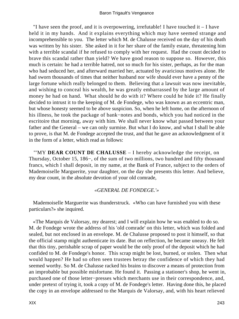"I have seen the proof, and it is overpowering, irrefutable! I have touched it – I have held it in my hands. And it explains everything which may have seemed strange and incomprehensible to you. The letter which M. de Chalusse received on the day of his death was written by his sister. She asked in it for her share of the family estate, threatening him with a terrible scandal if he refused to comply with her request. Had the count decided to brave this scandal rather than yield? We have good reason to suppose so. However, this much is certain: he had a terrible hatred, not so much for his sister, perhaps, as for the man who had seduced her, and afterward married her, actuated by avaricious motives alone. He had sworn thousands of times that neither husband nor wife should ever have a penny of the large fortune which really belonged to them. Believing that a lawsuit was now inevitable, and wishing to conceal his wealth, he was greatly embarrassed by the large amount of money he had on hand. What should he do with it? Where could he hide it? He finally decided to intrust it to the keeping of M. de Fondege, who was known as an eccentric man, but whose honesty seemed to be above suspicion. So, when he left home, on the afternoon of his illness, he took the package of bank−notes and bonds, which you had noticed in the escritoire that morning, away with him. We shall never know what passed between your father and the General – we can only surmise. But what I do know, and what I shall be able to prove, is that M. de Fondege accepted the trust, and that he gave an acknowledgment of it in the form of a letter, which read as follows:

 "'MY **DEAR COUNT DE CHALUSSE** – I hereby acknowledge the receipt, on Thursday, October 15, 186−, of the sum of two millions, two hundred and fifty thousand francs, which I shall deposit, in my name, at the Bank of France, subject to the orders of Mademoiselle Marguerite, your daughter, on the day she presents this letter. And believe, my dear count, in the absolute devotion of your old comrade,

## *«GENERAL DE FONDEGE.'»*

 Mademoiselle Marguerite was thunderstruck. «Who can have furnished you with these particulars?» she inquired.

 «The Marquis de Valorsay, my dearest; and I will explain how he was enabled to do so. M. de Fondege wrote the address of his 'old comrade' on this letter, which was folded and sealed, but not enclosed in an envelope. M. de Chalusse proposed to post it himself, so that the official stamp might authenticate its date. But on reflection, he became uneasy. He felt that this tiny, perishable scrap of paper would be the only proof of the deposit which he had confided to M. de Fondege's honor. This scrap might be lost, burned, or stolen. Then what would happen? He had so often seen trustees betray the confidence of which they had seemed worthy. So M. de Chalusse racked his brains to discover a means of protection from an improbable but possible misfortune. He found it. Passing a stationer's shop, he went in, purchased one of those letter−presses which merchants use in their correspondence, and, under pretext of trying it, took a copy of M. de Fondege's letter. Having done this, he placed the copy in an envelope addressed to the Marquis de Valorsay, and, with his heart relieved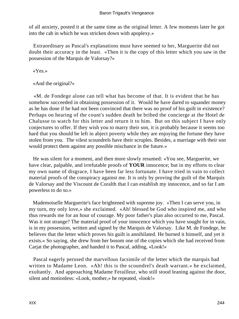of all anxiety, posted it at the same time as the original letter. A few moments later he got into the cab in which he was stricken down with apoplexy.»

 Extraordinary as Pascal's explanations must have seemed to her, Marguerite did not doubt their accuracy in the least. «Then it is the copy of this letter which you saw in the possession of the Marquis de Valorsay?»

«Yes.»

«And the original?»

 «M. de Fondege alone can tell what has become of that. It is evident that he has somehow succeeded in obtaining possession of it. Would he have dared to squander money as he has done if he had not been convinced that there was no proof of his guilt in existence? Perhaps on hearing of the count's sudden death he bribed the concierge at the Hotel de Chalusse to watch for this letter and return it to him. But on this subject I have only conjectures to offer. If they wish you to marry their son, it is probably because it seems too hard that you should be left in abject poverty while they are enjoying the fortune they have stolen from you. The vilest scoundrels have their scruples. Besides, a marriage with their son would protect them against any possible mischance in the future.»

 He was silent for a moment, and then more slowly resumed: «You see, Marguerite, we have clear, palpable, and irrefutable proofs of **YOUR** innocence; but in my efforts to clear my own name of disgrace, I have been far less fortunate. I have tried in vain to collect material proofs of the conspiracy against me. It is only by proving the guilt of the Marquis de Valorsay and the Viscount de Coralth that I can establish my innocence, and so far I am powerless to do so.»

 Mademoiselle Marguerite's face brightened with supreme joy. «Then I can serve you, in my turn, my only love,» she exclaimed. «Ah! blessed be God who inspired me, and who thus rewards me for an hour of courage. My poor father's plan also occurred to me, Pascal. Was it not strange? The material proof of your innocence which you have sought for in vain, is in my possession, written and signed by the Marquis de Valorsay. Like M. de Fondege, he believes that the letter which proves his guilt is annihilated. He burned it himself, and yet it exists.» So saying, she drew from her bosom one of the copies which she had received from Carjat the photographer, and handed it to Pascal, adding, «Look!»

 Pascal eagerly perused the marvellous facsimile of the letter which the marquis had written to Madame Leon. «Ah! this is the scoundrel's death warrant.» he exclaimed, exultantly. And approaching Madame Ferailleur, who still stood leaning against the door, silent and motionless: «Look, mother,» he repeated, «look!»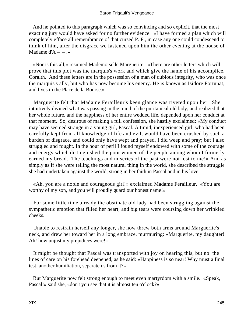And he pointed to this paragraph which was so convincing and so explicit, that the most exacting jury would have asked for no further evidence. «I have formed a plan which will completely efface all remembrance of that cursed P. F., in case any one could condescend to think of him, after the disgrace we fastened upon him the other evening at the house of Madame  $d'A - - \cdot \cdot$ 

 «Nor is this all,» resumed Mademoiselle Marguerite. «There are other letters which will prove that this plot was the marquis's work and which give the name of his accomplice, Coralth. And these letters are in the possession of a man of dubious integrity, who was once the marquis's ally, but who has now become his enemy. He is known as Isidore Fortunat, and lives in the Place de la Bourse.»

 Marguerite felt that Madame Ferailleur's keen glance was riveted upon her. She intuitively divined what was passing in the mind of the puritanical old lady, and realized that her whole future, and the happiness of her entire wedded life, depended upon her conduct at that moment. So, desirous of making a full confession, she hastily exclaimed: «My conduct may have seemed strange in a young girl, Pascal. A timid, inexperienced girl, who had been carefully kept from all knowledge of life and evil, would have been crushed by such a burden of disgrace, and could only have wept and prayed. I did weep and pray; but I also struggled and fought. In the hour of peril I found myself endowed with some of the courage and energy which distinguished the poor women of the people among whom I formerly earned my bread. The teachings and miseries of the past were not lost to me!» And as simply as if she were telling the most natural thing in the world, she described the struggle she had undertaken against the world, strong in her faith in Pascal and in his love.

 «Ah, you are a noble and courageous girl!» exclaimed Madame Ferailleur. «You are worthy of my son, and you will proudly guard our honest name!»

 For some little time already the obstinate old lady had been struggling against the sympathetic emotion that filled her heart, and big tears were coursing down her wrinkled cheeks.

 Unable to restrain herself any longer, she now threw both arms around Marguerite's neck, and drew her toward her in a long embrace, murmuring: «Marguerite, my daughter! Ah! how unjust my prejudices were!»

 It might be thought that Pascal was transported with joy on hearing this, but no: the lines of care on his forehead deepened, as he said: «Happiness is so near! Why must a final test, another humiliation, separate us from it?»

 But Marguerite now felt strong enough to meet even martyrdom with a smile. «Speak, Pascal!» said she, «don't you see that it is almost ten o'clock?»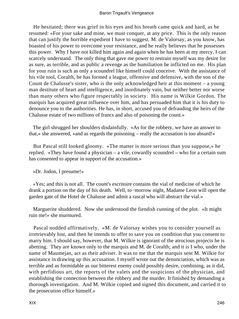He hesitated; there was grief in his eyes and his breath came quick and hard, as he resumed: «For your sake and mine, we must conquer, at any price. This is the only reason that can justify the horrible expedient I have to suggest. M. de Valorsay, as you know, has boasted of his power to overcome your resistance, and he really believes that he possesses this power. Why I have not killed him again and again when he has been at my mercy, I can scarcely understand. The only thing that gave me power to restrain myself was my desire for as sure, as terrible, and as public a revenge as the humiliation he inflicted on me. His plan for your ruin is such as only a scoundrel like himself could conceive. With the assistance of his vile tool, Coralth, he has formed a league, offensive and defensive, with the son of the Count de Chalusse's sister, who is the only acknowledged heir at this moment – a young man destitute of heart and intelligence, and inordinately vain, but neither better nor worse than many others who figure respectably in society. His name is Wilkie Gordon. The marquis has acquired great influence over him, and has persuaded him that it is his duty to denounce you to the authorities. He has, in short, accused you of defrauding the heirs of the Chalusse estate of two millions of francs and also of poisoning the count.»

 The girl shrugged her shoulders disdainfully. «As for the robbery, we have an answer to that,» she answered, «and as regards the poisoning – really the accusation is too absurd!»

 But Pascal still looked gloomy. «The matter is more serious than you suppose,» he replied. «They have found a physician – a vile, cowardly scoundrel – who for a certain sum has consented to appear in support of the accusation.»

## «Dr. Jodon, I presume!»

 «Yes; and this is not all. The count's escritoire contains the vial of medicine of which he drank a portion on the day of his death. Well, to−morrow night, Madame Leon will open the garden gate of the Hotel de Chalusse and admit a rascal who will abstract the vial.»

 Marguerite shuddered. Now she understood the fiendish cunning of the plot. «It might ruin me!» she murmured.

 Pascal nodded affirmatively. «M. de Valorsay wishes you to consider yourself as irretrievably lost, and then he intends to offer to save you on condition that you consent to marry him. I should say, however, that M. Wilkie is ignorant of the atrocious projects he is abetting. They are known only to the marquis and M. de Coralth; and it is I who, under the name of Maumejan, act as their adviser. It was to me that the marquis sent M. Wilkie for assistance in drawing up this accusation. I myself wrote out the denunciation, which was as terrible and as formidable as our bitterest enemy could possibly desire, combining, as it did, with perfidious art, the reports of the valets and the suspicions of the physician, and establishing the connection between the robbery and the murder. It finished by demanding a thorough investigation. And M. Wilkie copied and signed this document, and carried it to the prosecution office himself.»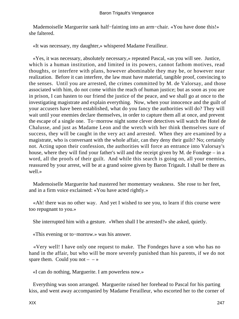Mademoiselle Marguerite sank half−fainting into an arm−chair. «You have done this!» she faltered.

«It was necessary, my daughter,» whispered Madame Ferailleur.

 «Yes, it was necessary, absolutely necessary,» repeated Pascal, «as you will see. Justice, which is a human institution, and limited in its powers, cannot fathom motives, read thoughts, or interfere with plans, however abominable they may be, or however near realization. Before it can interfere, the law must have material, tangible proof, convincing to the senses. Until you are arrested, the crimes committed by M. de Valorsay, and those associated with him, do not come within the reach of human justice; but as soon as you are in prison, I can hasten to our friend the justice of the peace, and we shall go at once to the investigating magistrate and explain everything. Now, when your innocence and the guilt of your accusers have been established, what do you fancy the authorities will do? They will wait until your enemies declare themselves, in order to capture them all at once, and prevent the escape of a single one. To−morrow night some clever detectives will watch the Hotel de Chalusse, and just as Madame Leon and the wretch with her think themselves sure of success, they will be caught in the very act and arrested. When they are examined by a magistrate, who is conversant with the whole affair, can they deny their guilt? No; certainly not. Acting upon their confession, the authorities will force an entrance into Valorsay's house, where they will find your father's will and the receipt given by M. de Fondege – in a word, all the proofs of their guilt. And while this search is going on, all your enemies, reassured by your arrest, will be at a grand soiree given by Baron Trigault. I shall be there as well.»

 Mademoiselle Marguerite had mastered her momentary weakness. She rose to her feet, and in a firm voice exclaimed: «You have acted rightly.»

 «Ah! there was no other way. And yet I wished to see you, to learn if this course were too repugnant to you.»

She interrupted him with a gesture. «When shall I be arrested?» she asked, quietly.

«This evening or to−morrow.» was his answer.

 «Very well! I have only one request to make. The Fondeges have a son who has no hand in the affair, but who will be more severely punished than his parents, if we do not spare them. Could you not  $- - \infty$ 

«I can do nothing, Marguerite. I am powerless now.»

 Everything was soon arranged. Marguerite raised her forehead to Pascal for his parting kiss, and went away accompanied by Madame Ferailleur, who escorted her to the corner of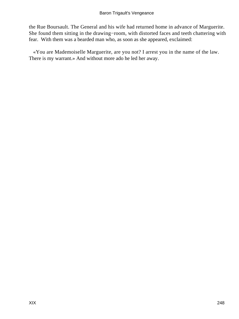the Rue Boursault. The General and his wife had returned home in advance of Marguerite. She found them sitting in the drawing−room, with distorted faces and teeth chattering with fear. With them was a bearded man who, as soon as she appeared, exclaimed:

 «You are Mademoiselle Marguerite, are you not? I arrest you in the name of the law. There is my warrant.» And without more ado he led her away.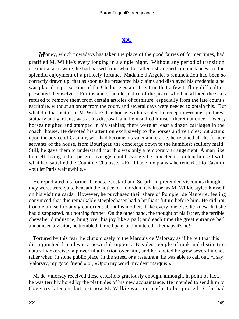## **[XX.](#page-256-0)**

*M*oney, which nowadays has taken the place of the good fairies of former times, had gratified M. Wilkie's every longing in a single night. Without any period of transition, dreamlike as it were, he had passed from what he called «straitened circumstances» to the splendid enjoyment of a princely fortune. Madame d'Argeles's renunciation had been so correctly drawn up, that as soon as he presented his claims and displayed his credentials he was placed in possession of the Chalusse estate. It is true that a few trifling difficulties presented themselves. For instance, the old justice of the peace who had affixed the seals refused to remove them from certain articles of furniture, especially from the late count's escritoire, without an order from the court, and several days were needed to obtain this. But what did that matter to M. Wilkie? The house, with its splendid reception−rooms, pictures, statuary and gardens, was at his disposal, and he installed himself therein at once. Twenty horses neighed and stamped in his stables; there were at least a dozen carriages in the coach−house. He devoted his attention exclusively to the horses and vehicles; but acting upon the advice of Casimir, who had become his valet and oracle, he retained all the former servants of the house, from Bourigeau the concierge down to the humblest scullery maid. Still, he gave them to understand that this was only a temporary arrangement. A man like himself, living in this progressive age, could scarcely be expected to content himself with what had satisfied the Count de Chalusse. «For I have my plans,» he remarked to Casimir, «but let Paris wait awhile.»

 He repudiated his former friends. Costard and Serpillon, pretended viscounts though they were, were quite beneath the notice of a Gordon−Chalusse, as M. Wilkie styled himself on his visiting cards. However, he purchased their share of Pompier de Nanterre, feeling convinced that this remarkable steeplechaser had a brilliant future before him. He did not trouble himself to any great extent about his mother. Like every one else, he knew that she had disappeared, but nothing further. On the other hand, the thought of his father, the terrible chevalier d'industrie, hung over his joy like a pall; and each time the great entrance bell announced a visitor, he trembled, turned pale, and muttered: «Perhaps it's he!»

 Tortured by this fear, he clung closely to the Marquis de Valorsay as if he felt that this distinguished friend was a powerful support. Besides, people of rank and distinction naturally exercised a powerful attraction over him, and he fancied he grew several inches taller when, in some public place, in the street, or a restaurant, he was able to call out, «I say, Valorsay, my good friend,» or, «Upon my word! my dear marquis!»

 M. de Valorsay received these effusions graciously enough, although, in point of fact, he was terribly bored by the platitudes of his new acquaintance. He intended to send him to Coventry later on, but just now M. Wilkie was too useful to be ignored. So he had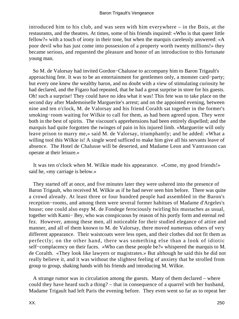introduced him to his club, and was seen with him everywhere – in the Bois, at the restaurants, and the theatres. At times, some of his friends inquired: «Who is that queer little fellow?» with a touch of irony in their tone, but when the marquis carelessly answered: «A poor devil who has just come into possession of a property worth twenty millions!» they became serious, and requested the pleasure and honor of an introduction to this fortunate young man.

 So M. de Valorsay had invited Gordon−Chalusse to accompany him to Baron Trigault's approaching fete. It was to be an entertainment for gentlemen only, a monster card−party; but every one knew the wealthy baron, and no doubt with a view of stimulating curiosity he had declared, and the Figaro had repeated, that he had a great surprise in store for his guests. Oh! such a surprise! They could have no idea what it was! This fete was to take place on the second day after Mademoiselle Marguerite's arrest; and on the appointed evening, between nine and ten o'clock, M. de Valorsay and his friend Coralth sat together in the former's smoking−room waiting for Wilkie to call for them, as had been agreed upon. They were both in the best of spirits. The viscount's apprehensions had been entirely dispelled; and the marquis had quite forgotten the twinges of pain in his injured limb. «Marguerite will only leave prison to marry me,» said M. de Valorsay, triumphantly; and he added: «What a willing tool this Wilkie is! A single word sufficed to make him give all his servants leave of absence. The Hotel de Chalusse will be deserted, and Madame Leon and Vantrasson can operate at their leisure.»

 It was ten o'clock when M. Wilkie made his appearance. «Come, my good friends!» said he, «my carriage is below.»

 They started off at once, and five minutes later they were ushered into the presence of Baron Trigault, who received M. Wilkie as if he had never seen him before. There was quite a crowd already. At least three or four hundred people had assembled in the Baron's reception−rooms, and among them were several former habitues of Madame d'Argeles's house; one could also espy M. de Fondege ferociously twirling his mustaches as usual, together with Kami− Bey, who was conspicuous by reason of his portly form and eternal red fez. However, among these men, all noticeable for their studied elegance of attire and manner, and all of them known to M. de Valorsay, there moved numerous others of very different appearance. Their waistcoats were less open, and their clothes did not fit them as perfectly; on the other hand, there was something else than a look of idiotic self−complacency on their faces. «Who can these people be?» whispered the marquis to M. de Coralth. «They look like lawyers or magistrates.» But although he said this he did not really believe it, and it was without the slightest feeling of anxiety that he strolled from group to group, shaking hands with his friends and introducing M. Wilkie.

 A strange rumor was in circulation among the guests. Many of them declared – where could they have heard such a thing? – that in consequence of a quarrel with her husband, Madame Trigault had left Paris the evening before. They even went so far as to repeat her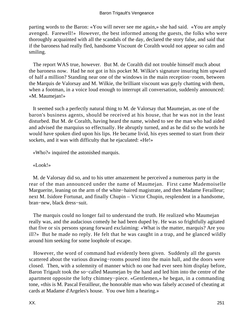### Baron Trigault's Vengeance

parting words to the Baron: «You will never see me again,» she had said. «You are amply avenged. Farewell!» However, the best informed among the guests, the folks who were thoroughly acquainted with all the scandals of the day, declared the story false, and said that if the baroness had really fled, handsome Viscount de Coralth would not appear so calm and smiling.

 The report WAS true, however. But M. de Coralth did not trouble himself much about the baroness now. Had he not got in his pocket M. Wilkie's signature insuring him upward of half a million? Standing near one of the windows in the main reception−room, between the Marquis de Valorsay and M. Wilkie, the brilliant viscount was gayly chatting with them, when a footman, in a voice loud enough to interrupt all conversation, suddenly announced: «M. Maumejan!»

 It seemed such a perfectly natural thing to M. de Valorsay that Maumejan, as one of the baron's business agents, should be received at his house, that he was not in the least disturbed. But M. de Coralth, having heard the name, wished to see the man who had aided and advised the marquius so effectually. He abruptly turned, and as he did so the words he would have spoken died upon his lips. He became livid, his eyes seemed to start from their sockets, and it was with difficulty that he ejaculated: «He!»

«Who?» inquired the astonished marquis.

«Look!»

 M. de Valorsay did so, and to his utter amazement he perceived a numerous party in the rear of the man announced under the name of Maumejan. First came Mademoiselle Marguerite, leaning on the arm of the white−haired magistrate, and then Madame Ferailleur; next M. Isidore Fortunat, and finally Chupin – Victor Chupin, resplendent in a handsome, bran−new, black dress−suit.

 The marquis could no longer fail to understand the truth. He realized who Maumejan really was, and the audacious comedy he had been duped by. He was so frightfully agitated that five or six persons sprang forward exclaiming: «What is the matter, marquis? Are you ill?» But he made no reply. He felt that he was caught in a trap, and he glanced wildly around him seeking for some loophole of escape.

 However, the word of command had evidently been given. Suddenly all the guests scattered about the various drawing−rooms poured into the main hall, and the doors were closed. Then, with a solemnity of manner which no one had ever seen him display before, Baron Trigault took the so−called Maumejan by the hand and led him into the centre of the apartment opposite the lofty chimney−piece. «Gentlemen,» he began, in a commanding tone, «this is M. Pascal Ferailleur, the honorable man who was falsely accused of cheating at cards at Madame d'Argeles's house. You owe him a hearing.»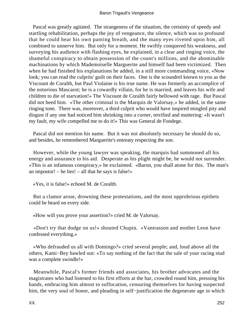Pascal was greatly agitated. The strangeness of the situation, the certainty of speedy and startling rehabilitation, perhaps the joy of vengeance, the silence, which was so profound that he could hear his own panting breath, and the many eyes riveted upon him, all combined to unnerve him. But only for a moment. He swiftly conquered his weakness, and surveying his audience with flashing eyes, he explained, in a clear and ringing voice, the shameful conspiracy to obtain possession of the count's millions, and the abominable machinations by which Mademoiselle Marguerite and himself had been victimized. Then when he had finished his explanations he added, in a still more commanding voice, «Now look; you can read the culprits' guilt on their faces. One is the scoundrel known to you as the Viscount de Coralth, but Paul Violaine is his true name. He was formerly an accomplice of the notorious Mascarot; he is a cowardly villain, for he is married, and leaves his wife and children to die of starvation!» The Viscount de Coralth fairly bellowed with rage. But Pascal did not heed him. «The other criminal is the Marquis de Valorsay,» he added, in the same ringing tone. There was, moreover, a third culprit who would have inspired mingled pity and disgust if any one had noticed him shrinking into a corner, terrified and muttering: «It wasn't my fault, my wife compelled me to do it!» This was General de Fondege.

 Pascal did not mention his name. But it was not absolutely necessary he should do so, and besides, he remembered Marguerite's entreaty respecting the son.

 However, while the young lawyer was speaking, the marquis had summoned all his energy and assurance to his aid. Desperate as his plight might be, he would not surrender. «This is an infamous conspiracy,» he exclaimed. «Baron, you shall atone for this. The man's an impostor! – he lies! – all that he says is false!»

«Yes, it is false!» echoed M. de Coralth.

 But a clamor arose, drowning these protestations, and the most opprobrious epithets could be heard on every side.

«How will you prove your assertion?» cried M. de Valorsay.

 «Don't try that dodge on us!» shouted Chupin. «Vantrasson and mother Leon have confessed everything.»

 «Who defrauded us all with Domingo?» cried several people; and, loud above all the others, Kami−Bey bawled out: «To say nothing of the fact that the sale of your racing stud was a complete swindle!»

 Meanwhile, Pascal's former friends and associates, his brother advocates and the magistrates who had listened to his first efforts at the bar, crowded round him, pressing his hands, embracing him almost to suffocation, censuring themselves for having suspected him, the very soul of honor, and pleading in self−justification the degenerate age in which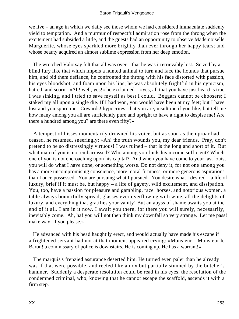we live – an age in which we daily see those whom we had considered immaculate suddenly yield to temptation. And a murmur of respectful admiration rose from the throng when the excitement had subsided a little, and the guests had an opportunity to observe Mademoiselle Marguerite, whose eyes sparkled more brightly than ever through her happy tears; and whose beauty acquired an almost sublime expression from her deep emotion.

 The wretched Valorsay felt that all was over – that he was irretrievably lost. Seized by a blind fury like that which impels a hunted animal to turn and face the hounds that pursue him, and bid them defiance, he confronted the throng with his face distorted with passion, his eyes bloodshot, and foam upon his lips; he was absolutely frightful in his cynicism, hatred, and scorn. «Ah! well, yes!» he exclaimed – «yes, all that you have just heard is true. I was sinking, and I tried to save myself as best I could. Beggars cannot be choosers; I staked my all upon a single die. If I had won, you would have been at my feet; but I have lost and you spurn me. Cowards! hypocrites! that you are, insult me if you like, but tell me how many among you all are sufficiently pure and upright to have a right to despise me! Are there a hundred among you? are there even fifty?»

 A tempest of hisses momentarily drowned his voice, but as soon as the uproar had ceased, he resumed, sneeringly: «Ah! the truth wounds you, my dear friends. Pray, don't pretend to be so distressingly virtuous! I was ruined – that is the long and short of it. But what man of you is not embarrassed? Who among you finds his income sufficient? Which one of you is not encroaching upon his capital? And when you have come to your last louis, you will do what I have done, or something worse. Do not deny it, for not one among you has a more uncompromising conscience, more moral firmness, or more generous aspirations than I once possessed. You are pursuing what I pursued. You desire what I desired – a life of luxury, brief if it must be, but happy – a life of gayety, wild excitement, and dissipation. You, too, have a passion for pleasure and gambling, race−horses, and notorious women, a table always bountifully spread, glasses ever overflowing with wine, all the delights of luxury, and everything that gratifies your vanity! But an abyss of shame awaits you at the end of it all. I am in it now. I await you there, for there you will surely, necessarily, inevitably come. Ah, ha! you will not then think my downfall so very strange. Let me pass! make way! if you please.»

 He advanced with his head haughtily erect, and would actually have made his escape if a frightened servant had not at that moment appeared crying: «Monsieur – Monsieur le Baron! a commissary of police is downstairs. He is coming up. He has a warrant!»

 The marquis's frenzied assurance deserted him. He turned even paler than he already was if that were possible, and reeled like an ox but partially stunned by the butcher's hammer. Suddenly a desperate resolution could be read in his eyes, the resolution of the condemned criminal, who, knowing that he cannot escape the scaffold, ascends it with a firm step.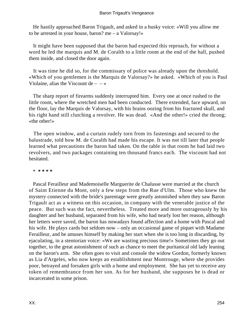He hastily approached Baron Trigault, and asked in a husky voice: «Will you allow me to be arrested in your house, baron? me – a Valorsay!»

 It might have been supposed that the baron had expected this reproach, for without a word he led the marquis and M. de Coralth to a little room at the end of the hall, pushed them inside, and closed the door again.

 It was time he did so, for the commissary of police was already upon the threshold. «Which of you gentlemen is the Marquis de Valorsay?» he asked. «Which of you is Paul Violaine, alias the Viscount de  $- - \infty$ 

 The sharp report of firearms suddenly interrupted him. Every one at once rushed to the little room, where the wretched men had been conducted. There extended, face upward, on the floor, lay the Marquis de Valorsay, with his brains oozing from his fractured skull, and his right hand still clutching a revolver. He was dead. «And the other!» cried the throng; «the other!»

 The open window, and a curtain rudely torn from its fastenings and secured to the balustrade, told how M. de Coralth had made his escape. It was not till later that people learned what precautions the baron had taken. On the table in that room he had laid two revolvers, and two packages containing ten thousand francs each. The viscount had not hesitated.

\* **\* \* \* \***

 Pascal Ferailleur and Mademoiselle Marguerite de Chalusse were married at the church of Saint Etienne du Mont, only a few steps from the Rue d'Ulm. Those who knew the mystery connected with the bride's parentage were greatly astonished when they saw Baron Trigault act as a witness on this occasion, in company with the venerable justice of the peace. But such was the fact, nevertheless. Treated more and more outrageously by his daughter and her husband, separated from his wife, who had nearly lost her reason, although her letters were saved, the baron has nowadays found affection and a home with Pascal and his wife. He plays cards but seldom now – only an occasional game of piquet with Madame Ferailleur, and he amuses himself by making her start when she is too long in discarding, by ejaculating, in a stentorian voice: «We are wasting precious time!» Sometimes they go out together, to the great astonishment of such as chance to meet the puritanical old lady leaning on the baron's arm. She often goes to visit and console the widow Gordon, formerly known as Lia d'Argeles, who now keeps an establishment near Montrouge, where she provides poor, betrayed and forsaken girls with a home and employment. She has yet to receive any token of remembrance from her son. As for her husband, she supposes he is dead or incarcerated in some prison.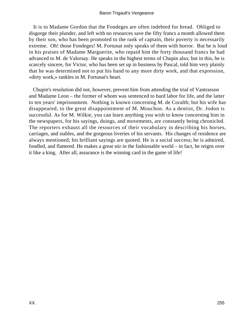### Baron Trigault's Vengeance

 It is to Madame Gordon that the Fondeges are often indebted for bread. Obliged to disgorge their plunder, and left with no resources save the fifty francs a month allowed them by their son, who has been promoted to the rank of captain, their poverty is necessarily extreme. Oh! those Fondeges! M. Fortunat only speaks of them with horror. But he is loud in his praises of Madame Marguerite, who repaid him the forty thousand francs he had advanced to M. de Valorsay. He speaks in the highest terms of Chupin also; but in this, he is scarcely sincere, for Victor, who has been set up in business by Pascal, told him very plainly that he was determined not to put his hand to any more dirty work, and that expression, «dirty work,» rankles in M. Fortunat's heart.

 Chupin's resolution did not, however, prevent him from attending the trial of Vantrasson and Madame Leon – the former of whom was sentenced to hard labor for life, and the latter to ten years' imprisonment. Nothing is known concerning M. de Coralth; but his wife has disappeared, to the great disappointment of M. Mouchon. As a dentist, Dr. Jodon is successful. As for M. Wilkie, you can learn anything you wish to know concerning him in the newspapers, for his sayings, doings, and movements, are constantly being chronicled. The reporters exhaust all the resources of their vocabulary in describing his horses, carriages, and stables, and the gorgeous liveries of his servants. His changes of residence are always mentioned; his brilliant sayings are quoted. He is a social success; he is admired, fondled, and flattered. He makes a great stir in the fashionable world – in fact, he reigns over it like a king. After all, assurance is the winning card in the game of life!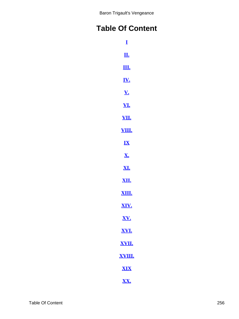# **Table Of Content**

| $\bf{I}$                   |  |
|----------------------------|--|
| <u>П.</u>                  |  |
| <u>Щ.</u>                  |  |
| <u>IV.</u>                 |  |
| $\underline{\mathbf{V}}$ . |  |
| <u>VI.</u>                 |  |
| <u>VII.</u>                |  |
| <u>VIII.</u>               |  |
| IX                         |  |
| <u>X.</u>                  |  |
| <u>XI.</u>                 |  |
| <u>XII.</u>                |  |
| <u>XIII.</u>               |  |
| XIV.                       |  |
| XV.                        |  |
| XVI.                       |  |
| <u>XVII.</u>               |  |
| <u>XVIII.</u>              |  |
| <b>XIX</b>                 |  |
| XX.                        |  |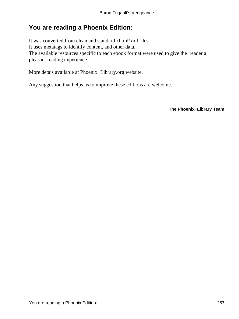## **You are reading a Phoenix Edition:**

It was converted from clean and standard xhtml/xml files. It uses metatags to identify content, and other data. The available resources specific to each ebook format were used to give the reader a pleasant reading experience.

More detais available at Phoenix−Library.org website.

Any suggestion that helps us to improve these editions are welcome.

**The Phoenix−Library Team**